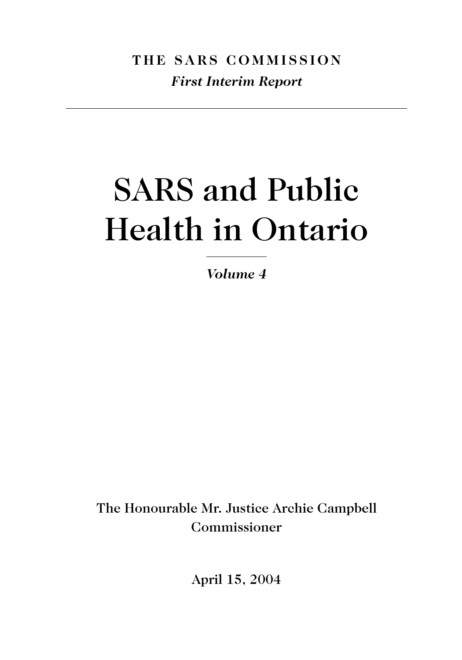## **THE SARS COMMISSION** *First Interim Report*

# SARS and Public Health in Ontario

*Volume 4*

The Honourable Mr. Justice Archie Campbell Commissioner

April 15, 2004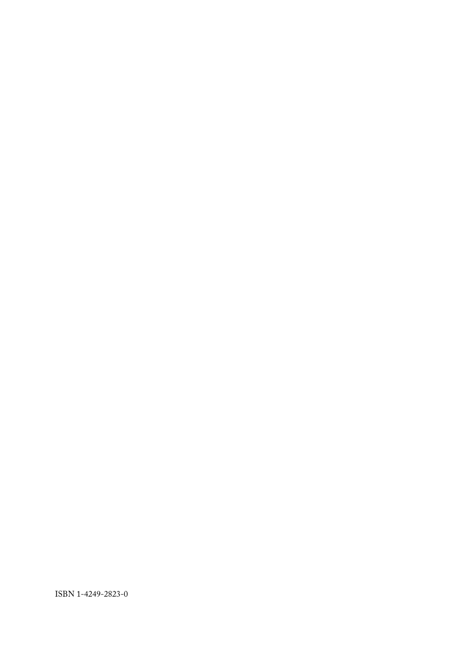ISBN 1-4249-2823-0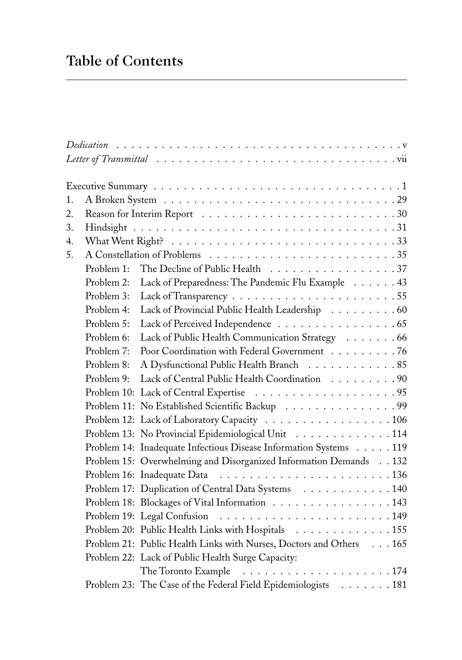# Table of Contents

|    |            | Letter of Transmittal $\quad \ldots \ldots \ldots \ldots \ldots \ldots \ldots \ldots \ldots \ldots \ldots \ldots \ldots$ |
|----|------------|--------------------------------------------------------------------------------------------------------------------------|
|    |            |                                                                                                                          |
|    |            |                                                                                                                          |
| 1. |            |                                                                                                                          |
| 2. |            |                                                                                                                          |
| 3. |            |                                                                                                                          |
| 4. |            |                                                                                                                          |
| 5. |            |                                                                                                                          |
|    | Problem 1: | The Decline of Public Health 37                                                                                          |
|    | Problem 2: | Lack of Preparedness: The Pandemic Flu Example 43                                                                        |
|    | Problem 3: |                                                                                                                          |
|    | Problem 4: | Lack of Provincial Public Health Leadership 60                                                                           |
|    | Problem 5: | Lack of Perceived Independence 65                                                                                        |
|    | Problem 6: | Lack of Public Health Communication Strategy 66                                                                          |
|    | Problem 7: | Poor Coordination with Federal Government 76                                                                             |
|    | Problem 8: | A Dysfunctional Public Health Branch 85                                                                                  |
|    | Problem 9: | Lack of Central Public Health Coordination 90                                                                            |
|    |            |                                                                                                                          |
|    |            | Problem 11: No Established Scientific Backup 99                                                                          |
|    |            | Problem 12: Lack of Laboratory Capacity 106                                                                              |
|    |            | Problem 13: No Provincial Epidemiological Unit 114                                                                       |
|    |            | Problem 14: Inadequate Infectious Disease Information Systems 119                                                        |
|    |            | Problem 15: Overwhelming and Disorganized Information Demands 132                                                        |
|    |            |                                                                                                                          |
|    |            | Problem 17: Duplication of Central Data Systems 140                                                                      |
|    |            | Problem 18: Blockages of Vital Information 143                                                                           |
|    |            |                                                                                                                          |
|    |            | Problem 20: Public Health Links with Hospitals 155                                                                       |
|    |            | Problem 21: Public Health Links with Nurses, Doctors and Others 165                                                      |
|    |            | Problem 22: Lack of Public Health Surge Capacity:                                                                        |
|    |            | The Toronto Example                                                                                                      |
|    |            | Problem 23: The Case of the Federal Field Epidemiologists 181                                                            |
|    |            |                                                                                                                          |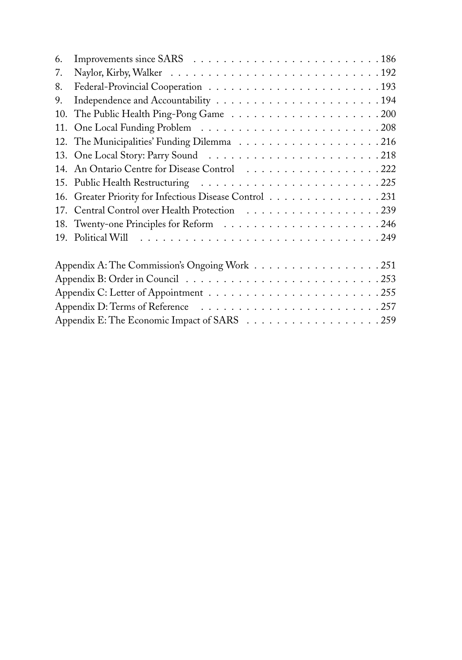| 6.  |                                                         |  |  |
|-----|---------------------------------------------------------|--|--|
| 7.  |                                                         |  |  |
| 8.  |                                                         |  |  |
| 9.  |                                                         |  |  |
| 10. |                                                         |  |  |
|     |                                                         |  |  |
|     |                                                         |  |  |
|     |                                                         |  |  |
|     | 14. An Ontario Centre for Disease Control 222           |  |  |
|     |                                                         |  |  |
|     | 16. Greater Priority for Infectious Disease Control 231 |  |  |
|     |                                                         |  |  |
|     |                                                         |  |  |
|     |                                                         |  |  |
|     | Appendix A: The Commission's Ongoing Work 251           |  |  |
|     |                                                         |  |  |
|     |                                                         |  |  |
|     |                                                         |  |  |
|     |                                                         |  |  |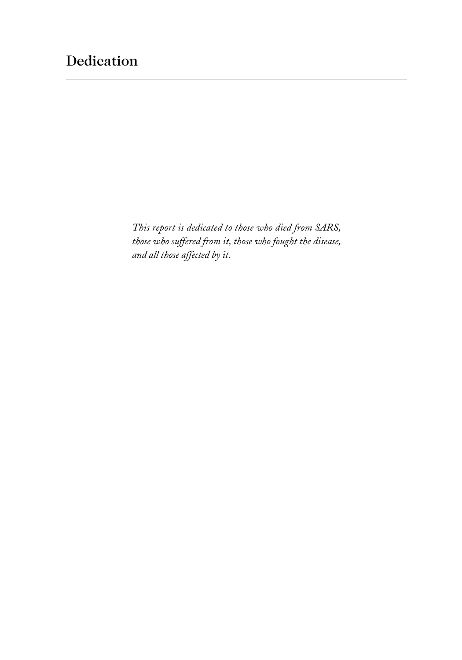*This report is dedicated to those who died from SARS, those who suffered from it, those who fought the disease, and all those affected by it.*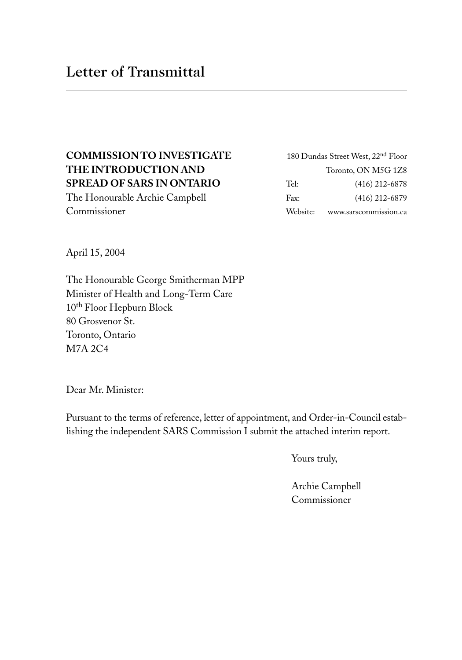## **COMMISSION TO INVESTIGATE** 180 Dundas Street West, 22<sup>nd</sup> Floor **THE INTRODUCTION AND** Toronto, ON M5G 1Z8 **SPREAD OF SARS IN ONTARIO** Tel: (416) 212-6878

Commissioner Website: www.sarscommission.ca

The Honourable Archie Campbell Fax: (416) 212-6879

April 15, 2004

The Honourable George Smitherman MPP Minister of Health and Long-Term Care 10th Floor Hepburn Block 80 Grosvenor St. Toronto, Ontario M7A 2C4

Dear Mr. Minister:

Pursuant to the terms of reference, letter of appointment, and Order-in-Council establishing the independent SARS Commission I submit the attached interim report.

Yours truly,

Archie Campbell Commissioner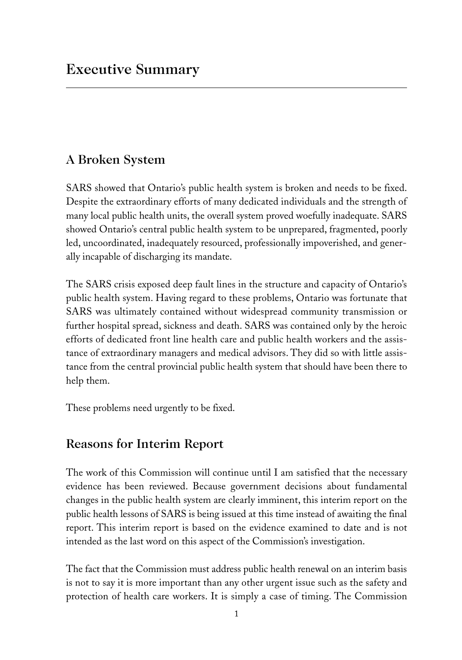#### A Broken System

SARS showed that Ontario's public health system is broken and needs to be fixed. Despite the extraordinary efforts of many dedicated individuals and the strength of many local public health units, the overall system proved woefully inadequate. SARS showed Ontario's central public health system to be unprepared, fragmented, poorly led, uncoordinated, inadequately resourced, professionally impoverished, and generally incapable of discharging its mandate.

The SARS crisis exposed deep fault lines in the structure and capacity of Ontario's public health system. Having regard to these problems, Ontario was fortunate that SARS was ultimately contained without widespread community transmission or further hospital spread, sickness and death. SARS was contained only by the heroic efforts of dedicated front line health care and public health workers and the assistance of extraordinary managers and medical advisors. They did so with little assistance from the central provincial public health system that should have been there to help them.

These problems need urgently to be fixed.

#### Reasons for Interim Report

The work of this Commission will continue until I am satisfied that the necessary evidence has been reviewed. Because government decisions about fundamental changes in the public health system are clearly imminent, this interim report on the public health lessons of SARS is being issued at this time instead of awaiting the final report. This interim report is based on the evidence examined to date and is not intended as the last word on this aspect of the Commission's investigation.

The fact that the Commission must address public health renewal on an interim basis is not to say it is more important than any other urgent issue such as the safety and protection of health care workers. It is simply a case of timing. The Commission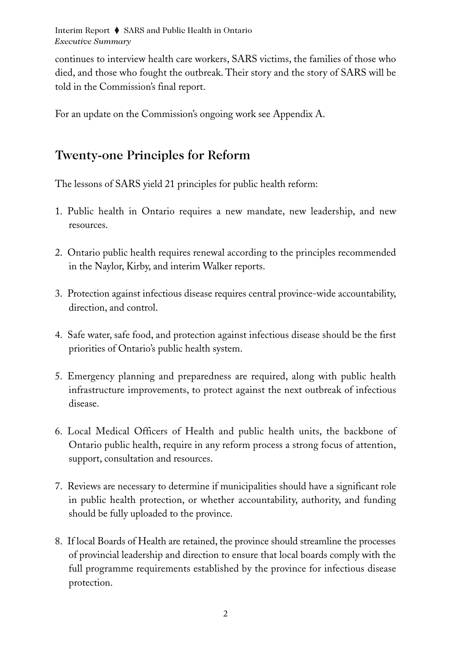continues to interview health care workers, SARS victims, the families of those who died, and those who fought the outbreak. Their story and the story of SARS will be told in the Commission's final report.

For an update on the Commission's ongoing work see Appendix A.

#### Twenty-one Principles for Reform

The lessons of SARS yield 21 principles for public health reform:

- 1. Public health in Ontario requires a new mandate, new leadership, and new resources.
- 2. Ontario public health requires renewal according to the principles recommended in the Naylor, Kirby, and interim Walker reports.
- 3. Protection against infectious disease requires central province-wide accountability, direction, and control.
- 4. Safe water, safe food, and protection against infectious disease should be the first priorities of Ontario's public health system.
- 5. Emergency planning and preparedness are required, along with public health infrastructure improvements, to protect against the next outbreak of infectious disease.
- 6. Local Medical Officers of Health and public health units, the backbone of Ontario public health, require in any reform process a strong focus of attention, support, consultation and resources.
- 7. Reviews are necessary to determine if municipalities should have a significant role in public health protection, or whether accountability, authority, and funding should be fully uploaded to the province.
- 8. If local Boards of Health are retained, the province should streamline the processes of provincial leadership and direction to ensure that local boards comply with the full programme requirements established by the province for infectious disease protection.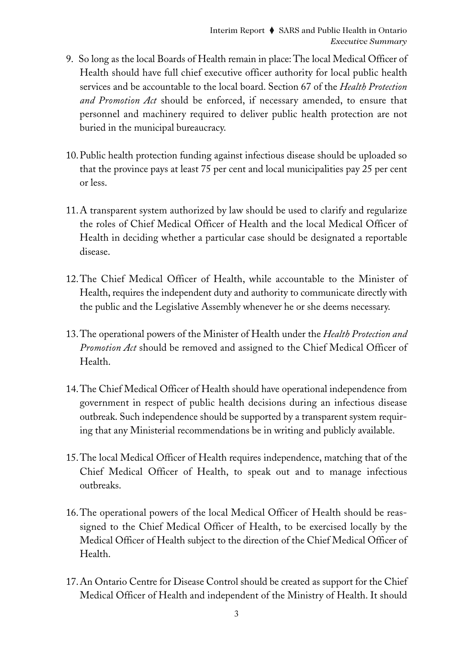- 9. So long as the local Boards of Health remain in place: The local Medical Officer of Health should have full chief executive officer authority for local public health services and be accountable to the local board. Section 67 of the *Health Protection and Promotion Act* should be enforced, if necessary amended, to ensure that personnel and machinery required to deliver public health protection are not buried in the municipal bureaucracy.
- 10.Public health protection funding against infectious disease should be uploaded so that the province pays at least 75 per cent and local municipalities pay 25 per cent or less.
- 11.A transparent system authorized by law should be used to clarify and regularize the roles of Chief Medical Officer of Health and the local Medical Officer of Health in deciding whether a particular case should be designated a reportable disease.
- 12.The Chief Medical Officer of Health, while accountable to the Minister of Health, requires the independent duty and authority to communicate directly with the public and the Legislative Assembly whenever he or she deems necessary.
- 13.The operational powers of the Minister of Health under the *Health Protection and Promotion Act* should be removed and assigned to the Chief Medical Officer of Health.
- 14.The Chief Medical Officer of Health should have operational independence from government in respect of public health decisions during an infectious disease outbreak. Such independence should be supported by a transparent system requiring that any Ministerial recommendations be in writing and publicly available.
- 15.The local Medical Officer of Health requires independence, matching that of the Chief Medical Officer of Health, to speak out and to manage infectious outbreaks.
- 16.The operational powers of the local Medical Officer of Health should be reassigned to the Chief Medical Officer of Health, to be exercised locally by the Medical Officer of Health subject to the direction of the Chief Medical Officer of Health.
- 17.An Ontario Centre for Disease Control should be created as support for the Chief Medical Officer of Health and independent of the Ministry of Health. It should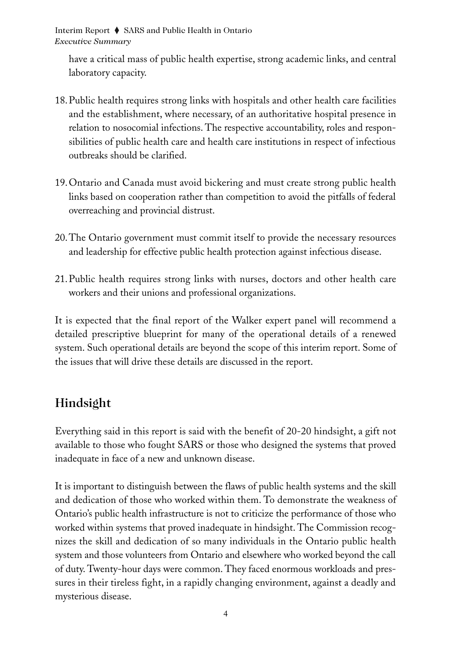have a critical mass of public health expertise, strong academic links, and central laboratory capacity.

- 18.Public health requires strong links with hospitals and other health care facilities and the establishment, where necessary, of an authoritative hospital presence in relation to nosocomial infections. The respective accountability, roles and responsibilities of public health care and health care institutions in respect of infectious outbreaks should be clarified.
- 19.Ontario and Canada must avoid bickering and must create strong public health links based on cooperation rather than competition to avoid the pitfalls of federal overreaching and provincial distrust.
- 20.The Ontario government must commit itself to provide the necessary resources and leadership for effective public health protection against infectious disease.
- 21.Public health requires strong links with nurses, doctors and other health care workers and their unions and professional organizations.

It is expected that the final report of the Walker expert panel will recommend a detailed prescriptive blueprint for many of the operational details of a renewed system. Such operational details are beyond the scope of this interim report. Some of the issues that will drive these details are discussed in the report.

#### Hindsight

Everything said in this report is said with the benefit of 20-20 hindsight, a gift not available to those who fought SARS or those who designed the systems that proved inadequate in face of a new and unknown disease.

It is important to distinguish between the flaws of public health systems and the skill and dedication of those who worked within them. To demonstrate the weakness of Ontario's public health infrastructure is not to criticize the performance of those who worked within systems that proved inadequate in hindsight. The Commission recognizes the skill and dedication of so many individuals in the Ontario public health system and those volunteers from Ontario and elsewhere who worked beyond the call of duty. Twenty-hour days were common. They faced enormous workloads and pressures in their tireless fight, in a rapidly changing environment, against a deadly and mysterious disease.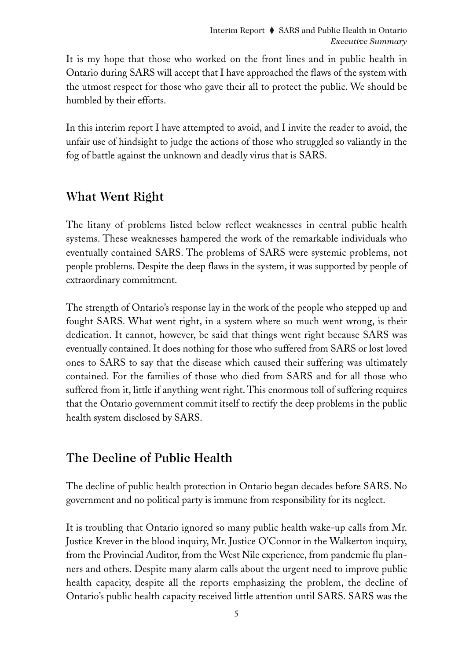It is my hope that those who worked on the front lines and in public health in Ontario during SARS will accept that I have approached the flaws of the system with the utmost respect for those who gave their all to protect the public. We should be humbled by their efforts.

In this interim report I have attempted to avoid, and I invite the reader to avoid, the unfair use of hindsight to judge the actions of those who struggled so valiantly in the fog of battle against the unknown and deadly virus that is SARS.

#### What Went Right

The litany of problems listed below reflect weaknesses in central public health systems. These weaknesses hampered the work of the remarkable individuals who eventually contained SARS. The problems of SARS were systemic problems, not people problems. Despite the deep flaws in the system, it was supported by people of extraordinary commitment.

The strength of Ontario's response lay in the work of the people who stepped up and fought SARS. What went right, in a system where so much went wrong, is their dedication. It cannot, however, be said that things went right because SARS was eventually contained. It does nothing for those who suffered from SARS or lost loved ones to SARS to say that the disease which caused their suffering was ultimately contained. For the families of those who died from SARS and for all those who suffered from it, little if anything went right. This enormous toll of suffering requires that the Ontario government commit itself to rectify the deep problems in the public health system disclosed by SARS.

#### The Decline of Public Health

The decline of public health protection in Ontario began decades before SARS. No government and no political party is immune from responsibility for its neglect.

It is troubling that Ontario ignored so many public health wake-up calls from Mr. Justice Krever in the blood inquiry, Mr. Justice O'Connor in the Walkerton inquiry, from the Provincial Auditor, from the West Nile experience, from pandemic flu planners and others. Despite many alarm calls about the urgent need to improve public health capacity, despite all the reports emphasizing the problem, the decline of Ontario's public health capacity received little attention until SARS. SARS was the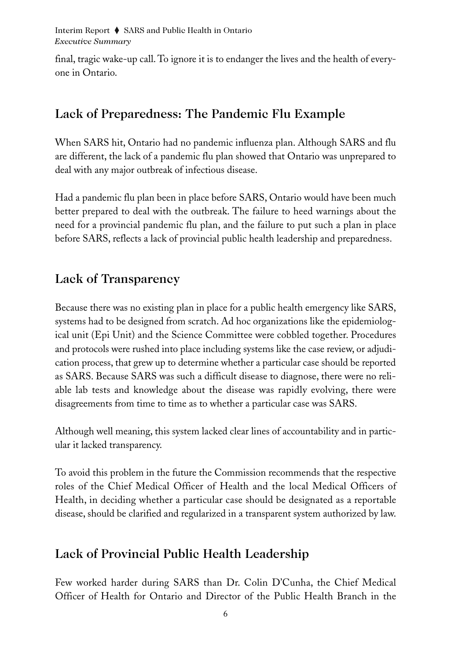final, tragic wake-up call. To ignore it is to endanger the lives and the health of everyone in Ontario.

#### Lack of Preparedness: The Pandemic Flu Example

When SARS hit, Ontario had no pandemic influenza plan. Although SARS and flu are different, the lack of a pandemic flu plan showed that Ontario was unprepared to deal with any major outbreak of infectious disease.

Had a pandemic flu plan been in place before SARS, Ontario would have been much better prepared to deal with the outbreak. The failure to heed warnings about the need for a provincial pandemic flu plan, and the failure to put such a plan in place before SARS, reflects a lack of provincial public health leadership and preparedness.

#### Lack of Transparency

Because there was no existing plan in place for a public health emergency like SARS, systems had to be designed from scratch. Ad hoc organizations like the epidemiological unit (Epi Unit) and the Science Committee were cobbled together. Procedures and protocols were rushed into place including systems like the case review, or adjudication process, that grew up to determine whether a particular case should be reported as SARS. Because SARS was such a difficult disease to diagnose, there were no reliable lab tests and knowledge about the disease was rapidly evolving, there were disagreements from time to time as to whether a particular case was SARS.

Although well meaning, this system lacked clear lines of accountability and in particular it lacked transparency.

To avoid this problem in the future the Commission recommends that the respective roles of the Chief Medical Officer of Health and the local Medical Officers of Health, in deciding whether a particular case should be designated as a reportable disease, should be clarified and regularized in a transparent system authorized by law.

#### Lack of Provincial Public Health Leadership

Few worked harder during SARS than Dr. Colin D'Cunha, the Chief Medical Officer of Health for Ontario and Director of the Public Health Branch in the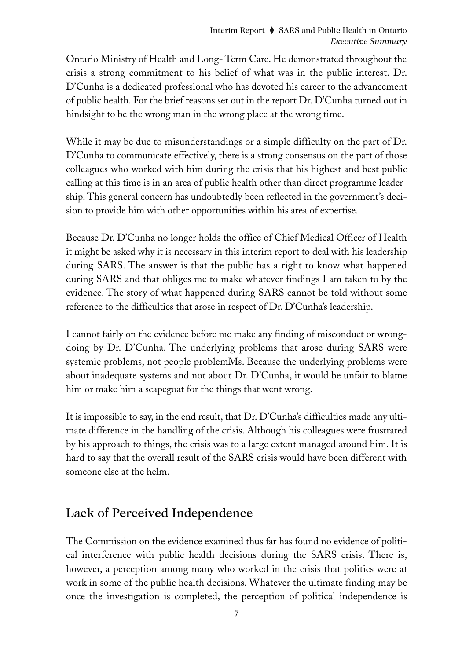Ontario Ministry of Health and Long- Term Care. He demonstrated throughout the crisis a strong commitment to his belief of what was in the public interest. Dr. D'Cunha is a dedicated professional who has devoted his career to the advancement of public health. For the brief reasons set out in the report Dr. D'Cunha turned out in hindsight to be the wrong man in the wrong place at the wrong time.

While it may be due to misunderstandings or a simple difficulty on the part of Dr. D'Cunha to communicate effectively, there is a strong consensus on the part of those colleagues who worked with him during the crisis that his highest and best public calling at this time is in an area of public health other than direct programme leadership. This general concern has undoubtedly been reflected in the government's decision to provide him with other opportunities within his area of expertise.

Because Dr. D'Cunha no longer holds the office of Chief Medical Officer of Health it might be asked why it is necessary in this interim report to deal with his leadership during SARS. The answer is that the public has a right to know what happened during SARS and that obliges me to make whatever findings I am taken to by the evidence. The story of what happened during SARS cannot be told without some reference to the difficulties that arose in respect of Dr. D'Cunha's leadership.

I cannot fairly on the evidence before me make any finding of misconduct or wrongdoing by Dr. D'Cunha. The underlying problems that arose during SARS were systemic problems, not people problemMs. Because the underlying problems were about inadequate systems and not about Dr. D'Cunha, it would be unfair to blame him or make him a scapegoat for the things that went wrong.

It is impossible to say, in the end result, that Dr. D'Cunha's difficulties made any ultimate difference in the handling of the crisis. Although his colleagues were frustrated by his approach to things, the crisis was to a large extent managed around him. It is hard to say that the overall result of the SARS crisis would have been different with someone else at the helm.

#### Lack of Perceived Independence

The Commission on the evidence examined thus far has found no evidence of political interference with public health decisions during the SARS crisis. There is, however, a perception among many who worked in the crisis that politics were at work in some of the public health decisions. Whatever the ultimate finding may be once the investigation is completed, the perception of political independence is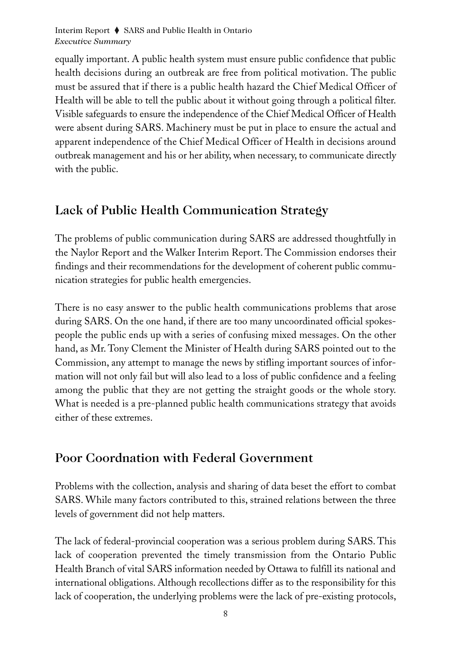equally important. A public health system must ensure public confidence that public health decisions during an outbreak are free from political motivation. The public must be assured that if there is a public health hazard the Chief Medical Officer of Health will be able to tell the public about it without going through a political filter. Visible safeguards to ensure the independence of the Chief Medical Officer of Health were absent during SARS. Machinery must be put in place to ensure the actual and apparent independence of the Chief Medical Officer of Health in decisions around outbreak management and his or her ability, when necessary, to communicate directly with the public.

#### Lack of Public Health Communication Strategy

The problems of public communication during SARS are addressed thoughtfully in the Naylor Report and the Walker Interim Report. The Commission endorses their findings and their recommendations for the development of coherent public communication strategies for public health emergencies.

There is no easy answer to the public health communications problems that arose during SARS. On the one hand, if there are too many uncoordinated official spokespeople the public ends up with a series of confusing mixed messages. On the other hand, as Mr. Tony Clement the Minister of Health during SARS pointed out to the Commission, any attempt to manage the news by stifling important sources of information will not only fail but will also lead to a loss of public confidence and a feeling among the public that they are not getting the straight goods or the whole story. What is needed is a pre-planned public health communications strategy that avoids either of these extremes.

#### Poor Coordnation with Federal Government

Problems with the collection, analysis and sharing of data beset the effort to combat SARS. While many factors contributed to this, strained relations between the three levels of government did not help matters.

The lack of federal-provincial cooperation was a serious problem during SARS. This lack of cooperation prevented the timely transmission from the Ontario Public Health Branch of vital SARS information needed by Ottawa to fulfill its national and international obligations. Although recollections differ as to the responsibility for this lack of cooperation, the underlying problems were the lack of pre-existing protocols,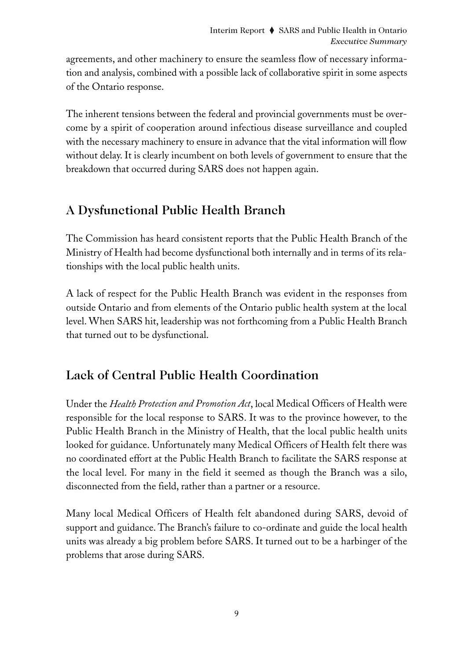agreements, and other machinery to ensure the seamless flow of necessary information and analysis, combined with a possible lack of collaborative spirit in some aspects of the Ontario response.

The inherent tensions between the federal and provincial governments must be overcome by a spirit of cooperation around infectious disease surveillance and coupled with the necessary machinery to ensure in advance that the vital information will flow without delay. It is clearly incumbent on both levels of government to ensure that the breakdown that occurred during SARS does not happen again.

## A Dysfunctional Public Health Branch

The Commission has heard consistent reports that the Public Health Branch of the Ministry of Health had become dysfunctional both internally and in terms of its relationships with the local public health units.

A lack of respect for the Public Health Branch was evident in the responses from outside Ontario and from elements of the Ontario public health system at the local level. When SARS hit, leadership was not forthcoming from a Public Health Branch that turned out to be dysfunctional.

## Lack of Central Public Health Coordination

Under the *Health Protection and Promotion Act*, local Medical Officers of Health were responsible for the local response to SARS. It was to the province however, to the Public Health Branch in the Ministry of Health, that the local public health units looked for guidance. Unfortunately many Medical Officers of Health felt there was no coordinated effort at the Public Health Branch to facilitate the SARS response at the local level. For many in the field it seemed as though the Branch was a silo, disconnected from the field, rather than a partner or a resource.

Many local Medical Officers of Health felt abandoned during SARS, devoid of support and guidance. The Branch's failure to co-ordinate and guide the local health units was already a big problem before SARS. It turned out to be a harbinger of the problems that arose during SARS.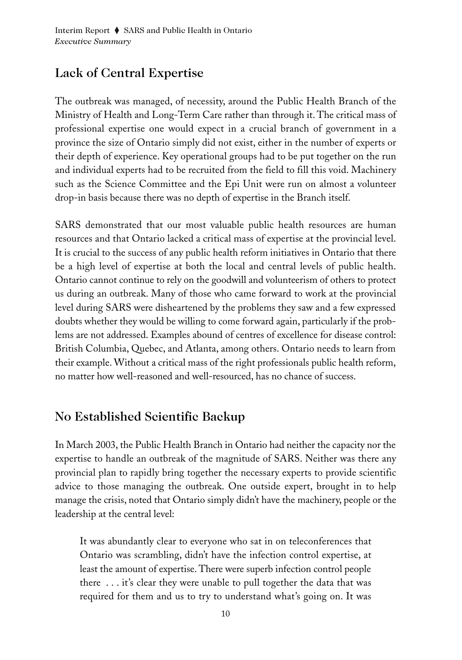#### Lack of Central Expertise

The outbreak was managed, of necessity, around the Public Health Branch of the Ministry of Health and Long-Term Care rather than through it. The critical mass of professional expertise one would expect in a crucial branch of government in a province the size of Ontario simply did not exist, either in the number of experts or their depth of experience. Key operational groups had to be put together on the run and individual experts had to be recruited from the field to fill this void. Machinery such as the Science Committee and the Epi Unit were run on almost a volunteer drop-in basis because there was no depth of expertise in the Branch itself.

SARS demonstrated that our most valuable public health resources are human resources and that Ontario lacked a critical mass of expertise at the provincial level. It is crucial to the success of any public health reform initiatives in Ontario that there be a high level of expertise at both the local and central levels of public health. Ontario cannot continue to rely on the goodwill and volunteerism of others to protect us during an outbreak. Many of those who came forward to work at the provincial level during SARS were disheartened by the problems they saw and a few expressed doubts whether they would be willing to come forward again, particularly if the problems are not addressed. Examples abound of centres of excellence for disease control: British Columbia, Quebec, and Atlanta, among others. Ontario needs to learn from their example. Without a critical mass of the right professionals public health reform, no matter how well-reasoned and well-resourced, has no chance of success.

#### No Established Scientific Backup

In March 2003, the Public Health Branch in Ontario had neither the capacity nor the expertise to handle an outbreak of the magnitude of SARS. Neither was there any provincial plan to rapidly bring together the necessary experts to provide scientific advice to those managing the outbreak. One outside expert, brought in to help manage the crisis, noted that Ontario simply didn't have the machinery, people or the leadership at the central level:

It was abundantly clear to everyone who sat in on teleconferences that Ontario was scrambling, didn't have the infection control expertise, at least the amount of expertise. There were superb infection control people there . . . it's clear they were unable to pull together the data that was required for them and us to try to understand what's going on. It was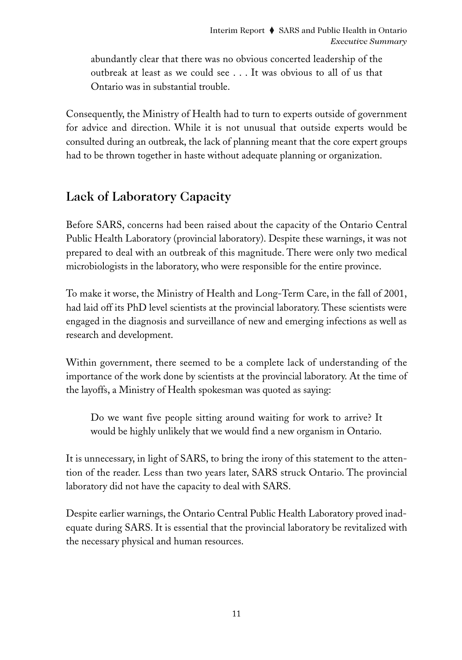abundantly clear that there was no obvious concerted leadership of the outbreak at least as we could see . . . It was obvious to all of us that Ontario was in substantial trouble.

Consequently, the Ministry of Health had to turn to experts outside of government for advice and direction. While it is not unusual that outside experts would be consulted during an outbreak, the lack of planning meant that the core expert groups had to be thrown together in haste without adequate planning or organization.

#### Lack of Laboratory Capacity

Before SARS, concerns had been raised about the capacity of the Ontario Central Public Health Laboratory (provincial laboratory). Despite these warnings, it was not prepared to deal with an outbreak of this magnitude. There were only two medical microbiologists in the laboratory, who were responsible for the entire province.

To make it worse, the Ministry of Health and Long-Term Care, in the fall of 2001, had laid off its PhD level scientists at the provincial laboratory. These scientists were engaged in the diagnosis and surveillance of new and emerging infections as well as research and development.

Within government, there seemed to be a complete lack of understanding of the importance of the work done by scientists at the provincial laboratory. At the time of the layoffs, a Ministry of Health spokesman was quoted as saying:

Do we want five people sitting around waiting for work to arrive? It would be highly unlikely that we would find a new organism in Ontario.

It is unnecessary, in light of SARS, to bring the irony of this statement to the attention of the reader. Less than two years later, SARS struck Ontario. The provincial laboratory did not have the capacity to deal with SARS.

Despite earlier warnings, the Ontario Central Public Health Laboratory proved inadequate during SARS. It is essential that the provincial laboratory be revitalized with the necessary physical and human resources.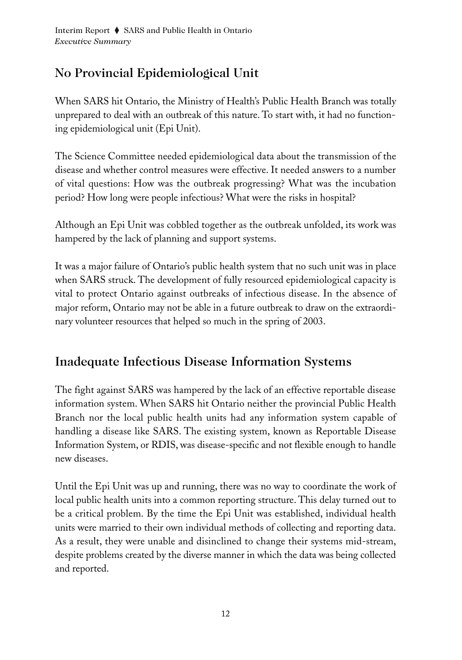## No Provincial Epidemiological Unit

When SARS hit Ontario, the Ministry of Health's Public Health Branch was totally unprepared to deal with an outbreak of this nature. To start with, it had no functioning epidemiological unit (Epi Unit).

The Science Committee needed epidemiological data about the transmission of the disease and whether control measures were effective. It needed answers to a number of vital questions: How was the outbreak progressing? What was the incubation period? How long were people infectious? What were the risks in hospital?

Although an Epi Unit was cobbled together as the outbreak unfolded, its work was hampered by the lack of planning and support systems.

It was a major failure of Ontario's public health system that no such unit was in place when SARS struck. The development of fully resourced epidemiological capacity is vital to protect Ontario against outbreaks of infectious disease. In the absence of major reform, Ontario may not be able in a future outbreak to draw on the extraordinary volunteer resources that helped so much in the spring of 2003.

#### Inadequate Infectious Disease Information Systems

The fight against SARS was hampered by the lack of an effective reportable disease information system. When SARS hit Ontario neither the provincial Public Health Branch nor the local public health units had any information system capable of handling a disease like SARS. The existing system, known as Reportable Disease Information System, or RDIS, was disease-specific and not flexible enough to handle new diseases.

Until the Epi Unit was up and running, there was no way to coordinate the work of local public health units into a common reporting structure. This delay turned out to be a critical problem. By the time the Epi Unit was established, individual health units were married to their own individual methods of collecting and reporting data. As a result, they were unable and disinclined to change their systems mid-stream, despite problems created by the diverse manner in which the data was being collected and reported.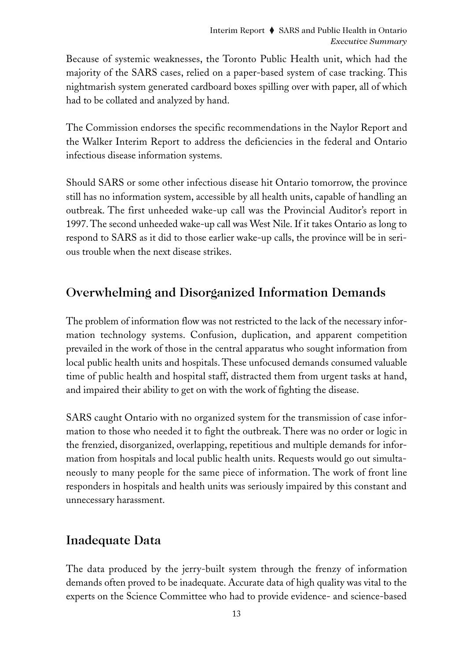Because of systemic weaknesses, the Toronto Public Health unit, which had the majority of the SARS cases, relied on a paper-based system of case tracking. This nightmarish system generated cardboard boxes spilling over with paper, all of which had to be collated and analyzed by hand.

The Commission endorses the specific recommendations in the Naylor Report and the Walker Interim Report to address the deficiencies in the federal and Ontario infectious disease information systems.

Should SARS or some other infectious disease hit Ontario tomorrow, the province still has no information system, accessible by all health units, capable of handling an outbreak. The first unheeded wake-up call was the Provincial Auditor's report in 1997. The second unheeded wake-up call was West Nile. If it takes Ontario as long to respond to SARS as it did to those earlier wake-up calls, the province will be in serious trouble when the next disease strikes.

#### Overwhelming and Disorganized Information Demands

The problem of information flow was not restricted to the lack of the necessary information technology systems. Confusion, duplication, and apparent competition prevailed in the work of those in the central apparatus who sought information from local public health units and hospitals. These unfocused demands consumed valuable time of public health and hospital staff, distracted them from urgent tasks at hand, and impaired their ability to get on with the work of fighting the disease.

SARS caught Ontario with no organized system for the transmission of case information to those who needed it to fight the outbreak. There was no order or logic in the frenzied, disorganized, overlapping, repetitious and multiple demands for information from hospitals and local public health units. Requests would go out simultaneously to many people for the same piece of information. The work of front line responders in hospitals and health units was seriously impaired by this constant and unnecessary harassment.

#### Inadequate Data

The data produced by the jerry-built system through the frenzy of information demands often proved to be inadequate. Accurate data of high quality was vital to the experts on the Science Committee who had to provide evidence- and science-based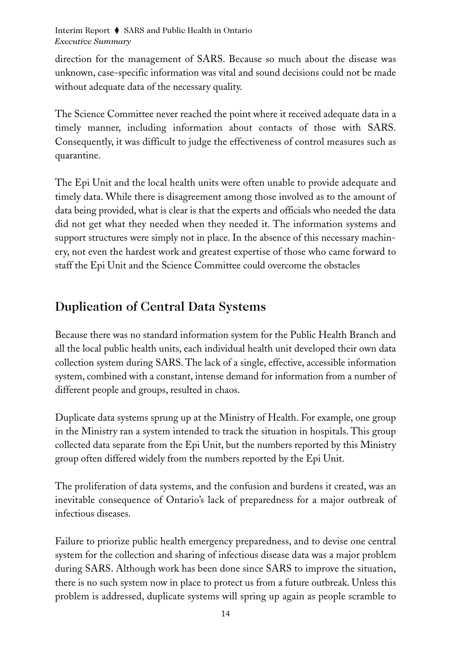direction for the management of SARS. Because so much about the disease was unknown, case-specific information was vital and sound decisions could not be made without adequate data of the necessary quality.

The Science Committee never reached the point where it received adequate data in a timely manner, including information about contacts of those with SARS. Consequently, it was difficult to judge the effectiveness of control measures such as quarantine.

The Epi Unit and the local health units were often unable to provide adequate and timely data. While there is disagreement among those involved as to the amount of data being provided, what is clear is that the experts and officials who needed the data did not get what they needed when they needed it. The information systems and support structures were simply not in place. In the absence of this necessary machinery, not even the hardest work and greatest expertise of those who came forward to staff the Epi Unit and the Science Committee could overcome the obstacles

#### Duplication of Central Data Systems

Because there was no standard information system for the Public Health Branch and all the local public health units, each individual health unit developed their own data collection system during SARS. The lack of a single, effective, accessible information system, combined with a constant, intense demand for information from a number of different people and groups, resulted in chaos.

Duplicate data systems sprung up at the Ministry of Health. For example, one group in the Ministry ran a system intended to track the situation in hospitals. This group collected data separate from the Epi Unit, but the numbers reported by this Ministry group often differed widely from the numbers reported by the Epi Unit.

The proliferation of data systems, and the confusion and burdens it created, was an inevitable consequence of Ontario's lack of preparedness for a major outbreak of infectious diseases.

Failure to priorize public health emergency preparedness, and to devise one central system for the collection and sharing of infectious disease data was a major problem during SARS. Although work has been done since SARS to improve the situation, there is no such system now in place to protect us from a future outbreak. Unless this problem is addressed, duplicate systems will spring up again as people scramble to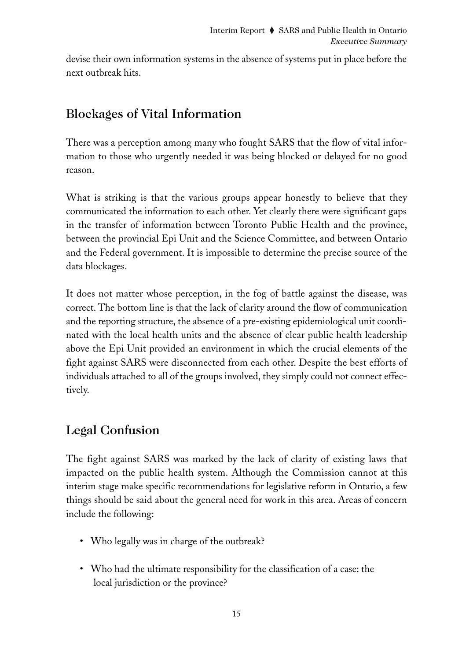devise their own information systems in the absence of systems put in place before the next outbreak hits.

## Blockages of Vital Information

There was a perception among many who fought SARS that the flow of vital information to those who urgently needed it was being blocked or delayed for no good reason.

What is striking is that the various groups appear honestly to believe that they communicated the information to each other. Yet clearly there were significant gaps in the transfer of information between Toronto Public Health and the province, between the provincial Epi Unit and the Science Committee, and between Ontario and the Federal government. It is impossible to determine the precise source of the data blockages.

It does not matter whose perception, in the fog of battle against the disease, was correct. The bottom line is that the lack of clarity around the flow of communication and the reporting structure, the absence of a pre-existing epidemiological unit coordinated with the local health units and the absence of clear public health leadership above the Epi Unit provided an environment in which the crucial elements of the fight against SARS were disconnected from each other. Despite the best efforts of individuals attached to all of the groups involved, they simply could not connect effectively.

## Legal Confusion

The fight against SARS was marked by the lack of clarity of existing laws that impacted on the public health system. Although the Commission cannot at this interim stage make specific recommendations for legislative reform in Ontario, a few things should be said about the general need for work in this area. Areas of concern include the following:

- Who legally was in charge of the outbreak?
- Who had the ultimate responsibility for the classification of a case: the local jurisdiction or the province?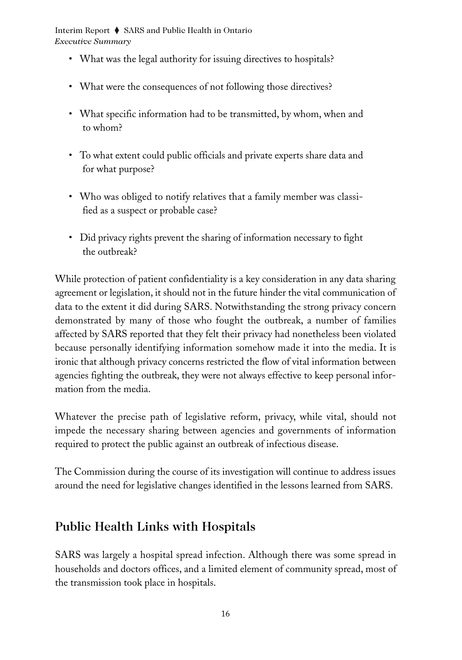- What was the legal authority for issuing directives to hospitals?
- What were the consequences of not following those directives?
- What specific information had to be transmitted, by whom, when and to whom?
- To what extent could public officials and private experts share data and for what purpose?
- Who was obliged to notify relatives that a family member was classified as a suspect or probable case?
- Did privacy rights prevent the sharing of information necessary to fight the outbreak?

While protection of patient confidentiality is a key consideration in any data sharing agreement or legislation, it should not in the future hinder the vital communication of data to the extent it did during SARS. Notwithstanding the strong privacy concern demonstrated by many of those who fought the outbreak, a number of families affected by SARS reported that they felt their privacy had nonetheless been violated because personally identifying information somehow made it into the media. It is ironic that although privacy concerns restricted the flow of vital information between agencies fighting the outbreak, they were not always effective to keep personal information from the media.

Whatever the precise path of legislative reform, privacy, while vital, should not impede the necessary sharing between agencies and governments of information required to protect the public against an outbreak of infectious disease.

The Commission during the course of its investigation will continue to address issues around the need for legislative changes identified in the lessons learned from SARS.

#### Public Health Links with Hospitals

SARS was largely a hospital spread infection. Although there was some spread in households and doctors offices, and a limited element of community spread, most of the transmission took place in hospitals.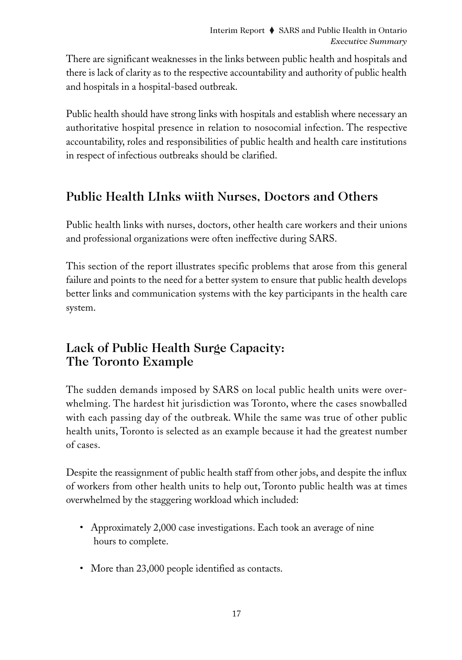There are significant weaknesses in the links between public health and hospitals and there is lack of clarity as to the respective accountability and authority of public health and hospitals in a hospital-based outbreak.

Public health should have strong links with hospitals and establish where necessary an authoritative hospital presence in relation to nosocomial infection. The respective accountability, roles and responsibilities of public health and health care institutions in respect of infectious outbreaks should be clarified.

#### Public Health LInks wiith Nurses, Doctors and Others

Public health links with nurses, doctors, other health care workers and their unions and professional organizations were often ineffective during SARS.

This section of the report illustrates specific problems that arose from this general failure and points to the need for a better system to ensure that public health develops better links and communication systems with the key participants in the health care system.

#### Lack of Public Health Surge Capacity: The Toronto Example

The sudden demands imposed by SARS on local public health units were overwhelming. The hardest hit jurisdiction was Toronto, where the cases snowballed with each passing day of the outbreak. While the same was true of other public health units, Toronto is selected as an example because it had the greatest number of cases.

Despite the reassignment of public health staff from other jobs, and despite the influx of workers from other health units to help out, Toronto public health was at times overwhelmed by the staggering workload which included:

- Approximately 2,000 case investigations. Each took an average of nine hours to complete.
- More than 23,000 people identified as contacts.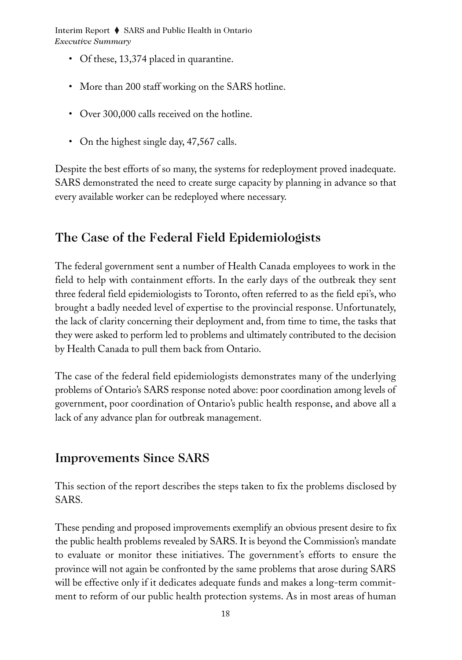- Of these, 13,374 placed in quarantine.
- More than 200 staff working on the SARS hotline.
- Over 300,000 calls received on the hotline.
- On the highest single day, 47,567 calls.

Despite the best efforts of so many, the systems for redeployment proved inadequate. SARS demonstrated the need to create surge capacity by planning in advance so that every available worker can be redeployed where necessary.

## The Case of the Federal Field Epidemiologists

The federal government sent a number of Health Canada employees to work in the field to help with containment efforts. In the early days of the outbreak they sent three federal field epidemiologists to Toronto, often referred to as the field epi's, who brought a badly needed level of expertise to the provincial response. Unfortunately, the lack of clarity concerning their deployment and, from time to time, the tasks that they were asked to perform led to problems and ultimately contributed to the decision by Health Canada to pull them back from Ontario.

The case of the federal field epidemiologists demonstrates many of the underlying problems of Ontario's SARS response noted above: poor coordination among levels of government, poor coordination of Ontario's public health response, and above all a lack of any advance plan for outbreak management.

#### Improvements Since SARS

This section of the report describes the steps taken to fix the problems disclosed by SARS.

These pending and proposed improvements exemplify an obvious present desire to fix the public health problems revealed by SARS. It is beyond the Commission's mandate to evaluate or monitor these initiatives. The government's efforts to ensure the province will not again be confronted by the same problems that arose during SARS will be effective only if it dedicates adequate funds and makes a long-term commitment to reform of our public health protection systems. As in most areas of human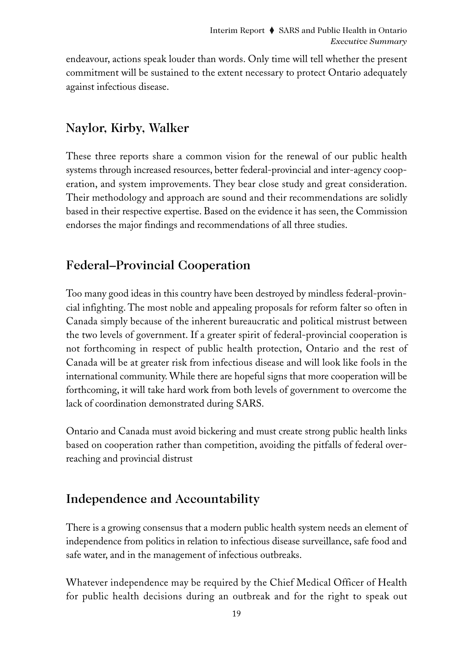endeavour, actions speak louder than words. Only time will tell whether the present commitment will be sustained to the extent necessary to protect Ontario adequately against infectious disease.

#### Naylor, Kirby, Walker

These three reports share a common vision for the renewal of our public health systems through increased resources, better federal-provincial and inter-agency cooperation, and system improvements. They bear close study and great consideration. Their methodology and approach are sound and their recommendations are solidly based in their respective expertise. Based on the evidence it has seen, the Commission endorses the major findings and recommendations of all three studies.

#### Federal–Provincial Cooperation

Too many good ideas in this country have been destroyed by mindless federal-provincial infighting. The most noble and appealing proposals for reform falter so often in Canada simply because of the inherent bureaucratic and political mistrust between the two levels of government. If a greater spirit of federal-provincial cooperation is not forthcoming in respect of public health protection, Ontario and the rest of Canada will be at greater risk from infectious disease and will look like fools in the international community. While there are hopeful signs that more cooperation will be forthcoming, it will take hard work from both levels of government to overcome the lack of coordination demonstrated during SARS.

Ontario and Canada must avoid bickering and must create strong public health links based on cooperation rather than competition, avoiding the pitfalls of federal overreaching and provincial distrust

#### Independence and Accountability

There is a growing consensus that a modern public health system needs an element of independence from politics in relation to infectious disease surveillance, safe food and safe water, and in the management of infectious outbreaks.

Whatever independence may be required by the Chief Medical Officer of Health for public health decisions during an outbreak and for the right to speak out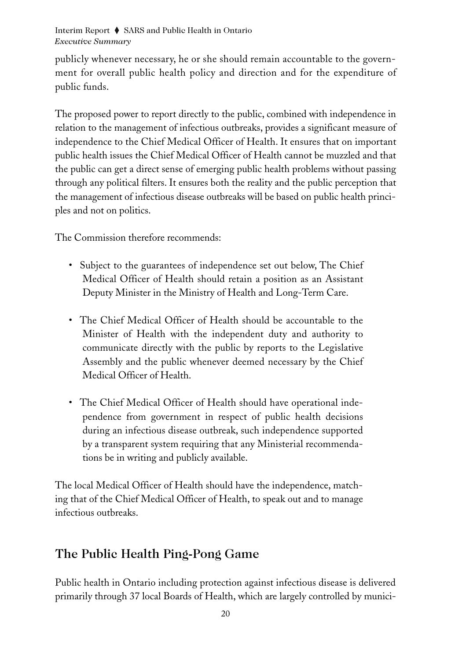publicly whenever necessary, he or she should remain accountable to the government for overall public health policy and direction and for the expenditure of public funds.

The proposed power to report directly to the public, combined with independence in relation to the management of infectious outbreaks, provides a significant measure of independence to the Chief Medical Officer of Health. It ensures that on important public health issues the Chief Medical Officer of Health cannot be muzzled and that the public can get a direct sense of emerging public health problems without passing through any political filters. It ensures both the reality and the public perception that the management of infectious disease outbreaks will be based on public health principles and not on politics.

The Commission therefore recommends:

- Subject to the guarantees of independence set out below, The Chief Medical Officer of Health should retain a position as an Assistant Deputy Minister in the Ministry of Health and Long-Term Care.
- The Chief Medical Officer of Health should be accountable to the Minister of Health with the independent duty and authority to communicate directly with the public by reports to the Legislative Assembly and the public whenever deemed necessary by the Chief Medical Officer of Health.
- The Chief Medical Officer of Health should have operational independence from government in respect of public health decisions during an infectious disease outbreak, such independence supported by a transparent system requiring that any Ministerial recommendations be in writing and publicly available.

The local Medical Officer of Health should have the independence, matching that of the Chief Medical Officer of Health, to speak out and to manage infectious outbreaks.

## The Public Health Ping-Pong Game

Public health in Ontario including protection against infectious disease is delivered primarily through 37 local Boards of Health, which are largely controlled by munici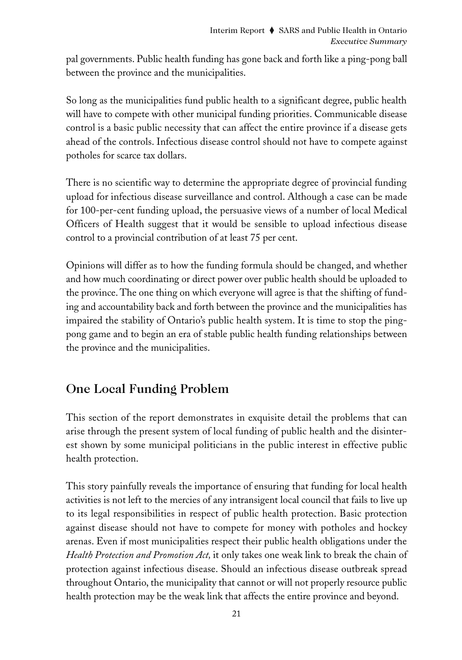pal governments. Public health funding has gone back and forth like a ping-pong ball between the province and the municipalities.

So long as the municipalities fund public health to a significant degree, public health will have to compete with other municipal funding priorities. Communicable disease control is a basic public necessity that can affect the entire province if a disease gets ahead of the controls. Infectious disease control should not have to compete against potholes for scarce tax dollars.

There is no scientific way to determine the appropriate degree of provincial funding upload for infectious disease surveillance and control. Although a case can be made for 100-per-cent funding upload, the persuasive views of a number of local Medical Officers of Health suggest that it would be sensible to upload infectious disease control to a provincial contribution of at least 75 per cent.

Opinions will differ as to how the funding formula should be changed, and whether and how much coordinating or direct power over public health should be uploaded to the province. The one thing on which everyone will agree is that the shifting of funding and accountability back and forth between the province and the municipalities has impaired the stability of Ontario's public health system. It is time to stop the pingpong game and to begin an era of stable public health funding relationships between the province and the municipalities.

#### One Local Funding Problem

This section of the report demonstrates in exquisite detail the problems that can arise through the present system of local funding of public health and the disinterest shown by some municipal politicians in the public interest in effective public health protection.

This story painfully reveals the importance of ensuring that funding for local health activities is not left to the mercies of any intransigent local council that fails to live up to its legal responsibilities in respect of public health protection. Basic protection against disease should not have to compete for money with potholes and hockey arenas. Even if most municipalities respect their public health obligations under the *Health Protection and Promotion Act,* it only takes one weak link to break the chain of protection against infectious disease. Should an infectious disease outbreak spread throughout Ontario, the municipality that cannot or will not properly resource public health protection may be the weak link that affects the entire province and beyond.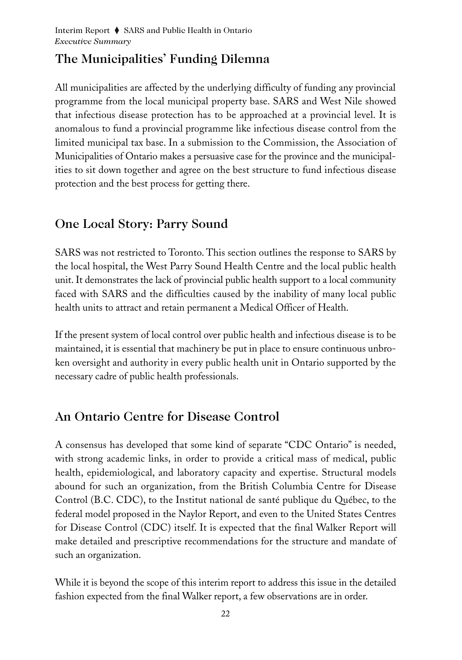## The Municipalities' Funding Dilemna

All municipalities are affected by the underlying difficulty of funding any provincial programme from the local municipal property base. SARS and West Nile showed that infectious disease protection has to be approached at a provincial level. It is anomalous to fund a provincial programme like infectious disease control from the limited municipal tax base. In a submission to the Commission, the Association of Municipalities of Ontario makes a persuasive case for the province and the municipalities to sit down together and agree on the best structure to fund infectious disease protection and the best process for getting there.

#### One Local Story: Parry Sound

SARS was not restricted to Toronto. This section outlines the response to SARS by the local hospital, the West Parry Sound Health Centre and the local public health unit. It demonstrates the lack of provincial public health support to a local community faced with SARS and the difficulties caused by the inability of many local public health units to attract and retain permanent a Medical Officer of Health.

If the present system of local control over public health and infectious disease is to be maintained, it is essential that machinery be put in place to ensure continuous unbroken oversight and authority in every public health unit in Ontario supported by the necessary cadre of public health professionals.

#### An Ontario Centre for Disease Control

A consensus has developed that some kind of separate "CDC Ontario" is needed, with strong academic links, in order to provide a critical mass of medical, public health, epidemiological, and laboratory capacity and expertise. Structural models abound for such an organization, from the British Columbia Centre for Disease Control (B.C. CDC), to the Institut national de santé publique du Québec, to the federal model proposed in the Naylor Report, and even to the United States Centres for Disease Control (CDC) itself. It is expected that the final Walker Report will make detailed and prescriptive recommendations for the structure and mandate of such an organization.

While it is beyond the scope of this interim report to address this issue in the detailed fashion expected from the final Walker report, a few observations are in order.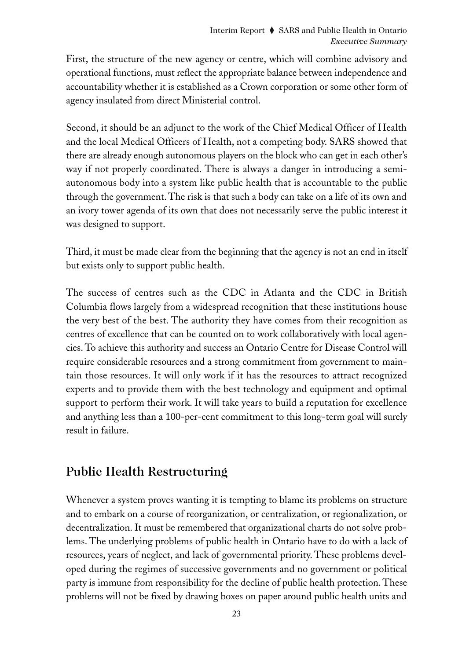First, the structure of the new agency or centre, which will combine advisory and operational functions, must reflect the appropriate balance between independence and accountability whether it is established as a Crown corporation or some other form of agency insulated from direct Ministerial control.

Second, it should be an adjunct to the work of the Chief Medical Officer of Health and the local Medical Officers of Health, not a competing body. SARS showed that there are already enough autonomous players on the block who can get in each other's way if not properly coordinated. There is always a danger in introducing a semiautonomous body into a system like public health that is accountable to the public through the government. The risk is that such a body can take on a life of its own and an ivory tower agenda of its own that does not necessarily serve the public interest it was designed to support.

Third, it must be made clear from the beginning that the agency is not an end in itself but exists only to support public health.

The success of centres such as the CDC in Atlanta and the CDC in British Columbia flows largely from a widespread recognition that these institutions house the very best of the best. The authority they have comes from their recognition as centres of excellence that can be counted on to work collaboratively with local agencies. To achieve this authority and success an Ontario Centre for Disease Control will require considerable resources and a strong commitment from government to maintain those resources. It will only work if it has the resources to attract recognized experts and to provide them with the best technology and equipment and optimal support to perform their work. It will take years to build a reputation for excellence and anything less than a 100-per-cent commitment to this long-term goal will surely result in failure.

#### Public Health Restructuring

Whenever a system proves wanting it is tempting to blame its problems on structure and to embark on a course of reorganization, or centralization, or regionalization, or decentralization. It must be remembered that organizational charts do not solve problems. The underlying problems of public health in Ontario have to do with a lack of resources, years of neglect, and lack of governmental priority. These problems developed during the regimes of successive governments and no government or political party is immune from responsibility for the decline of public health protection. These problems will not be fixed by drawing boxes on paper around public health units and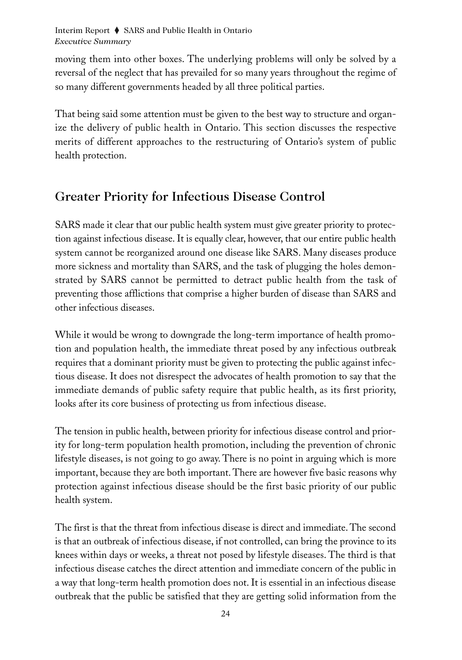moving them into other boxes. The underlying problems will only be solved by a reversal of the neglect that has prevailed for so many years throughout the regime of so many different governments headed by all three political parties.

That being said some attention must be given to the best way to structure and organize the delivery of public health in Ontario. This section discusses the respective merits of different approaches to the restructuring of Ontario's system of public health protection.

#### Greater Priority for Infectious Disease Control

SARS made it clear that our public health system must give greater priority to protection against infectious disease. It is equally clear, however, that our entire public health system cannot be reorganized around one disease like SARS. Many diseases produce more sickness and mortality than SARS, and the task of plugging the holes demonstrated by SARS cannot be permitted to detract public health from the task of preventing those afflictions that comprise a higher burden of disease than SARS and other infectious diseases.

While it would be wrong to downgrade the long-term importance of health promotion and population health, the immediate threat posed by any infectious outbreak requires that a dominant priority must be given to protecting the public against infectious disease. It does not disrespect the advocates of health promotion to say that the immediate demands of public safety require that public health, as its first priority, looks after its core business of protecting us from infectious disease.

The tension in public health, between priority for infectious disease control and priority for long-term population health promotion, including the prevention of chronic lifestyle diseases, is not going to go away. There is no point in arguing which is more important, because they are both important. There are however five basic reasons why protection against infectious disease should be the first basic priority of our public health system.

The first is that the threat from infectious disease is direct and immediate. The second is that an outbreak of infectious disease, if not controlled, can bring the province to its knees within days or weeks, a threat not posed by lifestyle diseases. The third is that infectious disease catches the direct attention and immediate concern of the public in a way that long-term health promotion does not. It is essential in an infectious disease outbreak that the public be satisfied that they are getting solid information from the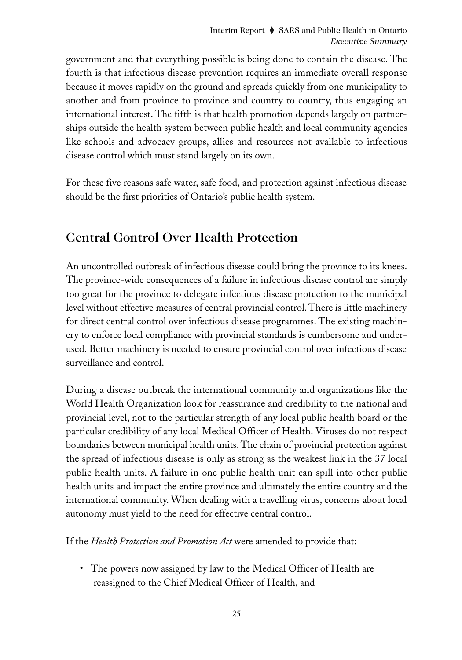government and that everything possible is being done to contain the disease. The fourth is that infectious disease prevention requires an immediate overall response because it moves rapidly on the ground and spreads quickly from one municipality to another and from province to province and country to country, thus engaging an international interest. The fifth is that health promotion depends largely on partnerships outside the health system between public health and local community agencies like schools and advocacy groups, allies and resources not available to infectious disease control which must stand largely on its own.

For these five reasons safe water, safe food, and protection against infectious disease should be the first priorities of Ontario's public health system.

## Central Control Over Health Protection

An uncontrolled outbreak of infectious disease could bring the province to its knees. The province-wide consequences of a failure in infectious disease control are simply too great for the province to delegate infectious disease protection to the municipal level without effective measures of central provincial control. There is little machinery for direct central control over infectious disease programmes. The existing machinery to enforce local compliance with provincial standards is cumbersome and underused. Better machinery is needed to ensure provincial control over infectious disease surveillance and control.

During a disease outbreak the international community and organizations like the World Health Organization look for reassurance and credibility to the national and provincial level, not to the particular strength of any local public health board or the particular credibility of any local Medical Officer of Health. Viruses do not respect boundaries between municipal health units. The chain of provincial protection against the spread of infectious disease is only as strong as the weakest link in the 37 local public health units. A failure in one public health unit can spill into other public health units and impact the entire province and ultimately the entire country and the international community. When dealing with a travelling virus, concerns about local autonomy must yield to the need for effective central control.

If the *Health Protection and Promotion Act* were amended to provide that:

• The powers now assigned by law to the Medical Officer of Health are reassigned to the Chief Medical Officer of Health, and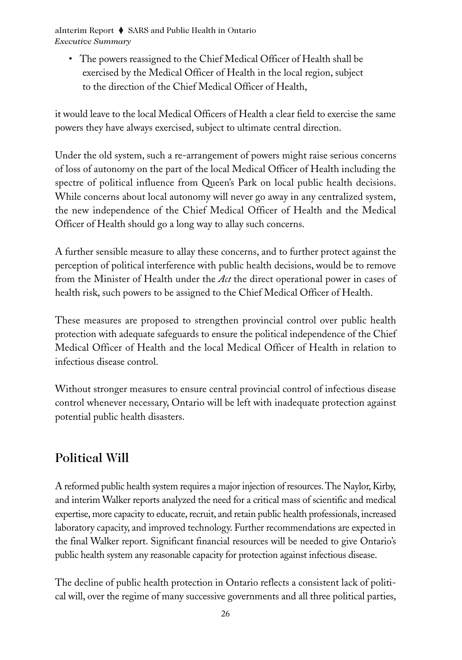• The powers reassigned to the Chief Medical Officer of Health shall be exercised by the Medical Officer of Health in the local region, subject to the direction of the Chief Medical Officer of Health,

it would leave to the local Medical Officers of Health a clear field to exercise the same powers they have always exercised, subject to ultimate central direction.

Under the old system, such a re-arrangement of powers might raise serious concerns of loss of autonomy on the part of the local Medical Officer of Health including the spectre of political influence from Queen's Park on local public health decisions. While concerns about local autonomy will never go away in any centralized system, the new independence of the Chief Medical Officer of Health and the Medical Officer of Health should go a long way to allay such concerns.

A further sensible measure to allay these concerns, and to further protect against the perception of political interference with public health decisions, would be to remove from the Minister of Health under the *Act* the direct operational power in cases of health risk, such powers to be assigned to the Chief Medical Officer of Health.

These measures are proposed to strengthen provincial control over public health protection with adequate safeguards to ensure the political independence of the Chief Medical Officer of Health and the local Medical Officer of Health in relation to infectious disease control.

Without stronger measures to ensure central provincial control of infectious disease control whenever necessary, Ontario will be left with inadequate protection against potential public health disasters.

## Political Will

A reformed public health system requires a major injection of resources.The Naylor, Kirby, and interim Walker reports analyzed the need for a critical mass of scientific and medical expertise, more capacity to educate, recruit, and retain public health professionals, increased laboratory capacity, and improved technology. Further recommendations are expected in the final Walker report. Significant financial resources will be needed to give Ontario's public health system any reasonable capacity for protection against infectious disease.

The decline of public health protection in Ontario reflects a consistent lack of political will, over the regime of many successive governments and all three political parties,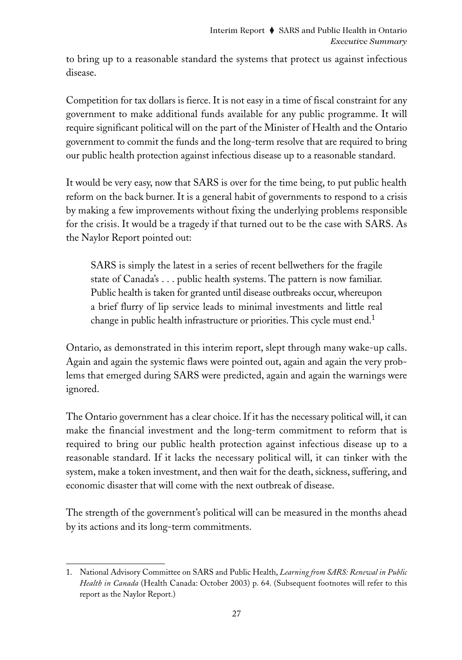to bring up to a reasonable standard the systems that protect us against infectious disease.

Competition for tax dollars is fierce. It is not easy in a time of fiscal constraint for any government to make additional funds available for any public programme. It will require significant political will on the part of the Minister of Health and the Ontario government to commit the funds and the long-term resolve that are required to bring our public health protection against infectious disease up to a reasonable standard.

It would be very easy, now that SARS is over for the time being, to put public health reform on the back burner. It is a general habit of governments to respond to a crisis by making a few improvements without fixing the underlying problems responsible for the crisis. It would be a tragedy if that turned out to be the case with SARS. As the Naylor Report pointed out:

SARS is simply the latest in a series of recent bellwethers for the fragile state of Canada's . . . public health systems. The pattern is now familiar. Public health is taken for granted until disease outbreaks occur, whereupon a brief flurry of lip service leads to minimal investments and little real change in public health infrastructure or priorities. This cycle must end.<sup>1</sup>

Ontario, as demonstrated in this interim report, slept through many wake-up calls. Again and again the systemic flaws were pointed out, again and again the very problems that emerged during SARS were predicted, again and again the warnings were ignored.

The Ontario government has a clear choice. If it has the necessary political will, it can make the financial investment and the long-term commitment to reform that is required to bring our public health protection against infectious disease up to a reasonable standard. If it lacks the necessary political will, it can tinker with the system, make a token investment, and then wait for the death, sickness, suffering, and economic disaster that will come with the next outbreak of disease.

The strength of the government's political will can be measured in the months ahead by its actions and its long-term commitments.

<sup>1.</sup> National Advisory Committee on SARS and Public Health, *Learning from SARS: Renewal in Public Health in Canada* (Health Canada: October 2003) p. 64. (Subsequent footnotes will refer to this report as the Naylor Report.)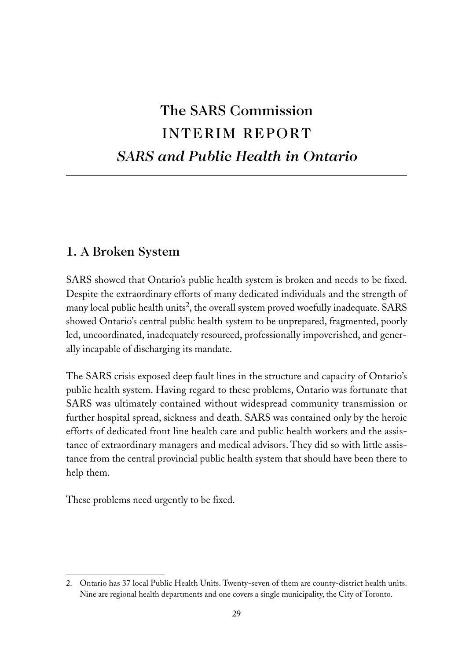# The SARS Commission INTERIM REPORT *SARS and Public Health in Ontario*

#### 1. A Broken System

SARS showed that Ontario's public health system is broken and needs to be fixed. Despite the extraordinary efforts of many dedicated individuals and the strength of many local public health units<sup>2</sup>, the overall system proved woefully inadequate. SARS showed Ontario's central public health system to be unprepared, fragmented, poorly led, uncoordinated, inadequately resourced, professionally impoverished, and generally incapable of discharging its mandate.

The SARS crisis exposed deep fault lines in the structure and capacity of Ontario's public health system. Having regard to these problems, Ontario was fortunate that SARS was ultimately contained without widespread community transmission or further hospital spread, sickness and death. SARS was contained only by the heroic efforts of dedicated front line health care and public health workers and the assistance of extraordinary managers and medical advisors. They did so with little assistance from the central provincial public health system that should have been there to help them.

These problems need urgently to be fixed.

<sup>2.</sup> Ontario has 37 local Public Health Units. Twenty-seven of them are county-district health units. Nine are regional health departments and one covers a single municipality, the City of Toronto.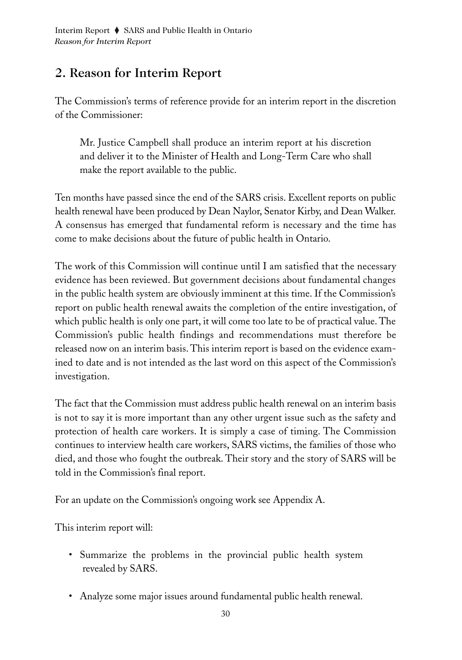### 2. Reason for Interim Report

The Commission's terms of reference provide for an interim report in the discretion of the Commissioner:

Mr. Justice Campbell shall produce an interim report at his discretion and deliver it to the Minister of Health and Long-Term Care who shall make the report available to the public.

Ten months have passed since the end of the SARS crisis. Excellent reports on public health renewal have been produced by Dean Naylor, Senator Kirby, and Dean Walker. A consensus has emerged that fundamental reform is necessary and the time has come to make decisions about the future of public health in Ontario.

The work of this Commission will continue until I am satisfied that the necessary evidence has been reviewed. But government decisions about fundamental changes in the public health system are obviously imminent at this time. If the Commission's report on public health renewal awaits the completion of the entire investigation, of which public health is only one part, it will come too late to be of practical value. The Commission's public health findings and recommendations must therefore be released now on an interim basis. This interim report is based on the evidence examined to date and is not intended as the last word on this aspect of the Commission's investigation.

The fact that the Commission must address public health renewal on an interim basis is not to say it is more important than any other urgent issue such as the safety and protection of health care workers. It is simply a case of timing. The Commission continues to interview health care workers, SARS victims, the families of those who died, and those who fought the outbreak. Their story and the story of SARS will be told in the Commission's final report.

For an update on the Commission's ongoing work see Appendix A.

This interim report will:

- Summarize the problems in the provincial public health system revealed by SARS.
- Analyze some major issues around fundamental public health renewal.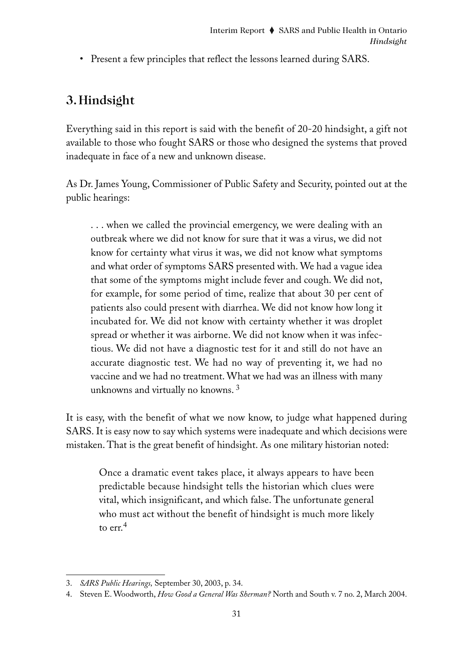• Present a few principles that reflect the lessons learned during SARS.

## 3.Hindsight

Everything said in this report is said with the benefit of 20-20 hindsight, a gift not available to those who fought SARS or those who designed the systems that proved inadequate in face of a new and unknown disease.

As Dr. James Young, Commissioner of Public Safety and Security, pointed out at the public hearings:

. . . when we called the provincial emergency, we were dealing with an outbreak where we did not know for sure that it was a virus, we did not know for certainty what virus it was, we did not know what symptoms and what order of symptoms SARS presented with. We had a vague idea that some of the symptoms might include fever and cough. We did not, for example, for some period of time, realize that about 30 per cent of patients also could present with diarrhea. We did not know how long it incubated for. We did not know with certainty whether it was droplet spread or whether it was airborne. We did not know when it was infectious. We did not have a diagnostic test for it and still do not have an accurate diagnostic test. We had no way of preventing it, we had no vaccine and we had no treatment. What we had was an illness with many unknowns and virtually no knowns.<sup>3</sup>

It is easy, with the benefit of what we now know, to judge what happened during SARS. It is easy now to say which systems were inadequate and which decisions were mistaken. That is the great benefit of hindsight. As one military historian noted:

Once a dramatic event takes place, it always appears to have been predictable because hindsight tells the historian which clues were vital, which insignificant, and which false. The unfortunate general who must act without the benefit of hindsight is much more likely to err.<sup>4</sup>

<sup>3.</sup> *SARS Public Hearings,* September 30, 2003, p. 34.

<sup>4.</sup> Steven E. Woodworth, *How Good a General Was Sherman?* North and South v. 7 no. 2, March 2004.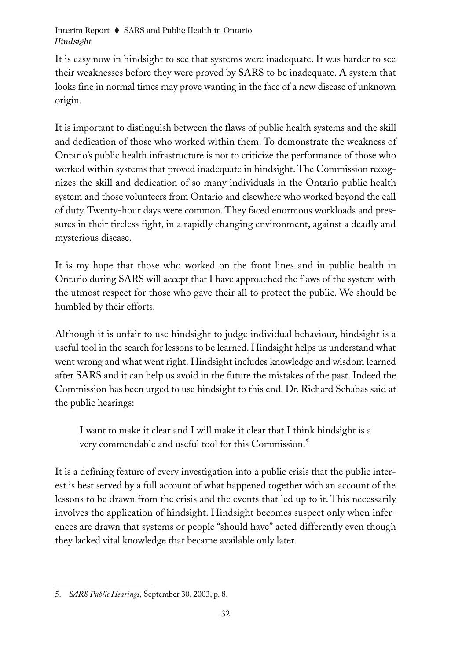Interim Report ♦ SARS and Public Health in Ontario *Hindsight*

It is easy now in hindsight to see that systems were inadequate. It was harder to see their weaknesses before they were proved by SARS to be inadequate. A system that looks fine in normal times may prove wanting in the face of a new disease of unknown origin.

It is important to distinguish between the flaws of public health systems and the skill and dedication of those who worked within them. To demonstrate the weakness of Ontario's public health infrastructure is not to criticize the performance of those who worked within systems that proved inadequate in hindsight. The Commission recognizes the skill and dedication of so many individuals in the Ontario public health system and those volunteers from Ontario and elsewhere who worked beyond the call of duty. Twenty-hour days were common. They faced enormous workloads and pressures in their tireless fight, in a rapidly changing environment, against a deadly and mysterious disease.

It is my hope that those who worked on the front lines and in public health in Ontario during SARS will accept that I have approached the flaws of the system with the utmost respect for those who gave their all to protect the public. We should be humbled by their efforts.

Although it is unfair to use hindsight to judge individual behaviour, hindsight is a useful tool in the search for lessons to be learned. Hindsight helps us understand what went wrong and what went right. Hindsight includes knowledge and wisdom learned after SARS and it can help us avoid in the future the mistakes of the past. Indeed the Commission has been urged to use hindsight to this end. Dr. Richard Schabas said at the public hearings:

I want to make it clear and I will make it clear that I think hindsight is a very commendable and useful tool for this Commission.5

It is a defining feature of every investigation into a public crisis that the public interest is best served by a full account of what happened together with an account of the lessons to be drawn from the crisis and the events that led up to it. This necessarily involves the application of hindsight. Hindsight becomes suspect only when inferences are drawn that systems or people "should have" acted differently even though they lacked vital knowledge that became available only later.

<sup>5.</sup> *SARS Public Hearings,* September 30, 2003, p. 8.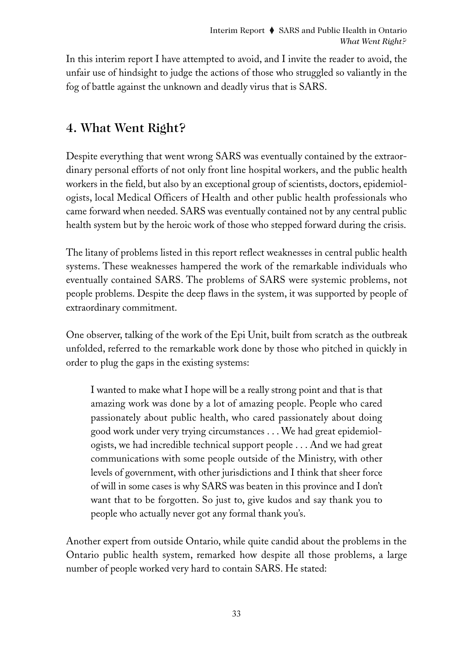In this interim report I have attempted to avoid, and I invite the reader to avoid, the unfair use of hindsight to judge the actions of those who struggled so valiantly in the fog of battle against the unknown and deadly virus that is SARS.

## 4. What Went Right?

Despite everything that went wrong SARS was eventually contained by the extraordinary personal efforts of not only front line hospital workers, and the public health workers in the field, but also by an exceptional group of scientists, doctors, epidemiologists, local Medical Officers of Health and other public health professionals who came forward when needed. SARS was eventually contained not by any central public health system but by the heroic work of those who stepped forward during the crisis.

The litany of problems listed in this report reflect weaknesses in central public health systems. These weaknesses hampered the work of the remarkable individuals who eventually contained SARS. The problems of SARS were systemic problems, not people problems. Despite the deep flaws in the system, it was supported by people of extraordinary commitment.

One observer, talking of the work of the Epi Unit, built from scratch as the outbreak unfolded, referred to the remarkable work done by those who pitched in quickly in order to plug the gaps in the existing systems:

I wanted to make what I hope will be a really strong point and that is that amazing work was done by a lot of amazing people. People who cared passionately about public health, who cared passionately about doing good work under very trying circumstances . . . We had great epidemiologists, we had incredible technical support people . . . And we had great communications with some people outside of the Ministry, with other levels of government, with other jurisdictions and I think that sheer force of will in some cases is why SARS was beaten in this province and I don't want that to be forgotten. So just to, give kudos and say thank you to people who actually never got any formal thank you's.

Another expert from outside Ontario, while quite candid about the problems in the Ontario public health system, remarked how despite all those problems, a large number of people worked very hard to contain SARS. He stated: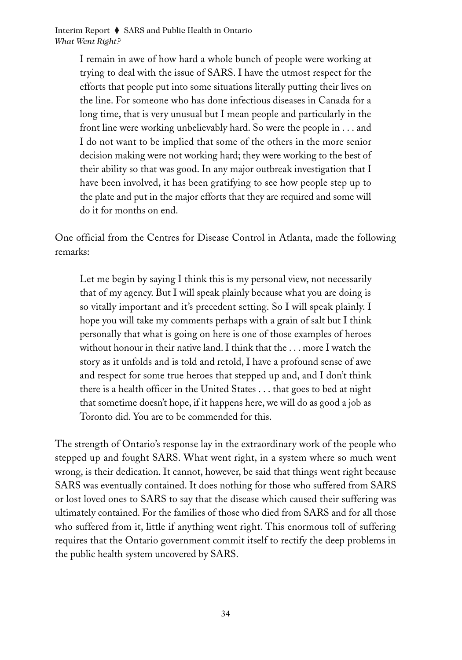Interim Report ♦ SARS and Public Health in Ontario *What Went Right?*

> I remain in awe of how hard a whole bunch of people were working at trying to deal with the issue of SARS. I have the utmost respect for the efforts that people put into some situations literally putting their lives on the line. For someone who has done infectious diseases in Canada for a long time, that is very unusual but I mean people and particularly in the front line were working unbelievably hard. So were the people in . . . and I do not want to be implied that some of the others in the more senior decision making were not working hard; they were working to the best of their ability so that was good. In any major outbreak investigation that I have been involved, it has been gratifying to see how people step up to the plate and put in the major efforts that they are required and some will do it for months on end.

One official from the Centres for Disease Control in Atlanta, made the following remarks:

Let me begin by saying I think this is my personal view, not necessarily that of my agency. But I will speak plainly because what you are doing is so vitally important and it's precedent setting. So I will speak plainly. I hope you will take my comments perhaps with a grain of salt but I think personally that what is going on here is one of those examples of heroes without honour in their native land. I think that the . . . more I watch the story as it unfolds and is told and retold, I have a profound sense of awe and respect for some true heroes that stepped up and, and I don't think there is a health officer in the United States . . . that goes to bed at night that sometime doesn't hope, if it happens here, we will do as good a job as Toronto did. You are to be commended for this.

The strength of Ontario's response lay in the extraordinary work of the people who stepped up and fought SARS. What went right, in a system where so much went wrong, is their dedication. It cannot, however, be said that things went right because SARS was eventually contained. It does nothing for those who suffered from SARS or lost loved ones to SARS to say that the disease which caused their suffering was ultimately contained. For the families of those who died from SARS and for all those who suffered from it, little if anything went right. This enormous toll of suffering requires that the Ontario government commit itself to rectify the deep problems in the public health system uncovered by SARS.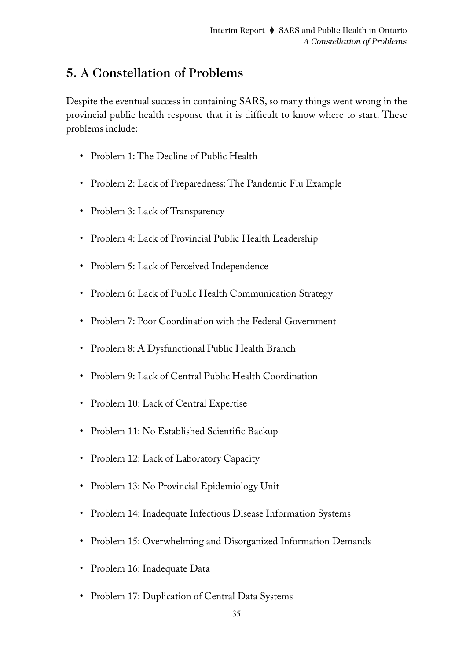### 5. A Constellation of Problems

Despite the eventual success in containing SARS, so many things went wrong in the provincial public health response that it is difficult to know where to start. These problems include:

- Problem 1: The Decline of Public Health
- Problem 2: Lack of Preparedness: The Pandemic Flu Example
- Problem 3: Lack of Transparency
- Problem 4: Lack of Provincial Public Health Leadership
- Problem 5: Lack of Perceived Independence
- Problem 6: Lack of Public Health Communication Strategy
- Problem 7: Poor Coordination with the Federal Government
- Problem 8: A Dysfunctional Public Health Branch
- Problem 9: Lack of Central Public Health Coordination
- Problem 10: Lack of Central Expertise
- Problem 11: No Established Scientific Backup
- Problem 12: Lack of Laboratory Capacity
- Problem 13: No Provincial Epidemiology Unit
- Problem 14: Inadequate Infectious Disease Information Systems
- Problem 15: Overwhelming and Disorganized Information Demands
- Problem 16: Inadequate Data
- Problem 17: Duplication of Central Data Systems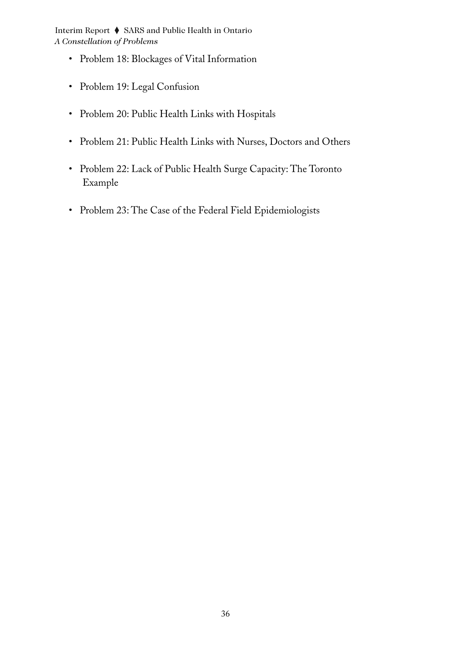Interim Report ♦ SARS and Public Health in Ontario *A Constellation of Problems*

- Problem 18: Blockages of Vital Information
- Problem 19: Legal Confusion
- Problem 20: Public Health Links with Hospitals
- Problem 21: Public Health Links with Nurses, Doctors and Others
- Problem 22: Lack of Public Health Surge Capacity: The Toronto Example
- Problem 23: The Case of the Federal Field Epidemiologists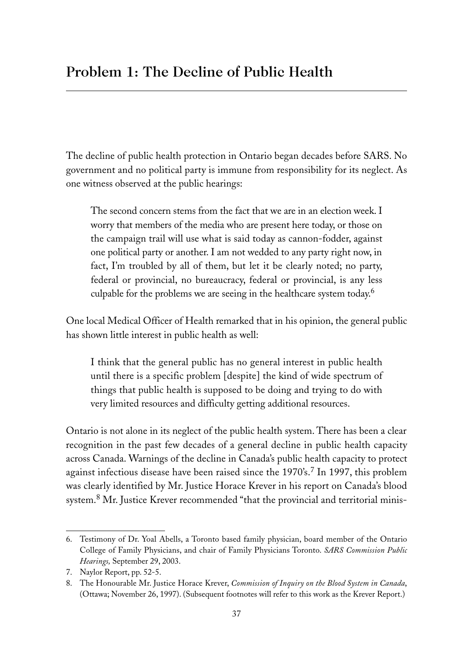The decline of public health protection in Ontario began decades before SARS. No government and no political party is immune from responsibility for its neglect. As one witness observed at the public hearings:

The second concern stems from the fact that we are in an election week. I worry that members of the media who are present here today, or those on the campaign trail will use what is said today as cannon-fodder, against one political party or another. I am not wedded to any party right now, in fact, I'm troubled by all of them, but let it be clearly noted; no party, federal or provincial, no bureaucracy, federal or provincial, is any less culpable for the problems we are seeing in the healthcare system today.<sup>6</sup>

One local Medical Officer of Health remarked that in his opinion, the general public has shown little interest in public health as well:

I think that the general public has no general interest in public health until there is a specific problem [despite] the kind of wide spectrum of things that public health is supposed to be doing and trying to do with very limited resources and difficulty getting additional resources.

Ontario is not alone in its neglect of the public health system. There has been a clear recognition in the past few decades of a general decline in public health capacity across Canada. Warnings of the decline in Canada's public health capacity to protect against infectious disease have been raised since the  $1970\text{'s}$ .<sup>7</sup> In 1997, this problem was clearly identified by Mr. Justice Horace Krever in his report on Canada's blood system.<sup>8</sup> Mr. Justice Krever recommended "that the provincial and territorial minis-

<sup>6.</sup> Testimony of Dr. Yoal Abells, a Toronto based family physician, board member of the Ontario College of Family Physicians, and chair of Family Physicians Toronto. *SARS Commission Public Hearings,* September 29, 2003.

<sup>7.</sup> Naylor Report, pp. 52-5.

<sup>8.</sup> The Honourable Mr. Justice Horace Krever, *Commission of Inquiry on the Blood System in Canada*, (Ottawa; November 26, 1997). (Subsequent footnotes will refer to this work as the Krever Report.)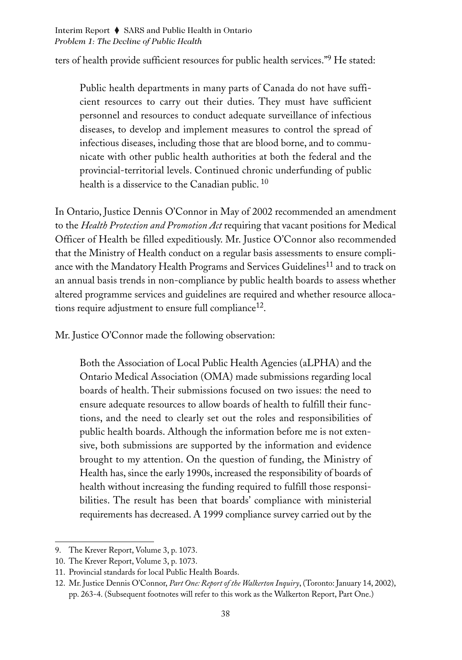ters of health provide sufficient resources for public health services."9 He stated:

Public health departments in many parts of Canada do not have sufficient resources to carry out their duties. They must have sufficient personnel and resources to conduct adequate surveillance of infectious diseases, to develop and implement measures to control the spread of infectious diseases, including those that are blood borne, and to communicate with other public health authorities at both the federal and the provincial-territorial levels. Continued chronic underfunding of public health is a disservice to the Canadian public. <sup>10</sup>

In Ontario, Justice Dennis O'Connor in May of 2002 recommended an amendment to the *Health Protection and Promotion Act* requiring that vacant positions for Medical Officer of Health be filled expeditiously. Mr. Justice O'Connor also recommended that the Ministry of Health conduct on a regular basis assessments to ensure compliance with the Mandatory Health Programs and Services Guidelines<sup>11</sup> and to track on an annual basis trends in non-compliance by public health boards to assess whether altered programme services and guidelines are required and whether resource allocations require adjustment to ensure full compliance $12$ .

Mr. Justice O'Connor made the following observation:

Both the Association of Local Public Health Agencies (aLPHA) and the Ontario Medical Association (OMA) made submissions regarding local boards of health. Their submissions focused on two issues: the need to ensure adequate resources to allow boards of health to fulfill their functions, and the need to clearly set out the roles and responsibilities of public health boards. Although the information before me is not extensive, both submissions are supported by the information and evidence brought to my attention. On the question of funding, the Ministry of Health has, since the early 1990s, increased the responsibility of boards of health without increasing the funding required to fulfill those responsibilities. The result has been that boards' compliance with ministerial requirements has decreased. A 1999 compliance survey carried out by the

<sup>9.</sup> The Krever Report, Volume 3, p. 1073.

<sup>10.</sup> The Krever Report, Volume 3, p. 1073.

<sup>11.</sup> Provincial standards for local Public Health Boards.

<sup>12.</sup> Mr. Justice Dennis O'Connor, *Part One: Report of the Walkerton Inquiry*, (Toronto: January 14, 2002), pp. 263-4. (Subsequent footnotes will refer to this work as the Walkerton Report, Part One.)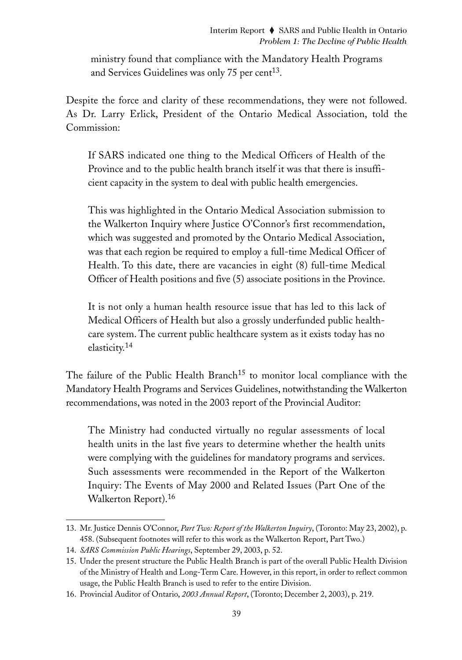ministry found that compliance with the Mandatory Health Programs and Services Guidelines was only  $75$  per cent<sup>13</sup>.

Despite the force and clarity of these recommendations, they were not followed. As Dr. Larry Erlick, President of the Ontario Medical Association, told the Commission:

If SARS indicated one thing to the Medical Officers of Health of the Province and to the public health branch itself it was that there is insufficient capacity in the system to deal with public health emergencies.

This was highlighted in the Ontario Medical Association submission to the Walkerton Inquiry where Justice O'Connor's first recommendation, which was suggested and promoted by the Ontario Medical Association, was that each region be required to employ a full-time Medical Officer of Health. To this date, there are vacancies in eight (8) full-time Medical Officer of Health positions and five (5) associate positions in the Province.

It is not only a human health resource issue that has led to this lack of Medical Officers of Health but also a grossly underfunded public healthcare system. The current public healthcare system as it exists today has no elasticity.14

The failure of the Public Health Branch<sup>15</sup> to monitor local compliance with the Mandatory Health Programs and Services Guidelines, notwithstanding the Walkerton recommendations, was noted in the 2003 report of the Provincial Auditor:

The Ministry had conducted virtually no regular assessments of local health units in the last five years to determine whether the health units were complying with the guidelines for mandatory programs and services. Such assessments were recommended in the Report of the Walkerton Inquiry: The Events of May 2000 and Related Issues (Part One of the Walkerton Report).16

<sup>13.</sup> Mr. Justice Dennis O'Connor, *Part Two: Report of the Walkerton Inquiry*, (Toronto: May 23, 2002), p. 458. (Subsequent footnotes will refer to this work as the Walkerton Report, Part Two.)

<sup>14.</sup> *SARS Commission Public Hearings*, September 29, 2003, p. 52.

<sup>15.</sup> Under the present structure the Public Health Branch is part of the overall Public Health Division of the Ministry of Health and Long-Term Care. However, in this report, in order to reflect common usage, the Public Health Branch is used to refer to the entire Division.

<sup>16.</sup> Provincial Auditor of Ontario, *2003 Annual Report*, (Toronto; December 2, 2003), p. 219.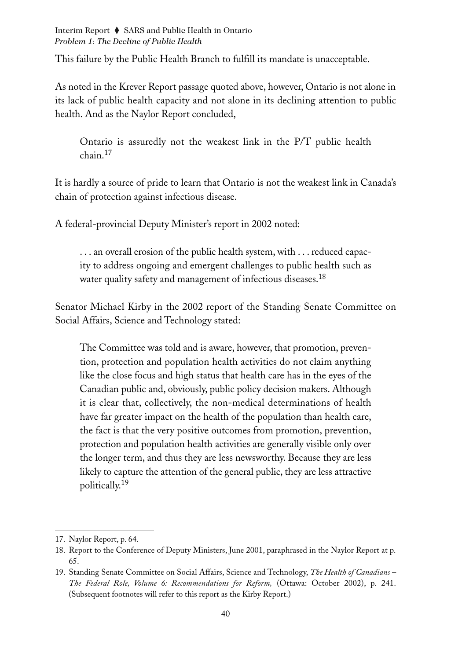This failure by the Public Health Branch to fulfill its mandate is unacceptable.

As noted in the Krever Report passage quoted above, however, Ontario is not alone in its lack of public health capacity and not alone in its declining attention to public health. And as the Naylor Report concluded,

Ontario is assuredly not the weakest link in the P/T public health chain.17

It is hardly a source of pride to learn that Ontario is not the weakest link in Canada's chain of protection against infectious disease.

A federal-provincial Deputy Minister's report in 2002 noted:

. . . an overall erosion of the public health system, with . . . reduced capacity to address ongoing and emergent challenges to public health such as water quality safety and management of infectious diseases.<sup>18</sup>

Senator Michael Kirby in the 2002 report of the Standing Senate Committee on Social Affairs, Science and Technology stated:

The Committee was told and is aware, however, that promotion, prevention, protection and population health activities do not claim anything like the close focus and high status that health care has in the eyes of the Canadian public and, obviously, public policy decision makers. Although it is clear that, collectively, the non-medical determinations of health have far greater impact on the health of the population than health care, the fact is that the very positive outcomes from promotion, prevention, protection and population health activities are generally visible only over the longer term, and thus they are less newsworthy. Because they are less likely to capture the attention of the general public, they are less attractive politically.19

<sup>17.</sup> Naylor Report, p. 64.

<sup>18.</sup> Report to the Conference of Deputy Ministers, June 2001, paraphrased in the Naylor Report at p. 65.

<sup>19.</sup> Standing Senate Committee on Social Affairs, Science and Technology, *The Health of Canadians – The Federal Role, Volume 6: Recommendations for Reform,* (Ottawa: October 2002), p. 241. (Subsequent footnotes will refer to this report as the Kirby Report.)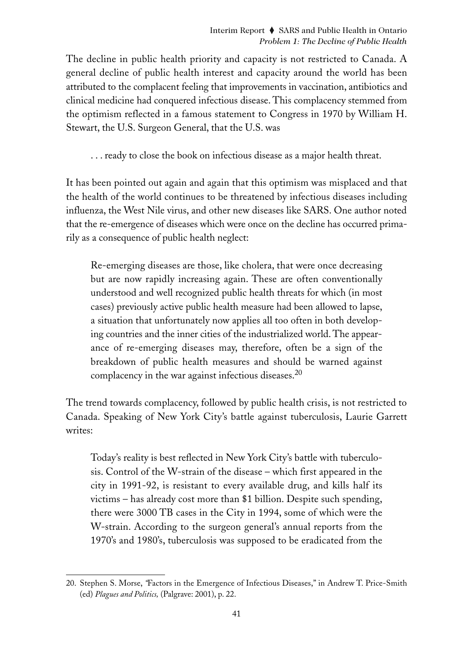The decline in public health priority and capacity is not restricted to Canada. A general decline of public health interest and capacity around the world has been attributed to the complacent feeling that improvements in vaccination, antibiotics and clinical medicine had conquered infectious disease. This complacency stemmed from the optimism reflected in a famous statement to Congress in 1970 by William H. Stewart, the U.S. Surgeon General, that the U.S. was

. . . ready to close the book on infectious disease as a major health threat.

It has been pointed out again and again that this optimism was misplaced and that the health of the world continues to be threatened by infectious diseases including influenza, the West Nile virus, and other new diseases like SARS. One author noted that the re-emergence of diseases which were once on the decline has occurred primarily as a consequence of public health neglect:

Re-emerging diseases are those, like cholera, that were once decreasing but are now rapidly increasing again. These are often conventionally understood and well recognized public health threats for which (in most cases) previously active public health measure had been allowed to lapse, a situation that unfortunately now applies all too often in both developing countries and the inner cities of the industrialized world. The appearance of re-emerging diseases may, therefore, often be a sign of the breakdown of public health measures and should be warned against complacency in the war against infectious diseases.<sup>20</sup>

The trend towards complacency, followed by public health crisis, is not restricted to Canada. Speaking of New York City's battle against tuberculosis, Laurie Garrett writes:

Today's reality is best reflected in New York City's battle with tuberculosis. Control of the W-strain of the disease – which first appeared in the city in 1991-92, is resistant to every available drug, and kills half its victims – has already cost more than \$1 billion. Despite such spending, there were 3000 TB cases in the City in 1994, some of which were the W-strain. According to the surgeon general's annual reports from the 1970's and 1980's, tuberculosis was supposed to be eradicated from the

<sup>20.</sup> Stephen S. Morse, *"*Factors in the Emergence of Infectious Diseases," in Andrew T. Price-Smith (ed) *Plagues and Politics,* (Palgrave: 2001), p. 22.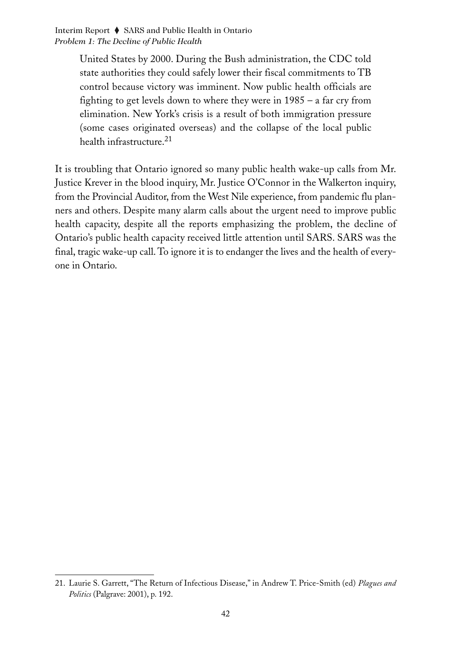Interim Report ♦ SARS and Public Health in Ontario *Problem 1: The Decline of Public Health*

> United States by 2000. During the Bush administration, the CDC told state authorities they could safely lower their fiscal commitments to TB control because victory was imminent. Now public health officials are fighting to get levels down to where they were in 1985 – a far cry from elimination. New York's crisis is a result of both immigration pressure (some cases originated overseas) and the collapse of the local public health infrastructure.<sup>21</sup>

It is troubling that Ontario ignored so many public health wake-up calls from Mr. Justice Krever in the blood inquiry, Mr. Justice O'Connor in the Walkerton inquiry, from the Provincial Auditor, from the West Nile experience, from pandemic flu planners and others. Despite many alarm calls about the urgent need to improve public health capacity, despite all the reports emphasizing the problem, the decline of Ontario's public health capacity received little attention until SARS. SARS was the final, tragic wake-up call. To ignore it is to endanger the lives and the health of everyone in Ontario.

<sup>21.</sup> Laurie S. Garrett, "The Return of Infectious Disease," in Andrew T. Price-Smith (ed) *Plagues and Politics* (Palgrave: 2001), p. 192.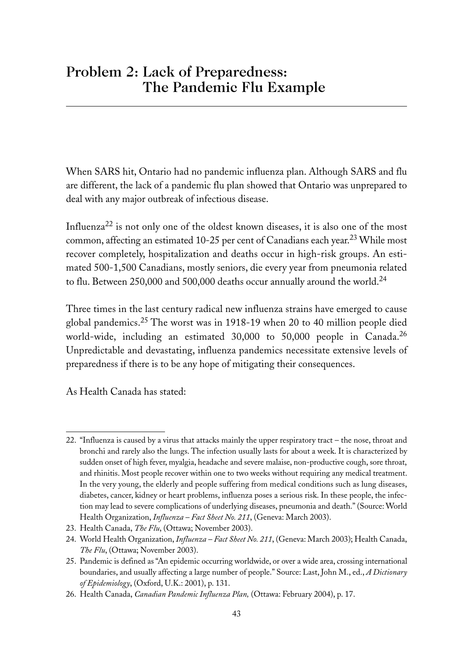When SARS hit, Ontario had no pandemic influenza plan. Although SARS and flu are different, the lack of a pandemic flu plan showed that Ontario was unprepared to deal with any major outbreak of infectious disease.

Influenza<sup>22</sup> is not only one of the oldest known diseases, it is also one of the most common, affecting an estimated 10-25 per cent of Canadians each year.<sup>23</sup> While most recover completely, hospitalization and deaths occur in high-risk groups. An estimated 500-1,500 Canadians, mostly seniors, die every year from pneumonia related to flu. Between 250,000 and 500,000 deaths occur annually around the world.<sup>24</sup>

Three times in the last century radical new influenza strains have emerged to cause global pandemics.<sup>25</sup> The worst was in 1918-19 when 20 to 40 million people died world-wide, including an estimated 30,000 to 50,000 people in Canada.<sup>26</sup> Unpredictable and devastating, influenza pandemics necessitate extensive levels of preparedness if there is to be any hope of mitigating their consequences.

As Health Canada has stated:

<sup>22.</sup> "Influenza is caused by a virus that attacks mainly the upper respiratory tract – the nose, throat and bronchi and rarely also the lungs. The infection usually lasts for about a week. It is characterized by sudden onset of high fever, myalgia, headache and severe malaise, non-productive cough, sore throat, and rhinitis. Most people recover within one to two weeks without requiring any medical treatment. In the very young, the elderly and people suffering from medical conditions such as lung diseases, diabetes, cancer, kidney or heart problems, influenza poses a serious risk. In these people, the infection may lead to severe complications of underlying diseases, pneumonia and death." (Source: World Health Organization, *Influenza – Fact Sheet No. 211*, (Geneva: March 2003).

<sup>23.</sup> Health Canada, *The Flu*, (Ottawa; November 2003).

<sup>24.</sup> World Health Organization, *Influenza – Fact Sheet No. 211*, (Geneva: March 2003); Health Canada, *The Flu*, (Ottawa; November 2003).

<sup>25.</sup> Pandemic is defined as "An epidemic occurring worldwide, or over a wide area, crossing international boundaries, and usually affecting a large number of people." Source: Last, John M., ed., *A Dictionary of Epidemiology*, (Oxford, U.K.: 2001), p. 131.

<sup>26.</sup> Health Canada, *Canadian Pandemic Influenza Plan,* (Ottawa: February 2004), p. 17.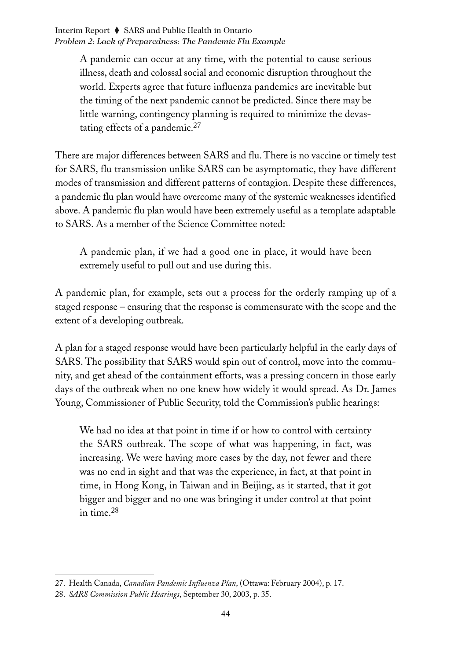Interim Report ♦ SARS and Public Health in Ontario *Problem 2: Lack of Preparedness: The Pandemic Flu Example*

> A pandemic can occur at any time, with the potential to cause serious illness, death and colossal social and economic disruption throughout the world. Experts agree that future influenza pandemics are inevitable but the timing of the next pandemic cannot be predicted. Since there may be little warning, contingency planning is required to minimize the devastating effects of a pandemic.<sup>27</sup>

There are major differences between SARS and flu. There is no vaccine or timely test for SARS, flu transmission unlike SARS can be asymptomatic, they have different modes of transmission and different patterns of contagion. Despite these differences, a pandemic flu plan would have overcome many of the systemic weaknesses identified above. A pandemic flu plan would have been extremely useful as a template adaptable to SARS. As a member of the Science Committee noted:

A pandemic plan, if we had a good one in place, it would have been extremely useful to pull out and use during this.

A pandemic plan, for example, sets out a process for the orderly ramping up of a staged response – ensuring that the response is commensurate with the scope and the extent of a developing outbreak.

A plan for a staged response would have been particularly helpful in the early days of SARS. The possibility that SARS would spin out of control, move into the community, and get ahead of the containment efforts, was a pressing concern in those early days of the outbreak when no one knew how widely it would spread. As Dr. James Young, Commissioner of Public Security, told the Commission's public hearings:

We had no idea at that point in time if or how to control with certainty the SARS outbreak. The scope of what was happening, in fact, was increasing. We were having more cases by the day, not fewer and there was no end in sight and that was the experience, in fact, at that point in time, in Hong Kong, in Taiwan and in Beijing, as it started, that it got bigger and bigger and no one was bringing it under control at that point in time.28

<sup>27.</sup> Health Canada, *Canadian Pandemic Influenza Plan*, (Ottawa: February 2004), p. 17.

<sup>28.</sup> *SARS Commission Public Hearings*, September 30, 2003, p. 35.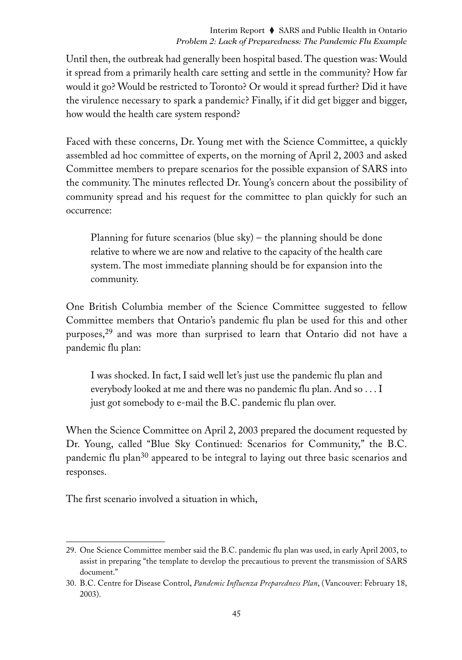Until then, the outbreak had generally been hospital based. The question was: Would it spread from a primarily health care setting and settle in the community? How far would it go? Would be restricted to Toronto? Or would it spread further? Did it have the virulence necessary to spark a pandemic? Finally, if it did get bigger and bigger, how would the health care system respond?

Faced with these concerns, Dr. Young met with the Science Committee, a quickly assembled ad hoc committee of experts, on the morning of April 2, 2003 and asked Committee members to prepare scenarios for the possible expansion of SARS into the community. The minutes reflected Dr. Young's concern about the possibility of community spread and his request for the committee to plan quickly for such an occurrence:

Planning for future scenarios (blue sky) – the planning should be done relative to where we are now and relative to the capacity of the health care system. The most immediate planning should be for expansion into the community.

One British Columbia member of the Science Committee suggested to fellow Committee members that Ontario's pandemic flu plan be used for this and other purposes,<sup>29</sup> and was more than surprised to learn that Ontario did not have a pandemic flu plan:

I was shocked. In fact, I said well let's just use the pandemic flu plan and everybody looked at me and there was no pandemic flu plan. And so . . . I just got somebody to e-mail the B.C. pandemic flu plan over.

When the Science Committee on April 2, 2003 prepared the document requested by Dr. Young, called "Blue Sky Continued: Scenarios for Community," the B.C. pandemic flu plan<sup>30</sup> appeared to be integral to laying out three basic scenarios and responses.

The first scenario involved a situation in which,

<sup>29.</sup> One Science Committee member said the B.C. pandemic flu plan was used, in early April 2003, to assist in preparing "the template to develop the precautious to prevent the transmission of SARS document."

<sup>30.</sup> B.C. Centre for Disease Control, *Pandemic Influenza Preparedness Plan*, (Vancouver: February 18, 2003).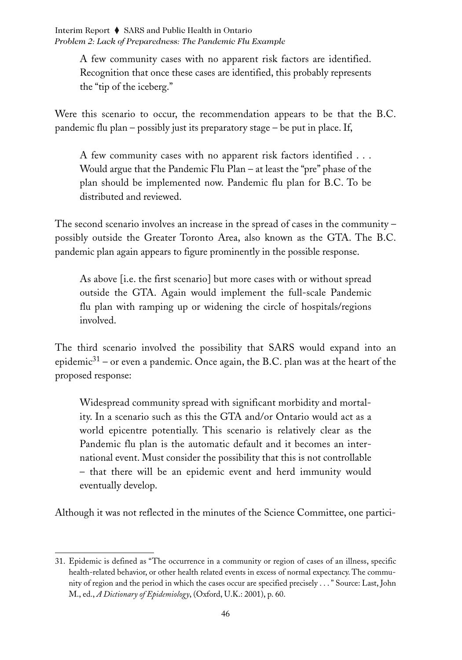A few community cases with no apparent risk factors are identified. Recognition that once these cases are identified, this probably represents the "tip of the iceberg."

Were this scenario to occur, the recommendation appears to be that the B.C. pandemic flu plan – possibly just its preparatory stage – be put in place. If,

A few community cases with no apparent risk factors identified . . . Would argue that the Pandemic Flu Plan – at least the "pre" phase of the plan should be implemented now. Pandemic flu plan for B.C. To be distributed and reviewed.

The second scenario involves an increase in the spread of cases in the community – possibly outside the Greater Toronto Area, also known as the GTA. The B.C. pandemic plan again appears to figure prominently in the possible response.

As above [i.e. the first scenario] but more cases with or without spread outside the GTA. Again would implement the full-scale Pandemic flu plan with ramping up or widening the circle of hospitals/regions involved.

The third scenario involved the possibility that SARS would expand into an epidemic<sup>31</sup> – or even a pandemic. Once again, the B.C. plan was at the heart of the proposed response:

Widespread community spread with significant morbidity and mortality. In a scenario such as this the GTA and/or Ontario would act as a world epicentre potentially. This scenario is relatively clear as the Pandemic flu plan is the automatic default and it becomes an international event. Must consider the possibility that this is not controllable – that there will be an epidemic event and herd immunity would eventually develop.

Although it was not reflected in the minutes of the Science Committee, one partici-

<sup>31.</sup> Epidemic is defined as "The occurrence in a community or region of cases of an illness, specific health-related behavior, or other health related events in excess of normal expectancy. The community of region and the period in which the cases occur are specified precisely . . . " Source: Last, John M., ed., *A Dictionary of Epidemiology*, (Oxford, U.K.: 2001), p. 60.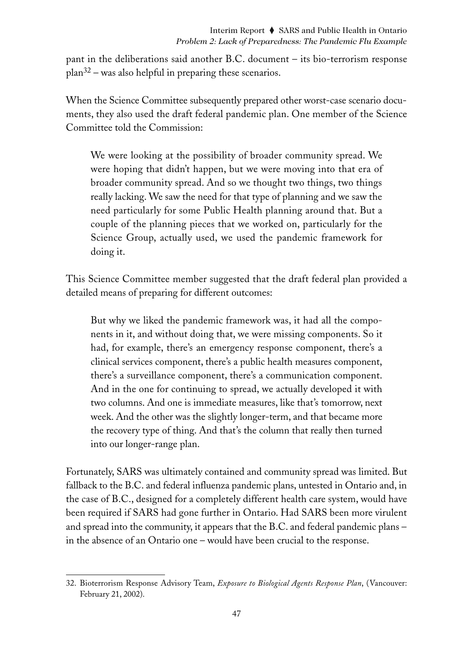pant in the deliberations said another B.C. document – its bio-terrorism response  $plan<sup>32</sup> - was also helpful in preparing these scenarios.$ 

When the Science Committee subsequently prepared other worst-case scenario documents, they also used the draft federal pandemic plan. One member of the Science Committee told the Commission:

We were looking at the possibility of broader community spread. We were hoping that didn't happen, but we were moving into that era of broader community spread. And so we thought two things, two things really lacking. We saw the need for that type of planning and we saw the need particularly for some Public Health planning around that. But a couple of the planning pieces that we worked on, particularly for the Science Group, actually used, we used the pandemic framework for doing it.

This Science Committee member suggested that the draft federal plan provided a detailed means of preparing for different outcomes:

But why we liked the pandemic framework was, it had all the components in it, and without doing that, we were missing components. So it had, for example, there's an emergency response component, there's a clinical services component, there's a public health measures component, there's a surveillance component, there's a communication component. And in the one for continuing to spread, we actually developed it with two columns. And one is immediate measures, like that's tomorrow, next week. And the other was the slightly longer-term, and that became more the recovery type of thing. And that's the column that really then turned into our longer-range plan.

Fortunately, SARS was ultimately contained and community spread was limited. But fallback to the B.C. and federal influenza pandemic plans, untested in Ontario and, in the case of B.C., designed for a completely different health care system, would have been required if SARS had gone further in Ontario. Had SARS been more virulent and spread into the community, it appears that the B.C. and federal pandemic plans – in the absence of an Ontario one – would have been crucial to the response.

<sup>32.</sup> Bioterrorism Response Advisory Team, *Exposure to Biological Agents Response Plan*, (Vancouver: February 21, 2002).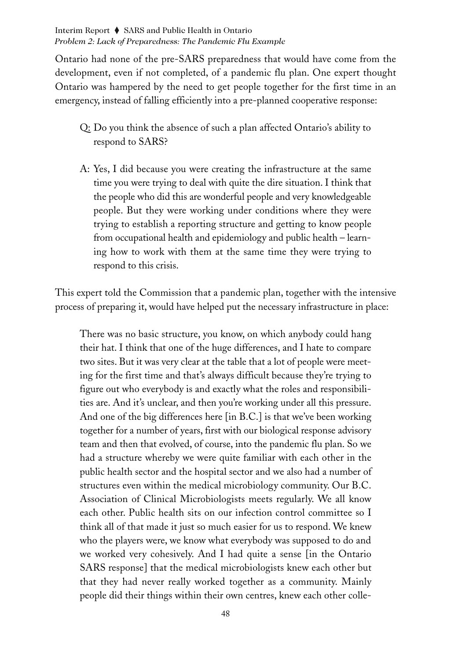Interim Report ♦ SARS and Public Health in Ontario *Problem 2: Lack of Preparedness: The Pandemic Flu Example*

Ontario had none of the pre-SARS preparedness that would have come from the development, even if not completed, of a pandemic flu plan. One expert thought Ontario was hampered by the need to get people together for the first time in an emergency, instead of falling efficiently into a pre-planned cooperative response:

- Q: Do you think the absence of such a plan affected Ontario's ability to respond to SARS?
- A: Yes, I did because you were creating the infrastructure at the same time you were trying to deal with quite the dire situation. I think that the people who did this are wonderful people and very knowledgeable people. But they were working under conditions where they were trying to establish a reporting structure and getting to know people from occupational health and epidemiology and public health – learning how to work with them at the same time they were trying to respond to this crisis.

This expert told the Commission that a pandemic plan, together with the intensive process of preparing it, would have helped put the necessary infrastructure in place:

There was no basic structure, you know, on which anybody could hang their hat. I think that one of the huge differences, and I hate to compare two sites. But it was very clear at the table that a lot of people were meeting for the first time and that's always difficult because they're trying to figure out who everybody is and exactly what the roles and responsibilities are. And it's unclear, and then you're working under all this pressure. And one of the big differences here [in B.C.] is that we've been working together for a number of years, first with our biological response advisory team and then that evolved, of course, into the pandemic flu plan. So we had a structure whereby we were quite familiar with each other in the public health sector and the hospital sector and we also had a number of structures even within the medical microbiology community. Our B.C. Association of Clinical Microbiologists meets regularly. We all know each other. Public health sits on our infection control committee so I think all of that made it just so much easier for us to respond. We knew who the players were, we know what everybody was supposed to do and we worked very cohesively. And I had quite a sense [in the Ontario SARS response] that the medical microbiologists knew each other but that they had never really worked together as a community. Mainly people did their things within their own centres, knew each other colle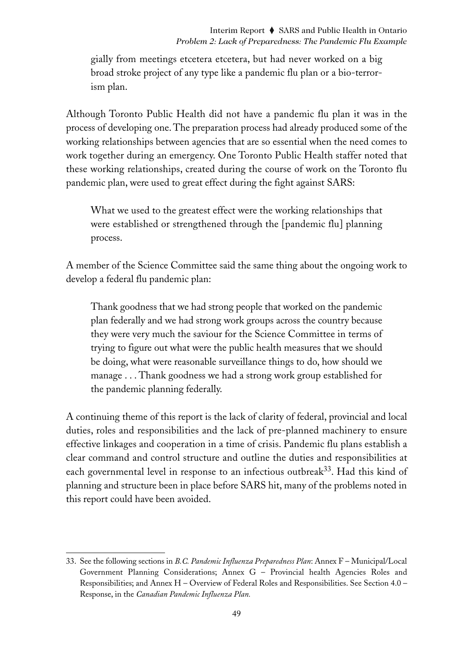gially from meetings etcetera etcetera, but had never worked on a big broad stroke project of any type like a pandemic flu plan or a bio-terrorism plan.

Although Toronto Public Health did not have a pandemic flu plan it was in the process of developing one. The preparation process had already produced some of the working relationships between agencies that are so essential when the need comes to work together during an emergency. One Toronto Public Health staffer noted that these working relationships, created during the course of work on the Toronto flu pandemic plan, were used to great effect during the fight against SARS:

What we used to the greatest effect were the working relationships that were established or strengthened through the [pandemic flu] planning process.

A member of the Science Committee said the same thing about the ongoing work to develop a federal flu pandemic plan:

Thank goodness that we had strong people that worked on the pandemic plan federally and we had strong work groups across the country because they were very much the saviour for the Science Committee in terms of trying to figure out what were the public health measures that we should be doing, what were reasonable surveillance things to do, how should we manage . . . Thank goodness we had a strong work group established for the pandemic planning federally.

A continuing theme of this report is the lack of clarity of federal, provincial and local duties, roles and responsibilities and the lack of pre-planned machinery to ensure effective linkages and cooperation in a time of crisis. Pandemic flu plans establish a clear command and control structure and outline the duties and responsibilities at each governmental level in response to an infectious outbreak<sup>33</sup>. Had this kind of planning and structure been in place before SARS hit, many of the problems noted in this report could have been avoided.

<sup>33.</sup> See the following sections in *B.C. Pandemic Influenza Preparedness Plan*: Annex F – Municipal/Local Government Planning Considerations; Annex G – Provincial health Agencies Roles and Responsibilities; and Annex H – Overview of Federal Roles and Responsibilities. See Section 4.0 – Response, in the *Canadian Pandemic Influenza Plan.*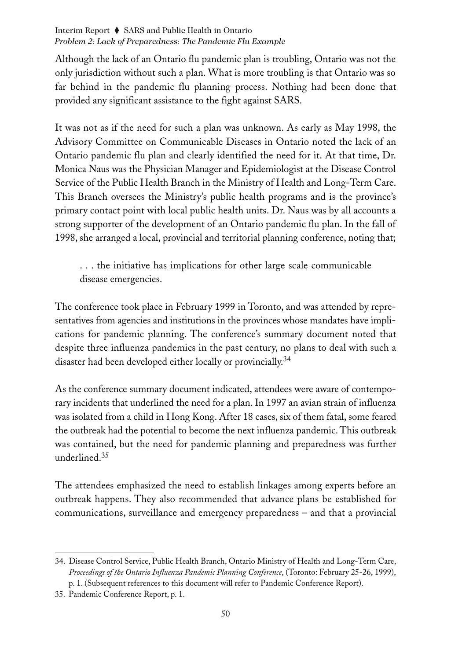#### Interim Report ♦ SARS and Public Health in Ontario *Problem 2: Lack of Preparedness: The Pandemic Flu Example*

Although the lack of an Ontario flu pandemic plan is troubling, Ontario was not the only jurisdiction without such a plan. What is more troubling is that Ontario was so far behind in the pandemic flu planning process. Nothing had been done that provided any significant assistance to the fight against SARS.

It was not as if the need for such a plan was unknown. As early as May 1998, the Advisory Committee on Communicable Diseases in Ontario noted the lack of an Ontario pandemic flu plan and clearly identified the need for it. At that time, Dr. Monica Naus was the Physician Manager and Epidemiologist at the Disease Control Service of the Public Health Branch in the Ministry of Health and Long-Term Care. This Branch oversees the Ministry's public health programs and is the province's primary contact point with local public health units. Dr. Naus was by all accounts a strong supporter of the development of an Ontario pandemic flu plan. In the fall of 1998, she arranged a local, provincial and territorial planning conference, noting that;

. . . the initiative has implications for other large scale communicable disease emergencies.

The conference took place in February 1999 in Toronto, and was attended by representatives from agencies and institutions in the provinces whose mandates have implications for pandemic planning. The conference's summary document noted that despite three influenza pandemics in the past century, no plans to deal with such a disaster had been developed either locally or provincially. 34

As the conference summary document indicated, attendees were aware of contemporary incidents that underlined the need for a plan. In 1997 an avian strain of influenza was isolated from a child in Hong Kong. After 18 cases, six of them fatal, some feared the outbreak had the potential to become the next influenza pandemic. This outbreak was contained, but the need for pandemic planning and preparedness was further underlined.35

The attendees emphasized the need to establish linkages among experts before an outbreak happens. They also recommended that advance plans be established for communications, surveillance and emergency preparedness – and that a provincial

<sup>34.</sup> Disease Control Service, Public Health Branch, Ontario Ministry of Health and Long-Term Care, *Proceedings of the Ontario Influenza Pandemic Planning Conference*, (Toronto: February 25-26, 1999), p. 1. (Subsequent references to this document will refer to Pandemic Conference Report).

<sup>35.</sup> Pandemic Conference Report, p. 1.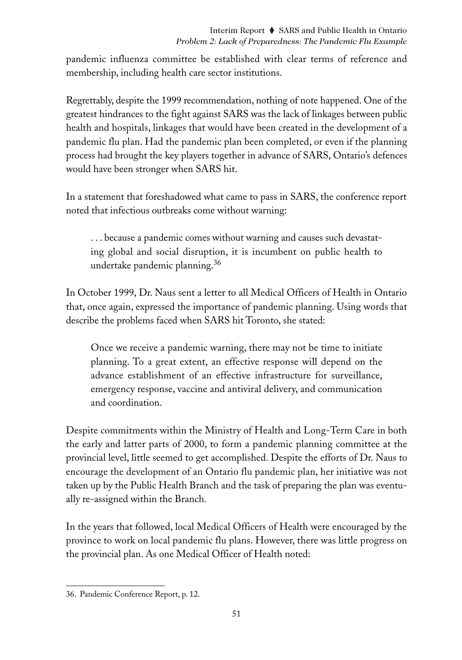pandemic influenza committee be established with clear terms of reference and membership, including health care sector institutions.

Regrettably, despite the 1999 recommendation, nothing of note happened. One of the greatest hindrances to the fight against SARS was the lack of linkages between public health and hospitals, linkages that would have been created in the development of a pandemic flu plan. Had the pandemic plan been completed, or even if the planning process had brought the key players together in advance of SARS, Ontario's defences would have been stronger when SARS hit.

In a statement that foreshadowed what came to pass in SARS, the conference report noted that infectious outbreaks come without warning:

. . . because a pandemic comes without warning and causes such devastating global and social disruption, it is incumbent on public health to undertake pandemic planning.36

In October 1999, Dr. Naus sent a letter to all Medical Officers of Health in Ontario that, once again, expressed the importance of pandemic planning. Using words that describe the problems faced when SARS hit Toronto, she stated:

Once we receive a pandemic warning, there may not be time to initiate planning. To a great extent, an effective response will depend on the advance establishment of an effective infrastructure for surveillance, emergency response, vaccine and antiviral delivery, and communication and coordination.

Despite commitments within the Ministry of Health and Long-Term Care in both the early and latter parts of 2000, to form a pandemic planning committee at the provincial level, little seemed to get accomplished. Despite the efforts of Dr. Naus to encourage the development of an Ontario flu pandemic plan, her initiative was not taken up by the Public Health Branch and the task of preparing the plan was eventually re-assigned within the Branch.

In the years that followed, local Medical Officers of Health were encouraged by the province to work on local pandemic flu plans. However, there was little progress on the provincial plan. As one Medical Officer of Health noted:

<sup>36.</sup> Pandemic Conference Report, p. 12.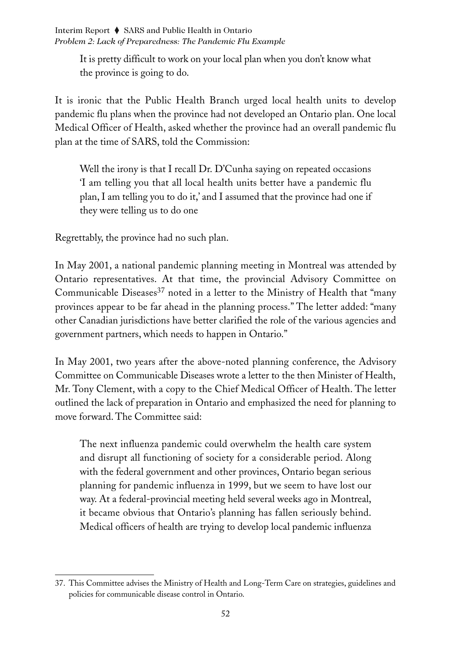Interim Report ♦ SARS and Public Health in Ontario *Problem 2: Lack of Preparedness: The Pandemic Flu Example*

> It is pretty difficult to work on your local plan when you don't know what the province is going to do.

It is ironic that the Public Health Branch urged local health units to develop pandemic flu plans when the province had not developed an Ontario plan. One local Medical Officer of Health, asked whether the province had an overall pandemic flu plan at the time of SARS, told the Commission:

Well the irony is that I recall Dr. D'Cunha saying on repeated occasions 'I am telling you that all local health units better have a pandemic flu plan, I am telling you to do it,' and I assumed that the province had one if they were telling us to do one

Regrettably, the province had no such plan.

In May 2001, a national pandemic planning meeting in Montreal was attended by Ontario representatives. At that time, the provincial Advisory Committee on Communicable Diseases<sup>37</sup> noted in a letter to the Ministry of Health that "many provinces appear to be far ahead in the planning process." The letter added: "many other Canadian jurisdictions have better clarified the role of the various agencies and government partners, which needs to happen in Ontario."

In May 2001, two years after the above-noted planning conference, the Advisory Committee on Communicable Diseases wrote a letter to the then Minister of Health, Mr. Tony Clement, with a copy to the Chief Medical Officer of Health. The letter outlined the lack of preparation in Ontario and emphasized the need for planning to move forward. The Committee said:

The next influenza pandemic could overwhelm the health care system and disrupt all functioning of society for a considerable period. Along with the federal government and other provinces, Ontario began serious planning for pandemic influenza in 1999, but we seem to have lost our way. At a federal-provincial meeting held several weeks ago in Montreal, it became obvious that Ontario's planning has fallen seriously behind. Medical officers of health are trying to develop local pandemic influenza

<sup>37.</sup> This Committee advises the Ministry of Health and Long-Term Care on strategies, guidelines and policies for communicable disease control in Ontario.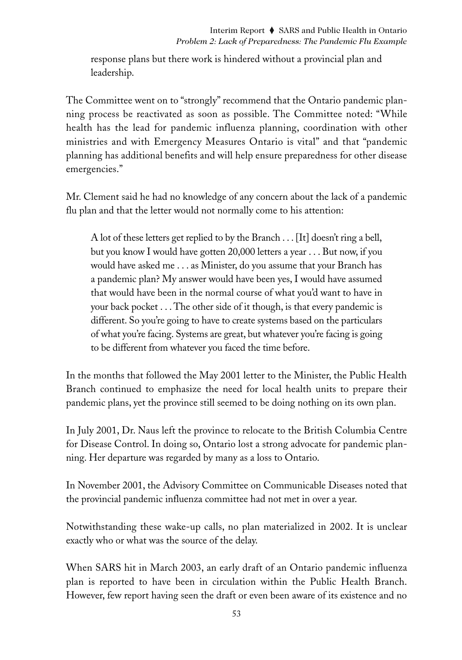response plans but there work is hindered without a provincial plan and leadership.

The Committee went on to "strongly" recommend that the Ontario pandemic planning process be reactivated as soon as possible. The Committee noted: "While health has the lead for pandemic influenza planning, coordination with other ministries and with Emergency Measures Ontario is vital" and that "pandemic planning has additional benefits and will help ensure preparedness for other disease emergencies."

Mr. Clement said he had no knowledge of any concern about the lack of a pandemic flu plan and that the letter would not normally come to his attention:

A lot of these letters get replied to by the Branch . . . [It] doesn't ring a bell, but you know I would have gotten 20,000 letters a year . . . But now, if you would have asked me . . . as Minister, do you assume that your Branch has a pandemic plan? My answer would have been yes, I would have assumed that would have been in the normal course of what you'd want to have in your back pocket . . . The other side of it though, is that every pandemic is different. So you're going to have to create systems based on the particulars of what you're facing. Systems are great, but whatever you're facing is going to be different from whatever you faced the time before.

In the months that followed the May 2001 letter to the Minister, the Public Health Branch continued to emphasize the need for local health units to prepare their pandemic plans, yet the province still seemed to be doing nothing on its own plan.

In July 2001, Dr. Naus left the province to relocate to the British Columbia Centre for Disease Control. In doing so, Ontario lost a strong advocate for pandemic planning. Her departure was regarded by many as a loss to Ontario.

In November 2001, the Advisory Committee on Communicable Diseases noted that the provincial pandemic influenza committee had not met in over a year.

Notwithstanding these wake-up calls, no plan materialized in 2002. It is unclear exactly who or what was the source of the delay.

When SARS hit in March 2003, an early draft of an Ontario pandemic influenza plan is reported to have been in circulation within the Public Health Branch. However, few report having seen the draft or even been aware of its existence and no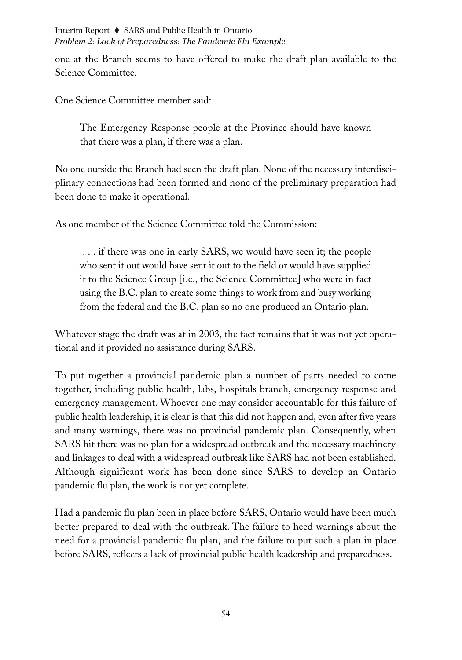Interim Report ♦ SARS and Public Health in Ontario *Problem 2: Lack of Preparedness: The Pandemic Flu Example*

one at the Branch seems to have offered to make the draft plan available to the Science Committee.

One Science Committee member said:

The Emergency Response people at the Province should have known that there was a plan, if there was a plan.

No one outside the Branch had seen the draft plan. None of the necessary interdisciplinary connections had been formed and none of the preliminary preparation had been done to make it operational.

As one member of the Science Committee told the Commission:

. . . if there was one in early SARS, we would have seen it; the people who sent it out would have sent it out to the field or would have supplied it to the Science Group [i.e., the Science Committee] who were in fact using the B.C. plan to create some things to work from and busy working from the federal and the B.C. plan so no one produced an Ontario plan.

Whatever stage the draft was at in 2003, the fact remains that it was not yet operational and it provided no assistance during SARS.

To put together a provincial pandemic plan a number of parts needed to come together, including public health, labs, hospitals branch, emergency response and emergency management. Whoever one may consider accountable for this failure of public health leadership, it is clear is that this did not happen and, even after five years and many warnings, there was no provincial pandemic plan. Consequently, when SARS hit there was no plan for a widespread outbreak and the necessary machinery and linkages to deal with a widespread outbreak like SARS had not been established. Although significant work has been done since SARS to develop an Ontario pandemic flu plan, the work is not yet complete.

Had a pandemic flu plan been in place before SARS, Ontario would have been much better prepared to deal with the outbreak. The failure to heed warnings about the need for a provincial pandemic flu plan, and the failure to put such a plan in place before SARS, reflects a lack of provincial public health leadership and preparedness.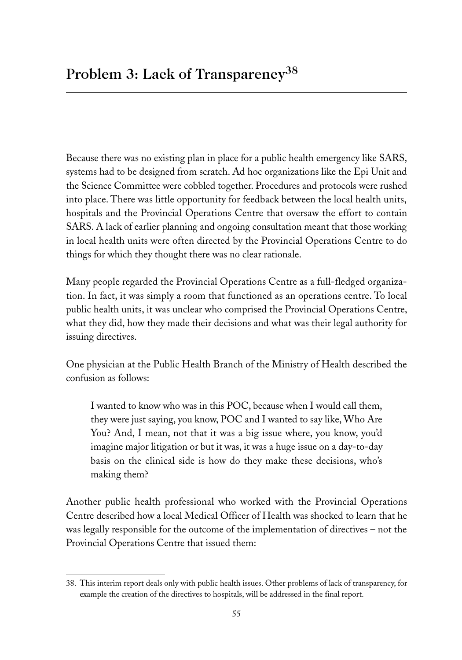Because there was no existing plan in place for a public health emergency like SARS, systems had to be designed from scratch. Ad hoc organizations like the Epi Unit and the Science Committee were cobbled together. Procedures and protocols were rushed into place. There was little opportunity for feedback between the local health units, hospitals and the Provincial Operations Centre that oversaw the effort to contain SARS. A lack of earlier planning and ongoing consultation meant that those working in local health units were often directed by the Provincial Operations Centre to do things for which they thought there was no clear rationale.

Many people regarded the Provincial Operations Centre as a full-fledged organization. In fact, it was simply a room that functioned as an operations centre. To local public health units, it was unclear who comprised the Provincial Operations Centre, what they did, how they made their decisions and what was their legal authority for issuing directives.

One physician at the Public Health Branch of the Ministry of Health described the confusion as follows:

I wanted to know who was in this POC, because when I would call them, they were just saying, you know, POC and I wanted to say like, Who Are You? And, I mean, not that it was a big issue where, you know, you'd imagine major litigation or but it was, it was a huge issue on a day-to-day basis on the clinical side is how do they make these decisions, who's making them?

Another public health professional who worked with the Provincial Operations Centre described how a local Medical Officer of Health was shocked to learn that he was legally responsible for the outcome of the implementation of directives – not the Provincial Operations Centre that issued them:

<sup>38.</sup> This interim report deals only with public health issues. Other problems of lack of transparency, for example the creation of the directives to hospitals, will be addressed in the final report.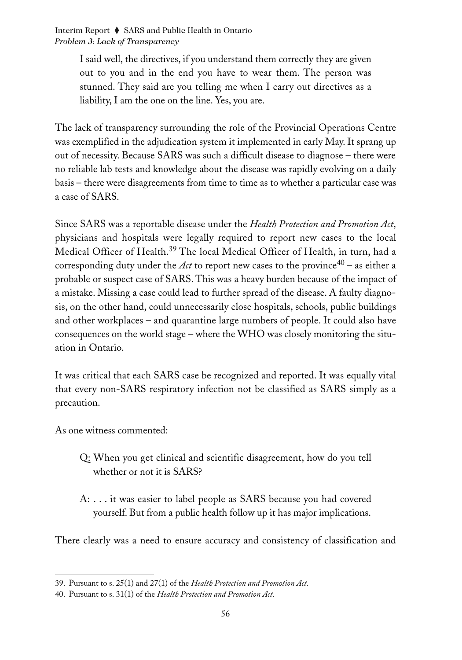Interim Report ♦ SARS and Public Health in Ontario *Problem 3: Lack of Transparency*

> I said well, the directives, if you understand them correctly they are given out to you and in the end you have to wear them. The person was stunned. They said are you telling me when I carry out directives as a liability, I am the one on the line. Yes, you are.

The lack of transparency surrounding the role of the Provincial Operations Centre was exemplified in the adjudication system it implemented in early May. It sprang up out of necessity. Because SARS was such a difficult disease to diagnose – there were no reliable lab tests and knowledge about the disease was rapidly evolving on a daily basis – there were disagreements from time to time as to whether a particular case was a case of SARS.

Since SARS was a reportable disease under the *Health Protection and Promotion Act*, physicians and hospitals were legally required to report new cases to the local Medical Officer of Health.<sup>39</sup> The local Medical Officer of Health, in turn, had a corresponding duty under the  $Act$  to report new cases to the province<sup>40</sup> – as either a probable or suspect case of SARS. This was a heavy burden because of the impact of a mistake. Missing a case could lead to further spread of the disease. A faulty diagnosis, on the other hand, could unnecessarily close hospitals, schools, public buildings and other workplaces – and quarantine large numbers of people. It could also have consequences on the world stage – where the WHO was closely monitoring the situation in Ontario.

It was critical that each SARS case be recognized and reported. It was equally vital that every non-SARS respiratory infection not be classified as SARS simply as a precaution.

As one witness commented:

- Q: When you get clinical and scientific disagreement, how do you tell whether or not it is SARS?
- A: . . . it was easier to label people as SARS because you had covered yourself. But from a public health follow up it has major implications.

There clearly was a need to ensure accuracy and consistency of classification and

<sup>39.</sup> Pursuant to s. 25(1) and 27(1) of the *Health Protection and Promotion Act*.

<sup>40.</sup> Pursuant to s. 31(1) of the *Health Protection and Promotion Act*.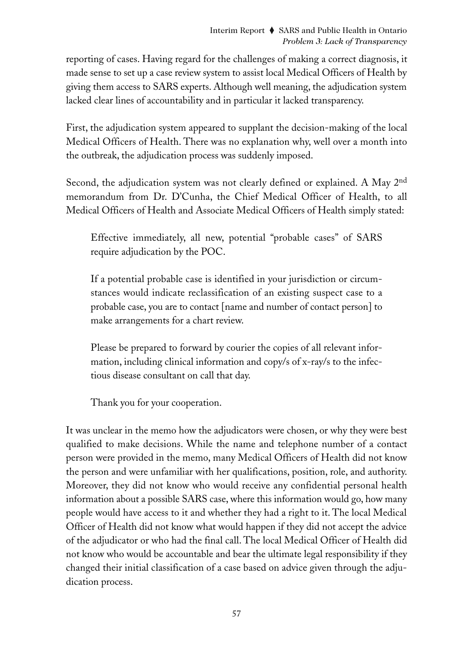reporting of cases. Having regard for the challenges of making a correct diagnosis, it made sense to set up a case review system to assist local Medical Officers of Health by giving them access to SARS experts. Although well meaning, the adjudication system lacked clear lines of accountability and in particular it lacked transparency.

First, the adjudication system appeared to supplant the decision-making of the local Medical Officers of Health. There was no explanation why, well over a month into the outbreak, the adjudication process was suddenly imposed.

Second, the adjudication system was not clearly defined or explained. A May 2nd memorandum from Dr. D'Cunha, the Chief Medical Officer of Health, to all Medical Officers of Health and Associate Medical Officers of Health simply stated:

Effective immediately, all new, potential "probable cases" of SARS require adjudication by the POC.

If a potential probable case is identified in your jurisdiction or circumstances would indicate reclassification of an existing suspect case to a probable case, you are to contact [name and number of contact person] to make arrangements for a chart review.

Please be prepared to forward by courier the copies of all relevant information, including clinical information and copy/s of x-ray/s to the infectious disease consultant on call that day.

Thank you for your cooperation.

It was unclear in the memo how the adjudicators were chosen, or why they were best qualified to make decisions. While the name and telephone number of a contact person were provided in the memo, many Medical Officers of Health did not know the person and were unfamiliar with her qualifications, position, role, and authority. Moreover, they did not know who would receive any confidential personal health information about a possible SARS case, where this information would go, how many people would have access to it and whether they had a right to it. The local Medical Officer of Health did not know what would happen if they did not accept the advice of the adjudicator or who had the final call. The local Medical Officer of Health did not know who would be accountable and bear the ultimate legal responsibility if they changed their initial classification of a case based on advice given through the adjudication process.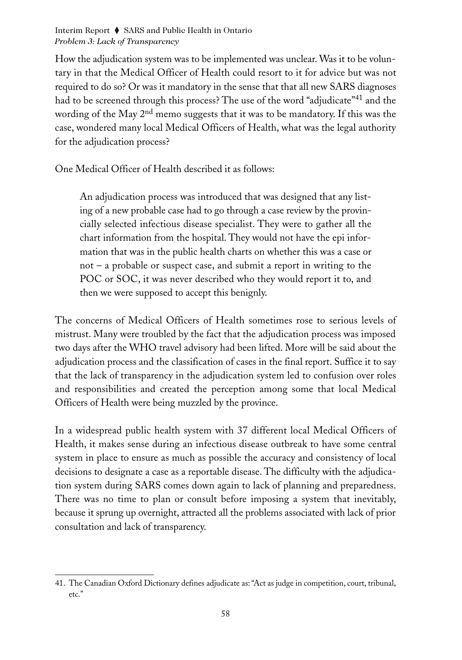Interim Report ♦ SARS and Public Health in Ontario *Problem 3: Lack of Transparency*

How the adjudication system was to be implemented was unclear. Was it to be voluntary in that the Medical Officer of Health could resort to it for advice but was not required to do so? Or was it mandatory in the sense that that all new SARS diagnoses had to be screened through this process? The use of the word "adjudicate"<sup>41</sup> and the wording of the May 2nd memo suggests that it was to be mandatory. If this was the case, wondered many local Medical Officers of Health, what was the legal authority for the adjudication process?

One Medical Officer of Health described it as follows:

An adjudication process was introduced that was designed that any listing of a new probable case had to go through a case review by the provincially selected infectious disease specialist. They were to gather all the chart information from the hospital. They would not have the epi information that was in the public health charts on whether this was a case or not – a probable or suspect case, and submit a report in writing to the POC or SOC, it was never described who they would report it to, and then we were supposed to accept this benignly.

The concerns of Medical Officers of Health sometimes rose to serious levels of mistrust. Many were troubled by the fact that the adjudication process was imposed two days after the WHO travel advisory had been lifted. More will be said about the adjudication process and the classification of cases in the final report. Suffice it to say that the lack of transparency in the adjudication system led to confusion over roles and responsibilities and created the perception among some that local Medical Officers of Health were being muzzled by the province.

In a widespread public health system with 37 different local Medical Officers of Health, it makes sense during an infectious disease outbreak to have some central system in place to ensure as much as possible the accuracy and consistency of local decisions to designate a case as a reportable disease. The difficulty with the adjudication system during SARS comes down again to lack of planning and preparedness. There was no time to plan or consult before imposing a system that inevitably, because it sprung up overnight, attracted all the problems associated with lack of prior consultation and lack of transparency.

<sup>41.</sup> The Canadian Oxford Dictionary defines adjudicate as: "Act as judge in competition, court, tribunal, etc."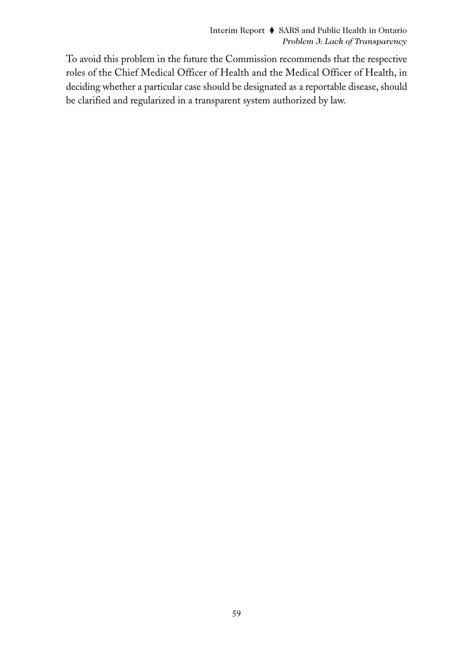To avoid this problem in the future the Commission recommends that the respective roles of the Chief Medical Officer of Health and the Medical Officer of Health, in deciding whether a particular case should be designated as a reportable disease, should be clarified and regularized in a transparent system authorized by law.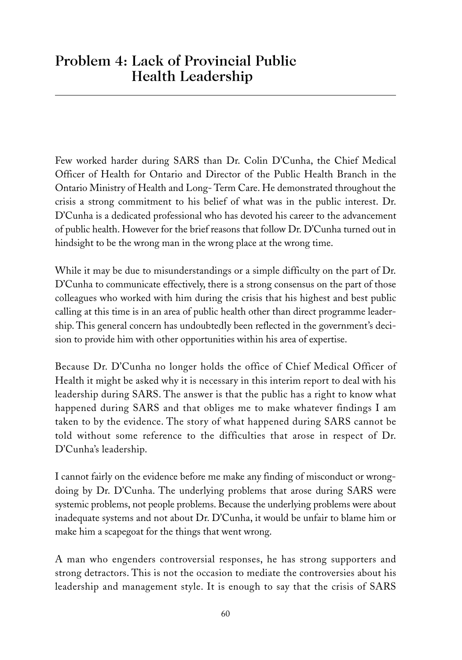Few worked harder during SARS than Dr. Colin D'Cunha, the Chief Medical Officer of Health for Ontario and Director of the Public Health Branch in the Ontario Ministry of Health and Long- Term Care. He demonstrated throughout the crisis a strong commitment to his belief of what was in the public interest. Dr. D'Cunha is a dedicated professional who has devoted his career to the advancement of public health. However for the brief reasons that follow Dr. D'Cunha turned out in hindsight to be the wrong man in the wrong place at the wrong time.

While it may be due to misunderstandings or a simple difficulty on the part of Dr. D'Cunha to communicate effectively, there is a strong consensus on the part of those colleagues who worked with him during the crisis that his highest and best public calling at this time is in an area of public health other than direct programme leadership. This general concern has undoubtedly been reflected in the government's decision to provide him with other opportunities within his area of expertise.

Because Dr. D'Cunha no longer holds the office of Chief Medical Officer of Health it might be asked why it is necessary in this interim report to deal with his leadership during SARS. The answer is that the public has a right to know what happened during SARS and that obliges me to make whatever findings I am taken to by the evidence. The story of what happened during SARS cannot be told without some reference to the difficulties that arose in respect of Dr. D'Cunha's leadership.

I cannot fairly on the evidence before me make any finding of misconduct or wrongdoing by Dr. D'Cunha. The underlying problems that arose during SARS were systemic problems, not people problems. Because the underlying problems were about inadequate systems and not about Dr. D'Cunha, it would be unfair to blame him or make him a scapegoat for the things that went wrong.

A man who engenders controversial responses, he has strong supporters and strong detractors. This is not the occasion to mediate the controversies about his leadership and management style. It is enough to say that the crisis of SARS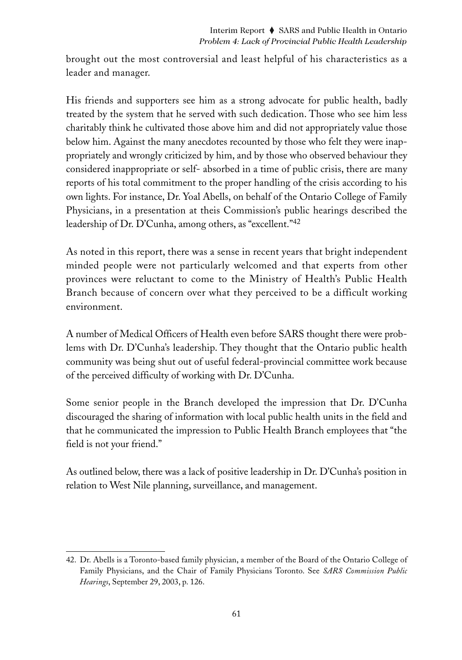brought out the most controversial and least helpful of his characteristics as a leader and manager.

His friends and supporters see him as a strong advocate for public health, badly treated by the system that he served with such dedication. Those who see him less charitably think he cultivated those above him and did not appropriately value those below him. Against the many anecdotes recounted by those who felt they were inappropriately and wrongly criticized by him, and by those who observed behaviour they considered inappropriate or self- absorbed in a time of public crisis, there are many reports of his total commitment to the proper handling of the crisis according to his own lights. For instance, Dr. Yoal Abells, on behalf of the Ontario College of Family Physicians, in a presentation at theis Commission's public hearings described the leadership of Dr. D'Cunha, among others, as "excellent."<sup>42</sup>

As noted in this report, there was a sense in recent years that bright independent minded people were not particularly welcomed and that experts from other provinces were reluctant to come to the Ministry of Health's Public Health Branch because of concern over what they perceived to be a difficult working environment.

A number of Medical Officers of Health even before SARS thought there were problems with Dr. D'Cunha's leadership. They thought that the Ontario public health community was being shut out of useful federal-provincial committee work because of the perceived difficulty of working with Dr. D'Cunha.

Some senior people in the Branch developed the impression that Dr. D'Cunha discouraged the sharing of information with local public health units in the field and that he communicated the impression to Public Health Branch employees that "the field is not your friend."

As outlined below, there was a lack of positive leadership in Dr. D'Cunha's position in relation to West Nile planning, surveillance, and management.

<sup>42.</sup> Dr. Abells is a Toronto-based family physician, a member of the Board of the Ontario College of Family Physicians, and the Chair of Family Physicians Toronto. See *SARS Commission Public Hearings*, September 29, 2003, p. 126.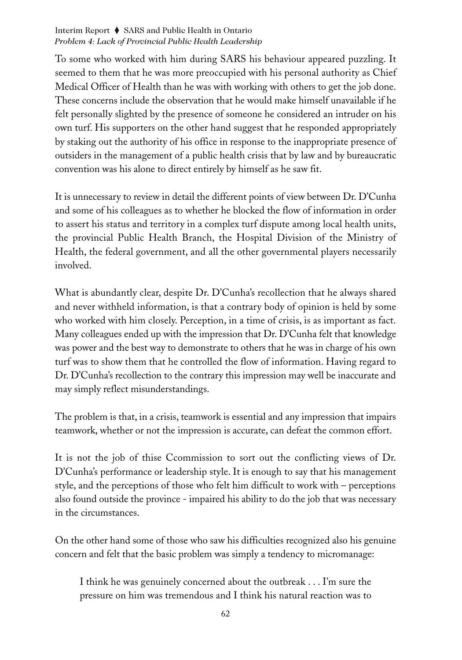#### Interim Report ♦ SARS and Public Health in Ontario *Problem 4: Lack of Provincial Public Health Leadership*

To some who worked with him during SARS his behaviour appeared puzzling. It seemed to them that he was more preoccupied with his personal authority as Chief Medical Officer of Health than he was with working with others to get the job done. These concerns include the observation that he would make himself unavailable if he felt personally slighted by the presence of someone he considered an intruder on his own turf. His supporters on the other hand suggest that he responded appropriately by staking out the authority of his office in response to the inappropriate presence of outsiders in the management of a public health crisis that by law and by bureaucratic convention was his alone to direct entirely by himself as he saw fit.

It is unnecessary to review in detail the different points of view between Dr. D'Cunha and some of his colleagues as to whether he blocked the flow of information in order to assert his status and territory in a complex turf dispute among local health units, the provincial Public Health Branch, the Hospital Division of the Ministry of Health, the federal government, and all the other governmental players necessarily involved.

What is abundantly clear, despite Dr. D'Cunha's recollection that he always shared and never withheld information, is that a contrary body of opinion is held by some who worked with him closely. Perception, in a time of crisis, is as important as fact. Many colleagues ended up with the impression that Dr. D'Cunha felt that knowledge was power and the best way to demonstrate to others that he was in charge of his own turf was to show them that he controlled the flow of information. Having regard to Dr. D'Cunha's recollection to the contrary this impression may well be inaccurate and may simply reflect misunderstandings.

The problem is that, in a crisis, teamwork is essential and any impression that impairs teamwork, whether or not the impression is accurate, can defeat the common effort.

It is not the job of thise Ccommission to sort out the conflicting views of Dr. D'Cunha's performance or leadership style. It is enough to say that his management style, and the perceptions of those who felt him difficult to work with – perceptions also found outside the province - impaired his ability to do the job that was necessary in the circumstances.

On the other hand some of those who saw his difficulties recognized also his genuine concern and felt that the basic problem was simply a tendency to micromanage:

I think he was genuinely concerned about the outbreak . . . I'm sure the pressure on him was tremendous and I think his natural reaction was to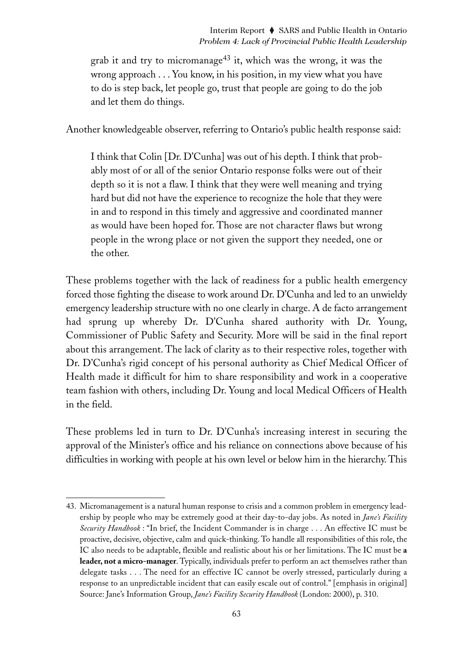grab it and try to micromanage<sup>43</sup> it, which was the wrong, it was the wrong approach . . . You know, in his position, in my view what you have to do is step back, let people go, trust that people are going to do the job and let them do things.

Another knowledgeable observer, referring to Ontario's public health response said:

I think that Colin [Dr. D'Cunha] was out of his depth. I think that probably most of or all of the senior Ontario response folks were out of their depth so it is not a flaw. I think that they were well meaning and trying hard but did not have the experience to recognize the hole that they were in and to respond in this timely and aggressive and coordinated manner as would have been hoped for. Those are not character flaws but wrong people in the wrong place or not given the support they needed, one or the other.

These problems together with the lack of readiness for a public health emergency forced those fighting the disease to work around Dr. D'Cunha and led to an unwieldy emergency leadership structure with no one clearly in charge. A de facto arrangement had sprung up whereby Dr. D'Cunha shared authority with Dr. Young, Commissioner of Public Safety and Security. More will be said in the final report about this arrangement. The lack of clarity as to their respective roles, together with Dr. D'Cunha's rigid concept of his personal authority as Chief Medical Officer of Health made it difficult for him to share responsibility and work in a cooperative team fashion with others, including Dr. Young and local Medical Officers of Health in the field.

These problems led in turn to Dr. D'Cunha's increasing interest in securing the approval of the Minister's office and his reliance on connections above because of his difficulties in working with people at his own level or below him in the hierarchy. This

<sup>43.</sup> Micromanagement is a natural human response to crisis and a common problem in emergency leadership by people who may be extremely good at their day-to-day jobs. As noted in *Jane's Facility Security Handbook* : "In brief, the Incident Commander is in charge . . . An effective IC must be proactive, decisive, objective, calm and quick-thinking. To handle all responsibilities of this role, the IC also needs to be adaptable, flexible and realistic about his or her limitations. The IC must be **a leader, not a micro-manager**. Typically, individuals prefer to perform an act themselves rather than delegate tasks . . . The need for an effective IC cannot be overly stressed, particularly during a response to an unpredictable incident that can easily escale out of control." [emphasis in original] Source: Jane's Information Group, *Jane's Facility Security Handbook* (London: 2000), p. 310.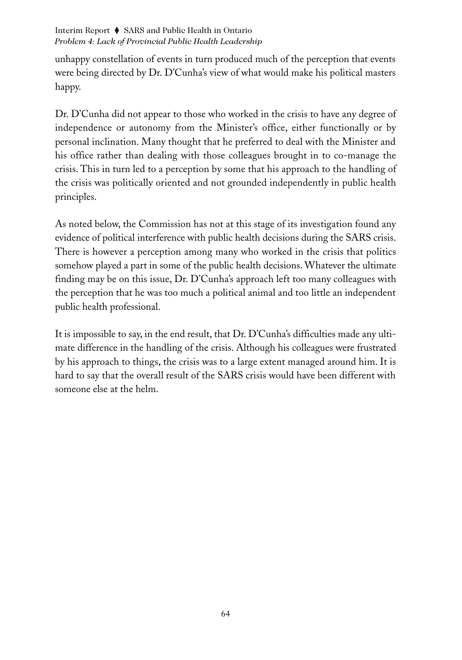unhappy constellation of events in turn produced much of the perception that events were being directed by Dr. D'Cunha's view of what would make his political masters happy.

Dr. D'Cunha did not appear to those who worked in the crisis to have any degree of independence or autonomy from the Minister's office, either functionally or by personal inclination. Many thought that he preferred to deal with the Minister and his office rather than dealing with those colleagues brought in to co-manage the crisis. This in turn led to a perception by some that his approach to the handling of the crisis was politically oriented and not grounded independently in public health principles.

As noted below, the Commission has not at this stage of its investigation found any evidence of political interference with public health decisions during the SARS crisis. There is however a perception among many who worked in the crisis that politics somehow played a part in some of the public health decisions. Whatever the ultimate finding may be on this issue, Dr. D'Cunha's approach left too many colleagues with the perception that he was too much a political animal and too little an independent public health professional.

It is impossible to say, in the end result, that Dr. D'Cunha's difficulties made any ultimate difference in the handling of the crisis. Although his colleagues were frustrated by his approach to things, the crisis was to a large extent managed around him. It is hard to say that the overall result of the SARS crisis would have been different with someone else at the helm.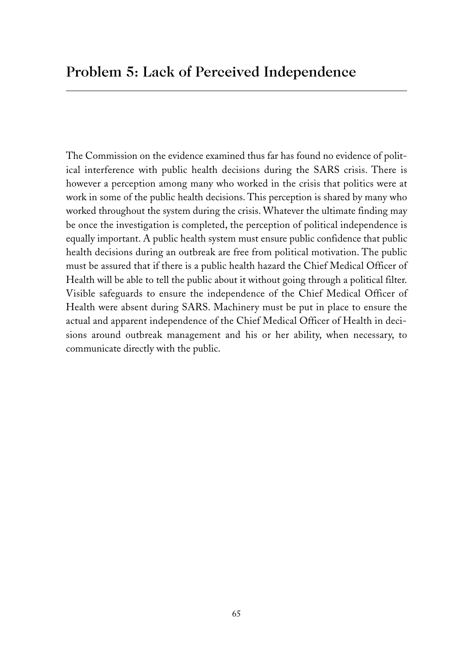The Commission on the evidence examined thus far has found no evidence of political interference with public health decisions during the SARS crisis. There is however a perception among many who worked in the crisis that politics were at work in some of the public health decisions. This perception is shared by many who worked throughout the system during the crisis. Whatever the ultimate finding may be once the investigation is completed, the perception of political independence is equally important. A public health system must ensure public confidence that public health decisions during an outbreak are free from political motivation. The public must be assured that if there is a public health hazard the Chief Medical Officer of Health will be able to tell the public about it without going through a political filter. Visible safeguards to ensure the independence of the Chief Medical Officer of Health were absent during SARS. Machinery must be put in place to ensure the actual and apparent independence of the Chief Medical Officer of Health in decisions around outbreak management and his or her ability, when necessary, to communicate directly with the public.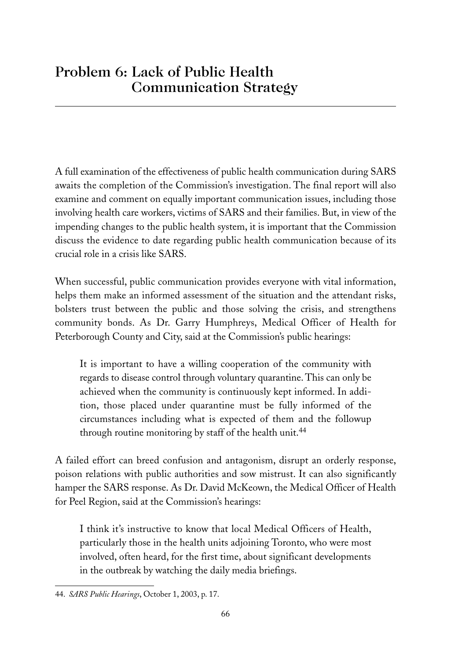A full examination of the effectiveness of public health communication during SARS awaits the completion of the Commission's investigation. The final report will also examine and comment on equally important communication issues, including those involving health care workers, victims of SARS and their families. But, in view of the impending changes to the public health system, it is important that the Commission discuss the evidence to date regarding public health communication because of its crucial role in a crisis like SARS.

When successful, public communication provides everyone with vital information, helps them make an informed assessment of the situation and the attendant risks, bolsters trust between the public and those solving the crisis, and strengthens community bonds. As Dr. Garry Humphreys, Medical Officer of Health for Peterborough County and City, said at the Commission's public hearings:

It is important to have a willing cooperation of the community with regards to disease control through voluntary quarantine. This can only be achieved when the community is continuously kept informed. In addition, those placed under quarantine must be fully informed of the circumstances including what is expected of them and the followup through routine monitoring by staff of the health unit.<sup>44</sup>

A failed effort can breed confusion and antagonism, disrupt an orderly response, poison relations with public authorities and sow mistrust. It can also significantly hamper the SARS response. As Dr. David McKeown, the Medical Officer of Health for Peel Region, said at the Commission's hearings:

I think it's instructive to know that local Medical Officers of Health, particularly those in the health units adjoining Toronto, who were most involved, often heard, for the first time, about significant developments in the outbreak by watching the daily media briefings.

<sup>44.</sup> *SARS Public Hearings*, October 1, 2003, p. 17.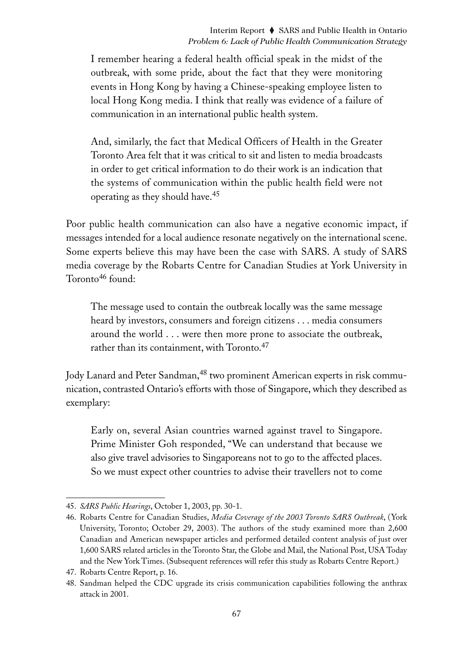I remember hearing a federal health official speak in the midst of the outbreak, with some pride, about the fact that they were monitoring events in Hong Kong by having a Chinese-speaking employee listen to local Hong Kong media. I think that really was evidence of a failure of communication in an international public health system.

And, similarly, the fact that Medical Officers of Health in the Greater Toronto Area felt that it was critical to sit and listen to media broadcasts in order to get critical information to do their work is an indication that the systems of communication within the public health field were not operating as they should have.45

Poor public health communication can also have a negative economic impact, if messages intended for a local audience resonate negatively on the international scene. Some experts believe this may have been the case with SARS. A study of SARS media coverage by the Robarts Centre for Canadian Studies at York University in Toronto<sup>46</sup> found:

The message used to contain the outbreak locally was the same message heard by investors, consumers and foreign citizens . . . media consumers around the world . . . were then more prone to associate the outbreak, rather than its containment, with Toronto.<sup>47</sup>

Jody Lanard and Peter Sandman,<sup>48</sup> two prominent American experts in risk communication, contrasted Ontario's efforts with those of Singapore, which they described as exemplary:

Early on, several Asian countries warned against travel to Singapore. Prime Minister Goh responded, "We can understand that because we also give travel advisories to Singaporeans not to go to the affected places. So we must expect other countries to advise their travellers not to come

<sup>45.</sup> *SARS Public Hearings*, October 1, 2003, pp. 30-1.

<sup>46.</sup> Robarts Centre for Canadian Studies, *Media Coverage of the 2003 Toronto SARS Outbreak*, (York University, Toronto; October 29, 2003). The authors of the study examined more than 2,600 Canadian and American newspaper articles and performed detailed content analysis of just over 1,600 SARS related articles in the Toronto Star, the Globe and Mail, the National Post, USA Today and the New York Times. (Subsequent references will refer this study as Robarts Centre Report.)

<sup>47.</sup> Robarts Centre Report, p. 16.

<sup>48.</sup> Sandman helped the CDC upgrade its crisis communication capabilities following the anthrax attack in 2001.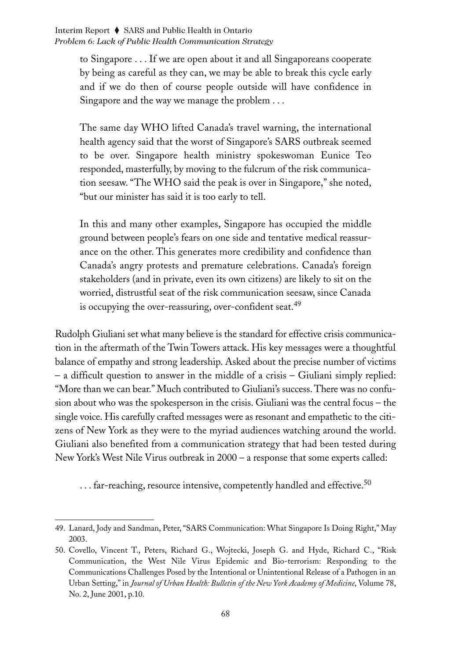to Singapore . . . If we are open about it and all Singaporeans cooperate by being as careful as they can, we may be able to break this cycle early and if we do then of course people outside will have confidence in Singapore and the way we manage the problem . . .

The same day WHO lifted Canada's travel warning, the international health agency said that the worst of Singapore's SARS outbreak seemed to be over. Singapore health ministry spokeswoman Eunice Teo responded, masterfully, by moving to the fulcrum of the risk communication seesaw. "The WHO said the peak is over in Singapore," she noted, "but our minister has said it is too early to tell.

In this and many other examples, Singapore has occupied the middle ground between people's fears on one side and tentative medical reassurance on the other. This generates more credibility and confidence than Canada's angry protests and premature celebrations. Canada's foreign stakeholders (and in private, even its own citizens) are likely to sit on the worried, distrustful seat of the risk communication seesaw, since Canada is occupying the over-reassuring, over-confident seat.<sup>49</sup>

Rudolph Giuliani set what many believe is the standard for effective crisis communication in the aftermath of the Twin Towers attack. His key messages were a thoughtful balance of empathy and strong leadership. Asked about the precise number of victims – a difficult question to answer in the middle of a crisis – Giuliani simply replied: "More than we can bear." Much contributed to Giuliani's success. There was no confusion about who was the spokesperson in the crisis. Giuliani was the central focus – the single voice. His carefully crafted messages were as resonant and empathetic to the citizens of New York as they were to the myriad audiences watching around the world. Giuliani also benefited from a communication strategy that had been tested during New York's West Nile Virus outbreak in 2000 – a response that some experts called:

... far-reaching, resource intensive, competently handled and effective.<sup>50</sup>

<sup>49.</sup> Lanard, Jody and Sandman, Peter, "SARS Communication: What Singapore Is Doing Right," May 2003.

<sup>50.</sup> Covello, Vincent T., Peters, Richard G., Wojtecki, Joseph G. and Hyde, Richard C., "Risk Communication, the West Nile Virus Epidemic and Bio-terrorism: Responding to the Communications Challenges Posed by the Intentional or Unintentional Release of a Pathogen in an Urban Setting," in *Journal of Urban Health: Bulletin of the New York Academy of Medicine*, Volume 78, No. 2, June 2001, p.10.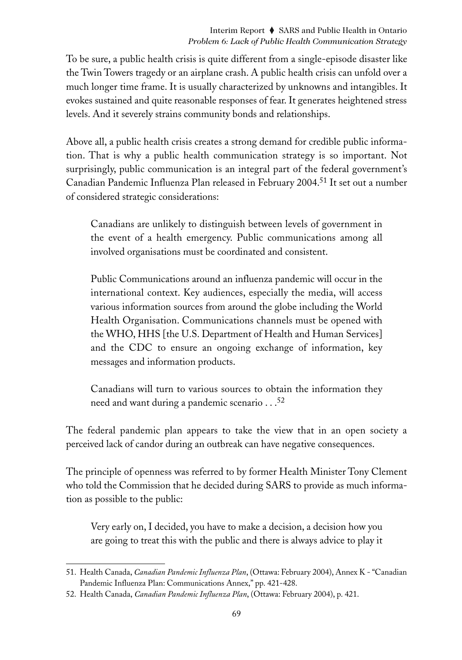To be sure, a public health crisis is quite different from a single-episode disaster like the Twin Towers tragedy or an airplane crash. A public health crisis can unfold over a much longer time frame. It is usually characterized by unknowns and intangibles. It evokes sustained and quite reasonable responses of fear. It generates heightened stress levels. And it severely strains community bonds and relationships.

Above all, a public health crisis creates a strong demand for credible public information. That is why a public health communication strategy is so important. Not surprisingly, public communication is an integral part of the federal government's Canadian Pandemic Influenza Plan released in February 2004.51 It set out a number of considered strategic considerations:

Canadians are unlikely to distinguish between levels of government in the event of a health emergency. Public communications among all involved organisations must be coordinated and consistent.

Public Communications around an influenza pandemic will occur in the international context. Key audiences, especially the media, will access various information sources from around the globe including the World Health Organisation. Communications channels must be opened with the WHO, HHS [the U.S. Department of Health and Human Services] and the CDC to ensure an ongoing exchange of information, key messages and information products.

Canadians will turn to various sources to obtain the information they need and want during a pandemic scenario . . . 52

The federal pandemic plan appears to take the view that in an open society a perceived lack of candor during an outbreak can have negative consequences.

The principle of openness was referred to by former Health Minister Tony Clement who told the Commission that he decided during SARS to provide as much information as possible to the public:

Very early on, I decided, you have to make a decision, a decision how you are going to treat this with the public and there is always advice to play it

<sup>51.</sup> Health Canada, *Canadian Pandemic Influenza Plan*, (Ottawa: February 2004), Annex K - "Canadian Pandemic Influenza Plan: Communications Annex," pp. 421-428.

<sup>52.</sup> Health Canada, *Canadian Pandemic Influenza Plan*, (Ottawa: February 2004), p. 421.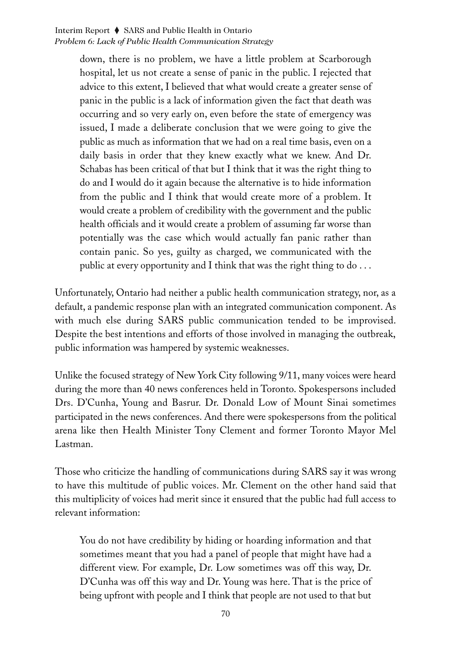down, there is no problem, we have a little problem at Scarborough hospital, let us not create a sense of panic in the public. I rejected that advice to this extent, I believed that what would create a greater sense of panic in the public is a lack of information given the fact that death was occurring and so very early on, even before the state of emergency was issued, I made a deliberate conclusion that we were going to give the public as much as information that we had on a real time basis, even on a daily basis in order that they knew exactly what we knew. And Dr. Schabas has been critical of that but I think that it was the right thing to do and I would do it again because the alternative is to hide information from the public and I think that would create more of a problem. It would create a problem of credibility with the government and the public health officials and it would create a problem of assuming far worse than potentially was the case which would actually fan panic rather than contain panic. So yes, guilty as charged, we communicated with the public at every opportunity and I think that was the right thing to do . . .

Unfortunately, Ontario had neither a public health communication strategy, nor, as a default, a pandemic response plan with an integrated communication component. As with much else during SARS public communication tended to be improvised. Despite the best intentions and efforts of those involved in managing the outbreak, public information was hampered by systemic weaknesses.

Unlike the focused strategy of New York City following 9/11, many voices were heard during the more than 40 news conferences held in Toronto. Spokespersons included Drs. D'Cunha, Young and Basrur. Dr. Donald Low of Mount Sinai sometimes participated in the news conferences. And there were spokespersons from the political arena like then Health Minister Tony Clement and former Toronto Mayor Mel Lastman.

Those who criticize the handling of communications during SARS say it was wrong to have this multitude of public voices. Mr. Clement on the other hand said that this multiplicity of voices had merit since it ensured that the public had full access to relevant information:

You do not have credibility by hiding or hoarding information and that sometimes meant that you had a panel of people that might have had a different view. For example, Dr. Low sometimes was off this way, Dr. D'Cunha was off this way and Dr. Young was here. That is the price of being upfront with people and I think that people are not used to that but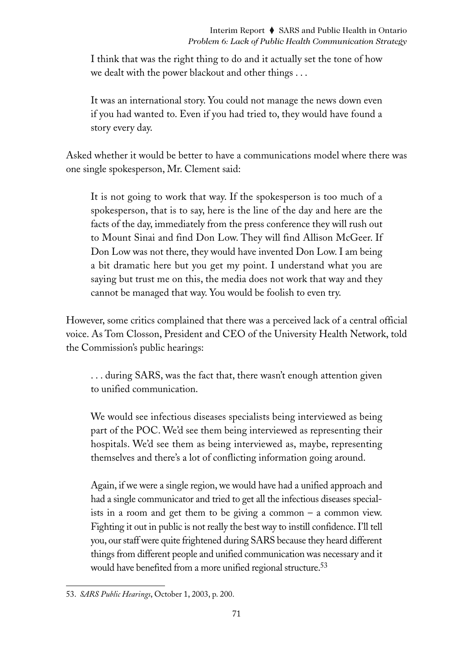I think that was the right thing to do and it actually set the tone of how we dealt with the power blackout and other things . . .

It was an international story. You could not manage the news down even if you had wanted to. Even if you had tried to, they would have found a story every day.

Asked whether it would be better to have a communications model where there was one single spokesperson, Mr. Clement said:

It is not going to work that way. If the spokesperson is too much of a spokesperson, that is to say, here is the line of the day and here are the facts of the day, immediately from the press conference they will rush out to Mount Sinai and find Don Low. They will find Allison McGeer. If Don Low was not there, they would have invented Don Low. I am being a bit dramatic here but you get my point. I understand what you are saying but trust me on this, the media does not work that way and they cannot be managed that way. You would be foolish to even try.

However, some critics complained that there was a perceived lack of a central official voice. As Tom Closson, President and CEO of the University Health Network, told the Commission's public hearings:

. . . during SARS, was the fact that, there wasn't enough attention given to unified communication.

We would see infectious diseases specialists being interviewed as being part of the POC. We'd see them being interviewed as representing their hospitals. We'd see them as being interviewed as, maybe, representing themselves and there's a lot of conflicting information going around.

Again, if we were a single region, we would have had a unified approach and had a single communicator and tried to get all the infectious diseases specialists in a room and get them to be giving a common – a common view. Fighting it out in public is not really the best way to instill confidence. I'll tell you, our staff were quite frightened during SARS because they heard different things from different people and unified communication was necessary and it would have benefited from a more unified regional structure.<sup>53</sup>

<sup>53.</sup> *SARS Public Hearings*, October 1, 2003, p. 200.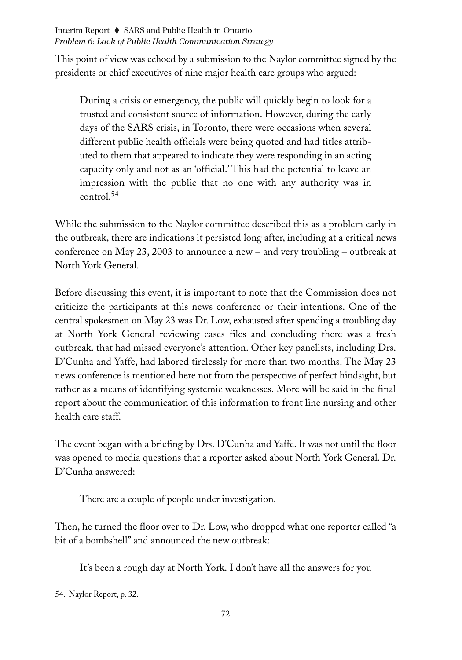This point of view was echoed by a submission to the Naylor committee signed by the presidents or chief executives of nine major health care groups who argued:

During a crisis or emergency, the public will quickly begin to look for a trusted and consistent source of information. However, during the early days of the SARS crisis, in Toronto, there were occasions when several different public health officials were being quoted and had titles attributed to them that appeared to indicate they were responding in an acting capacity only and not as an 'official.' This had the potential to leave an impression with the public that no one with any authority was in control.54

While the submission to the Naylor committee described this as a problem early in the outbreak, there are indications it persisted long after, including at a critical news conference on May 23, 2003 to announce a new – and very troubling – outbreak at North York General.

Before discussing this event, it is important to note that the Commission does not criticize the participants at this news conference or their intentions. One of the central spokesmen on May 23 was Dr. Low, exhausted after spending a troubling day at North York General reviewing cases files and concluding there was a fresh outbreak. that had missed everyone's attention. Other key panelists, including Drs. D'Cunha and Yaffe, had labored tirelessly for more than two months. The May 23 news conference is mentioned here not from the perspective of perfect hindsight, but rather as a means of identifying systemic weaknesses. More will be said in the final report about the communication of this information to front line nursing and other health care staff.

The event began with a briefing by Drs. D'Cunha and Yaffe. It was not until the floor was opened to media questions that a reporter asked about North York General. Dr. D'Cunha answered:

There are a couple of people under investigation.

Then, he turned the floor over to Dr. Low, who dropped what one reporter called "a bit of a bombshell" and announced the new outbreak:

It's been a rough day at North York. I don't have all the answers for you

<sup>54.</sup> Naylor Report, p. 32.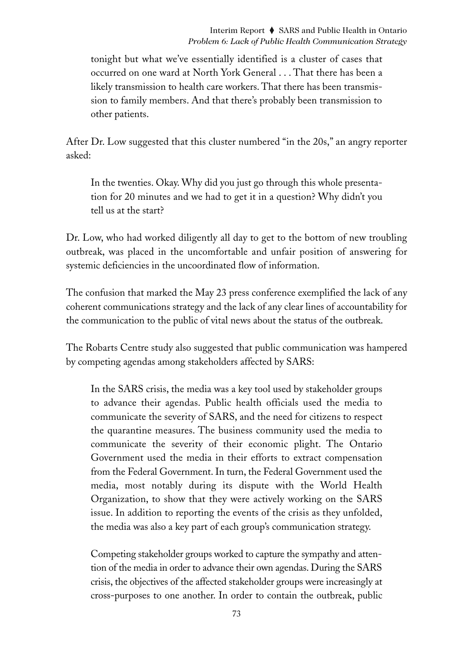tonight but what we've essentially identified is a cluster of cases that occurred on one ward at North York General . . . That there has been a likely transmission to health care workers. That there has been transmission to family members. And that there's probably been transmission to other patients.

After Dr. Low suggested that this cluster numbered "in the 20s," an angry reporter asked:

In the twenties. Okay. Why did you just go through this whole presentation for 20 minutes and we had to get it in a question? Why didn't you tell us at the start?

Dr. Low, who had worked diligently all day to get to the bottom of new troubling outbreak, was placed in the uncomfortable and unfair position of answering for systemic deficiencies in the uncoordinated flow of information.

The confusion that marked the May 23 press conference exemplified the lack of any coherent communications strategy and the lack of any clear lines of accountability for the communication to the public of vital news about the status of the outbreak.

The Robarts Centre study also suggested that public communication was hampered by competing agendas among stakeholders affected by SARS:

In the SARS crisis, the media was a key tool used by stakeholder groups to advance their agendas. Public health officials used the media to communicate the severity of SARS, and the need for citizens to respect the quarantine measures. The business community used the media to communicate the severity of their economic plight. The Ontario Government used the media in their efforts to extract compensation from the Federal Government. In turn, the Federal Government used the media, most notably during its dispute with the World Health Organization, to show that they were actively working on the SARS issue. In addition to reporting the events of the crisis as they unfolded, the media was also a key part of each group's communication strategy.

Competing stakeholder groups worked to capture the sympathy and attention of the media in order to advance their own agendas. During the SARS crisis, the objectives of the affected stakeholder groups were increasingly at cross-purposes to one another. In order to contain the outbreak, public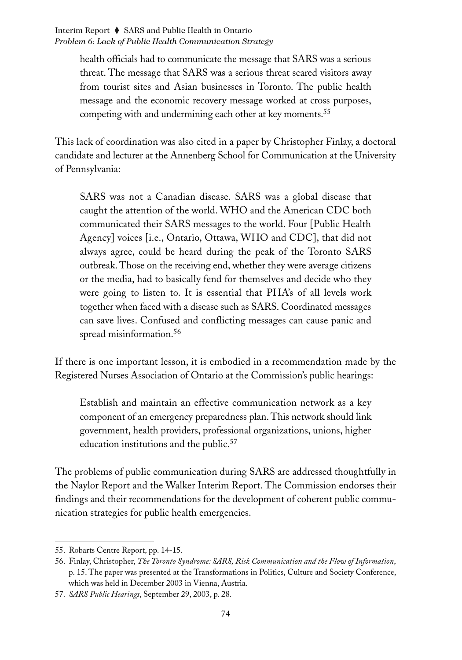health officials had to communicate the message that SARS was a serious threat. The message that SARS was a serious threat scared visitors away from tourist sites and Asian businesses in Toronto. The public health message and the economic recovery message worked at cross purposes, competing with and undermining each other at key moments.<sup>55</sup>

This lack of coordination was also cited in a paper by Christopher Finlay, a doctoral candidate and lecturer at the Annenberg School for Communication at the University of Pennsylvania:

SARS was not a Canadian disease. SARS was a global disease that caught the attention of the world. WHO and the American CDC both communicated their SARS messages to the world. Four [Public Health Agency] voices [i.e., Ontario, Ottawa, WHO and CDC], that did not always agree, could be heard during the peak of the Toronto SARS outbreak. Those on the receiving end, whether they were average citizens or the media, had to basically fend for themselves and decide who they were going to listen to. It is essential that PHA's of all levels work together when faced with a disease such as SARS. Coordinated messages can save lives. Confused and conflicting messages can cause panic and spread misinformation.<sup>56</sup>

If there is one important lesson, it is embodied in a recommendation made by the Registered Nurses Association of Ontario at the Commission's public hearings:

Establish and maintain an effective communication network as a key component of an emergency preparedness plan. This network should link government, health providers, professional organizations, unions, higher education institutions and the public.<sup>57</sup>

The problems of public communication during SARS are addressed thoughtfully in the Naylor Report and the Walker Interim Report. The Commission endorses their findings and their recommendations for the development of coherent public communication strategies for public health emergencies.

<sup>55.</sup> Robarts Centre Report, pp. 14-15.

<sup>56.</sup> Finlay, Christopher, *The Toronto Syndrome: SARS, Risk Communication and the Flow of Information*, p. 15. The paper was presented at the Transformations in Politics, Culture and Society Conference, which was held in December 2003 in Vienna, Austria.

<sup>57.</sup> *SARS Public Hearings*, September 29, 2003, p. 28.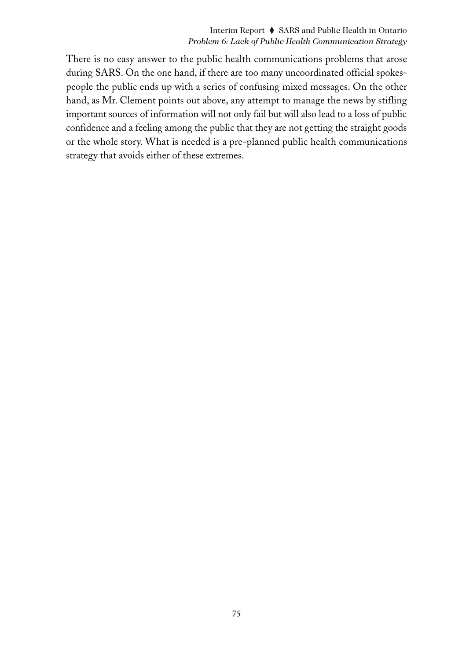## Interim Report ♦ SARS and Public Health in Ontario *Problem 6: Lack of Public Health Communication Strategy*

There is no easy answer to the public health communications problems that arose during SARS. On the one hand, if there are too many uncoordinated official spokespeople the public ends up with a series of confusing mixed messages. On the other hand, as Mr. Clement points out above, any attempt to manage the news by stifling important sources of information will not only fail but will also lead to a loss of public confidence and a feeling among the public that they are not getting the straight goods or the whole story. What is needed is a pre-planned public health communications strategy that avoids either of these extremes.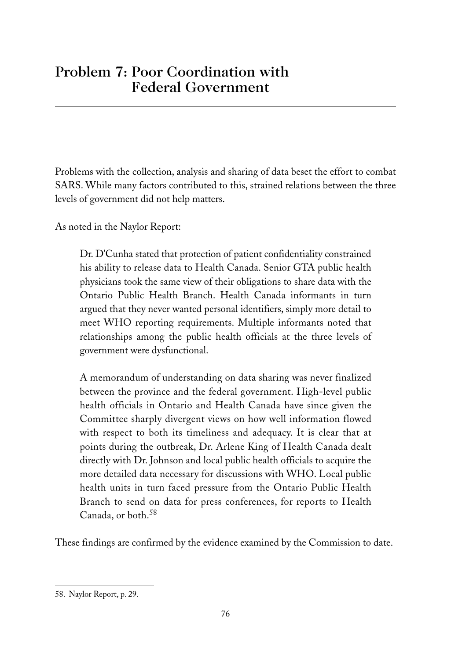Problems with the collection, analysis and sharing of data beset the effort to combat SARS. While many factors contributed to this, strained relations between the three levels of government did not help matters.

As noted in the Naylor Report:

Dr. D'Cunha stated that protection of patient confidentiality constrained his ability to release data to Health Canada. Senior GTA public health physicians took the same view of their obligations to share data with the Ontario Public Health Branch. Health Canada informants in turn argued that they never wanted personal identifiers, simply more detail to meet WHO reporting requirements. Multiple informants noted that relationships among the public health officials at the three levels of government were dysfunctional.

A memorandum of understanding on data sharing was never finalized between the province and the federal government. High-level public health officials in Ontario and Health Canada have since given the Committee sharply divergent views on how well information flowed with respect to both its timeliness and adequacy. It is clear that at points during the outbreak, Dr. Arlene King of Health Canada dealt directly with Dr. Johnson and local public health officials to acquire the more detailed data necessary for discussions with WHO. Local public health units in turn faced pressure from the Ontario Public Health Branch to send on data for press conferences, for reports to Health Canada, or both.<sup>58</sup>

These findings are confirmed by the evidence examined by the Commission to date.

<sup>58.</sup> Naylor Report, p. 29.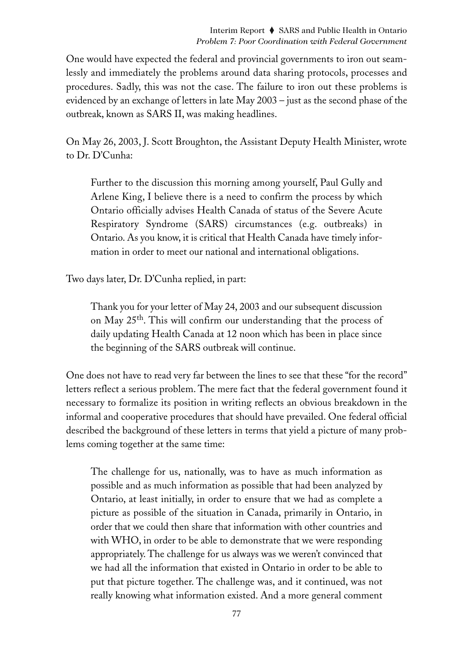One would have expected the federal and provincial governments to iron out seamlessly and immediately the problems around data sharing protocols, processes and procedures. Sadly, this was not the case. The failure to iron out these problems is evidenced by an exchange of letters in late May 2003 – just as the second phase of the outbreak, known as SARS II, was making headlines.

On May 26, 2003, J. Scott Broughton, the Assistant Deputy Health Minister, wrote to Dr. D'Cunha:

Further to the discussion this morning among yourself, Paul Gully and Arlene King, I believe there is a need to confirm the process by which Ontario officially advises Health Canada of status of the Severe Acute Respiratory Syndrome (SARS) circumstances (e.g. outbreaks) in Ontario. As you know, it is critical that Health Canada have timely information in order to meet our national and international obligations.

Two days later, Dr. D'Cunha replied, in part:

Thank you for your letter of May 24, 2003 and our subsequent discussion on May 25th. This will confirm our understanding that the process of daily updating Health Canada at 12 noon which has been in place since the beginning of the SARS outbreak will continue.

One does not have to read very far between the lines to see that these "for the record" letters reflect a serious problem. The mere fact that the federal government found it necessary to formalize its position in writing reflects an obvious breakdown in the informal and cooperative procedures that should have prevailed. One federal official described the background of these letters in terms that yield a picture of many problems coming together at the same time:

The challenge for us, nationally, was to have as much information as possible and as much information as possible that had been analyzed by Ontario, at least initially, in order to ensure that we had as complete a picture as possible of the situation in Canada, primarily in Ontario, in order that we could then share that information with other countries and with WHO, in order to be able to demonstrate that we were responding appropriately. The challenge for us always was we weren't convinced that we had all the information that existed in Ontario in order to be able to put that picture together. The challenge was, and it continued, was not really knowing what information existed. And a more general comment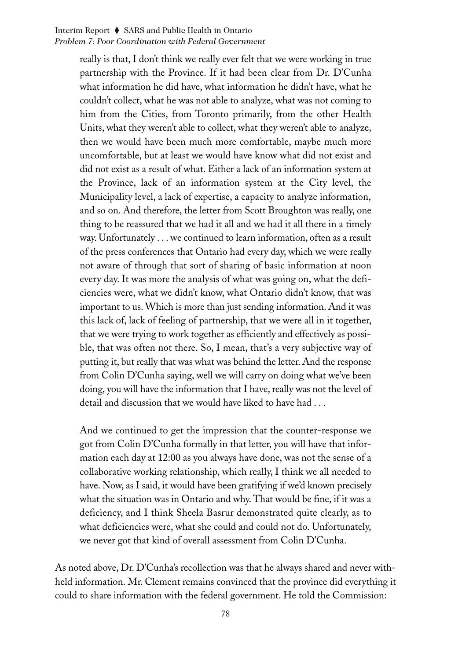really is that, I don't think we really ever felt that we were working in true partnership with the Province. If it had been clear from Dr. D'Cunha what information he did have, what information he didn't have, what he couldn't collect, what he was not able to analyze, what was not coming to him from the Cities, from Toronto primarily, from the other Health Units, what they weren't able to collect, what they weren't able to analyze, then we would have been much more comfortable, maybe much more uncomfortable, but at least we would have know what did not exist and did not exist as a result of what. Either a lack of an information system at the Province, lack of an information system at the City level, the Municipality level, a lack of expertise, a capacity to analyze information, and so on. And therefore, the letter from Scott Broughton was really, one thing to be reassured that we had it all and we had it all there in a timely way. Unfortunately . . . we continued to learn information, often as a result of the press conferences that Ontario had every day, which we were really not aware of through that sort of sharing of basic information at noon every day. It was more the analysis of what was going on, what the deficiencies were, what we didn't know, what Ontario didn't know, that was important to us. Which is more than just sending information. And it was this lack of, lack of feeling of partnership, that we were all in it together, that we were trying to work together as efficiently and effectively as possible, that was often not there. So, I mean, that's a very subjective way of putting it, but really that was what was behind the letter. And the response from Colin D'Cunha saying, well we will carry on doing what we've been doing, you will have the information that I have, really was not the level of detail and discussion that we would have liked to have had . . .

And we continued to get the impression that the counter-response we got from Colin D'Cunha formally in that letter, you will have that information each day at 12:00 as you always have done, was not the sense of a collaborative working relationship, which really, I think we all needed to have. Now, as I said, it would have been gratifying if we'd known precisely what the situation was in Ontario and why. That would be fine, if it was a deficiency, and I think Sheela Basrur demonstrated quite clearly, as to what deficiencies were, what she could and could not do. Unfortunately, we never got that kind of overall assessment from Colin D'Cunha.

As noted above, Dr. D'Cunha's recollection was that he always shared and never withheld information. Mr. Clement remains convinced that the province did everything it could to share information with the federal government. He told the Commission: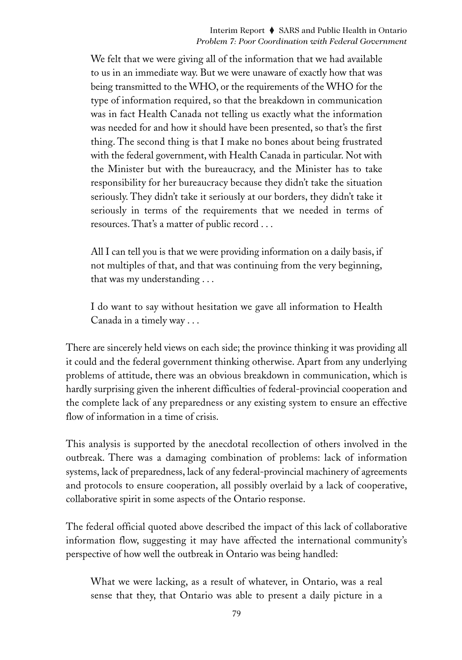We felt that we were giving all of the information that we had available to us in an immediate way. But we were unaware of exactly how that was being transmitted to the WHO, or the requirements of the WHO for the type of information required, so that the breakdown in communication was in fact Health Canada not telling us exactly what the information was needed for and how it should have been presented, so that's the first thing. The second thing is that I make no bones about being frustrated with the federal government, with Health Canada in particular. Not with the Minister but with the bureaucracy, and the Minister has to take responsibility for her bureaucracy because they didn't take the situation seriously. They didn't take it seriously at our borders, they didn't take it seriously in terms of the requirements that we needed in terms of resources. That's a matter of public record . . .

All I can tell you is that we were providing information on a daily basis, if not multiples of that, and that was continuing from the very beginning, that was my understanding . . .

I do want to say without hesitation we gave all information to Health Canada in a timely way . . .

There are sincerely held views on each side; the province thinking it was providing all it could and the federal government thinking otherwise. Apart from any underlying problems of attitude, there was an obvious breakdown in communication, which is hardly surprising given the inherent difficulties of federal-provincial cooperation and the complete lack of any preparedness or any existing system to ensure an effective flow of information in a time of crisis.

This analysis is supported by the anecdotal recollection of others involved in the outbreak. There was a damaging combination of problems: lack of information systems, lack of preparedness, lack of any federal-provincial machinery of agreements and protocols to ensure cooperation, all possibly overlaid by a lack of cooperative, collaborative spirit in some aspects of the Ontario response.

The federal official quoted above described the impact of this lack of collaborative information flow, suggesting it may have affected the international community's perspective of how well the outbreak in Ontario was being handled:

What we were lacking, as a result of whatever, in Ontario, was a real sense that they, that Ontario was able to present a daily picture in a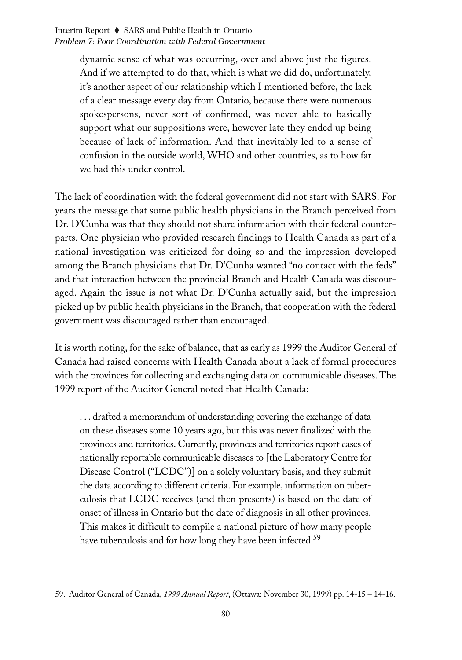dynamic sense of what was occurring, over and above just the figures. And if we attempted to do that, which is what we did do, unfortunately, it's another aspect of our relationship which I mentioned before, the lack of a clear message every day from Ontario, because there were numerous spokespersons, never sort of confirmed, was never able to basically support what our suppositions were, however late they ended up being because of lack of information. And that inevitably led to a sense of confusion in the outside world, WHO and other countries, as to how far we had this under control.

The lack of coordination with the federal government did not start with SARS. For years the message that some public health physicians in the Branch perceived from Dr. D'Cunha was that they should not share information with their federal counterparts. One physician who provided research findings to Health Canada as part of a national investigation was criticized for doing so and the impression developed among the Branch physicians that Dr. D'Cunha wanted "no contact with the feds" and that interaction between the provincial Branch and Health Canada was discouraged. Again the issue is not what Dr. D'Cunha actually said, but the impression picked up by public health physicians in the Branch, that cooperation with the federal government was discouraged rather than encouraged.

It is worth noting, for the sake of balance, that as early as 1999 the Auditor General of Canada had raised concerns with Health Canada about a lack of formal procedures with the provinces for collecting and exchanging data on communicable diseases. The 1999 report of the Auditor General noted that Health Canada:

. . . drafted a memorandum of understanding covering the exchange of data on these diseases some 10 years ago, but this was never finalized with the provinces and territories. Currently, provinces and territories report cases of nationally reportable communicable diseases to [the Laboratory Centre for Disease Control ("LCDC")] on a solely voluntary basis, and they submit the data according to different criteria. For example, information on tuberculosis that LCDC receives (and then presents) is based on the date of onset of illness in Ontario but the date of diagnosis in all other provinces. This makes it difficult to compile a national picture of how many people have tuberculosis and for how long they have been infected.<sup>59</sup>

<sup>59.</sup> Auditor General of Canada, *1999 Annual Report*, (Ottawa: November 30, 1999) pp. 14-15 – 14-16.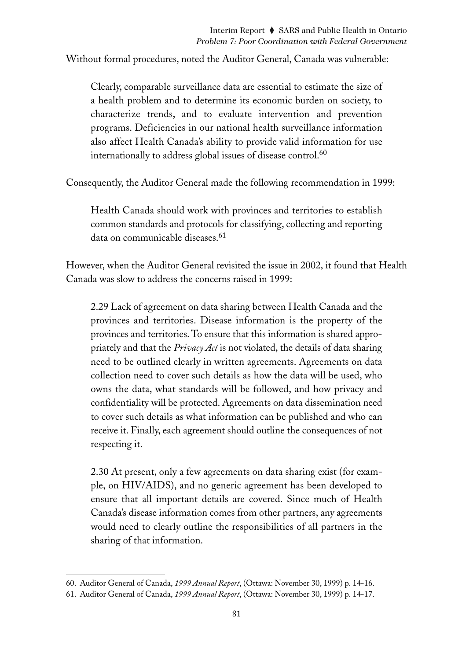Without formal procedures, noted the Auditor General, Canada was vulnerable:

Clearly, comparable surveillance data are essential to estimate the size of a health problem and to determine its economic burden on society, to characterize trends, and to evaluate intervention and prevention programs. Deficiencies in our national health surveillance information also affect Health Canada's ability to provide valid information for use internationally to address global issues of disease control.<sup>60</sup>

Consequently, the Auditor General made the following recommendation in 1999:

Health Canada should work with provinces and territories to establish common standards and protocols for classifying, collecting and reporting data on communicable diseases.<sup>61</sup>

However, when the Auditor General revisited the issue in 2002, it found that Health Canada was slow to address the concerns raised in 1999:

2.29 Lack of agreement on data sharing between Health Canada and the provinces and territories. Disease information is the property of the provinces and territories. To ensure that this information is shared appropriately and that the *Privacy Act* is not violated, the details of data sharing need to be outlined clearly in written agreements. Agreements on data collection need to cover such details as how the data will be used, who owns the data, what standards will be followed, and how privacy and confidentiality will be protected. Agreements on data dissemination need to cover such details as what information can be published and who can receive it. Finally, each agreement should outline the consequences of not respecting it.

2.30 At present, only a few agreements on data sharing exist (for example, on HIV/AIDS), and no generic agreement has been developed to ensure that all important details are covered. Since much of Health Canada's disease information comes from other partners, any agreements would need to clearly outline the responsibilities of all partners in the sharing of that information.

<sup>60.</sup> Auditor General of Canada, *1999 Annual Report*, (Ottawa: November 30, 1999) p. 14-16.

<sup>61.</sup> Auditor General of Canada, *1999 Annual Report*, (Ottawa: November 30, 1999) p. 14-17.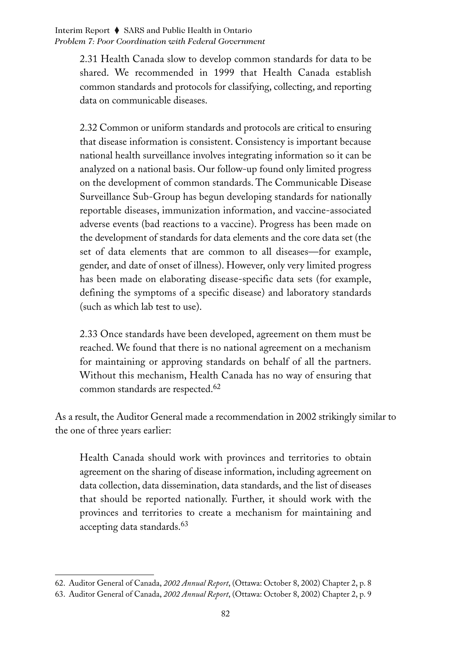2.31 Health Canada slow to develop common standards for data to be shared. We recommended in 1999 that Health Canada establish common standards and protocols for classifying, collecting, and reporting data on communicable diseases.

2.32 Common or uniform standards and protocols are critical to ensuring that disease information is consistent. Consistency is important because national health surveillance involves integrating information so it can be analyzed on a national basis. Our follow-up found only limited progress on the development of common standards. The Communicable Disease Surveillance Sub-Group has begun developing standards for nationally reportable diseases, immunization information, and vaccine-associated adverse events (bad reactions to a vaccine). Progress has been made on the development of standards for data elements and the core data set (the set of data elements that are common to all diseases—for example, gender, and date of onset of illness). However, only very limited progress has been made on elaborating disease-specific data sets (for example, defining the symptoms of a specific disease) and laboratory standards (such as which lab test to use).

2.33 Once standards have been developed, agreement on them must be reached. We found that there is no national agreement on a mechanism for maintaining or approving standards on behalf of all the partners. Without this mechanism, Health Canada has no way of ensuring that common standards are respected.<sup>62</sup>

As a result, the Auditor General made a recommendation in 2002 strikingly similar to the one of three years earlier:

Health Canada should work with provinces and territories to obtain agreement on the sharing of disease information, including agreement on data collection, data dissemination, data standards, and the list of diseases that should be reported nationally. Further, it should work with the provinces and territories to create a mechanism for maintaining and accepting data standards.<sup>63</sup>

<sup>62.</sup> Auditor General of Canada, *2002 Annual Report*, (Ottawa: October 8, 2002) Chapter 2, p. 8

<sup>63.</sup> Auditor General of Canada, *2002 Annual Report*, (Ottawa: October 8, 2002) Chapter 2, p. 9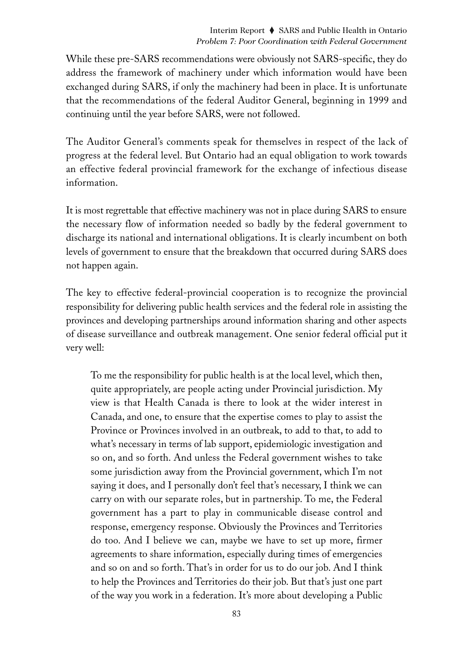While these pre-SARS recommendations were obviously not SARS-specific, they do address the framework of machinery under which information would have been exchanged during SARS, if only the machinery had been in place. It is unfortunate that the recommendations of the federal Auditor General, beginning in 1999 and continuing until the year before SARS, were not followed.

The Auditor General's comments speak for themselves in respect of the lack of progress at the federal level. But Ontario had an equal obligation to work towards an effective federal provincial framework for the exchange of infectious disease information.

It is most regrettable that effective machinery was not in place during SARS to ensure the necessary flow of information needed so badly by the federal government to discharge its national and international obligations. It is clearly incumbent on both levels of government to ensure that the breakdown that occurred during SARS does not happen again.

The key to effective federal-provincial cooperation is to recognize the provincial responsibility for delivering public health services and the federal role in assisting the provinces and developing partnerships around information sharing and other aspects of disease surveillance and outbreak management. One senior federal official put it very well:

To me the responsibility for public health is at the local level, which then, quite appropriately, are people acting under Provincial jurisdiction. My view is that Health Canada is there to look at the wider interest in Canada, and one, to ensure that the expertise comes to play to assist the Province or Provinces involved in an outbreak, to add to that, to add to what's necessary in terms of lab support, epidemiologic investigation and so on, and so forth. And unless the Federal government wishes to take some jurisdiction away from the Provincial government, which I'm not saying it does, and I personally don't feel that's necessary, I think we can carry on with our separate roles, but in partnership. To me, the Federal government has a part to play in communicable disease control and response, emergency response. Obviously the Provinces and Territories do too. And I believe we can, maybe we have to set up more, firmer agreements to share information, especially during times of emergencies and so on and so forth. That's in order for us to do our job. And I think to help the Provinces and Territories do their job. But that's just one part of the way you work in a federation. It's more about developing a Public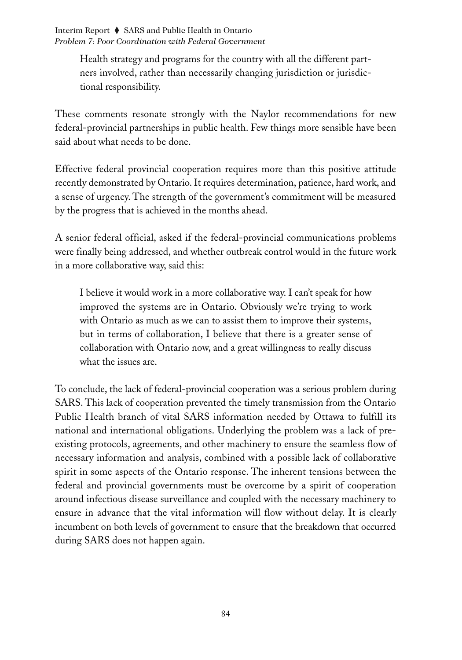Health strategy and programs for the country with all the different partners involved, rather than necessarily changing jurisdiction or jurisdictional responsibility.

These comments resonate strongly with the Naylor recommendations for new federal-provincial partnerships in public health. Few things more sensible have been said about what needs to be done.

Effective federal provincial cooperation requires more than this positive attitude recently demonstrated by Ontario. It requires determination, patience, hard work, and a sense of urgency. The strength of the government's commitment will be measured by the progress that is achieved in the months ahead.

A senior federal official, asked if the federal-provincial communications problems were finally being addressed, and whether outbreak control would in the future work in a more collaborative way, said this:

I believe it would work in a more collaborative way. I can't speak for how improved the systems are in Ontario. Obviously we're trying to work with Ontario as much as we can to assist them to improve their systems, but in terms of collaboration, I believe that there is a greater sense of collaboration with Ontario now, and a great willingness to really discuss what the issues are.

To conclude, the lack of federal-provincial cooperation was a serious problem during SARS. This lack of cooperation prevented the timely transmission from the Ontario Public Health branch of vital SARS information needed by Ottawa to fulfill its national and international obligations. Underlying the problem was a lack of preexisting protocols, agreements, and other machinery to ensure the seamless flow of necessary information and analysis, combined with a possible lack of collaborative spirit in some aspects of the Ontario response. The inherent tensions between the federal and provincial governments must be overcome by a spirit of cooperation around infectious disease surveillance and coupled with the necessary machinery to ensure in advance that the vital information will flow without delay. It is clearly incumbent on both levels of government to ensure that the breakdown that occurred during SARS does not happen again.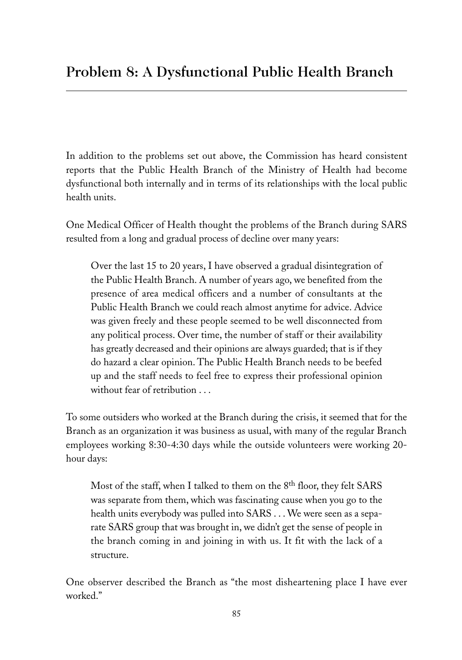In addition to the problems set out above, the Commission has heard consistent reports that the Public Health Branch of the Ministry of Health had become dysfunctional both internally and in terms of its relationships with the local public health units.

One Medical Officer of Health thought the problems of the Branch during SARS resulted from a long and gradual process of decline over many years:

Over the last 15 to 20 years, I have observed a gradual disintegration of the Public Health Branch. A number of years ago, we benefited from the presence of area medical officers and a number of consultants at the Public Health Branch we could reach almost anytime for advice. Advice was given freely and these people seemed to be well disconnected from any political process. Over time, the number of staff or their availability has greatly decreased and their opinions are always guarded; that is if they do hazard a clear opinion. The Public Health Branch needs to be beefed up and the staff needs to feel free to express their professional opinion without fear of retribution . . .

To some outsiders who worked at the Branch during the crisis, it seemed that for the Branch as an organization it was business as usual, with many of the regular Branch employees working 8:30-4:30 days while the outside volunteers were working 20 hour days:

Most of the staff, when I talked to them on the  $8<sup>th</sup>$  floor, they felt SARS was separate from them, which was fascinating cause when you go to the health units everybody was pulled into SARS . . . We were seen as a separate SARS group that was brought in, we didn't get the sense of people in the branch coming in and joining in with us. It fit with the lack of a structure.

One observer described the Branch as "the most disheartening place I have ever worked."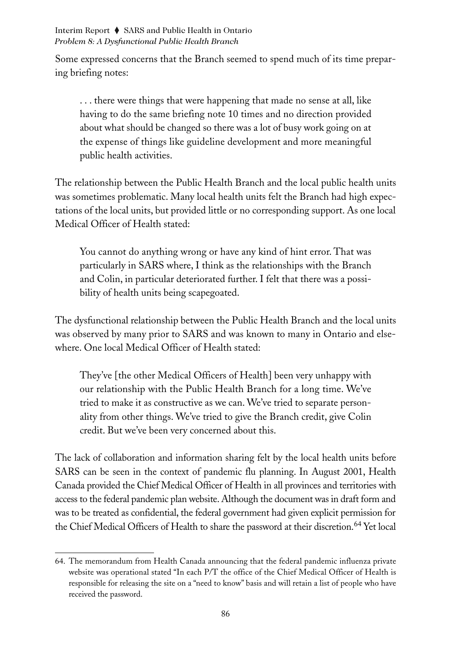Interim Report ♦ SARS and Public Health in Ontario *Problem 8: A Dysfunctional Public Health Branch*

Some expressed concerns that the Branch seemed to spend much of its time preparing briefing notes:

. . . there were things that were happening that made no sense at all, like having to do the same briefing note 10 times and no direction provided about what should be changed so there was a lot of busy work going on at the expense of things like guideline development and more meaningful public health activities.

The relationship between the Public Health Branch and the local public health units was sometimes problematic. Many local health units felt the Branch had high expectations of the local units, but provided little or no corresponding support. As one local Medical Officer of Health stated:

You cannot do anything wrong or have any kind of hint error. That was particularly in SARS where, I think as the relationships with the Branch and Colin, in particular deteriorated further. I felt that there was a possibility of health units being scapegoated.

The dysfunctional relationship between the Public Health Branch and the local units was observed by many prior to SARS and was known to many in Ontario and elsewhere. One local Medical Officer of Health stated:

They've [the other Medical Officers of Health] been very unhappy with our relationship with the Public Health Branch for a long time. We've tried to make it as constructive as we can. We've tried to separate personality from other things. We've tried to give the Branch credit, give Colin credit. But we've been very concerned about this.

The lack of collaboration and information sharing felt by the local health units before SARS can be seen in the context of pandemic flu planning. In August 2001, Health Canada provided the Chief Medical Officer of Health in all provinces and territories with access to the federal pandemic plan website. Although the document was in draft form and was to be treated as confidential, the federal government had given explicit permission for the Chief Medical Officers of Health to share the password at their discretion.<sup>64</sup> Yet local

<sup>64.</sup> The memorandum from Health Canada announcing that the federal pandemic influenza private website was operational stated "In each P/T the office of the Chief Medical Officer of Health is responsible for releasing the site on a "need to know" basis and will retain a list of people who have received the password.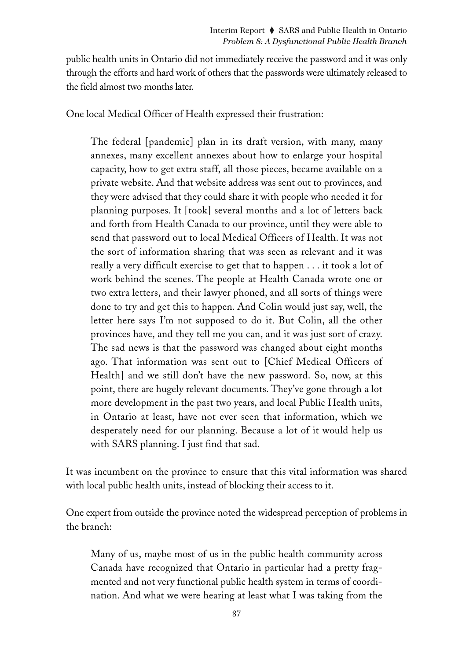public health units in Ontario did not immediately receive the password and it was only through the efforts and hard work of others that the passwords were ultimately released to the field almost two months later.

One local Medical Officer of Health expressed their frustration:

The federal [pandemic] plan in its draft version, with many, many annexes, many excellent annexes about how to enlarge your hospital capacity, how to get extra staff, all those pieces, became available on a private website. And that website address was sent out to provinces, and they were advised that they could share it with people who needed it for planning purposes. It [took] several months and a lot of letters back and forth from Health Canada to our province, until they were able to send that password out to local Medical Officers of Health. It was not the sort of information sharing that was seen as relevant and it was really a very difficult exercise to get that to happen . . . it took a lot of work behind the scenes. The people at Health Canada wrote one or two extra letters, and their lawyer phoned, and all sorts of things were done to try and get this to happen. And Colin would just say, well, the letter here says I'm not supposed to do it. But Colin, all the other provinces have, and they tell me you can, and it was just sort of crazy. The sad news is that the password was changed about eight months ago. That information was sent out to [Chief Medical Officers of Health] and we still don't have the new password. So, now, at this point, there are hugely relevant documents. They've gone through a lot more development in the past two years, and local Public Health units, in Ontario at least, have not ever seen that information, which we desperately need for our planning. Because a lot of it would help us with SARS planning. I just find that sad.

It was incumbent on the province to ensure that this vital information was shared with local public health units, instead of blocking their access to it.

One expert from outside the province noted the widespread perception of problems in the branch:

Many of us, maybe most of us in the public health community across Canada have recognized that Ontario in particular had a pretty fragmented and not very functional public health system in terms of coordination. And what we were hearing at least what I was taking from the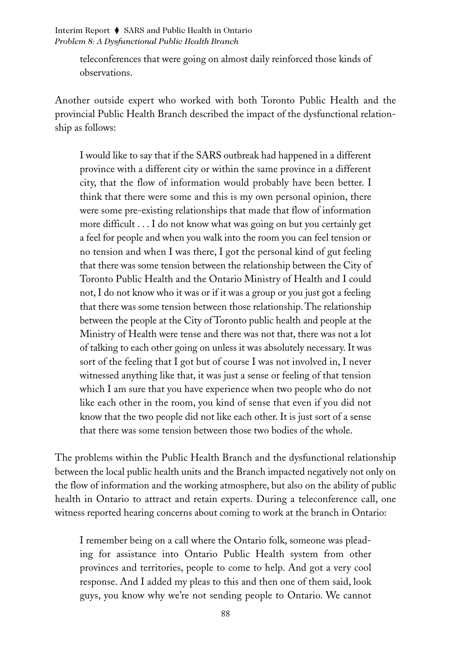Interim Report ♦ SARS and Public Health in Ontario *Problem 8: A Dysfunctional Public Health Branch*

> teleconferences that were going on almost daily reinforced those kinds of observations.

Another outside expert who worked with both Toronto Public Health and the provincial Public Health Branch described the impact of the dysfunctional relationship as follows:

I would like to say that if the SARS outbreak had happened in a different province with a different city or within the same province in a different city, that the flow of information would probably have been better. I think that there were some and this is my own personal opinion, there were some pre-existing relationships that made that flow of information more difficult . . . I do not know what was going on but you certainly get a feel for people and when you walk into the room you can feel tension or no tension and when I was there, I got the personal kind of gut feeling that there was some tension between the relationship between the City of Toronto Public Health and the Ontario Ministry of Health and I could not, I do not know who it was or if it was a group or you just got a feeling that there was some tension between those relationship. The relationship between the people at the City of Toronto public health and people at the Ministry of Health were tense and there was not that, there was not a lot of talking to each other going on unless it was absolutely necessary. It was sort of the feeling that I got but of course I was not involved in, I never witnessed anything like that, it was just a sense or feeling of that tension which I am sure that you have experience when two people who do not like each other in the room, you kind of sense that even if you did not know that the two people did not like each other. It is just sort of a sense that there was some tension between those two bodies of the whole.

The problems within the Public Health Branch and the dysfunctional relationship between the local public health units and the Branch impacted negatively not only on the flow of information and the working atmosphere, but also on the ability of public health in Ontario to attract and retain experts. During a teleconference call, one witness reported hearing concerns about coming to work at the branch in Ontario:

I remember being on a call where the Ontario folk, someone was pleading for assistance into Ontario Public Health system from other provinces and territories, people to come to help. And got a very cool response. And I added my pleas to this and then one of them said, look guys, you know why we're not sending people to Ontario. We cannot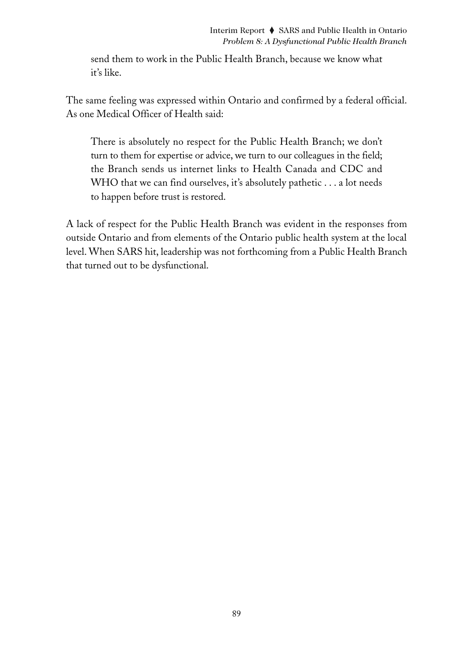send them to work in the Public Health Branch, because we know what it's like.

The same feeling was expressed within Ontario and confirmed by a federal official. As one Medical Officer of Health said:

There is absolutely no respect for the Public Health Branch; we don't turn to them for expertise or advice, we turn to our colleagues in the field; the Branch sends us internet links to Health Canada and CDC and WHO that we can find ourselves, it's absolutely pathetic . . . a lot needs to happen before trust is restored.

A lack of respect for the Public Health Branch was evident in the responses from outside Ontario and from elements of the Ontario public health system at the local level. When SARS hit, leadership was not forthcoming from a Public Health Branch that turned out to be dysfunctional.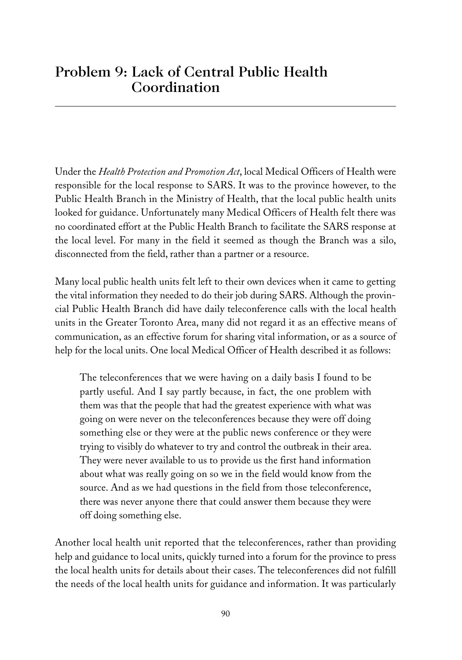Under the *Health Protection and Promotion Act*, local Medical Officers of Health were responsible for the local response to SARS. It was to the province however, to the Public Health Branch in the Ministry of Health, that the local public health units looked for guidance. Unfortunately many Medical Officers of Health felt there was no coordinated effort at the Public Health Branch to facilitate the SARS response at the local level. For many in the field it seemed as though the Branch was a silo, disconnected from the field, rather than a partner or a resource.

Many local public health units felt left to their own devices when it came to getting the vital information they needed to do their job during SARS. Although the provincial Public Health Branch did have daily teleconference calls with the local health units in the Greater Toronto Area, many did not regard it as an effective means of communication, as an effective forum for sharing vital information, or as a source of help for the local units. One local Medical Officer of Health described it as follows:

The teleconferences that we were having on a daily basis I found to be partly useful. And I say partly because, in fact, the one problem with them was that the people that had the greatest experience with what was going on were never on the teleconferences because they were off doing something else or they were at the public news conference or they were trying to visibly do whatever to try and control the outbreak in their area. They were never available to us to provide us the first hand information about what was really going on so we in the field would know from the source. And as we had questions in the field from those teleconference, there was never anyone there that could answer them because they were off doing something else.

Another local health unit reported that the teleconferences, rather than providing help and guidance to local units, quickly turned into a forum for the province to press the local health units for details about their cases. The teleconferences did not fulfill the needs of the local health units for guidance and information. It was particularly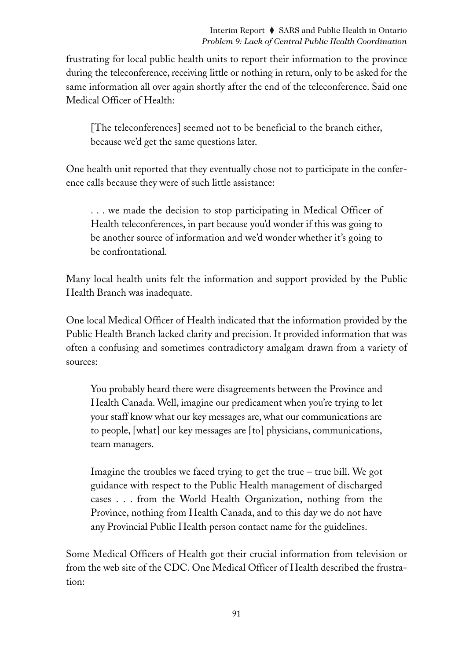frustrating for local public health units to report their information to the province during the teleconference, receiving little or nothing in return, only to be asked for the same information all over again shortly after the end of the teleconference. Said one Medical Officer of Health:

[The teleconferences] seemed not to be beneficial to the branch either, because we'd get the same questions later.

One health unit reported that they eventually chose not to participate in the conference calls because they were of such little assistance:

. . . we made the decision to stop participating in Medical Officer of Health teleconferences, in part because you'd wonder if this was going to be another source of information and we'd wonder whether it's going to be confrontational.

Many local health units felt the information and support provided by the Public Health Branch was inadequate.

One local Medical Officer of Health indicated that the information provided by the Public Health Branch lacked clarity and precision. It provided information that was often a confusing and sometimes contradictory amalgam drawn from a variety of sources:

You probably heard there were disagreements between the Province and Health Canada. Well, imagine our predicament when you're trying to let your staff know what our key messages are, what our communications are to people, [what] our key messages are [to] physicians, communications, team managers.

Imagine the troubles we faced trying to get the true – true bill. We got guidance with respect to the Public Health management of discharged cases . . . from the World Health Organization, nothing from the Province, nothing from Health Canada, and to this day we do not have any Provincial Public Health person contact name for the guidelines.

Some Medical Officers of Health got their crucial information from television or from the web site of the CDC. One Medical Officer of Health described the frustration: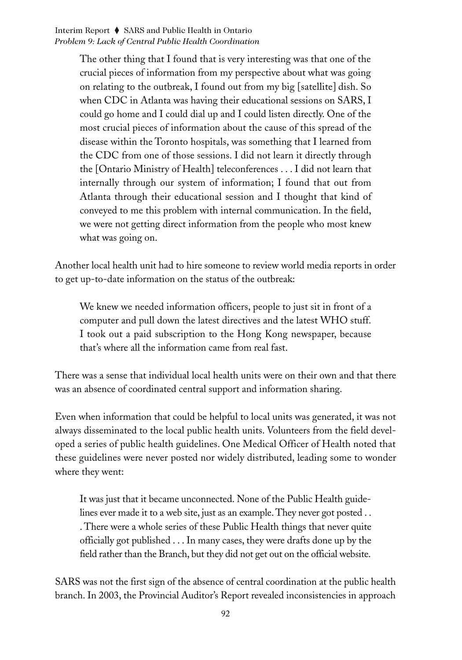The other thing that I found that is very interesting was that one of the crucial pieces of information from my perspective about what was going on relating to the outbreak, I found out from my big [satellite] dish. So when CDC in Atlanta was having their educational sessions on SARS, I could go home and I could dial up and I could listen directly. One of the most crucial pieces of information about the cause of this spread of the disease within the Toronto hospitals, was something that I learned from the CDC from one of those sessions. I did not learn it directly through the [Ontario Ministry of Health] teleconferences . . . I did not learn that internally through our system of information; I found that out from Atlanta through their educational session and I thought that kind of conveyed to me this problem with internal communication. In the field, we were not getting direct information from the people who most knew what was going on.

Another local health unit had to hire someone to review world media reports in order to get up-to-date information on the status of the outbreak:

We knew we needed information officers, people to just sit in front of a computer and pull down the latest directives and the latest WHO stuff. I took out a paid subscription to the Hong Kong newspaper, because that's where all the information came from real fast.

There was a sense that individual local health units were on their own and that there was an absence of coordinated central support and information sharing.

Even when information that could be helpful to local units was generated, it was not always disseminated to the local public health units. Volunteers from the field developed a series of public health guidelines. One Medical Officer of Health noted that these guidelines were never posted nor widely distributed, leading some to wonder where they went:

It was just that it became unconnected. None of the Public Health guidelines ever made it to a web site, just as an example. They never got posted . . . There were a whole series of these Public Health things that never quite officially got published . . . In many cases, they were drafts done up by the field rather than the Branch, but they did not get out on the official website.

SARS was not the first sign of the absence of central coordination at the public health branch. In 2003, the Provincial Auditor's Report revealed inconsistencies in approach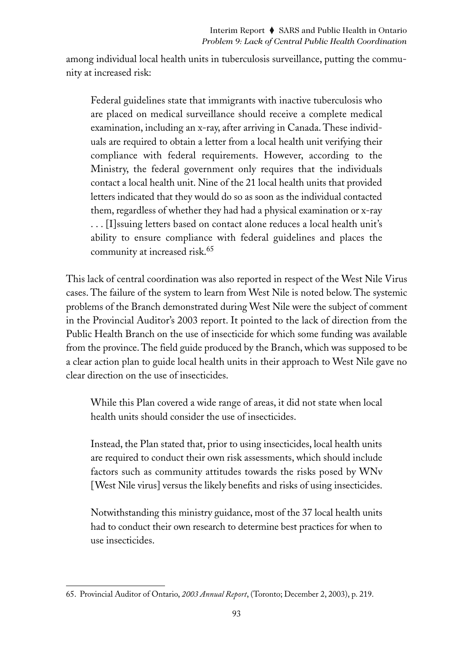among individual local health units in tuberculosis surveillance, putting the community at increased risk:

Federal guidelines state that immigrants with inactive tuberculosis who are placed on medical surveillance should receive a complete medical examination, including an x-ray, after arriving in Canada. These individuals are required to obtain a letter from a local health unit verifying their compliance with federal requirements. However, according to the Ministry, the federal government only requires that the individuals contact a local health unit. Nine of the 21 local health units that provided letters indicated that they would do so as soon as the individual contacted them, regardless of whether they had had a physical examination or x-ray . . . [I]ssuing letters based on contact alone reduces a local health unit's ability to ensure compliance with federal guidelines and places the community at increased risk.65

This lack of central coordination was also reported in respect of the West Nile Virus cases. The failure of the system to learn from West Nile is noted below. The systemic problems of the Branch demonstrated during West Nile were the subject of comment in the Provincial Auditor's 2003 report. It pointed to the lack of direction from the Public Health Branch on the use of insecticide for which some funding was available from the province. The field guide produced by the Branch, which was supposed to be a clear action plan to guide local health units in their approach to West Nile gave no clear direction on the use of insecticides.

While this Plan covered a wide range of areas, it did not state when local health units should consider the use of insecticides.

Instead, the Plan stated that, prior to using insecticides, local health units are required to conduct their own risk assessments, which should include factors such as community attitudes towards the risks posed by WNv [West Nile virus] versus the likely benefits and risks of using insecticides.

Notwithstanding this ministry guidance, most of the 37 local health units had to conduct their own research to determine best practices for when to use insecticides.

<sup>65.</sup> Provincial Auditor of Ontario, *2003 Annual Report*, (Toronto; December 2, 2003), p. 219.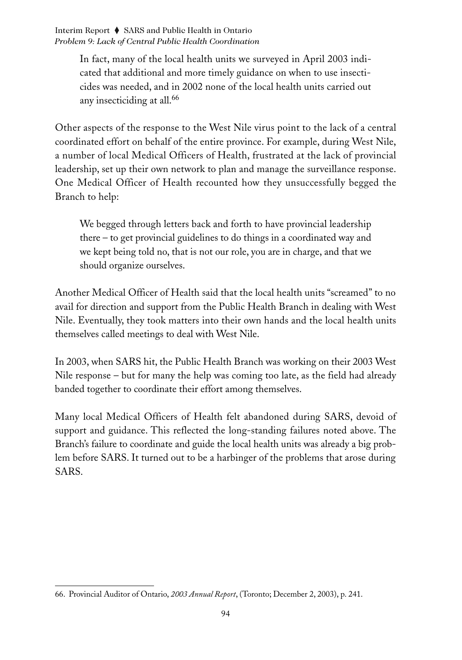Interim Report ♦ SARS and Public Health in Ontario *Problem 9: Lack of Central Public Health Coordination*

> In fact, many of the local health units we surveyed in April 2003 indicated that additional and more timely guidance on when to use insecticides was needed, and in 2002 none of the local health units carried out any insecticiding at all.<sup>66</sup>

Other aspects of the response to the West Nile virus point to the lack of a central coordinated effort on behalf of the entire province. For example, during West Nile, a number of local Medical Officers of Health, frustrated at the lack of provincial leadership, set up their own network to plan and manage the surveillance response. One Medical Officer of Health recounted how they unsuccessfully begged the Branch to help:

We begged through letters back and forth to have provincial leadership there – to get provincial guidelines to do things in a coordinated way and we kept being told no, that is not our role, you are in charge, and that we should organize ourselves.

Another Medical Officer of Health said that the local health units "screamed" to no avail for direction and support from the Public Health Branch in dealing with West Nile. Eventually, they took matters into their own hands and the local health units themselves called meetings to deal with West Nile.

In 2003, when SARS hit, the Public Health Branch was working on their 2003 West Nile response – but for many the help was coming too late, as the field had already banded together to coordinate their effort among themselves.

Many local Medical Officers of Health felt abandoned during SARS, devoid of support and guidance. This reflected the long-standing failures noted above. The Branch's failure to coordinate and guide the local health units was already a big problem before SARS. It turned out to be a harbinger of the problems that arose during SARS.

<sup>66.</sup> Provincial Auditor of Ontario, *2003 Annual Report*, (Toronto; December 2, 2003), p. 241.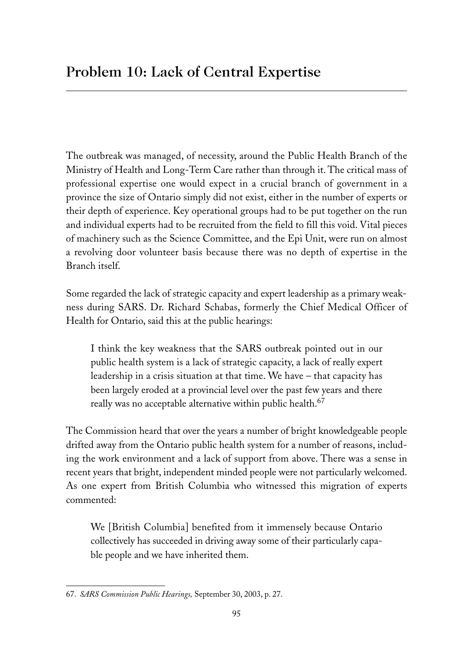The outbreak was managed, of necessity, around the Public Health Branch of the Ministry of Health and Long-Term Care rather than through it. The critical mass of professional expertise one would expect in a crucial branch of government in a province the size of Ontario simply did not exist, either in the number of experts or their depth of experience. Key operational groups had to be put together on the run and individual experts had to be recruited from the field to fill this void. Vital pieces of machinery such as the Science Committee, and the Epi Unit, were run on almost a revolving door volunteer basis because there was no depth of expertise in the Branch itself.

Some regarded the lack of strategic capacity and expert leadership as a primary weakness during SARS. Dr. Richard Schabas, formerly the Chief Medical Officer of Health for Ontario, said this at the public hearings:

I think the key weakness that the SARS outbreak pointed out in our public health system is a lack of strategic capacity, a lack of really expert leadership in a crisis situation at that time. We have – that capacity has been largely eroded at a provincial level over the past few years and there really was no acceptable alternative within public health.<sup>67</sup>

The Commission heard that over the years a number of bright knowledgeable people drifted away from the Ontario public health system for a number of reasons, including the work environment and a lack of support from above. There was a sense in recent years that bright, independent minded people were not particularly welcomed. As one expert from British Columbia who witnessed this migration of experts commented:

We [British Columbia] benefited from it immensely because Ontario collectively has succeeded in driving away some of their particularly capable people and we have inherited them.

<sup>67.</sup> *SARS Commission Public Hearings,* September 30, 2003, p. 27.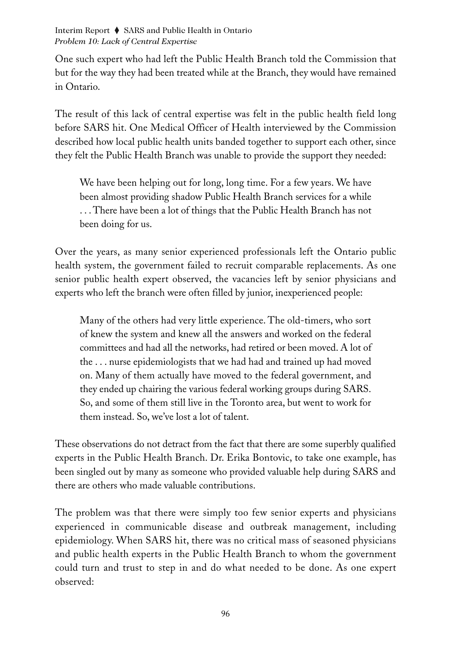Interim Report ♦ SARS and Public Health in Ontario *Problem 10: Lack of Central Expertise*

One such expert who had left the Public Health Branch told the Commission that but for the way they had been treated while at the Branch, they would have remained in Ontario.

The result of this lack of central expertise was felt in the public health field long before SARS hit. One Medical Officer of Health interviewed by the Commission described how local public health units banded together to support each other, since they felt the Public Health Branch was unable to provide the support they needed:

We have been helping out for long, long time. For a few years. We have been almost providing shadow Public Health Branch services for a while . . . There have been a lot of things that the Public Health Branch has not been doing for us.

Over the years, as many senior experienced professionals left the Ontario public health system, the government failed to recruit comparable replacements. As one senior public health expert observed, the vacancies left by senior physicians and experts who left the branch were often filled by junior, inexperienced people:

Many of the others had very little experience. The old-timers, who sort of knew the system and knew all the answers and worked on the federal committees and had all the networks, had retired or been moved. A lot of the . . . nurse epidemiologists that we had had and trained up had moved on. Many of them actually have moved to the federal government, and they ended up chairing the various federal working groups during SARS. So, and some of them still live in the Toronto area, but went to work for them instead. So, we've lost a lot of talent.

These observations do not detract from the fact that there are some superbly qualified experts in the Public Health Branch. Dr. Erika Bontovic, to take one example, has been singled out by many as someone who provided valuable help during SARS and there are others who made valuable contributions.

The problem was that there were simply too few senior experts and physicians experienced in communicable disease and outbreak management, including epidemiology. When SARS hit, there was no critical mass of seasoned physicians and public health experts in the Public Health Branch to whom the government could turn and trust to step in and do what needed to be done. As one expert observed: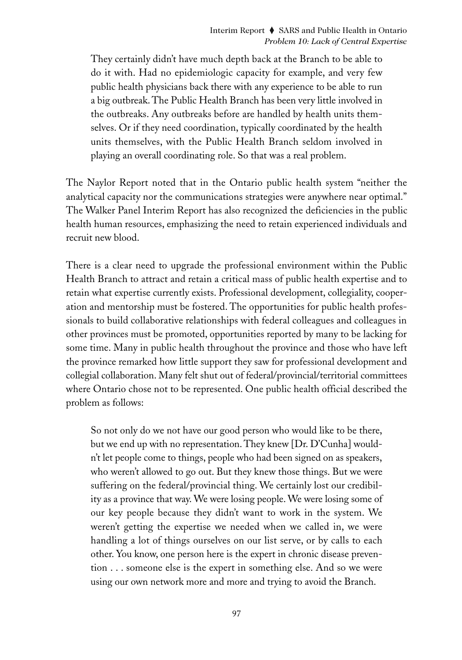They certainly didn't have much depth back at the Branch to be able to do it with. Had no epidemiologic capacity for example, and very few public health physicians back there with any experience to be able to run a big outbreak. The Public Health Branch has been very little involved in the outbreaks. Any outbreaks before are handled by health units themselves. Or if they need coordination, typically coordinated by the health units themselves, with the Public Health Branch seldom involved in playing an overall coordinating role. So that was a real problem.

The Naylor Report noted that in the Ontario public health system "neither the analytical capacity nor the communications strategies were anywhere near optimal." The Walker Panel Interim Report has also recognized the deficiencies in the public health human resources, emphasizing the need to retain experienced individuals and recruit new blood.

There is a clear need to upgrade the professional environment within the Public Health Branch to attract and retain a critical mass of public health expertise and to retain what expertise currently exists. Professional development, collegiality, cooperation and mentorship must be fostered. The opportunities for public health professionals to build collaborative relationships with federal colleagues and colleagues in other provinces must be promoted, opportunities reported by many to be lacking for some time. Many in public health throughout the province and those who have left the province remarked how little support they saw for professional development and collegial collaboration. Many felt shut out of federal/provincial/territorial committees where Ontario chose not to be represented. One public health official described the problem as follows:

So not only do we not have our good person who would like to be there, but we end up with no representation. They knew [Dr. D'Cunha] wouldn't let people come to things, people who had been signed on as speakers, who weren't allowed to go out. But they knew those things. But we were suffering on the federal/provincial thing. We certainly lost our credibility as a province that way. We were losing people. We were losing some of our key people because they didn't want to work in the system. We weren't getting the expertise we needed when we called in, we were handling a lot of things ourselves on our list serve, or by calls to each other. You know, one person here is the expert in chronic disease prevention . . . someone else is the expert in something else. And so we were using our own network more and more and trying to avoid the Branch.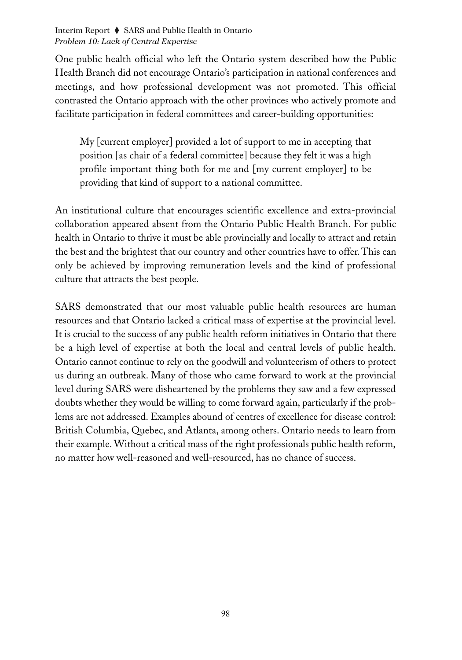## Interim Report ♦ SARS and Public Health in Ontario *Problem 10: Lack of Central Expertise*

One public health official who left the Ontario system described how the Public Health Branch did not encourage Ontario's participation in national conferences and meetings, and how professional development was not promoted. This official contrasted the Ontario approach with the other provinces who actively promote and facilitate participation in federal committees and career-building opportunities:

My [current employer] provided a lot of support to me in accepting that position [as chair of a federal committee] because they felt it was a high profile important thing both for me and [my current employer] to be providing that kind of support to a national committee.

An institutional culture that encourages scientific excellence and extra-provincial collaboration appeared absent from the Ontario Public Health Branch. For public health in Ontario to thrive it must be able provincially and locally to attract and retain the best and the brightest that our country and other countries have to offer. This can only be achieved by improving remuneration levels and the kind of professional culture that attracts the best people.

SARS demonstrated that our most valuable public health resources are human resources and that Ontario lacked a critical mass of expertise at the provincial level. It is crucial to the success of any public health reform initiatives in Ontario that there be a high level of expertise at both the local and central levels of public health. Ontario cannot continue to rely on the goodwill and volunteerism of others to protect us during an outbreak. Many of those who came forward to work at the provincial level during SARS were disheartened by the problems they saw and a few expressed doubts whether they would be willing to come forward again, particularly if the problems are not addressed. Examples abound of centres of excellence for disease control: British Columbia, Quebec, and Atlanta, among others. Ontario needs to learn from their example. Without a critical mass of the right professionals public health reform, no matter how well-reasoned and well-resourced, has no chance of success.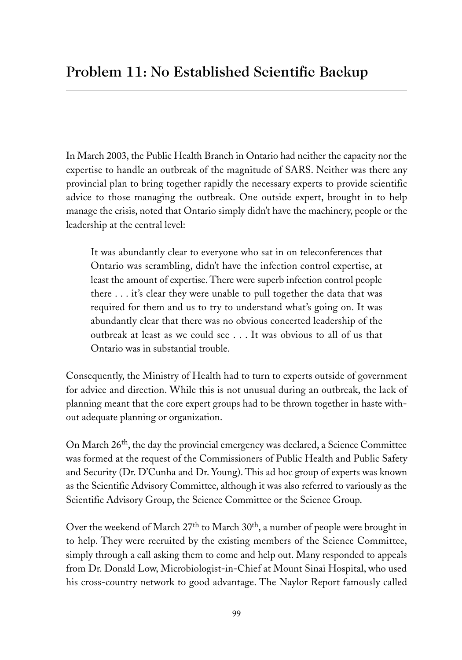In March 2003, the Public Health Branch in Ontario had neither the capacity nor the expertise to handle an outbreak of the magnitude of SARS. Neither was there any provincial plan to bring together rapidly the necessary experts to provide scientific advice to those managing the outbreak. One outside expert, brought in to help manage the crisis, noted that Ontario simply didn't have the machinery, people or the leadership at the central level:

It was abundantly clear to everyone who sat in on teleconferences that Ontario was scrambling, didn't have the infection control expertise, at least the amount of expertise. There were superb infection control people there . . . it's clear they were unable to pull together the data that was required for them and us to try to understand what's going on. It was abundantly clear that there was no obvious concerted leadership of the outbreak at least as we could see . . . It was obvious to all of us that Ontario was in substantial trouble.

Consequently, the Ministry of Health had to turn to experts outside of government for advice and direction. While this is not unusual during an outbreak, the lack of planning meant that the core expert groups had to be thrown together in haste without adequate planning or organization.

On March 26th, the day the provincial emergency was declared, a Science Committee was formed at the request of the Commissioners of Public Health and Public Safety and Security (Dr. D'Cunha and Dr. Young). This ad hoc group of experts was known as the Scientific Advisory Committee, although it was also referred to variously as the Scientific Advisory Group, the Science Committee or the Science Group.

Over the weekend of March 27<sup>th</sup> to March 30<sup>th</sup>, a number of people were brought in to help. They were recruited by the existing members of the Science Committee, simply through a call asking them to come and help out. Many responded to appeals from Dr. Donald Low, Microbiologist-in-Chief at Mount Sinai Hospital, who used his cross-country network to good advantage. The Naylor Report famously called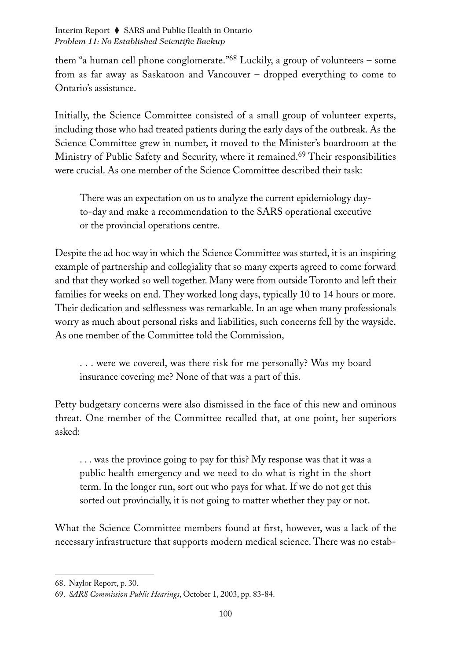them "a human cell phone conglomerate."<sup>68</sup> Luckily, a group of volunteers – some from as far away as Saskatoon and Vancouver – dropped everything to come to Ontario's assistance.

Initially, the Science Committee consisted of a small group of volunteer experts, including those who had treated patients during the early days of the outbreak. As the Science Committee grew in number, it moved to the Minister's boardroom at the Ministry of Public Safety and Security, where it remained.<sup>69</sup> Their responsibilities were crucial. As one member of the Science Committee described their task:

There was an expectation on us to analyze the current epidemiology dayto-day and make a recommendation to the SARS operational executive or the provincial operations centre.

Despite the ad hoc way in which the Science Committee was started, it is an inspiring example of partnership and collegiality that so many experts agreed to come forward and that they worked so well together. Many were from outside Toronto and left their families for weeks on end. They worked long days, typically 10 to 14 hours or more. Their dedication and selflessness was remarkable. In an age when many professionals worry as much about personal risks and liabilities, such concerns fell by the wayside. As one member of the Committee told the Commission,

. . . were we covered, was there risk for me personally? Was my board insurance covering me? None of that was a part of this.

Petty budgetary concerns were also dismissed in the face of this new and ominous threat. One member of the Committee recalled that, at one point, her superiors asked:

. . . was the province going to pay for this? My response was that it was a public health emergency and we need to do what is right in the short term. In the longer run, sort out who pays for what. If we do not get this sorted out provincially, it is not going to matter whether they pay or not.

What the Science Committee members found at first, however, was a lack of the necessary infrastructure that supports modern medical science. There was no estab-

<sup>68.</sup> Naylor Report, p. 30.

<sup>69.</sup> *SARS Commission Public Hearings*, October 1, 2003, pp. 83-84.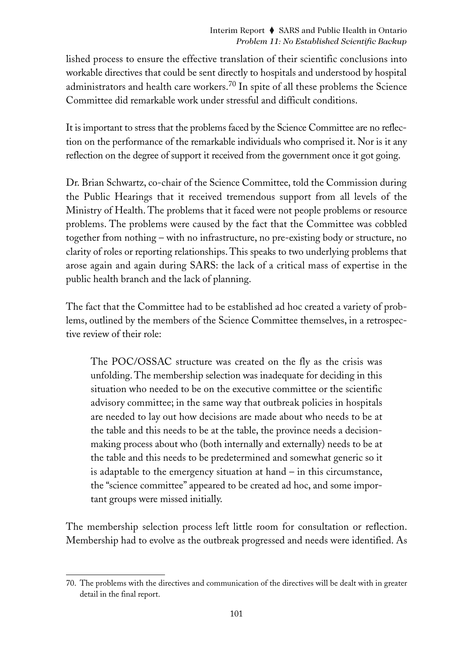lished process to ensure the effective translation of their scientific conclusions into workable directives that could be sent directly to hospitals and understood by hospital administrators and health care workers.<sup>70</sup> In spite of all these problems the Science Committee did remarkable work under stressful and difficult conditions.

It is important to stress that the problems faced by the Science Committee are no reflection on the performance of the remarkable individuals who comprised it. Nor is it any reflection on the degree of support it received from the government once it got going.

Dr. Brian Schwartz, co-chair of the Science Committee, told the Commission during the Public Hearings that it received tremendous support from all levels of the Ministry of Health. The problems that it faced were not people problems or resource problems. The problems were caused by the fact that the Committee was cobbled together from nothing – with no infrastructure, no pre-existing body or structure, no clarity of roles or reporting relationships. This speaks to two underlying problems that arose again and again during SARS: the lack of a critical mass of expertise in the public health branch and the lack of planning.

The fact that the Committee had to be established ad hoc created a variety of problems, outlined by the members of the Science Committee themselves, in a retrospective review of their role:

The POC/OSSAC structure was created on the fly as the crisis was unfolding. The membership selection was inadequate for deciding in this situation who needed to be on the executive committee or the scientific advisory committee; in the same way that outbreak policies in hospitals are needed to lay out how decisions are made about who needs to be at the table and this needs to be at the table, the province needs a decisionmaking process about who (both internally and externally) needs to be at the table and this needs to be predetermined and somewhat generic so it is adaptable to the emergency situation at hand – in this circumstance, the "science committee" appeared to be created ad hoc, and some important groups were missed initially.

The membership selection process left little room for consultation or reflection. Membership had to evolve as the outbreak progressed and needs were identified. As

<sup>70.</sup> The problems with the directives and communication of the directives will be dealt with in greater detail in the final report.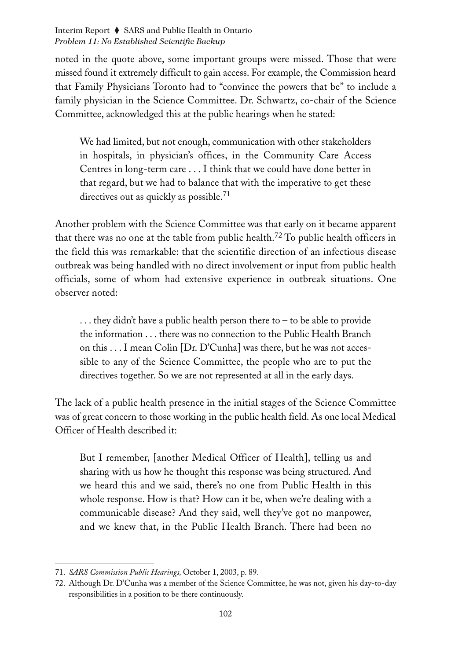Interim Report ♦ SARS and Public Health in Ontario *Problem 11: No Established Scientific Backup*

noted in the quote above, some important groups were missed. Those that were missed found it extremely difficult to gain access. For example, the Commission heard that Family Physicians Toronto had to "convince the powers that be" to include a family physician in the Science Committee. Dr. Schwartz, co-chair of the Science Committee, acknowledged this at the public hearings when he stated:

We had limited, but not enough, communication with other stakeholders in hospitals, in physician's offices, in the Community Care Access Centres in long-term care . . . I think that we could have done better in that regard, but we had to balance that with the imperative to get these directives out as quickly as possible.<sup>71</sup>

Another problem with the Science Committee was that early on it became apparent that there was no one at the table from public health.<sup>72</sup> To public health officers in the field this was remarkable: that the scientific direction of an infectious disease outbreak was being handled with no direct involvement or input from public health officials, some of whom had extensive experience in outbreak situations. One observer noted:

. . . they didn't have a public health person there to – to be able to provide the information . . . there was no connection to the Public Health Branch on this . . . I mean Colin [Dr. D'Cunha] was there, but he was not accessible to any of the Science Committee, the people who are to put the directives together. So we are not represented at all in the early days.

The lack of a public health presence in the initial stages of the Science Committee was of great concern to those working in the public health field. As one local Medical Officer of Health described it:

But I remember, [another Medical Officer of Health], telling us and sharing with us how he thought this response was being structured. And we heard this and we said, there's no one from Public Health in this whole response. How is that? How can it be, when we're dealing with a communicable disease? And they said, well they've got no manpower, and we knew that, in the Public Health Branch. There had been no

<sup>71.</sup> *SARS Commission Public Hearings,* October 1, 2003, p. 89.

<sup>72.</sup> Although Dr. D'Cunha was a member of the Science Committee, he was not, given his day-to-day responsibilities in a position to be there continuously.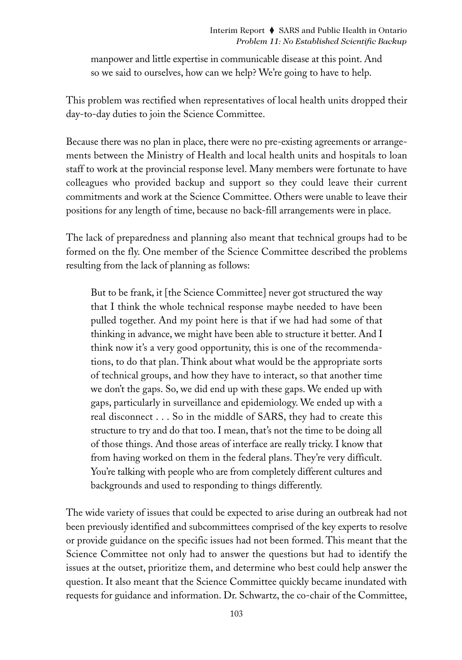manpower and little expertise in communicable disease at this point. And so we said to ourselves, how can we help? We're going to have to help.

This problem was rectified when representatives of local health units dropped their day-to-day duties to join the Science Committee.

Because there was no plan in place, there were no pre-existing agreements or arrangements between the Ministry of Health and local health units and hospitals to loan staff to work at the provincial response level. Many members were fortunate to have colleagues who provided backup and support so they could leave their current commitments and work at the Science Committee. Others were unable to leave their positions for any length of time, because no back-fill arrangements were in place.

The lack of preparedness and planning also meant that technical groups had to be formed on the fly. One member of the Science Committee described the problems resulting from the lack of planning as follows:

But to be frank, it [the Science Committee] never got structured the way that I think the whole technical response maybe needed to have been pulled together. And my point here is that if we had had some of that thinking in advance, we might have been able to structure it better. And I think now it's a very good opportunity, this is one of the recommendations, to do that plan. Think about what would be the appropriate sorts of technical groups, and how they have to interact, so that another time we don't the gaps. So, we did end up with these gaps. We ended up with gaps, particularly in surveillance and epidemiology. We ended up with a real disconnect . . . So in the middle of SARS, they had to create this structure to try and do that too. I mean, that's not the time to be doing all of those things. And those areas of interface are really tricky. I know that from having worked on them in the federal plans. They're very difficult. You're talking with people who are from completely different cultures and backgrounds and used to responding to things differently.

The wide variety of issues that could be expected to arise during an outbreak had not been previously identified and subcommittees comprised of the key experts to resolve or provide guidance on the specific issues had not been formed. This meant that the Science Committee not only had to answer the questions but had to identify the issues at the outset, prioritize them, and determine who best could help answer the question. It also meant that the Science Committee quickly became inundated with requests for guidance and information. Dr. Schwartz, the co-chair of the Committee,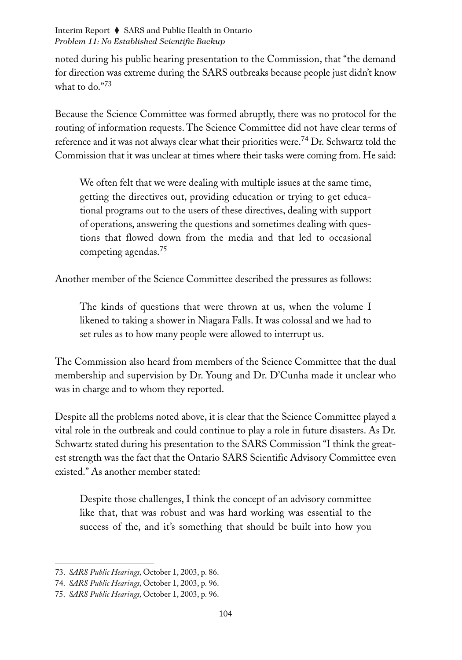Interim Report ♦ SARS and Public Health in Ontario *Problem 11: No Established Scientific Backup*

noted during his public hearing presentation to the Commission, that "the demand for direction was extreme during the SARS outbreaks because people just didn't know what to do."73

Because the Science Committee was formed abruptly, there was no protocol for the routing of information requests. The Science Committee did not have clear terms of reference and it was not always clear what their priorities were.<sup>74</sup> Dr. Schwartz told the Commission that it was unclear at times where their tasks were coming from. He said:

We often felt that we were dealing with multiple issues at the same time, getting the directives out, providing education or trying to get educational programs out to the users of these directives, dealing with support of operations, answering the questions and sometimes dealing with questions that flowed down from the media and that led to occasional competing agendas.75

Another member of the Science Committee described the pressures as follows:

The kinds of questions that were thrown at us, when the volume I likened to taking a shower in Niagara Falls. It was colossal and we had to set rules as to how many people were allowed to interrupt us.

The Commission also heard from members of the Science Committee that the dual membership and supervision by Dr. Young and Dr. D'Cunha made it unclear who was in charge and to whom they reported.

Despite all the problems noted above, it is clear that the Science Committee played a vital role in the outbreak and could continue to play a role in future disasters. As Dr. Schwartz stated during his presentation to the SARS Commission "I think the greatest strength was the fact that the Ontario SARS Scientific Advisory Committee even existed." As another member stated:

Despite those challenges, I think the concept of an advisory committee like that, that was robust and was hard working was essential to the success of the, and it's something that should be built into how you

<sup>73.</sup> *SARS Public Hearings,* October 1, 2003, p. 86.

<sup>74.</sup> *SARS Public Hearings,* October 1, 2003, p. 96.

<sup>75.</sup> *SARS Public Hearings,* October 1, 2003, p. 96.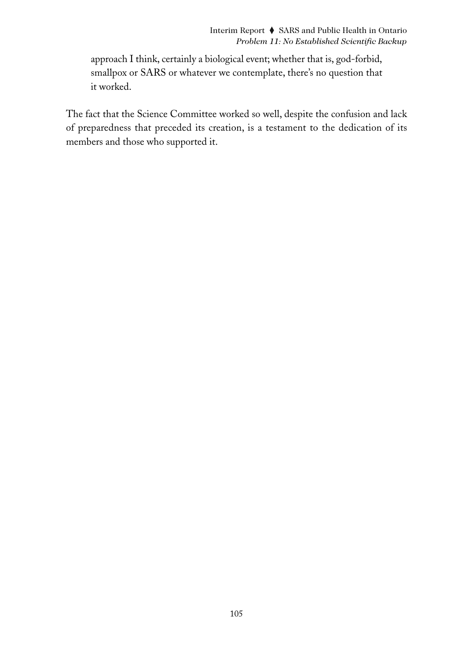approach I think, certainly a biological event; whether that is, god-forbid, smallpox or SARS or whatever we contemplate, there's no question that it worked.

The fact that the Science Committee worked so well, despite the confusion and lack of preparedness that preceded its creation, is a testament to the dedication of its members and those who supported it.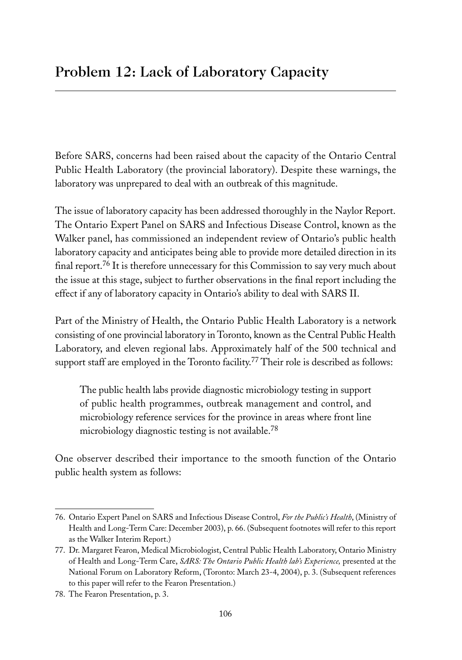Before SARS, concerns had been raised about the capacity of the Ontario Central Public Health Laboratory (the provincial laboratory). Despite these warnings, the laboratory was unprepared to deal with an outbreak of this magnitude.

The issue of laboratory capacity has been addressed thoroughly in the Naylor Report. The Ontario Expert Panel on SARS and Infectious Disease Control, known as the Walker panel, has commissioned an independent review of Ontario's public health laboratory capacity and anticipates being able to provide more detailed direction in its final report.<sup>76</sup> It is therefore unnecessary for this Commission to say very much about the issue at this stage, subject to further observations in the final report including the effect if any of laboratory capacity in Ontario's ability to deal with SARS II.

Part of the Ministry of Health, the Ontario Public Health Laboratory is a network consisting of one provincial laboratory in Toronto, known as the Central Public Health Laboratory, and eleven regional labs. Approximately half of the 500 technical and support staff are employed in the Toronto facility.<sup>77</sup> Their role is described as follows:

The public health labs provide diagnostic microbiology testing in support of public health programmes, outbreak management and control, and microbiology reference services for the province in areas where front line microbiology diagnostic testing is not available.<sup>78</sup>

One observer described their importance to the smooth function of the Ontario public health system as follows:

<sup>76.</sup> Ontario Expert Panel on SARS and Infectious Disease Control, *For the Public's Health*, (Ministry of Health and Long-Term Care: December 2003), p. 66. (Subsequent footnotes will refer to this report as the Walker Interim Report.)

<sup>77.</sup> Dr. Margaret Fearon, Medical Microbiologist, Central Public Health Laboratory, Ontario Ministry of Health and Long-Term Care, *SARS: The Ontario Public Health lab's Experience,* presented at the National Forum on Laboratory Reform, (Toronto: March 23-4, 2004), p. 3. (Subsequent references to this paper will refer to the Fearon Presentation.)

<sup>78.</sup> The Fearon Presentation, p. 3.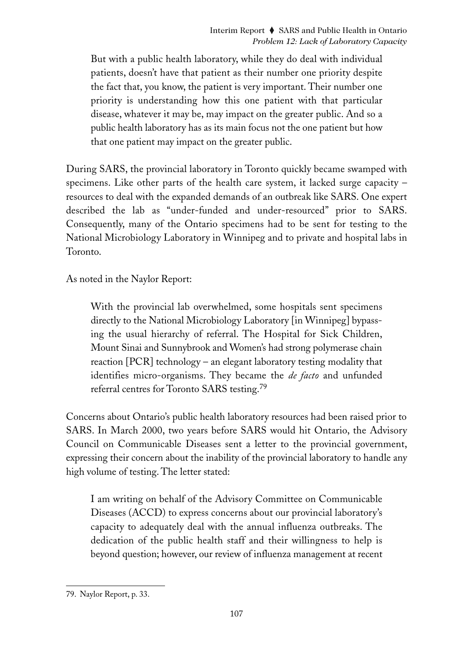But with a public health laboratory, while they do deal with individual patients, doesn't have that patient as their number one priority despite the fact that, you know, the patient is very important. Their number one priority is understanding how this one patient with that particular disease, whatever it may be, may impact on the greater public. And so a public health laboratory has as its main focus not the one patient but how that one patient may impact on the greater public.

During SARS, the provincial laboratory in Toronto quickly became swamped with specimens. Like other parts of the health care system, it lacked surge capacity – resources to deal with the expanded demands of an outbreak like SARS. One expert described the lab as "under-funded and under-resourced" prior to SARS. Consequently, many of the Ontario specimens had to be sent for testing to the National Microbiology Laboratory in Winnipeg and to private and hospital labs in Toronto.

As noted in the Naylor Report:

With the provincial lab overwhelmed, some hospitals sent specimens directly to the National Microbiology Laboratory [in Winnipeg] bypassing the usual hierarchy of referral. The Hospital for Sick Children, Mount Sinai and Sunnybrook and Women's had strong polymerase chain reaction [PCR] technology – an elegant laboratory testing modality that identifies micro-organisms. They became the *de facto* and unfunded referral centres for Toronto SARS testing.<sup>79</sup>

Concerns about Ontario's public health laboratory resources had been raised prior to SARS. In March 2000, two years before SARS would hit Ontario, the Advisory Council on Communicable Diseases sent a letter to the provincial government, expressing their concern about the inability of the provincial laboratory to handle any high volume of testing. The letter stated:

I am writing on behalf of the Advisory Committee on Communicable Diseases (ACCD) to express concerns about our provincial laboratory's capacity to adequately deal with the annual influenza outbreaks. The dedication of the public health staff and their willingness to help is beyond question; however, our review of influenza management at recent

<sup>79.</sup> Naylor Report, p. 33.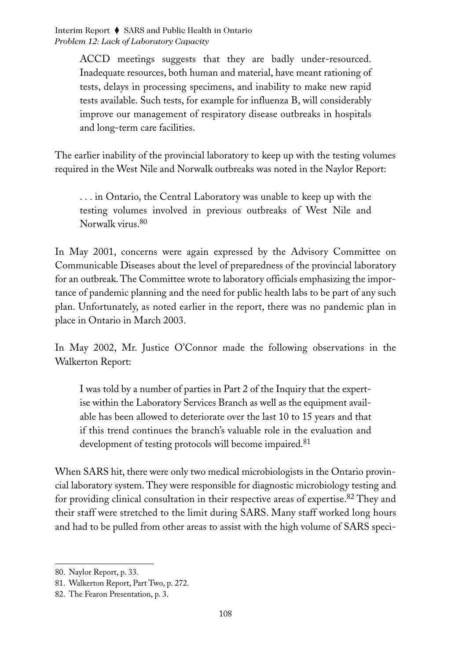Interim Report ♦ SARS and Public Health in Ontario *Problem 12: Lack of Laboratory Capacity*

> ACCD meetings suggests that they are badly under-resourced. Inadequate resources, both human and material, have meant rationing of tests, delays in processing specimens, and inability to make new rapid tests available. Such tests, for example for influenza B, will considerably improve our management of respiratory disease outbreaks in hospitals and long-term care facilities.

The earlier inability of the provincial laboratory to keep up with the testing volumes required in the West Nile and Norwalk outbreaks was noted in the Naylor Report:

. . . in Ontario, the Central Laboratory was unable to keep up with the testing volumes involved in previous outbreaks of West Nile and Norwalk virus.<sup>80</sup>

In May 2001, concerns were again expressed by the Advisory Committee on Communicable Diseases about the level of preparedness of the provincial laboratory for an outbreak. The Committee wrote to laboratory officials emphasizing the importance of pandemic planning and the need for public health labs to be part of any such plan. Unfortunately, as noted earlier in the report, there was no pandemic plan in place in Ontario in March 2003.

In May 2002, Mr. Justice O'Connor made the following observations in the Walkerton Report:

I was told by a number of parties in Part 2 of the Inquiry that the expertise within the Laboratory Services Branch as well as the equipment available has been allowed to deteriorate over the last 10 to 15 years and that if this trend continues the branch's valuable role in the evaluation and development of testing protocols will become impaired.<sup>81</sup>

When SARS hit, there were only two medical microbiologists in the Ontario provincial laboratory system. They were responsible for diagnostic microbiology testing and for providing clinical consultation in their respective areas of expertise.<sup>82</sup> They and their staff were stretched to the limit during SARS. Many staff worked long hours and had to be pulled from other areas to assist with the high volume of SARS speci-

<sup>80.</sup> Naylor Report, p. 33.

<sup>81.</sup> Walkerton Report, Part Two, p. 272.

<sup>82.</sup> The Fearon Presentation, p. 3.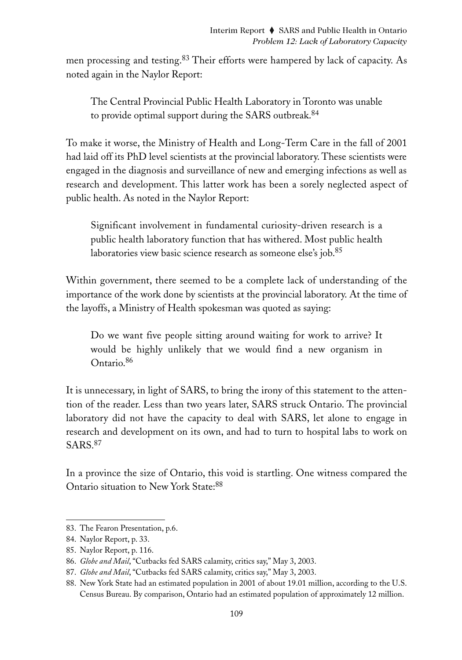men processing and testing.<sup>83</sup> Their efforts were hampered by lack of capacity. As noted again in the Naylor Report:

The Central Provincial Public Health Laboratory in Toronto was unable to provide optimal support during the SARS outbreak.<sup>84</sup>

To make it worse, the Ministry of Health and Long-Term Care in the fall of 2001 had laid off its PhD level scientists at the provincial laboratory. These scientists were engaged in the diagnosis and surveillance of new and emerging infections as well as research and development. This latter work has been a sorely neglected aspect of public health. As noted in the Naylor Report:

Significant involvement in fundamental curiosity-driven research is a public health laboratory function that has withered. Most public health laboratories view basic science research as someone else's job.<sup>85</sup>

Within government, there seemed to be a complete lack of understanding of the importance of the work done by scientists at the provincial laboratory. At the time of the layoffs, a Ministry of Health spokesman was quoted as saying:

Do we want five people sitting around waiting for work to arrive? It would be highly unlikely that we would find a new organism in Ontario.86

It is unnecessary, in light of SARS, to bring the irony of this statement to the attention of the reader. Less than two years later, SARS struck Ontario. The provincial laboratory did not have the capacity to deal with SARS, let alone to engage in research and development on its own, and had to turn to hospital labs to work on SARS.87

In a province the size of Ontario, this void is startling. One witness compared the Ontario situation to New York State:<sup>88</sup>

<sup>83.</sup> The Fearon Presentation, p.6.

<sup>84.</sup> Naylor Report, p. 33.

<sup>85.</sup> Naylor Report, p. 116.

<sup>86.</sup> *Globe and Mail*, "Cutbacks fed SARS calamity, critics say," May 3, 2003.

<sup>87.</sup> *Globe and Mail*, "Cutbacks fed SARS calamity, critics say," May 3, 2003.

<sup>88.</sup> New York State had an estimated population in 2001 of about 19.01 million, according to the U.S. Census Bureau. By comparison, Ontario had an estimated population of approximately 12 million.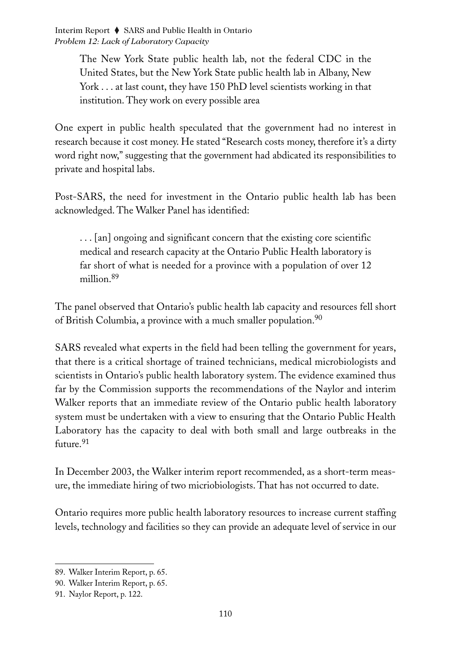Interim Report ♦ SARS and Public Health in Ontario *Problem 12: Lack of Laboratory Capacity*

> The New York State public health lab, not the federal CDC in the United States, but the New York State public health lab in Albany, New York . . . at last count, they have 150 PhD level scientists working in that institution. They work on every possible area

One expert in public health speculated that the government had no interest in research because it cost money. He stated "Research costs money, therefore it's a dirty word right now," suggesting that the government had abdicated its responsibilities to private and hospital labs.

Post-SARS, the need for investment in the Ontario public health lab has been acknowledged. The Walker Panel has identified:

. . . [an] ongoing and significant concern that the existing core scientific medical and research capacity at the Ontario Public Health laboratory is far short of what is needed for a province with a population of over 12 million.<sup>89</sup>

The panel observed that Ontario's public health lab capacity and resources fell short of British Columbia, a province with a much smaller population.<sup>90</sup>

SARS revealed what experts in the field had been telling the government for years, that there is a critical shortage of trained technicians, medical microbiologists and scientists in Ontario's public health laboratory system. The evidence examined thus far by the Commission supports the recommendations of the Naylor and interim Walker reports that an immediate review of the Ontario public health laboratory system must be undertaken with a view to ensuring that the Ontario Public Health Laboratory has the capacity to deal with both small and large outbreaks in the future.<sup>91</sup>

In December 2003, the Walker interim report recommended, as a short-term measure, the immediate hiring of two micriobiologists. That has not occurred to date.

Ontario requires more public health laboratory resources to increase current staffing levels, technology and facilities so they can provide an adequate level of service in our

<sup>89.</sup> Walker Interim Report, p. 65.

<sup>90.</sup> Walker Interim Report, p. 65.

<sup>91.</sup> Naylor Report, p. 122.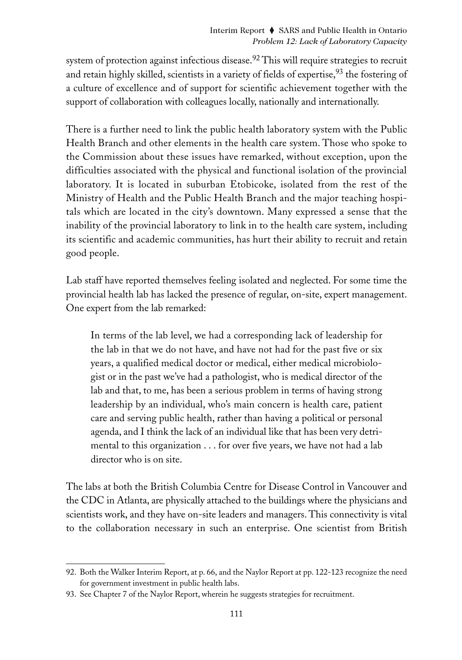system of protection against infectious disease.<sup>92</sup> This will require strategies to recruit and retain highly skilled, scientists in a variety of fields of expertise,  $93$  the fostering of a culture of excellence and of support for scientific achievement together with the support of collaboration with colleagues locally, nationally and internationally.

There is a further need to link the public health laboratory system with the Public Health Branch and other elements in the health care system. Those who spoke to the Commission about these issues have remarked, without exception, upon the difficulties associated with the physical and functional isolation of the provincial laboratory. It is located in suburban Etobicoke, isolated from the rest of the Ministry of Health and the Public Health Branch and the major teaching hospitals which are located in the city's downtown. Many expressed a sense that the inability of the provincial laboratory to link in to the health care system, including its scientific and academic communities, has hurt their ability to recruit and retain good people.

Lab staff have reported themselves feeling isolated and neglected. For some time the provincial health lab has lacked the presence of regular, on-site, expert management. One expert from the lab remarked:

In terms of the lab level, we had a corresponding lack of leadership for the lab in that we do not have, and have not had for the past five or six years, a qualified medical doctor or medical, either medical microbiologist or in the past we've had a pathologist, who is medical director of the lab and that, to me, has been a serious problem in terms of having strong leadership by an individual, who's main concern is health care, patient care and serving public health, rather than having a political or personal agenda, and I think the lack of an individual like that has been very detrimental to this organization . . . for over five years, we have not had a lab director who is on site.

The labs at both the British Columbia Centre for Disease Control in Vancouver and the CDC in Atlanta, are physically attached to the buildings where the physicians and scientists work, and they have on-site leaders and managers. This connectivity is vital to the collaboration necessary in such an enterprise. One scientist from British

<sup>92.</sup> Both the Walker Interim Report, at p. 66, and the Naylor Report at pp. 122-123 recognize the need for government investment in public health labs.

<sup>93.</sup> See Chapter 7 of the Naylor Report, wherein he suggests strategies for recruitment.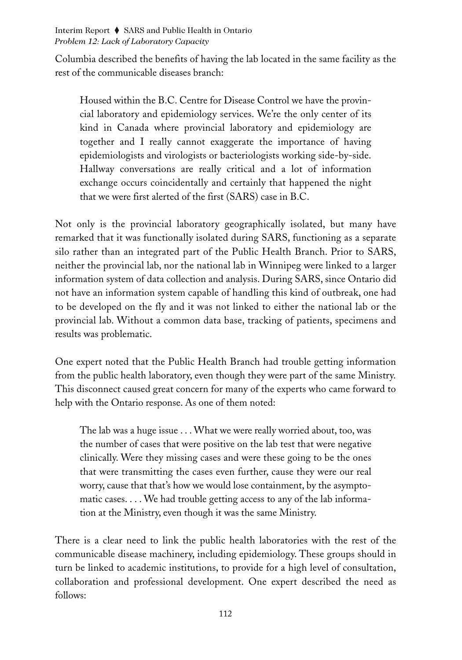Columbia described the benefits of having the lab located in the same facility as the rest of the communicable diseases branch:

Housed within the B.C. Centre for Disease Control we have the provincial laboratory and epidemiology services. We're the only center of its kind in Canada where provincial laboratory and epidemiology are together and I really cannot exaggerate the importance of having epidemiologists and virologists or bacteriologists working side-by-side. Hallway conversations are really critical and a lot of information exchange occurs coincidentally and certainly that happened the night that we were first alerted of the first (SARS) case in B.C.

Not only is the provincial laboratory geographically isolated, but many have remarked that it was functionally isolated during SARS, functioning as a separate silo rather than an integrated part of the Public Health Branch. Prior to SARS, neither the provincial lab, nor the national lab in Winnipeg were linked to a larger information system of data collection and analysis. During SARS, since Ontario did not have an information system capable of handling this kind of outbreak, one had to be developed on the fly and it was not linked to either the national lab or the provincial lab. Without a common data base, tracking of patients, specimens and results was problematic.

One expert noted that the Public Health Branch had trouble getting information from the public health laboratory, even though they were part of the same Ministry. This disconnect caused great concern for many of the experts who came forward to help with the Ontario response. As one of them noted:

The lab was a huge issue . . . What we were really worried about, too, was the number of cases that were positive on the lab test that were negative clinically. Were they missing cases and were these going to be the ones that were transmitting the cases even further, cause they were our real worry, cause that that's how we would lose containment, by the asymptomatic cases. . . . We had trouble getting access to any of the lab information at the Ministry, even though it was the same Ministry.

There is a clear need to link the public health laboratories with the rest of the communicable disease machinery, including epidemiology. These groups should in turn be linked to academic institutions, to provide for a high level of consultation, collaboration and professional development. One expert described the need as follows: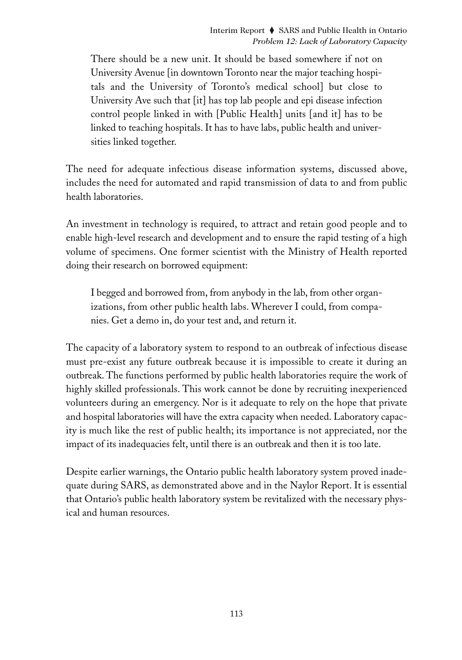There should be a new unit. It should be based somewhere if not on University Avenue [in downtown Toronto near the major teaching hospitals and the University of Toronto's medical school] but close to University Ave such that [it] has top lab people and epi disease infection control people linked in with [Public Health] units [and it] has to be linked to teaching hospitals. It has to have labs, public health and universities linked together.

The need for adequate infectious disease information systems, discussed above, includes the need for automated and rapid transmission of data to and from public health laboratories.

An investment in technology is required, to attract and retain good people and to enable high-level research and development and to ensure the rapid testing of a high volume of specimens. One former scientist with the Ministry of Health reported doing their research on borrowed equipment:

I begged and borrowed from, from anybody in the lab, from other organizations, from other public health labs. Wherever I could, from companies. Get a demo in, do your test and, and return it.

The capacity of a laboratory system to respond to an outbreak of infectious disease must pre-exist any future outbreak because it is impossible to create it during an outbreak. The functions performed by public health laboratories require the work of highly skilled professionals. This work cannot be done by recruiting inexperienced volunteers during an emergency. Nor is it adequate to rely on the hope that private and hospital laboratories will have the extra capacity when needed. Laboratory capacity is much like the rest of public health; its importance is not appreciated, nor the impact of its inadequacies felt, until there is an outbreak and then it is too late.

Despite earlier warnings, the Ontario public health laboratory system proved inadequate during SARS, as demonstrated above and in the Naylor Report. It is essential that Ontario's public health laboratory system be revitalized with the necessary physical and human resources.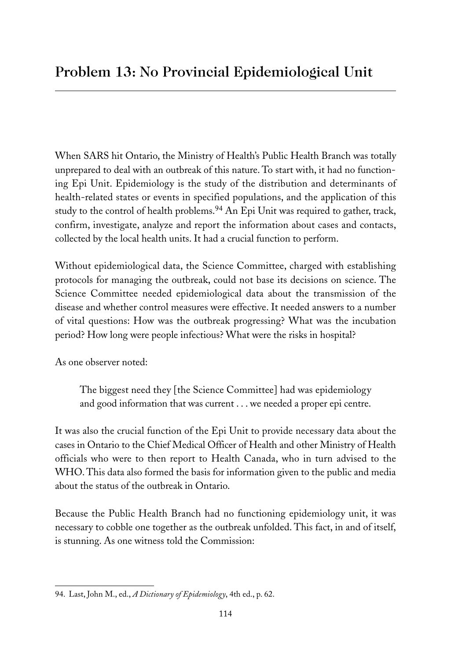When SARS hit Ontario, the Ministry of Health's Public Health Branch was totally unprepared to deal with an outbreak of this nature. To start with, it had no functioning Epi Unit. Epidemiology is the study of the distribution and determinants of health-related states or events in specified populations, and the application of this study to the control of health problems.<sup>94</sup> An Epi Unit was required to gather, track, confirm, investigate, analyze and report the information about cases and contacts, collected by the local health units. It had a crucial function to perform.

Without epidemiological data, the Science Committee, charged with establishing protocols for managing the outbreak, could not base its decisions on science. The Science Committee needed epidemiological data about the transmission of the disease and whether control measures were effective. It needed answers to a number of vital questions: How was the outbreak progressing? What was the incubation period? How long were people infectious? What were the risks in hospital?

As one observer noted:

The biggest need they [the Science Committee] had was epidemiology and good information that was current . . . we needed a proper epi centre.

It was also the crucial function of the Epi Unit to provide necessary data about the cases in Ontario to the Chief Medical Officer of Health and other Ministry of Health officials who were to then report to Health Canada, who in turn advised to the WHO. This data also formed the basis for information given to the public and media about the status of the outbreak in Ontario.

Because the Public Health Branch had no functioning epidemiology unit, it was necessary to cobble one together as the outbreak unfolded. This fact, in and of itself, is stunning. As one witness told the Commission:

<sup>94.</sup> Last, John M., ed., *A Dictionary of Epidemiology*, 4th ed., p. 62.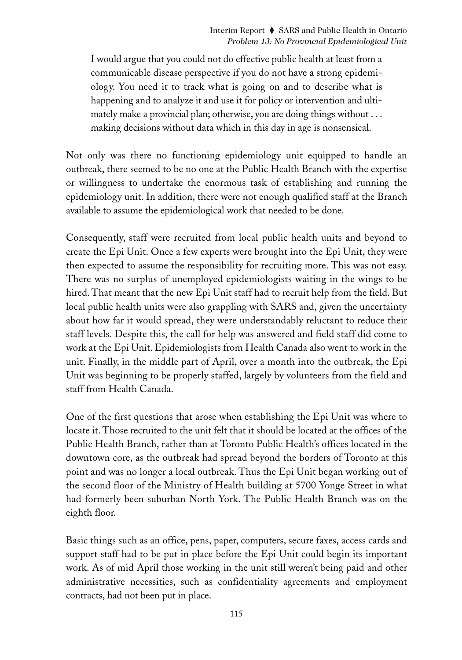I would argue that you could not do effective public health at least from a communicable disease perspective if you do not have a strong epidemiology. You need it to track what is going on and to describe what is happening and to analyze it and use it for policy or intervention and ultimately make a provincial plan; otherwise, you are doing things without . . . making decisions without data which in this day in age is nonsensical.

Not only was there no functioning epidemiology unit equipped to handle an outbreak, there seemed to be no one at the Public Health Branch with the expertise or willingness to undertake the enormous task of establishing and running the epidemiology unit. In addition, there were not enough qualified staff at the Branch available to assume the epidemiological work that needed to be done.

Consequently, staff were recruited from local public health units and beyond to create the Epi Unit. Once a few experts were brought into the Epi Unit, they were then expected to assume the responsibility for recruiting more. This was not easy. There was no surplus of unemployed epidemiologists waiting in the wings to be hired. That meant that the new Epi Unit staff had to recruit help from the field. But local public health units were also grappling with SARS and, given the uncertainty about how far it would spread, they were understandably reluctant to reduce their staff levels. Despite this, the call for help was answered and field staff did come to work at the Epi Unit. Epidemiologists from Health Canada also went to work in the unit. Finally, in the middle part of April, over a month into the outbreak, the Epi Unit was beginning to be properly staffed, largely by volunteers from the field and staff from Health Canada.

One of the first questions that arose when establishing the Epi Unit was where to locate it. Those recruited to the unit felt that it should be located at the offices of the Public Health Branch, rather than at Toronto Public Health's offices located in the downtown core, as the outbreak had spread beyond the borders of Toronto at this point and was no longer a local outbreak. Thus the Epi Unit began working out of the second floor of the Ministry of Health building at 5700 Yonge Street in what had formerly been suburban North York. The Public Health Branch was on the eighth floor.

Basic things such as an office, pens, paper, computers, secure faxes, access cards and support staff had to be put in place before the Epi Unit could begin its important work. As of mid April those working in the unit still weren't being paid and other administrative necessities, such as confidentiality agreements and employment contracts, had not been put in place.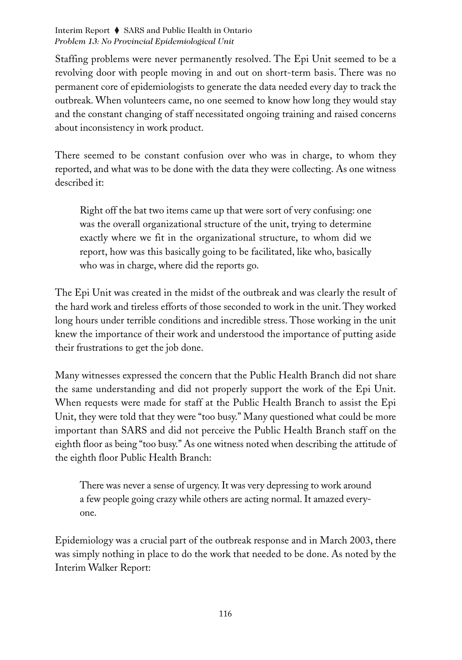Interim Report ♦ SARS and Public Health in Ontario *Problem 13: No Provincial Epidemiological Unit*

Staffing problems were never permanently resolved. The Epi Unit seemed to be a revolving door with people moving in and out on short-term basis. There was no permanent core of epidemiologists to generate the data needed every day to track the outbreak. When volunteers came, no one seemed to know how long they would stay and the constant changing of staff necessitated ongoing training and raised concerns about inconsistency in work product.

There seemed to be constant confusion over who was in charge, to whom they reported, and what was to be done with the data they were collecting. As one witness described it:

Right off the bat two items came up that were sort of very confusing: one was the overall organizational structure of the unit, trying to determine exactly where we fit in the organizational structure, to whom did we report, how was this basically going to be facilitated, like who, basically who was in charge, where did the reports go.

The Epi Unit was created in the midst of the outbreak and was clearly the result of the hard work and tireless efforts of those seconded to work in the unit. They worked long hours under terrible conditions and incredible stress. Those working in the unit knew the importance of their work and understood the importance of putting aside their frustrations to get the job done.

Many witnesses expressed the concern that the Public Health Branch did not share the same understanding and did not properly support the work of the Epi Unit. When requests were made for staff at the Public Health Branch to assist the Epi Unit, they were told that they were "too busy." Many questioned what could be more important than SARS and did not perceive the Public Health Branch staff on the eighth floor as being "too busy." As one witness noted when describing the attitude of the eighth floor Public Health Branch:

There was never a sense of urgency. It was very depressing to work around a few people going crazy while others are acting normal. It amazed everyone.

Epidemiology was a crucial part of the outbreak response and in March 2003, there was simply nothing in place to do the work that needed to be done. As noted by the Interim Walker Report: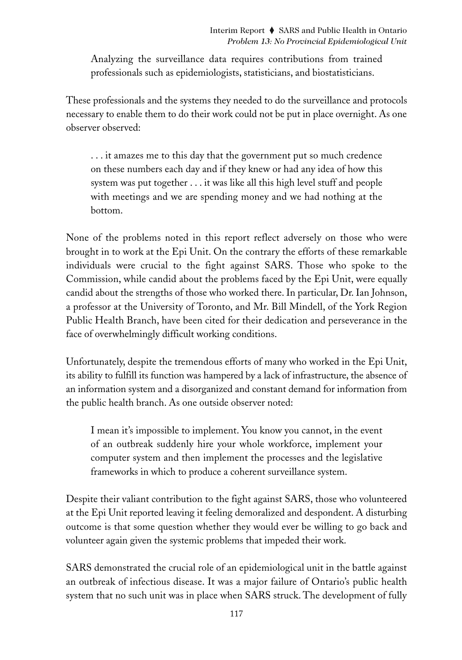Analyzing the surveillance data requires contributions from trained professionals such as epidemiologists, statisticians, and biostatisticians.

These professionals and the systems they needed to do the surveillance and protocols necessary to enable them to do their work could not be put in place overnight. As one observer observed:

. . . it amazes me to this day that the government put so much credence on these numbers each day and if they knew or had any idea of how this system was put together . . . it was like all this high level stuff and people with meetings and we are spending money and we had nothing at the bottom.

None of the problems noted in this report reflect adversely on those who were brought in to work at the Epi Unit. On the contrary the efforts of these remarkable individuals were crucial to the fight against SARS. Those who spoke to the Commission, while candid about the problems faced by the Epi Unit, were equally candid about the strengths of those who worked there. In particular, Dr. Ian Johnson, a professor at the University of Toronto, and Mr. Bill Mindell, of the York Region Public Health Branch, have been cited for their dedication and perseverance in the face of overwhelmingly difficult working conditions.

Unfortunately, despite the tremendous efforts of many who worked in the Epi Unit, its ability to fulfill its function was hampered by a lack of infrastructure, the absence of an information system and a disorganized and constant demand for information from the public health branch. As one outside observer noted:

I mean it's impossible to implement. You know you cannot, in the event of an outbreak suddenly hire your whole workforce, implement your computer system and then implement the processes and the legislative frameworks in which to produce a coherent surveillance system.

Despite their valiant contribution to the fight against SARS, those who volunteered at the Epi Unit reported leaving it feeling demoralized and despondent. A disturbing outcome is that some question whether they would ever be willing to go back and volunteer again given the systemic problems that impeded their work.

SARS demonstrated the crucial role of an epidemiological unit in the battle against an outbreak of infectious disease. It was a major failure of Ontario's public health system that no such unit was in place when SARS struck. The development of fully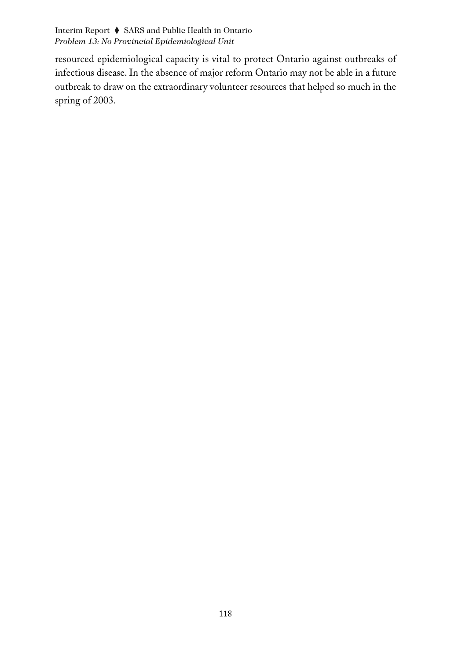Interim Report ♦ SARS and Public Health in Ontario *Problem 13: No Provincial Epidemiological Unit*

resourced epidemiological capacity is vital to protect Ontario against outbreaks of infectious disease. In the absence of major reform Ontario may not be able in a future outbreak to draw on the extraordinary volunteer resources that helped so much in the spring of 2003.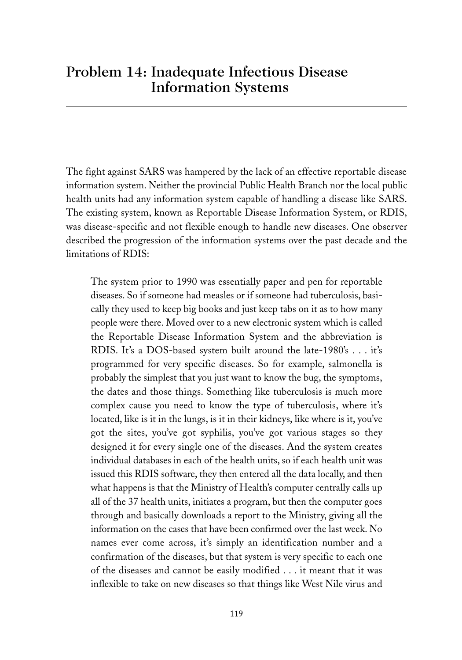# Problem 14: Inadequate Infectious Disease Information Systems

The fight against SARS was hampered by the lack of an effective reportable disease information system. Neither the provincial Public Health Branch nor the local public health units had any information system capable of handling a disease like SARS. The existing system, known as Reportable Disease Information System, or RDIS, was disease-specific and not flexible enough to handle new diseases. One observer described the progression of the information systems over the past decade and the limitations of RDIS:

The system prior to 1990 was essentially paper and pen for reportable diseases. So if someone had measles or if someone had tuberculosis, basically they used to keep big books and just keep tabs on it as to how many people were there. Moved over to a new electronic system which is called the Reportable Disease Information System and the abbreviation is RDIS. It's a DOS-based system built around the late-1980's . . . it's programmed for very specific diseases. So for example, salmonella is probably the simplest that you just want to know the bug, the symptoms, the dates and those things. Something like tuberculosis is much more complex cause you need to know the type of tuberculosis, where it's located, like is it in the lungs, is it in their kidneys, like where is it, you've got the sites, you've got syphilis, you've got various stages so they designed it for every single one of the diseases. And the system creates individual databases in each of the health units, so if each health unit was issued this RDIS software, they then entered all the data locally, and then what happens is that the Ministry of Health's computer centrally calls up all of the 37 health units, initiates a program, but then the computer goes through and basically downloads a report to the Ministry, giving all the information on the cases that have been confirmed over the last week. No names ever come across, it's simply an identification number and a confirmation of the diseases, but that system is very specific to each one of the diseases and cannot be easily modified . . . it meant that it was inflexible to take on new diseases so that things like West Nile virus and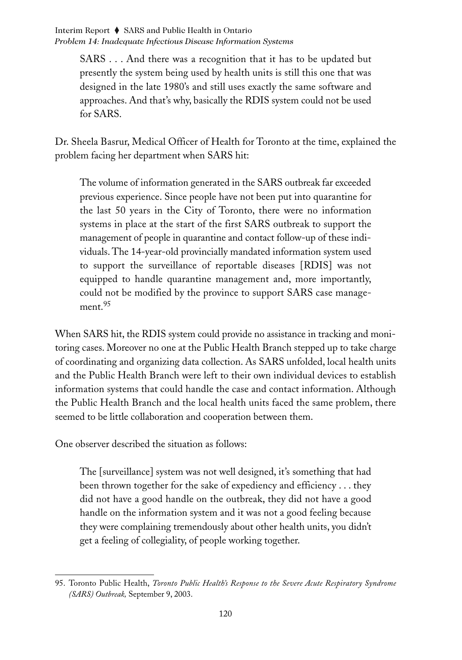Interim Report ♦ SARS and Public Health in Ontario *Problem 14: Inadequate Infectious Disease Information Systems*

> SARS . . . And there was a recognition that it has to be updated but presently the system being used by health units is still this one that was designed in the late 1980's and still uses exactly the same software and approaches. And that's why, basically the RDIS system could not be used for SARS.

Dr. Sheela Basrur, Medical Officer of Health for Toronto at the time, explained the problem facing her department when SARS hit:

The volume of information generated in the SARS outbreak far exceeded previous experience. Since people have not been put into quarantine for the last 50 years in the City of Toronto, there were no information systems in place at the start of the first SARS outbreak to support the management of people in quarantine and contact follow-up of these individuals. The 14-year-old provincially mandated information system used to support the surveillance of reportable diseases [RDIS] was not equipped to handle quarantine management and, more importantly, could not be modified by the province to support SARS case management.<sup>95</sup>

When SARS hit, the RDIS system could provide no assistance in tracking and monitoring cases. Moreover no one at the Public Health Branch stepped up to take charge of coordinating and organizing data collection. As SARS unfolded, local health units and the Public Health Branch were left to their own individual devices to establish information systems that could handle the case and contact information. Although the Public Health Branch and the local health units faced the same problem, there seemed to be little collaboration and cooperation between them.

One observer described the situation as follows:

The [surveillance] system was not well designed, it's something that had been thrown together for the sake of expediency and efficiency . . . they did not have a good handle on the outbreak, they did not have a good handle on the information system and it was not a good feeling because they were complaining tremendously about other health units, you didn't get a feeling of collegiality, of people working together.

<sup>95.</sup> Toronto Public Health, *Toronto Public Health's Response to the Severe Acute Respiratory Syndrome (SARS) Outbreak,* September 9, 2003.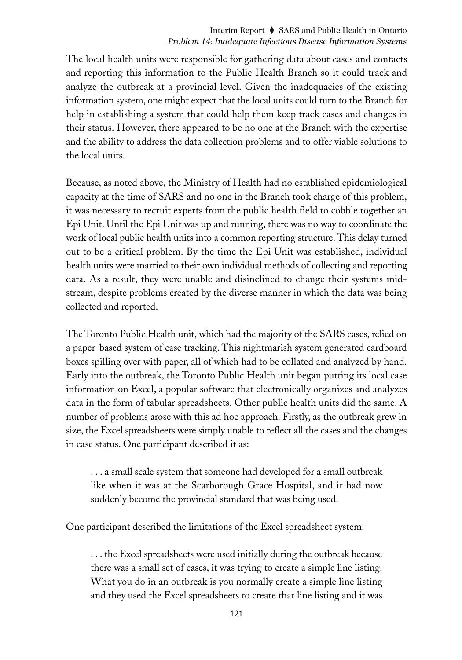#### Interim Report ♦ SARS and Public Health in Ontario *Problem 14: Inadequate Infectious Disease Information Systems*

The local health units were responsible for gathering data about cases and contacts and reporting this information to the Public Health Branch so it could track and analyze the outbreak at a provincial level. Given the inadequacies of the existing information system, one might expect that the local units could turn to the Branch for help in establishing a system that could help them keep track cases and changes in their status. However, there appeared to be no one at the Branch with the expertise and the ability to address the data collection problems and to offer viable solutions to the local units.

Because, as noted above, the Ministry of Health had no established epidemiological capacity at the time of SARS and no one in the Branch took charge of this problem, it was necessary to recruit experts from the public health field to cobble together an Epi Unit. Until the Epi Unit was up and running, there was no way to coordinate the work of local public health units into a common reporting structure. This delay turned out to be a critical problem. By the time the Epi Unit was established, individual health units were married to their own individual methods of collecting and reporting data. As a result, they were unable and disinclined to change their systems midstream, despite problems created by the diverse manner in which the data was being collected and reported.

The Toronto Public Health unit, which had the majority of the SARS cases, relied on a paper-based system of case tracking. This nightmarish system generated cardboard boxes spilling over with paper, all of which had to be collated and analyzed by hand. Early into the outbreak, the Toronto Public Health unit began putting its local case information on Excel, a popular software that electronically organizes and analyzes data in the form of tabular spreadsheets. Other public health units did the same. A number of problems arose with this ad hoc approach. Firstly, as the outbreak grew in size, the Excel spreadsheets were simply unable to reflect all the cases and the changes in case status. One participant described it as:

. . . a small scale system that someone had developed for a small outbreak like when it was at the Scarborough Grace Hospital, and it had now suddenly become the provincial standard that was being used.

One participant described the limitations of the Excel spreadsheet system:

. . . the Excel spreadsheets were used initially during the outbreak because there was a small set of cases, it was trying to create a simple line listing. What you do in an outbreak is you normally create a simple line listing and they used the Excel spreadsheets to create that line listing and it was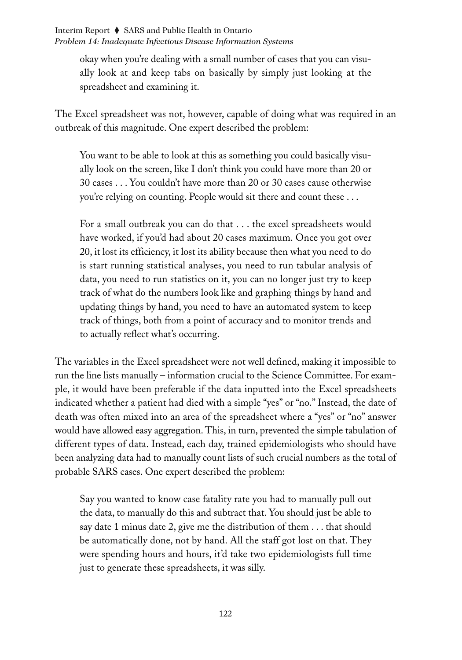okay when you're dealing with a small number of cases that you can visually look at and keep tabs on basically by simply just looking at the spreadsheet and examining it.

The Excel spreadsheet was not, however, capable of doing what was required in an outbreak of this magnitude. One expert described the problem:

You want to be able to look at this as something you could basically visually look on the screen, like I don't think you could have more than 20 or 30 cases . . . You couldn't have more than 20 or 30 cases cause otherwise you're relying on counting. People would sit there and count these . . .

For a small outbreak you can do that . . . the excel spreadsheets would have worked, if you'd had about 20 cases maximum. Once you got over 20, it lost its efficiency, it lost its ability because then what you need to do is start running statistical analyses, you need to run tabular analysis of data, you need to run statistics on it, you can no longer just try to keep track of what do the numbers look like and graphing things by hand and updating things by hand, you need to have an automated system to keep track of things, both from a point of accuracy and to monitor trends and to actually reflect what's occurring.

The variables in the Excel spreadsheet were not well defined, making it impossible to run the line lists manually – information crucial to the Science Committee. For example, it would have been preferable if the data inputted into the Excel spreadsheets indicated whether a patient had died with a simple "yes" or "no." Instead, the date of death was often mixed into an area of the spreadsheet where a "yes" or "no" answer would have allowed easy aggregation. This, in turn, prevented the simple tabulation of different types of data. Instead, each day, trained epidemiologists who should have been analyzing data had to manually count lists of such crucial numbers as the total of probable SARS cases. One expert described the problem:

Say you wanted to know case fatality rate you had to manually pull out the data, to manually do this and subtract that. You should just be able to say date 1 minus date 2, give me the distribution of them . . . that should be automatically done, not by hand. All the staff got lost on that. They were spending hours and hours, it'd take two epidemiologists full time just to generate these spreadsheets, it was silly.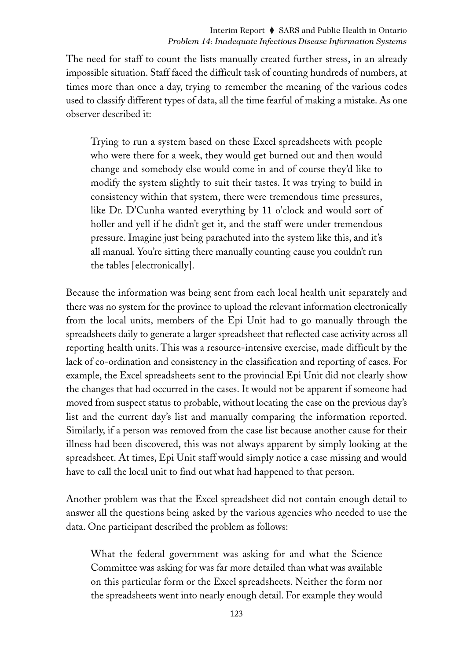The need for staff to count the lists manually created further stress, in an already impossible situation. Staff faced the difficult task of counting hundreds of numbers, at times more than once a day, trying to remember the meaning of the various codes used to classify different types of data, all the time fearful of making a mistake. As one observer described it:

Trying to run a system based on these Excel spreadsheets with people who were there for a week, they would get burned out and then would change and somebody else would come in and of course they'd like to modify the system slightly to suit their tastes. It was trying to build in consistency within that system, there were tremendous time pressures, like Dr. D'Cunha wanted everything by 11 o'clock and would sort of holler and yell if he didn't get it, and the staff were under tremendous pressure. Imagine just being parachuted into the system like this, and it's all manual. You're sitting there manually counting cause you couldn't run the tables [electronically].

Because the information was being sent from each local health unit separately and there was no system for the province to upload the relevant information electronically from the local units, members of the Epi Unit had to go manually through the spreadsheets daily to generate a larger spreadsheet that reflected case activity across all reporting health units. This was a resource-intensive exercise, made difficult by the lack of co-ordination and consistency in the classification and reporting of cases. For example, the Excel spreadsheets sent to the provincial Epi Unit did not clearly show the changes that had occurred in the cases. It would not be apparent if someone had moved from suspect status to probable, without locating the case on the previous day's list and the current day's list and manually comparing the information reported. Similarly, if a person was removed from the case list because another cause for their illness had been discovered, this was not always apparent by simply looking at the spreadsheet. At times, Epi Unit staff would simply notice a case missing and would have to call the local unit to find out what had happened to that person.

Another problem was that the Excel spreadsheet did not contain enough detail to answer all the questions being asked by the various agencies who needed to use the data. One participant described the problem as follows:

What the federal government was asking for and what the Science Committee was asking for was far more detailed than what was available on this particular form or the Excel spreadsheets. Neither the form nor the spreadsheets went into nearly enough detail. For example they would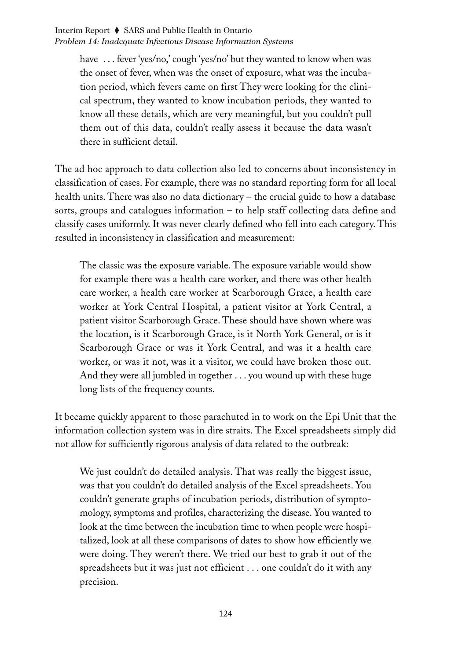## Interim Report ♦ SARS and Public Health in Ontario *Problem 14: Inadequate Infectious Disease Information Systems*

have ... fever 'yes/no,' cough 'yes/no' but they wanted to know when was the onset of fever, when was the onset of exposure, what was the incubation period, which fevers came on first They were looking for the clinical spectrum, they wanted to know incubation periods, they wanted to know all these details, which are very meaningful, but you couldn't pull them out of this data, couldn't really assess it because the data wasn't there in sufficient detail.

The ad hoc approach to data collection also led to concerns about inconsistency in classification of cases. For example, there was no standard reporting form for all local health units. There was also no data dictionary – the crucial guide to how a database sorts, groups and catalogues information – to help staff collecting data define and classify cases uniformly. It was never clearly defined who fell into each category. This resulted in inconsistency in classification and measurement:

The classic was the exposure variable. The exposure variable would show for example there was a health care worker, and there was other health care worker, a health care worker at Scarborough Grace, a health care worker at York Central Hospital, a patient visitor at York Central, a patient visitor Scarborough Grace. These should have shown where was the location, is it Scarborough Grace, is it North York General, or is it Scarborough Grace or was it York Central, and was it a health care worker, or was it not, was it a visitor, we could have broken those out. And they were all jumbled in together . . . you wound up with these huge long lists of the frequency counts.

It became quickly apparent to those parachuted in to work on the Epi Unit that the information collection system was in dire straits. The Excel spreadsheets simply did not allow for sufficiently rigorous analysis of data related to the outbreak:

We just couldn't do detailed analysis. That was really the biggest issue, was that you couldn't do detailed analysis of the Excel spreadsheets. You couldn't generate graphs of incubation periods, distribution of symptomology, symptoms and profiles, characterizing the disease. You wanted to look at the time between the incubation time to when people were hospitalized, look at all these comparisons of dates to show how efficiently we were doing. They weren't there. We tried our best to grab it out of the spreadsheets but it was just not efficient . . . one couldn't do it with any precision.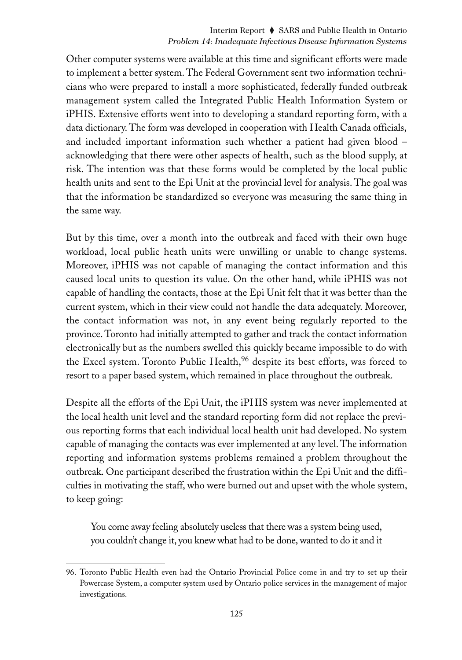#### Interim Report ♦ SARS and Public Health in Ontario *Problem 14: Inadequate Infectious Disease Information Systems*

Other computer systems were available at this time and significant efforts were made to implement a better system. The Federal Government sent two information technicians who were prepared to install a more sophisticated, federally funded outbreak management system called the Integrated Public Health Information System or iPHIS. Extensive efforts went into to developing a standard reporting form, with a data dictionary. The form was developed in cooperation with Health Canada officials, and included important information such whether a patient had given blood – acknowledging that there were other aspects of health, such as the blood supply, at risk. The intention was that these forms would be completed by the local public health units and sent to the Epi Unit at the provincial level for analysis. The goal was that the information be standardized so everyone was measuring the same thing in the same way.

But by this time, over a month into the outbreak and faced with their own huge workload, local public heath units were unwilling or unable to change systems. Moreover, iPHIS was not capable of managing the contact information and this caused local units to question its value. On the other hand, while iPHIS was not capable of handling the contacts, those at the Epi Unit felt that it was better than the current system, which in their view could not handle the data adequately. Moreover, the contact information was not, in any event being regularly reported to the province. Toronto had initially attempted to gather and track the contact information electronically but as the numbers swelled this quickly became impossible to do with the Excel system. Toronto Public Health,<sup>96</sup> despite its best efforts, was forced to resort to a paper based system, which remained in place throughout the outbreak.

Despite all the efforts of the Epi Unit, the iPHIS system was never implemented at the local health unit level and the standard reporting form did not replace the previous reporting forms that each individual local health unit had developed. No system capable of managing the contacts was ever implemented at any level. The information reporting and information systems problems remained a problem throughout the outbreak. One participant described the frustration within the Epi Unit and the difficulties in motivating the staff, who were burned out and upset with the whole system, to keep going:

You come away feeling absolutely useless that there was a system being used, you couldn't change it, you knew what had to be done, wanted to do it and it

<sup>96.</sup> Toronto Public Health even had the Ontario Provincial Police come in and try to set up their Powercase System, a computer system used by Ontario police services in the management of major investigations.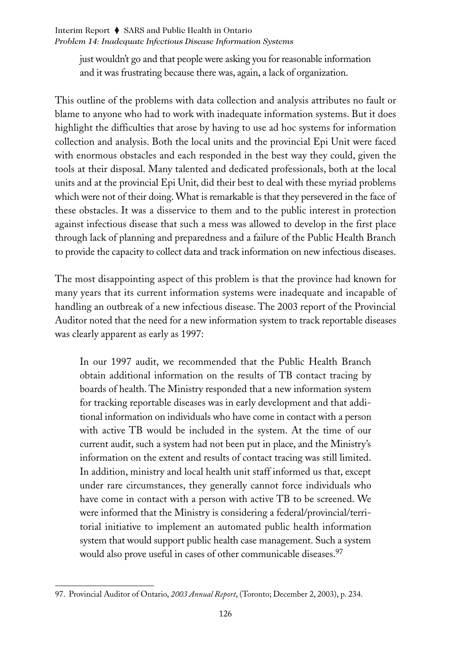just wouldn't go and that people were asking you for reasonable information and it was frustrating because there was, again, a lack of organization.

This outline of the problems with data collection and analysis attributes no fault or blame to anyone who had to work with inadequate information systems. But it does highlight the difficulties that arose by having to use ad hoc systems for information collection and analysis. Both the local units and the provincial Epi Unit were faced with enormous obstacles and each responded in the best way they could, given the tools at their disposal. Many talented and dedicated professionals, both at the local units and at the provincial Epi Unit, did their best to deal with these myriad problems which were not of their doing. What is remarkable is that they persevered in the face of these obstacles. It was a disservice to them and to the public interest in protection against infectious disease that such a mess was allowed to develop in the first place through lack of planning and preparedness and a failure of the Public Health Branch to provide the capacity to collect data and track information on new infectious diseases.

The most disappointing aspect of this problem is that the province had known for many years that its current information systems were inadequate and incapable of handling an outbreak of a new infectious disease. The 2003 report of the Provincial Auditor noted that the need for a new information system to track reportable diseases was clearly apparent as early as 1997:

In our 1997 audit, we recommended that the Public Health Branch obtain additional information on the results of TB contact tracing by boards of health. The Ministry responded that a new information system for tracking reportable diseases was in early development and that additional information on individuals who have come in contact with a person with active TB would be included in the system. At the time of our current audit, such a system had not been put in place, and the Ministry's information on the extent and results of contact tracing was still limited. In addition, ministry and local health unit staff informed us that, except under rare circumstances, they generally cannot force individuals who have come in contact with a person with active TB to be screened. We were informed that the Ministry is considering a federal/provincial/territorial initiative to implement an automated public health information system that would support public health case management. Such a system would also prove useful in cases of other communicable diseases.<sup>97</sup>

<sup>97.</sup> Provincial Auditor of Ontario, *2003 Annual Report*, (Toronto; December 2, 2003), p. 234.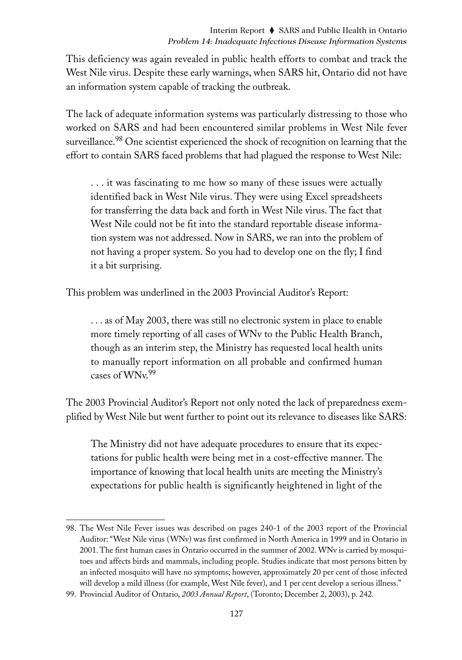This deficiency was again revealed in public health efforts to combat and track the West Nile virus. Despite these early warnings, when SARS hit, Ontario did not have an information system capable of tracking the outbreak.

The lack of adequate information systems was particularly distressing to those who worked on SARS and had been encountered similar problems in West Nile fever surveillance.<sup>98</sup> One scientist experienced the shock of recognition on learning that the effort to contain SARS faced problems that had plagued the response to West Nile:

. . . it was fascinating to me how so many of these issues were actually identified back in West Nile virus. They were using Excel spreadsheets for transferring the data back and forth in West Nile virus. The fact that West Nile could not be fit into the standard reportable disease information system was not addressed. Now in SARS, we ran into the problem of not having a proper system. So you had to develop one on the fly; I find it a bit surprising.

This problem was underlined in the 2003 Provincial Auditor's Report:

. . . as of May 2003, there was still no electronic system in place to enable more timely reporting of all cases of WNv to the Public Health Branch, though as an interim step, the Ministry has requested local health units to manually report information on all probable and confirmed human cases of WN<sub>v.</sub>99

The 2003 Provincial Auditor's Report not only noted the lack of preparedness exemplified by West Nile but went further to point out its relevance to diseases like SARS:

The Ministry did not have adequate procedures to ensure that its expectations for public health were being met in a cost-effective manner. The importance of knowing that local health units are meeting the Ministry's expectations for public health is significantly heightened in light of the

<sup>98.</sup> The West Nile Fever issues was described on pages 240-1 of the 2003 report of the Provincial Auditor: "West Nile virus (WNv) was first confirmed in North America in 1999 and in Ontario in 2001. The first human cases in Ontario occurred in the summer of 2002. WNv is carried by mosquitoes and affects birds and mammals, including people. Studies indicate that most persons bitten by an infected mosquito will have no symptoms; however, approximately 20 per cent of those infected will develop a mild illness (for example, West Nile fever), and 1 per cent develop a serious illness."

<sup>99.</sup> Provincial Auditor of Ontario, *2003 Annual Report*, (Toronto; December 2, 2003), p. 242.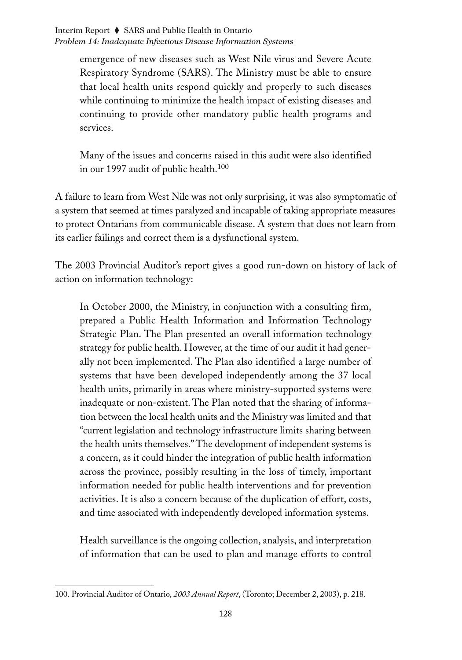emergence of new diseases such as West Nile virus and Severe Acute Respiratory Syndrome (SARS). The Ministry must be able to ensure that local health units respond quickly and properly to such diseases while continuing to minimize the health impact of existing diseases and continuing to provide other mandatory public health programs and services.

Many of the issues and concerns raised in this audit were also identified in our 1997 audit of public health.<sup>100</sup>

A failure to learn from West Nile was not only surprising, it was also symptomatic of a system that seemed at times paralyzed and incapable of taking appropriate measures to protect Ontarians from communicable disease. A system that does not learn from its earlier failings and correct them is a dysfunctional system.

The 2003 Provincial Auditor's report gives a good run-down on history of lack of action on information technology:

In October 2000, the Ministry, in conjunction with a consulting firm, prepared a Public Health Information and Information Technology Strategic Plan. The Plan presented an overall information technology strategy for public health. However, at the time of our audit it had generally not been implemented. The Plan also identified a large number of systems that have been developed independently among the 37 local health units, primarily in areas where ministry-supported systems were inadequate or non-existent. The Plan noted that the sharing of information between the local health units and the Ministry was limited and that "current legislation and technology infrastructure limits sharing between the health units themselves." The development of independent systems is a concern, as it could hinder the integration of public health information across the province, possibly resulting in the loss of timely, important information needed for public health interventions and for prevention activities. It is also a concern because of the duplication of effort, costs, and time associated with independently developed information systems.

Health surveillance is the ongoing collection, analysis, and interpretation of information that can be used to plan and manage efforts to control

<sup>100.</sup> Provincial Auditor of Ontario, *2003 Annual Report*, (Toronto; December 2, 2003), p. 218.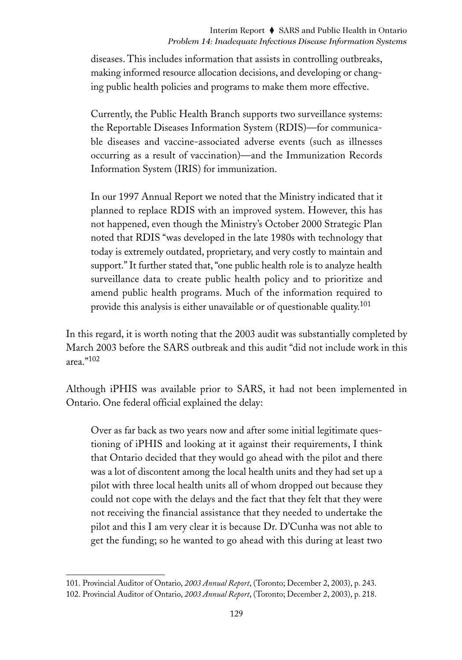diseases. This includes information that assists in controlling outbreaks, making informed resource allocation decisions, and developing or changing public health policies and programs to make them more effective.

Currently, the Public Health Branch supports two surveillance systems: the Reportable Diseases Information System (RDIS)—for communicable diseases and vaccine-associated adverse events (such as illnesses occurring as a result of vaccination)—and the Immunization Records Information System (IRIS) for immunization.

In our 1997 Annual Report we noted that the Ministry indicated that it planned to replace RDIS with an improved system. However, this has not happened, even though the Ministry's October 2000 Strategic Plan noted that RDIS "was developed in the late 1980s with technology that today is extremely outdated, proprietary, and very costly to maintain and support." It further stated that, "one public health role is to analyze health surveillance data to create public health policy and to prioritize and amend public health programs. Much of the information required to provide this analysis is either unavailable or of questionable quality.<sup>101</sup>

In this regard, it is worth noting that the 2003 audit was substantially completed by March 2003 before the SARS outbreak and this audit "did not include work in this area."102

Although iPHIS was available prior to SARS, it had not been implemented in Ontario. One federal official explained the delay:

Over as far back as two years now and after some initial legitimate questioning of iPHIS and looking at it against their requirements, I think that Ontario decided that they would go ahead with the pilot and there was a lot of discontent among the local health units and they had set up a pilot with three local health units all of whom dropped out because they could not cope with the delays and the fact that they felt that they were not receiving the financial assistance that they needed to undertake the pilot and this I am very clear it is because Dr. D'Cunha was not able to get the funding; so he wanted to go ahead with this during at least two

<sup>101.</sup> Provincial Auditor of Ontario, *2003 Annual Report*, (Toronto; December 2, 2003), p. 243.

<sup>102.</sup> Provincial Auditor of Ontario, *2003 Annual Report*, (Toronto; December 2, 2003), p. 218.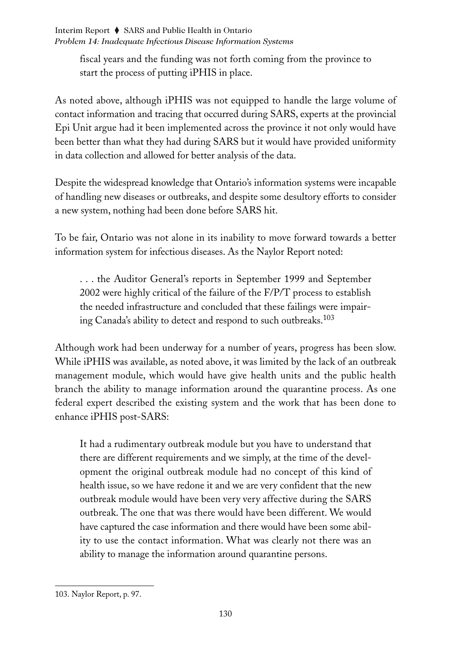fiscal years and the funding was not forth coming from the province to start the process of putting iPHIS in place.

As noted above, although iPHIS was not equipped to handle the large volume of contact information and tracing that occurred during SARS, experts at the provincial Epi Unit argue had it been implemented across the province it not only would have been better than what they had during SARS but it would have provided uniformity in data collection and allowed for better analysis of the data.

Despite the widespread knowledge that Ontario's information systems were incapable of handling new diseases or outbreaks, and despite some desultory efforts to consider a new system, nothing had been done before SARS hit.

To be fair, Ontario was not alone in its inability to move forward towards a better information system for infectious diseases. As the Naylor Report noted:

. . . the Auditor General's reports in September 1999 and September 2002 were highly critical of the failure of the F/P/T process to establish the needed infrastructure and concluded that these failings were impairing Canada's ability to detect and respond to such outbreaks.<sup>103</sup>

Although work had been underway for a number of years, progress has been slow. While iPHIS was available, as noted above, it was limited by the lack of an outbreak management module, which would have give health units and the public health branch the ability to manage information around the quarantine process. As one federal expert described the existing system and the work that has been done to enhance iPHIS post-SARS:

It had a rudimentary outbreak module but you have to understand that there are different requirements and we simply, at the time of the development the original outbreak module had no concept of this kind of health issue, so we have redone it and we are very confident that the new outbreak module would have been very very affective during the SARS outbreak. The one that was there would have been different. We would have captured the case information and there would have been some ability to use the contact information. What was clearly not there was an ability to manage the information around quarantine persons.

<sup>103.</sup> Naylor Report, p. 97.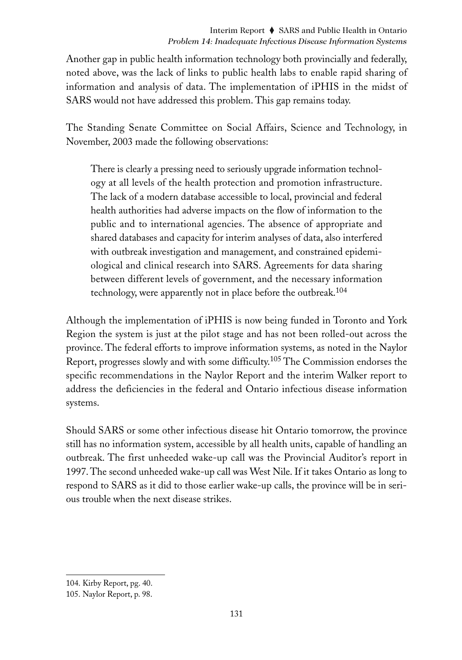## Interim Report ♦ SARS and Public Health in Ontario *Problem 14: Inadequate Infectious Disease Information Systems*

Another gap in public health information technology both provincially and federally, noted above, was the lack of links to public health labs to enable rapid sharing of information and analysis of data. The implementation of iPHIS in the midst of SARS would not have addressed this problem. This gap remains today.

The Standing Senate Committee on Social Affairs, Science and Technology, in November, 2003 made the following observations:

There is clearly a pressing need to seriously upgrade information technology at all levels of the health protection and promotion infrastructure. The lack of a modern database accessible to local, provincial and federal health authorities had adverse impacts on the flow of information to the public and to international agencies. The absence of appropriate and shared databases and capacity for interim analyses of data, also interfered with outbreak investigation and management, and constrained epidemiological and clinical research into SARS. Agreements for data sharing between different levels of government, and the necessary information technology, were apparently not in place before the outbreak.<sup>104</sup>

Although the implementation of iPHIS is now being funded in Toronto and York Region the system is just at the pilot stage and has not been rolled-out across the province. The federal efforts to improve information systems, as noted in the Naylor Report, progresses slowly and with some difficulty. <sup>105</sup> The Commission endorses the specific recommendations in the Naylor Report and the interim Walker report to address the deficiencies in the federal and Ontario infectious disease information systems.

Should SARS or some other infectious disease hit Ontario tomorrow, the province still has no information system, accessible by all health units, capable of handling an outbreak. The first unheeded wake-up call was the Provincial Auditor's report in 1997. The second unheeded wake-up call was West Nile. If it takes Ontario as long to respond to SARS as it did to those earlier wake-up calls, the province will be in serious trouble when the next disease strikes.

<sup>104.</sup> Kirby Report, pg. 40.

<sup>105.</sup> Naylor Report, p. 98.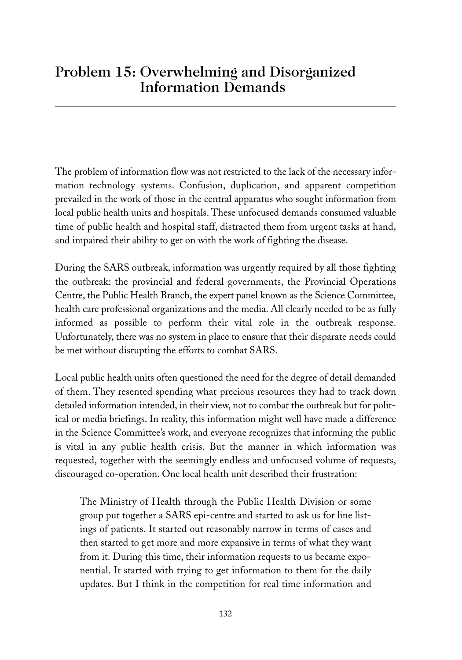# Problem 15: Overwhelming and Disorganized Information Demands

The problem of information flow was not restricted to the lack of the necessary information technology systems. Confusion, duplication, and apparent competition prevailed in the work of those in the central apparatus who sought information from local public health units and hospitals. These unfocused demands consumed valuable time of public health and hospital staff, distracted them from urgent tasks at hand, and impaired their ability to get on with the work of fighting the disease.

During the SARS outbreak, information was urgently required by all those fighting the outbreak: the provincial and federal governments, the Provincial Operations Centre, the Public Health Branch, the expert panel known as the Science Committee, health care professional organizations and the media. All clearly needed to be as fully informed as possible to perform their vital role in the outbreak response. Unfortunately, there was no system in place to ensure that their disparate needs could be met without disrupting the efforts to combat SARS.

Local public health units often questioned the need for the degree of detail demanded of them. They resented spending what precious resources they had to track down detailed information intended, in their view, not to combat the outbreak but for political or media briefings. In reality, this information might well have made a difference in the Science Committee's work, and everyone recognizes that informing the public is vital in any public health crisis. But the manner in which information was requested, together with the seemingly endless and unfocused volume of requests, discouraged co-operation. One local health unit described their frustration:

The Ministry of Health through the Public Health Division or some group put together a SARS epi-centre and started to ask us for line listings of patients. It started out reasonably narrow in terms of cases and then started to get more and more expansive in terms of what they want from it. During this time, their information requests to us became exponential. It started with trying to get information to them for the daily updates. But I think in the competition for real time information and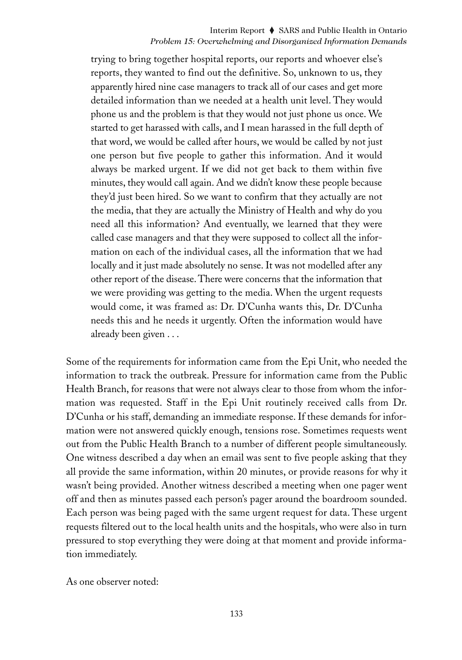#### Interim Report ♦ SARS and Public Health in Ontario *Problem 15: Overwhelming and Disorganized Information Demands*

trying to bring together hospital reports, our reports and whoever else's reports, they wanted to find out the definitive. So, unknown to us, they apparently hired nine case managers to track all of our cases and get more detailed information than we needed at a health unit level. They would phone us and the problem is that they would not just phone us once. We started to get harassed with calls, and I mean harassed in the full depth of that word, we would be called after hours, we would be called by not just one person but five people to gather this information. And it would always be marked urgent. If we did not get back to them within five minutes, they would call again. And we didn't know these people because they'd just been hired. So we want to confirm that they actually are not the media, that they are actually the Ministry of Health and why do you need all this information? And eventually, we learned that they were called case managers and that they were supposed to collect all the information on each of the individual cases, all the information that we had locally and it just made absolutely no sense. It was not modelled after any other report of the disease. There were concerns that the information that we were providing was getting to the media. When the urgent requests would come, it was framed as: Dr. D'Cunha wants this, Dr. D'Cunha needs this and he needs it urgently. Often the information would have already been given . . .

Some of the requirements for information came from the Epi Unit, who needed the information to track the outbreak. Pressure for information came from the Public Health Branch, for reasons that were not always clear to those from whom the information was requested. Staff in the Epi Unit routinely received calls from Dr. D'Cunha or his staff, demanding an immediate response. If these demands for information were not answered quickly enough, tensions rose. Sometimes requests went out from the Public Health Branch to a number of different people simultaneously. One witness described a day when an email was sent to five people asking that they all provide the same information, within 20 minutes, or provide reasons for why it wasn't being provided. Another witness described a meeting when one pager went off and then as minutes passed each person's pager around the boardroom sounded. Each person was being paged with the same urgent request for data. These urgent requests filtered out to the local health units and the hospitals, who were also in turn pressured to stop everything they were doing at that moment and provide information immediately.

As one observer noted: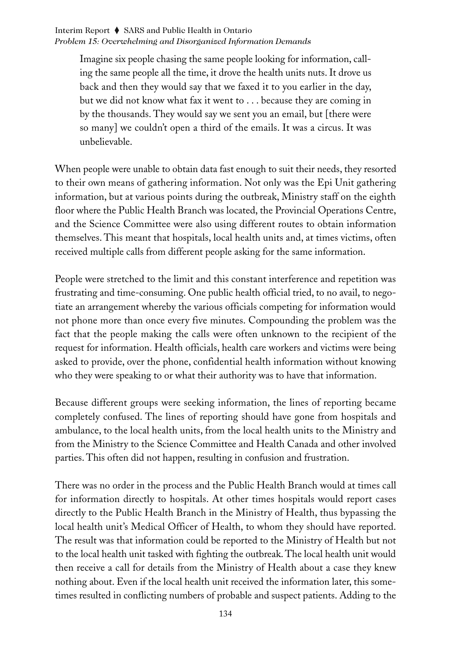Imagine six people chasing the same people looking for information, calling the same people all the time, it drove the health units nuts. It drove us back and then they would say that we faxed it to you earlier in the day, but we did not know what fax it went to . . . because they are coming in by the thousands. They would say we sent you an email, but [there were so many] we couldn't open a third of the emails. It was a circus. It was unbelievable.

When people were unable to obtain data fast enough to suit their needs, they resorted to their own means of gathering information. Not only was the Epi Unit gathering information, but at various points during the outbreak, Ministry staff on the eighth floor where the Public Health Branch was located, the Provincial Operations Centre, and the Science Committee were also using different routes to obtain information themselves. This meant that hospitals, local health units and, at times victims, often received multiple calls from different people asking for the same information.

People were stretched to the limit and this constant interference and repetition was frustrating and time-consuming. One public health official tried, to no avail, to negotiate an arrangement whereby the various officials competing for information would not phone more than once every five minutes. Compounding the problem was the fact that the people making the calls were often unknown to the recipient of the request for information. Health officials, health care workers and victims were being asked to provide, over the phone, confidential health information without knowing who they were speaking to or what their authority was to have that information.

Because different groups were seeking information, the lines of reporting became completely confused. The lines of reporting should have gone from hospitals and ambulance, to the local health units, from the local health units to the Ministry and from the Ministry to the Science Committee and Health Canada and other involved parties. This often did not happen, resulting in confusion and frustration.

There was no order in the process and the Public Health Branch would at times call for information directly to hospitals. At other times hospitals would report cases directly to the Public Health Branch in the Ministry of Health, thus bypassing the local health unit's Medical Officer of Health, to whom they should have reported. The result was that information could be reported to the Ministry of Health but not to the local health unit tasked with fighting the outbreak. The local health unit would then receive a call for details from the Ministry of Health about a case they knew nothing about. Even if the local health unit received the information later, this sometimes resulted in conflicting numbers of probable and suspect patients. Adding to the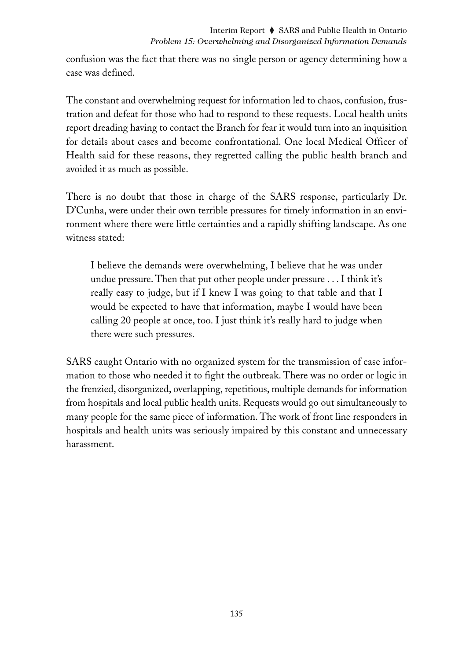confusion was the fact that there was no single person or agency determining how a case was defined.

The constant and overwhelming request for information led to chaos, confusion, frustration and defeat for those who had to respond to these requests. Local health units report dreading having to contact the Branch for fear it would turn into an inquisition for details about cases and become confrontational. One local Medical Officer of Health said for these reasons, they regretted calling the public health branch and avoided it as much as possible.

There is no doubt that those in charge of the SARS response, particularly Dr. D'Cunha, were under their own terrible pressures for timely information in an environment where there were little certainties and a rapidly shifting landscape. As one witness stated:

I believe the demands were overwhelming, I believe that he was under undue pressure. Then that put other people under pressure . . . I think it's really easy to judge, but if I knew I was going to that table and that I would be expected to have that information, maybe I would have been calling 20 people at once, too. I just think it's really hard to judge when there were such pressures.

SARS caught Ontario with no organized system for the transmission of case information to those who needed it to fight the outbreak. There was no order or logic in the frenzied, disorganized, overlapping, repetitious, multiple demands for information from hospitals and local public health units. Requests would go out simultaneously to many people for the same piece of information. The work of front line responders in hospitals and health units was seriously impaired by this constant and unnecessary harassment.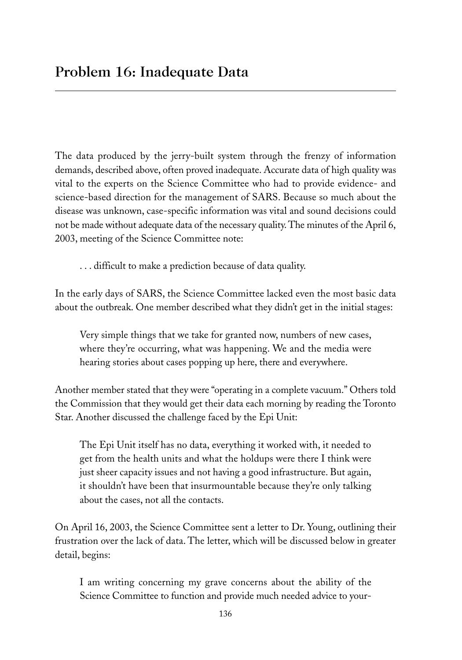The data produced by the jerry-built system through the frenzy of information demands, described above, often proved inadequate. Accurate data of high quality was vital to the experts on the Science Committee who had to provide evidence- and science-based direction for the management of SARS. Because so much about the disease was unknown, case-specific information was vital and sound decisions could not be made without adequate data of the necessary quality.The minutes of the April 6, 2003, meeting of the Science Committee note:

. . . difficult to make a prediction because of data quality.

In the early days of SARS, the Science Committee lacked even the most basic data about the outbreak. One member described what they didn't get in the initial stages:

Very simple things that we take for granted now, numbers of new cases, where they're occurring, what was happening. We and the media were hearing stories about cases popping up here, there and everywhere.

Another member stated that they were "operating in a complete vacuum." Others told the Commission that they would get their data each morning by reading the Toronto Star. Another discussed the challenge faced by the Epi Unit:

The Epi Unit itself has no data, everything it worked with, it needed to get from the health units and what the holdups were there I think were just sheer capacity issues and not having a good infrastructure. But again, it shouldn't have been that insurmountable because they're only talking about the cases, not all the contacts.

On April 16, 2003, the Science Committee sent a letter to Dr. Young, outlining their frustration over the lack of data. The letter, which will be discussed below in greater detail, begins:

I am writing concerning my grave concerns about the ability of the Science Committee to function and provide much needed advice to your-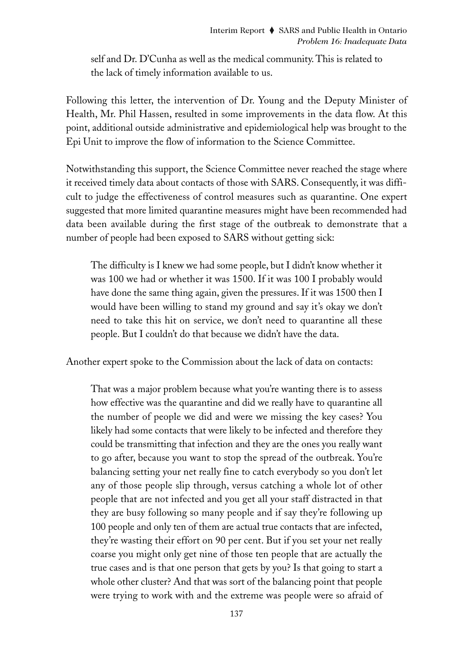self and Dr. D'Cunha as well as the medical community. This is related to the lack of timely information available to us.

Following this letter, the intervention of Dr. Young and the Deputy Minister of Health, Mr. Phil Hassen, resulted in some improvements in the data flow. At this point, additional outside administrative and epidemiological help was brought to the Epi Unit to improve the flow of information to the Science Committee.

Notwithstanding this support, the Science Committee never reached the stage where it received timely data about contacts of those with SARS. Consequently, it was difficult to judge the effectiveness of control measures such as quarantine. One expert suggested that more limited quarantine measures might have been recommended had data been available during the first stage of the outbreak to demonstrate that a number of people had been exposed to SARS without getting sick:

The difficulty is I knew we had some people, but I didn't know whether it was 100 we had or whether it was 1500. If it was 100 I probably would have done the same thing again, given the pressures. If it was 1500 then I would have been willing to stand my ground and say it's okay we don't need to take this hit on service, we don't need to quarantine all these people. But I couldn't do that because we didn't have the data.

Another expert spoke to the Commission about the lack of data on contacts:

That was a major problem because what you're wanting there is to assess how effective was the quarantine and did we really have to quarantine all the number of people we did and were we missing the key cases? You likely had some contacts that were likely to be infected and therefore they could be transmitting that infection and they are the ones you really want to go after, because you want to stop the spread of the outbreak. You're balancing setting your net really fine to catch everybody so you don't let any of those people slip through, versus catching a whole lot of other people that are not infected and you get all your staff distracted in that they are busy following so many people and if say they're following up 100 people and only ten of them are actual true contacts that are infected, they're wasting their effort on 90 per cent. But if you set your net really coarse you might only get nine of those ten people that are actually the true cases and is that one person that gets by you? Is that going to start a whole other cluster? And that was sort of the balancing point that people were trying to work with and the extreme was people were so afraid of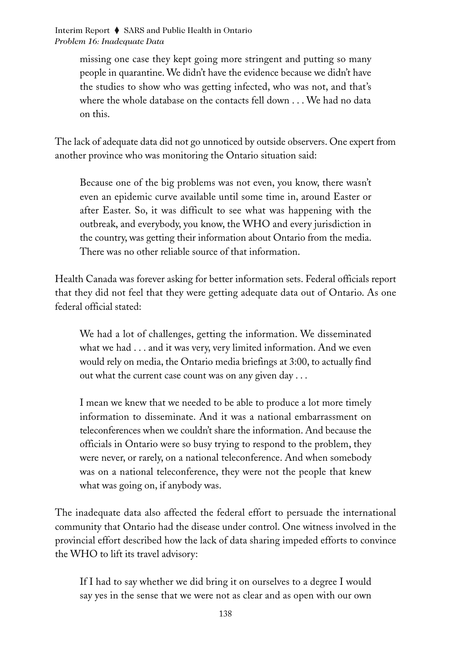Interim Report ♦ SARS and Public Health in Ontario *Problem 16: Inadequate Data*

> missing one case they kept going more stringent and putting so many people in quarantine. We didn't have the evidence because we didn't have the studies to show who was getting infected, who was not, and that's where the whole database on the contacts fell down . . . We had no data on this.

The lack of adequate data did not go unnoticed by outside observers. One expert from another province who was monitoring the Ontario situation said:

Because one of the big problems was not even, you know, there wasn't even an epidemic curve available until some time in, around Easter or after Easter. So, it was difficult to see what was happening with the outbreak, and everybody, you know, the WHO and every jurisdiction in the country, was getting their information about Ontario from the media. There was no other reliable source of that information.

Health Canada was forever asking for better information sets. Federal officials report that they did not feel that they were getting adequate data out of Ontario. As one federal official stated:

We had a lot of challenges, getting the information. We disseminated what we had . . . and it was very, very limited information. And we even would rely on media, the Ontario media briefings at 3:00, to actually find out what the current case count was on any given day . . .

I mean we knew that we needed to be able to produce a lot more timely information to disseminate. And it was a national embarrassment on teleconferences when we couldn't share the information. And because the officials in Ontario were so busy trying to respond to the problem, they were never, or rarely, on a national teleconference. And when somebody was on a national teleconference, they were not the people that knew what was going on, if anybody was.

The inadequate data also affected the federal effort to persuade the international community that Ontario had the disease under control. One witness involved in the provincial effort described how the lack of data sharing impeded efforts to convince the WHO to lift its travel advisory:

If I had to say whether we did bring it on ourselves to a degree I would say yes in the sense that we were not as clear and as open with our own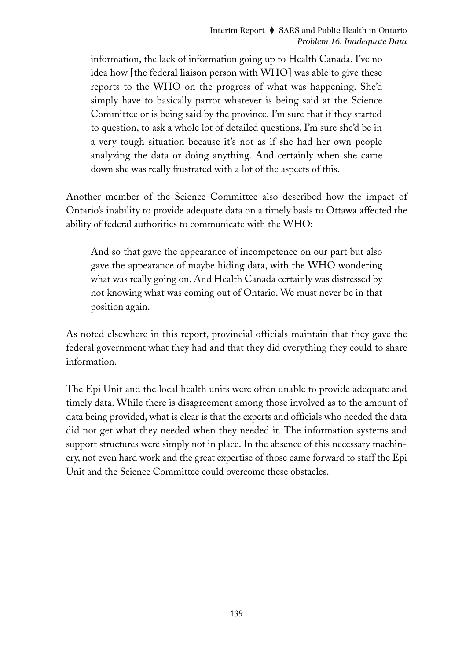information, the lack of information going up to Health Canada. I've no idea how [the federal liaison person with WHO] was able to give these reports to the WHO on the progress of what was happening. She'd simply have to basically parrot whatever is being said at the Science Committee or is being said by the province. I'm sure that if they started to question, to ask a whole lot of detailed questions, I'm sure she'd be in a very tough situation because it's not as if she had her own people analyzing the data or doing anything. And certainly when she came down she was really frustrated with a lot of the aspects of this.

Another member of the Science Committee also described how the impact of Ontario's inability to provide adequate data on a timely basis to Ottawa affected the ability of federal authorities to communicate with the WHO:

And so that gave the appearance of incompetence on our part but also gave the appearance of maybe hiding data, with the WHO wondering what was really going on. And Health Canada certainly was distressed by not knowing what was coming out of Ontario. We must never be in that position again.

As noted elsewhere in this report, provincial officials maintain that they gave the federal government what they had and that they did everything they could to share information.

The Epi Unit and the local health units were often unable to provide adequate and timely data. While there is disagreement among those involved as to the amount of data being provided, what is clear is that the experts and officials who needed the data did not get what they needed when they needed it. The information systems and support structures were simply not in place. In the absence of this necessary machinery, not even hard work and the great expertise of those came forward to staff the Epi Unit and the Science Committee could overcome these obstacles.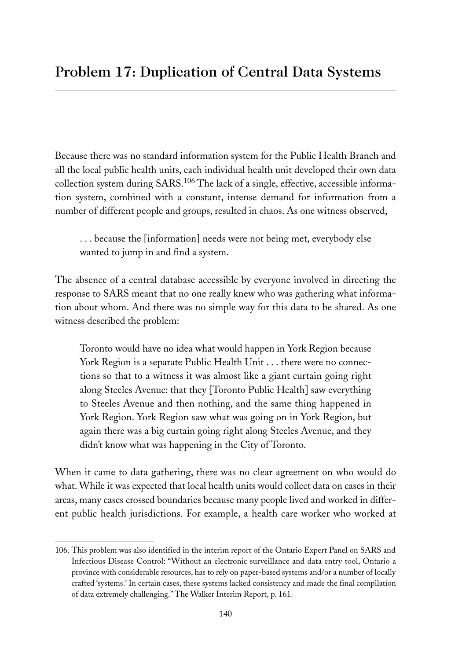Because there was no standard information system for the Public Health Branch and all the local public health units, each individual health unit developed their own data collection system during SARS.<sup>106</sup> The lack of a single, effective, accessible information system, combined with a constant, intense demand for information from a number of different people and groups, resulted in chaos. As one witness observed,

. . . because the [information] needs were not being met, everybody else wanted to jump in and find a system.

The absence of a central database accessible by everyone involved in directing the response to SARS meant that no one really knew who was gathering what information about whom. And there was no simple way for this data to be shared. As one witness described the problem:

Toronto would have no idea what would happen in York Region because York Region is a separate Public Health Unit . . . there were no connections so that to a witness it was almost like a giant curtain going right along Steeles Avenue: that they [Toronto Public Health] saw everything to Steeles Avenue and then nothing, and the same thing happened in York Region. York Region saw what was going on in York Region, but again there was a big curtain going right along Steeles Avenue, and they didn't know what was happening in the City of Toronto.

When it came to data gathering, there was no clear agreement on who would do what. While it was expected that local health units would collect data on cases in their areas, many cases crossed boundaries because many people lived and worked in different public health jurisdictions. For example, a health care worker who worked at

<sup>106.</sup> This problem was also identified in the interim report of the Ontario Expert Panel on SARS and Infectious Disease Control: "Without an electronic surveillance and data entry tool, Ontario a province with considerable resources, has to rely on paper-based systems and/or a number of locally crafted 'systems.' In certain cases, these systems lacked consistency and made the final compilation of data extremely challenging." The Walker Interim Report, p. 161.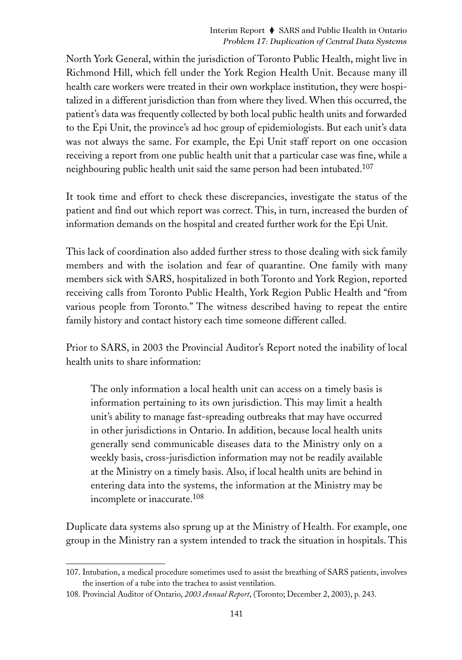North York General, within the jurisdiction of Toronto Public Health, might live in Richmond Hill, which fell under the York Region Health Unit. Because many ill health care workers were treated in their own workplace institution, they were hospitalized in a different jurisdiction than from where they lived. When this occurred, the patient's data was frequently collected by both local public health units and forwarded to the Epi Unit, the province's ad hoc group of epidemiologists. But each unit's data was not always the same. For example, the Epi Unit staff report on one occasion receiving a report from one public health unit that a particular case was fine, while a neighbouring public health unit said the same person had been intubated.<sup>107</sup>

It took time and effort to check these discrepancies, investigate the status of the patient and find out which report was correct. This, in turn, increased the burden of information demands on the hospital and created further work for the Epi Unit.

This lack of coordination also added further stress to those dealing with sick family members and with the isolation and fear of quarantine. One family with many members sick with SARS, hospitalized in both Toronto and York Region, reported receiving calls from Toronto Public Health, York Region Public Health and "from various people from Toronto." The witness described having to repeat the entire family history and contact history each time someone different called.

Prior to SARS, in 2003 the Provincial Auditor's Report noted the inability of local health units to share information:

The only information a local health unit can access on a timely basis is information pertaining to its own jurisdiction. This may limit a health unit's ability to manage fast-spreading outbreaks that may have occurred in other jurisdictions in Ontario. In addition, because local health units generally send communicable diseases data to the Ministry only on a weekly basis, cross-jurisdiction information may not be readily available at the Ministry on a timely basis. Also, if local health units are behind in entering data into the systems, the information at the Ministry may be incomplete or inaccurate.<sup>108</sup>

Duplicate data systems also sprung up at the Ministry of Health. For example, one group in the Ministry ran a system intended to track the situation in hospitals. This

<sup>107.</sup> Intubation, a medical procedure sometimes used to assist the breathing of SARS patients, involves the insertion of a tube into the trachea to assist ventilation.

<sup>108.</sup> Provincial Auditor of Ontario, *2003 Annual Report*, (Toronto; December 2, 2003), p. 243.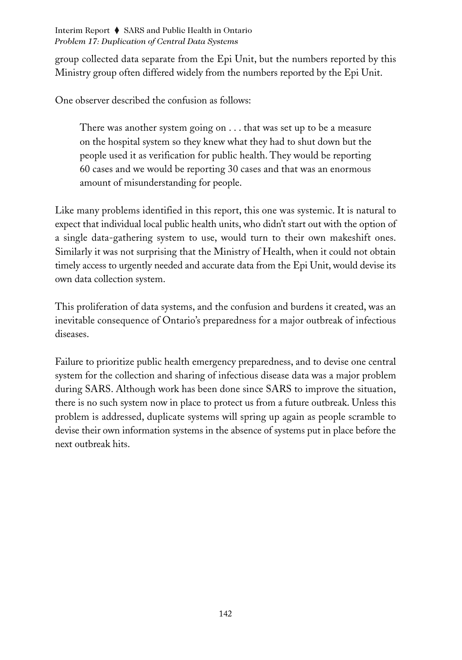Interim Report ♦ SARS and Public Health in Ontario *Problem 17: Duplication of Central Data Systems*

group collected data separate from the Epi Unit, but the numbers reported by this Ministry group often differed widely from the numbers reported by the Epi Unit.

One observer described the confusion as follows:

There was another system going on . . . that was set up to be a measure on the hospital system so they knew what they had to shut down but the people used it as verification for public health. They would be reporting 60 cases and we would be reporting 30 cases and that was an enormous amount of misunderstanding for people.

Like many problems identified in this report, this one was systemic. It is natural to expect that individual local public health units, who didn't start out with the option of a single data-gathering system to use, would turn to their own makeshift ones. Similarly it was not surprising that the Ministry of Health, when it could not obtain timely access to urgently needed and accurate data from the Epi Unit, would devise its own data collection system.

This proliferation of data systems, and the confusion and burdens it created, was an inevitable consequence of Ontario's preparedness for a major outbreak of infectious diseases.

Failure to prioritize public health emergency preparedness, and to devise one central system for the collection and sharing of infectious disease data was a major problem during SARS. Although work has been done since SARS to improve the situation, there is no such system now in place to protect us from a future outbreak. Unless this problem is addressed, duplicate systems will spring up again as people scramble to devise their own information systems in the absence of systems put in place before the next outbreak hits.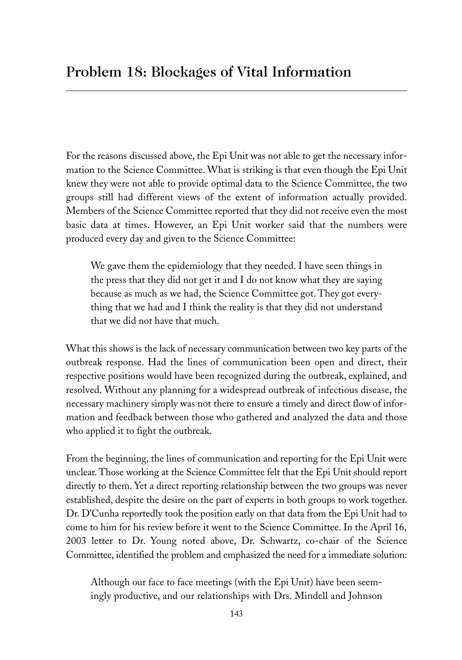For the reasons discussed above, the Epi Unit was not able to get the necessary information to the Science Committee. What is striking is that even though the Epi Unit knew they were not able to provide optimal data to the Science Committee, the two groups still had different views of the extent of information actually provided. Members of the Science Committee reported that they did not receive even the most basic data at times. However, an Epi Unit worker said that the numbers were produced every day and given to the Science Committee:

We gave them the epidemiology that they needed. I have seen things in the press that they did not get it and I do not know what they are saying because as much as we had, the Science Committee got. They got everything that we had and I think the reality is that they did not understand that we did not have that much.

What this shows is the lack of necessary communication between two key parts of the outbreak response. Had the lines of communication been open and direct, their respective positions would have been recognized during the outbreak, explained, and resolved. Without any planning for a widespread outbreak of infectious disease, the necessary machinery simply was not there to ensure a timely and direct flow of information and feedback between those who gathered and analyzed the data and those who applied it to fight the outbreak.

From the beginning, the lines of communication and reporting for the Epi Unit were unclear. Those working at the Science Committee felt that the Epi Unit should report directly to them. Yet a direct reporting relationship between the two groups was never established, despite the desire on the part of experts in both groups to work together. Dr. D'Cunha reportedly took the position early on that data from the Epi Unit had to come to him for his review before it went to the Science Committee. In the April 16, 2003 letter to Dr. Young noted above, Dr. Schwartz, co-chair of the Science Committee, identified the problem and emphasized the need for a immediate solution:

Although our face to face meetings (with the Epi Unit) have been seemingly productive, and our relationships with Drs. Mindell and Johnson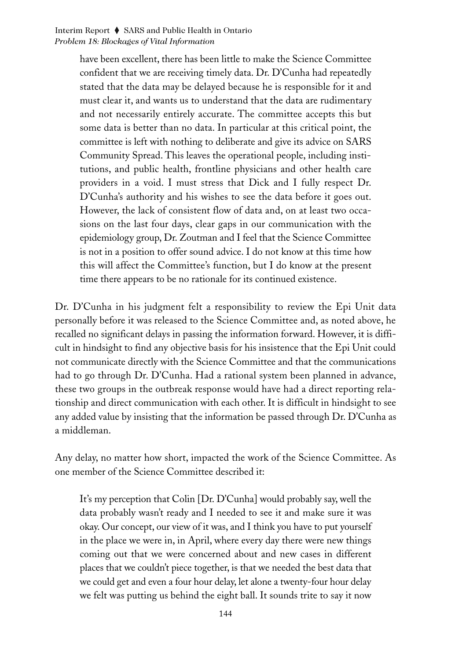have been excellent, there has been little to make the Science Committee confident that we are receiving timely data. Dr. D'Cunha had repeatedly stated that the data may be delayed because he is responsible for it and must clear it, and wants us to understand that the data are rudimentary and not necessarily entirely accurate. The committee accepts this but some data is better than no data. In particular at this critical point, the committee is left with nothing to deliberate and give its advice on SARS Community Spread. This leaves the operational people, including institutions, and public health, frontline physicians and other health care providers in a void. I must stress that Dick and I fully respect Dr. D'Cunha's authority and his wishes to see the data before it goes out. However, the lack of consistent flow of data and, on at least two occasions on the last four days, clear gaps in our communication with the epidemiology group, Dr. Zoutman and I feel that the Science Committee is not in a position to offer sound advice. I do not know at this time how this will affect the Committee's function, but I do know at the present time there appears to be no rationale for its continued existence.

Dr. D'Cunha in his judgment felt a responsibility to review the Epi Unit data personally before it was released to the Science Committee and, as noted above, he recalled no significant delays in passing the information forward. However, it is difficult in hindsight to find any objective basis for his insistence that the Epi Unit could not communicate directly with the Science Committee and that the communications had to go through Dr. D'Cunha. Had a rational system been planned in advance, these two groups in the outbreak response would have had a direct reporting relationship and direct communication with each other. It is difficult in hindsight to see any added value by insisting that the information be passed through Dr. D'Cunha as a middleman.

Any delay, no matter how short, impacted the work of the Science Committee. As one member of the Science Committee described it:

It's my perception that Colin [Dr. D'Cunha] would probably say, well the data probably wasn't ready and I needed to see it and make sure it was okay. Our concept, our view of it was, and I think you have to put yourself in the place we were in, in April, where every day there were new things coming out that we were concerned about and new cases in different places that we couldn't piece together, is that we needed the best data that we could get and even a four hour delay, let alone a twenty-four hour delay we felt was putting us behind the eight ball. It sounds trite to say it now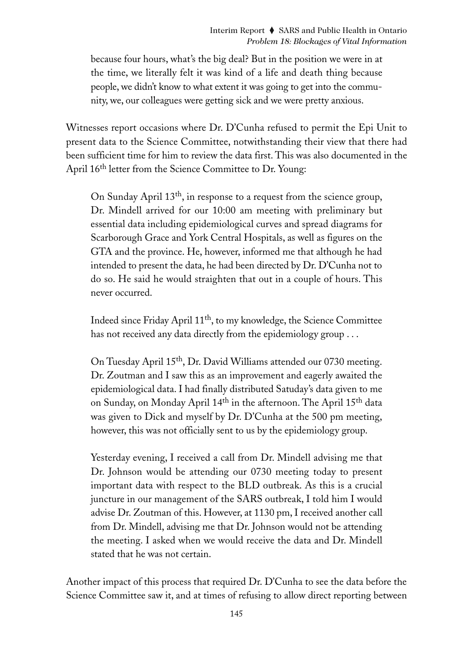because four hours, what's the big deal? But in the position we were in at the time, we literally felt it was kind of a life and death thing because people, we didn't know to what extent it was going to get into the community, we, our colleagues were getting sick and we were pretty anxious.

Witnesses report occasions where Dr. D'Cunha refused to permit the Epi Unit to present data to the Science Committee, notwithstanding their view that there had been sufficient time for him to review the data first. This was also documented in the April 16<sup>th</sup> letter from the Science Committee to Dr. Young:

On Sunday April 13th, in response to a request from the science group, Dr. Mindell arrived for our 10:00 am meeting with preliminary but essential data including epidemiological curves and spread diagrams for Scarborough Grace and York Central Hospitals, as well as figures on the GTA and the province. He, however, informed me that although he had intended to present the data, he had been directed by Dr. D'Cunha not to do so. He said he would straighten that out in a couple of hours. This never occurred.

Indeed since Friday April 11th, to my knowledge, the Science Committee has not received any data directly from the epidemiology group . . .

On Tuesday April 15th, Dr. David Williams attended our 0730 meeting. Dr. Zoutman and I saw this as an improvement and eagerly awaited the epidemiological data. I had finally distributed Satuday's data given to me on Sunday, on Monday April 14<sup>th</sup> in the afternoon. The April 15<sup>th</sup> data was given to Dick and myself by Dr. D'Cunha at the 500 pm meeting, however, this was not officially sent to us by the epidemiology group.

Yesterday evening, I received a call from Dr. Mindell advising me that Dr. Johnson would be attending our 0730 meeting today to present important data with respect to the BLD outbreak. As this is a crucial juncture in our management of the SARS outbreak, I told him I would advise Dr. Zoutman of this. However, at 1130 pm, I received another call from Dr. Mindell, advising me that Dr. Johnson would not be attending the meeting. I asked when we would receive the data and Dr. Mindell stated that he was not certain.

Another impact of this process that required Dr. D'Cunha to see the data before the Science Committee saw it, and at times of refusing to allow direct reporting between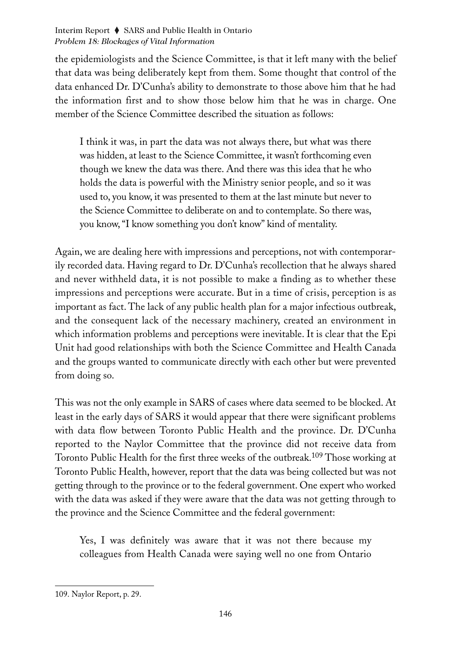### Interim Report ♦ SARS and Public Health in Ontario *Problem 18: Blockages of Vital Information*

the epidemiologists and the Science Committee, is that it left many with the belief that data was being deliberately kept from them. Some thought that control of the data enhanced Dr. D'Cunha's ability to demonstrate to those above him that he had the information first and to show those below him that he was in charge. One member of the Science Committee described the situation as follows:

I think it was, in part the data was not always there, but what was there was hidden, at least to the Science Committee, it wasn't forthcoming even though we knew the data was there. And there was this idea that he who holds the data is powerful with the Ministry senior people, and so it was used to, you know, it was presented to them at the last minute but never to the Science Committee to deliberate on and to contemplate. So there was, you know, "I know something you don't know" kind of mentality.

Again, we are dealing here with impressions and perceptions, not with contemporarily recorded data. Having regard to Dr. D'Cunha's recollection that he always shared and never withheld data, it is not possible to make a finding as to whether these impressions and perceptions were accurate. But in a time of crisis, perception is as important as fact. The lack of any public health plan for a major infectious outbreak, and the consequent lack of the necessary machinery, created an environment in which information problems and perceptions were inevitable. It is clear that the Epi Unit had good relationships with both the Science Committee and Health Canada and the groups wanted to communicate directly with each other but were prevented from doing so.

This was not the only example in SARS of cases where data seemed to be blocked. At least in the early days of SARS it would appear that there were significant problems with data flow between Toronto Public Health and the province. Dr. D'Cunha reported to the Naylor Committee that the province did not receive data from Toronto Public Health for the first three weeks of the outbreak.109 Those working at Toronto Public Health, however, report that the data was being collected but was not getting through to the province or to the federal government. One expert who worked with the data was asked if they were aware that the data was not getting through to the province and the Science Committee and the federal government:

Yes, I was definitely was aware that it was not there because my colleagues from Health Canada were saying well no one from Ontario

<sup>109.</sup> Naylor Report, p. 29.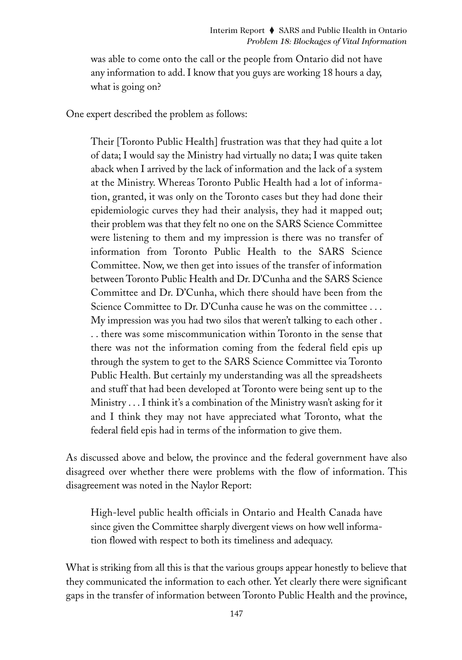was able to come onto the call or the people from Ontario did not have any information to add. I know that you guys are working 18 hours a day, what is going on?

One expert described the problem as follows:

Their [Toronto Public Health] frustration was that they had quite a lot of data; I would say the Ministry had virtually no data; I was quite taken aback when I arrived by the lack of information and the lack of a system at the Ministry. Whereas Toronto Public Health had a lot of information, granted, it was only on the Toronto cases but they had done their epidemiologic curves they had their analysis, they had it mapped out; their problem was that they felt no one on the SARS Science Committee were listening to them and my impression is there was no transfer of information from Toronto Public Health to the SARS Science Committee. Now, we then get into issues of the transfer of information between Toronto Public Health and Dr. D'Cunha and the SARS Science Committee and Dr. D'Cunha, which there should have been from the Science Committee to Dr. D'Cunha cause he was on the committee ... My impression was you had two silos that weren't talking to each other . . . there was some miscommunication within Toronto in the sense that there was not the information coming from the federal field epis up through the system to get to the SARS Science Committee via Toronto Public Health. But certainly my understanding was all the spreadsheets and stuff that had been developed at Toronto were being sent up to the Ministry . . . I think it's a combination of the Ministry wasn't asking for it and I think they may not have appreciated what Toronto, what the federal field epis had in terms of the information to give them.

As discussed above and below, the province and the federal government have also disagreed over whether there were problems with the flow of information. This disagreement was noted in the Naylor Report:

High-level public health officials in Ontario and Health Canada have since given the Committee sharply divergent views on how well information flowed with respect to both its timeliness and adequacy.

What is striking from all this is that the various groups appear honestly to believe that they communicated the information to each other. Yet clearly there were significant gaps in the transfer of information between Toronto Public Health and the province,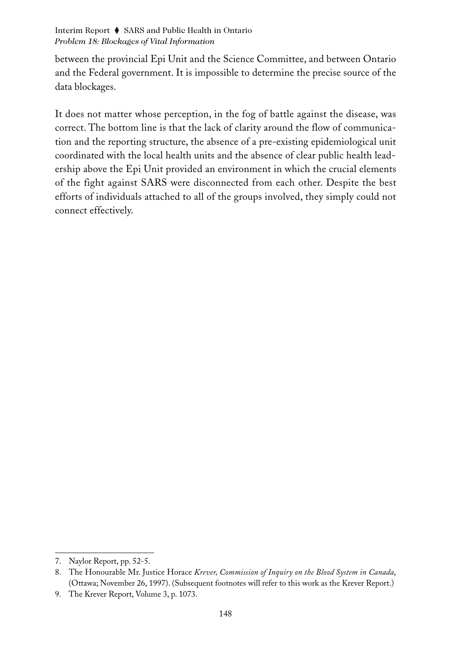Interim Report ♦ SARS and Public Health in Ontario *Problem 18: Blockages of Vital Information*

between the provincial Epi Unit and the Science Committee, and between Ontario and the Federal government. It is impossible to determine the precise source of the data blockages.

It does not matter whose perception, in the fog of battle against the disease, was correct. The bottom line is that the lack of clarity around the flow of communication and the reporting structure, the absence of a pre-existing epidemiological unit coordinated with the local health units and the absence of clear public health leadership above the Epi Unit provided an environment in which the crucial elements of the fight against SARS were disconnected from each other. Despite the best efforts of individuals attached to all of the groups involved, they simply could not connect effectively.

<sup>7.</sup> Naylor Report, pp. 52-5.

<sup>8.</sup> The Honourable Mr. Justice Horace *Krever, Commission of Inquiry on the Blood System in Canada*, (Ottawa; November 26, 1997). (Subsequent footnotes will refer to this work as the Krever Report.)

<sup>9.</sup> The Krever Report, Volume 3, p. 1073.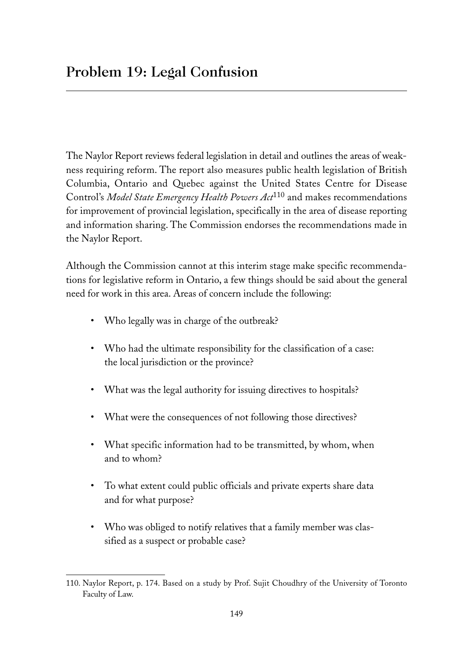The Naylor Report reviews federal legislation in detail and outlines the areas of weakness requiring reform. The report also measures public health legislation of British Columbia, Ontario and Quebec against the United States Centre for Disease Control's *Model State Emergency Health Powers Act*<sup>110</sup> and makes recommendations for improvement of provincial legislation, specifically in the area of disease reporting and information sharing. The Commission endorses the recommendations made in the Naylor Report.

Although the Commission cannot at this interim stage make specific recommendations for legislative reform in Ontario, a few things should be said about the general need for work in this area. Areas of concern include the following:

- Who legally was in charge of the outbreak?
- Who had the ultimate responsibility for the classification of a case: the local jurisdiction or the province?
- What was the legal authority for issuing directives to hospitals?
- What were the consequences of not following those directives?
- What specific information had to be transmitted, by whom, when and to whom?
- To what extent could public officials and private experts share data and for what purpose?
- Who was obliged to notify relatives that a family member was classified as a suspect or probable case?

<sup>110.</sup> Naylor Report, p. 174. Based on a study by Prof. Sujit Choudhry of the University of Toronto Faculty of Law.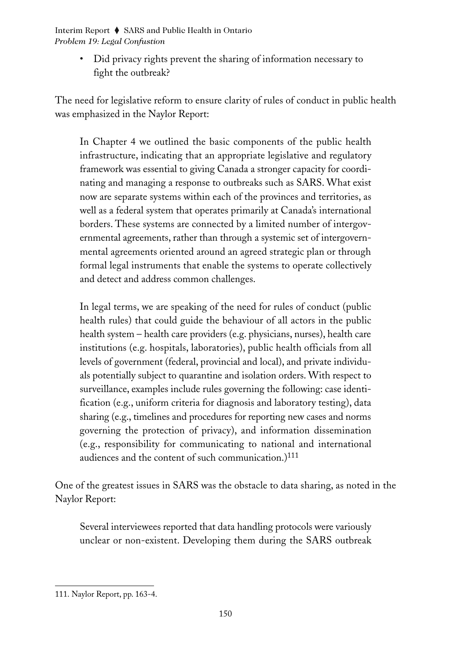Interim Report ♦ SARS and Public Health in Ontario *Problem 19: Legal Confustion*

> • Did privacy rights prevent the sharing of information necessary to fight the outbreak?

The need for legislative reform to ensure clarity of rules of conduct in public health was emphasized in the Naylor Report:

In Chapter 4 we outlined the basic components of the public health infrastructure, indicating that an appropriate legislative and regulatory framework was essential to giving Canada a stronger capacity for coordinating and managing a response to outbreaks such as SARS. What exist now are separate systems within each of the provinces and territories, as well as a federal system that operates primarily at Canada's international borders. These systems are connected by a limited number of intergovernmental agreements, rather than through a systemic set of intergovernmental agreements oriented around an agreed strategic plan or through formal legal instruments that enable the systems to operate collectively and detect and address common challenges.

In legal terms, we are speaking of the need for rules of conduct (public health rules) that could guide the behaviour of all actors in the public health system – health care providers (e.g. physicians, nurses), health care institutions (e.g. hospitals, laboratories), public health officials from all levels of government (federal, provincial and local), and private individuals potentially subject to quarantine and isolation orders. With respect to surveillance, examples include rules governing the following: case identification (e.g., uniform criteria for diagnosis and laboratory testing), data sharing (e.g., timelines and procedures for reporting new cases and norms governing the protection of privacy), and information dissemination (e.g., responsibility for communicating to national and international audiences and the content of such communication.)<sup>111</sup>

One of the greatest issues in SARS was the obstacle to data sharing, as noted in the Naylor Report:

Several interviewees reported that data handling protocols were variously unclear or non-existent. Developing them during the SARS outbreak

<sup>111.</sup> Naylor Report, pp. 163-4.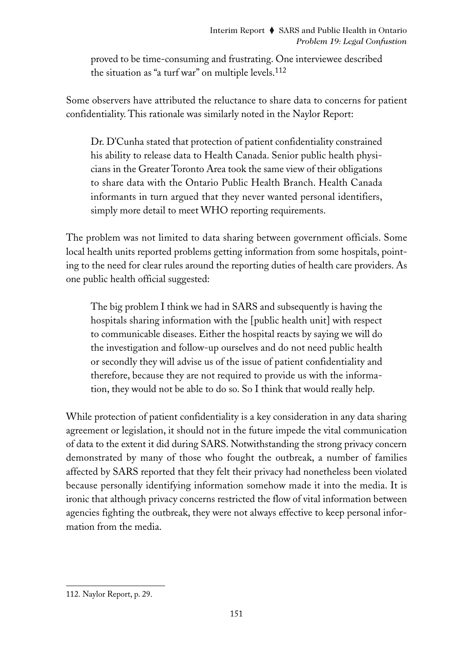proved to be time-consuming and frustrating. One interviewee described the situation as "a turf war" on multiple levels.<sup>112</sup>

Some observers have attributed the reluctance to share data to concerns for patient confidentiality. This rationale was similarly noted in the Naylor Report:

Dr. D'Cunha stated that protection of patient confidentiality constrained his ability to release data to Health Canada. Senior public health physicians in the Greater Toronto Area took the same view of their obligations to share data with the Ontario Public Health Branch. Health Canada informants in turn argued that they never wanted personal identifiers, simply more detail to meet WHO reporting requirements.

The problem was not limited to data sharing between government officials. Some local health units reported problems getting information from some hospitals, pointing to the need for clear rules around the reporting duties of health care providers. As one public health official suggested:

The big problem I think we had in SARS and subsequently is having the hospitals sharing information with the [public health unit] with respect to communicable diseases. Either the hospital reacts by saying we will do the investigation and follow-up ourselves and do not need public health or secondly they will advise us of the issue of patient confidentiality and therefore, because they are not required to provide us with the information, they would not be able to do so. So I think that would really help.

While protection of patient confidentiality is a key consideration in any data sharing agreement or legislation, it should not in the future impede the vital communication of data to the extent it did during SARS. Notwithstanding the strong privacy concern demonstrated by many of those who fought the outbreak, a number of families affected by SARS reported that they felt their privacy had nonetheless been violated because personally identifying information somehow made it into the media. It is ironic that although privacy concerns restricted the flow of vital information between agencies fighting the outbreak, they were not always effective to keep personal information from the media.

<sup>112.</sup> Naylor Report, p. 29.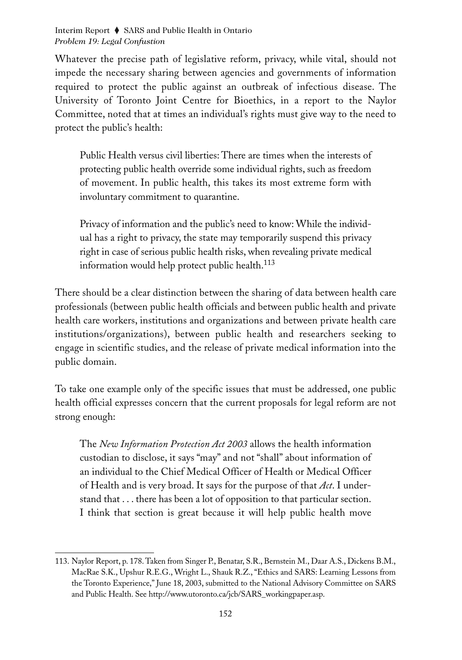Interim Report ♦ SARS and Public Health in Ontario *Problem 19: Legal Confustion*

Whatever the precise path of legislative reform, privacy, while vital, should not impede the necessary sharing between agencies and governments of information required to protect the public against an outbreak of infectious disease. The University of Toronto Joint Centre for Bioethics, in a report to the Naylor Committee, noted that at times an individual's rights must give way to the need to protect the public's health:

Public Health versus civil liberties: There are times when the interests of protecting public health override some individual rights, such as freedom of movement. In public health, this takes its most extreme form with involuntary commitment to quarantine.

Privacy of information and the public's need to know: While the individual has a right to privacy, the state may temporarily suspend this privacy right in case of serious public health risks, when revealing private medical information would help protect public health. $113$ 

There should be a clear distinction between the sharing of data between health care professionals (between public health officials and between public health and private health care workers, institutions and organizations and between private health care institutions/organizations), between public health and researchers seeking to engage in scientific studies, and the release of private medical information into the public domain.

To take one example only of the specific issues that must be addressed, one public health official expresses concern that the current proposals for legal reform are not strong enough:

The *New Information Protection Act 2003* allows the health information custodian to disclose, it says "may" and not "shall" about information of an individual to the Chief Medical Officer of Health or Medical Officer of Health and is very broad. It says for the purpose of that *Act*. I understand that . . . there has been a lot of opposition to that particular section. I think that section is great because it will help public health move

<sup>113.</sup> Naylor Report, p. 178. Taken from Singer P., Benatar, S.R., Bernstein M., Daar A.S., Dickens B.M., MacRae S.K., Upshur R.E.G., Wright L., Shauk R.Z., "Ethics and SARS: Learning Lessons from the Toronto Experience," June 18, 2003, submitted to the National Advisory Committee on SARS and Public Health. See http://www.utoronto.ca/jcb/SARS\_workingpaper.asp.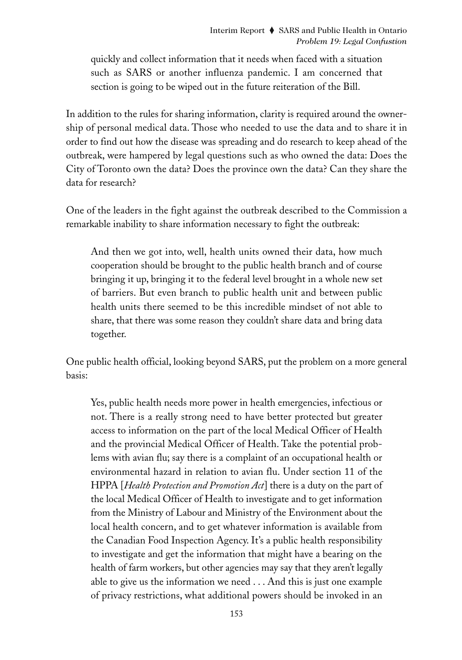quickly and collect information that it needs when faced with a situation such as SARS or another influenza pandemic. I am concerned that section is going to be wiped out in the future reiteration of the Bill.

In addition to the rules for sharing information, clarity is required around the ownership of personal medical data. Those who needed to use the data and to share it in order to find out how the disease was spreading and do research to keep ahead of the outbreak, were hampered by legal questions such as who owned the data: Does the City of Toronto own the data? Does the province own the data? Can they share the data for research?

One of the leaders in the fight against the outbreak described to the Commission a remarkable inability to share information necessary to fight the outbreak:

And then we got into, well, health units owned their data, how much cooperation should be brought to the public health branch and of course bringing it up, bringing it to the federal level brought in a whole new set of barriers. But even branch to public health unit and between public health units there seemed to be this incredible mindset of not able to share, that there was some reason they couldn't share data and bring data together.

One public health official, looking beyond SARS, put the problem on a more general basis:

Yes, public health needs more power in health emergencies, infectious or not. There is a really strong need to have better protected but greater access to information on the part of the local Medical Officer of Health and the provincial Medical Officer of Health. Take the potential problems with avian flu; say there is a complaint of an occupational health or environmental hazard in relation to avian flu. Under section 11 of the HPPA [*Health Protection and Promotion Act*] there is a duty on the part of the local Medical Officer of Health to investigate and to get information from the Ministry of Labour and Ministry of the Environment about the local health concern, and to get whatever information is available from the Canadian Food Inspection Agency. It's a public health responsibility to investigate and get the information that might have a bearing on the health of farm workers, but other agencies may say that they aren't legally able to give us the information we need . . . And this is just one example of privacy restrictions, what additional powers should be invoked in an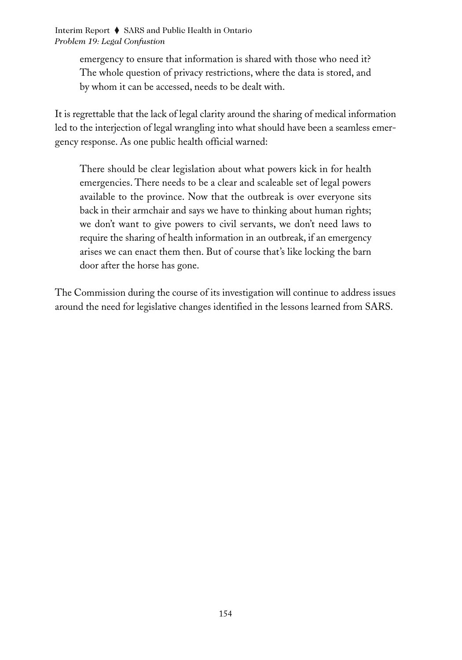Interim Report ♦ SARS and Public Health in Ontario *Problem 19: Legal Confustion*

> emergency to ensure that information is shared with those who need it? The whole question of privacy restrictions, where the data is stored, and by whom it can be accessed, needs to be dealt with.

It is regrettable that the lack of legal clarity around the sharing of medical information led to the interjection of legal wrangling into what should have been a seamless emergency response. As one public health official warned:

There should be clear legislation about what powers kick in for health emergencies. There needs to be a clear and scaleable set of legal powers available to the province. Now that the outbreak is over everyone sits back in their armchair and says we have to thinking about human rights; we don't want to give powers to civil servants, we don't need laws to require the sharing of health information in an outbreak, if an emergency arises we can enact them then. But of course that's like locking the barn door after the horse has gone.

The Commission during the course of its investigation will continue to address issues around the need for legislative changes identified in the lessons learned from SARS.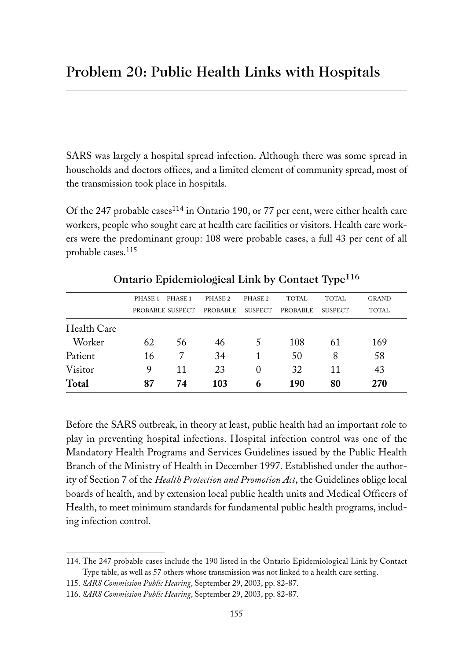SARS was largely a hospital spread infection. Although there was some spread in households and doctors offices, and a limited element of community spread, most of the transmission took place in hospitals.

Of the 247 probable cases<sup>114</sup> in Ontario 190, or 77 per cent, were either health care workers, people who sought care at health care facilities or visitors. Health care workers were the predominant group: 108 were probable cases, a full 43 per cent of all probable cases.115

|              | $PHASE 1 - PHASE 1 -$ |    | $PHASE 2 -$ | $PHASE 2-$     | TOTAL           | <b>TOTAL</b>   | <b>GRAND</b> |
|--------------|-----------------------|----|-------------|----------------|-----------------|----------------|--------------|
|              | PROBABLE SUSPECT      |    | PROBABLE    | <b>SUSPECT</b> | <b>PROBABLE</b> | <b>SUSPECT</b> | <b>TOTAL</b> |
| Health Care  |                       |    |             |                |                 |                |              |
| Worker       | 62                    | 56 | 46          | 5              | 108             | 61             | 169          |
| Patient      | 16                    | 7  | 34          |                | 50              | 8              | 58           |
| Visitor      | 9                     | 11 | 23          | $\Omega$       | 32              | 11             | 43           |
| <b>Total</b> | 87                    | 74 | 103         | 6              | 190             | 80             | 270          |

## Ontario Epidemiological Link by Contact Type<sup>116</sup>

Before the SARS outbreak, in theory at least, public health had an important role to play in preventing hospital infections. Hospital infection control was one of the Mandatory Health Programs and Services Guidelines issued by the Public Health Branch of the Ministry of Health in December 1997. Established under the authority of Section 7 of the *Health Protection and Promotion Act*, the Guidelines oblige local boards of health, and by extension local public health units and Medical Officers of Health, to meet minimum standards for fundamental public health programs, including infection control.

<sup>114.</sup> The 247 probable cases include the 190 listed in the Ontario Epidemiological Link by Contact Type table, as well as 57 others whose transmission was not linked to a health care setting.

<sup>115.</sup> *SARS Commission Public Hearing*, September 29, 2003, pp. 82-87.

<sup>116.</sup> *SARS Commission Public Hearing*, September 29, 2003, pp. 82-87.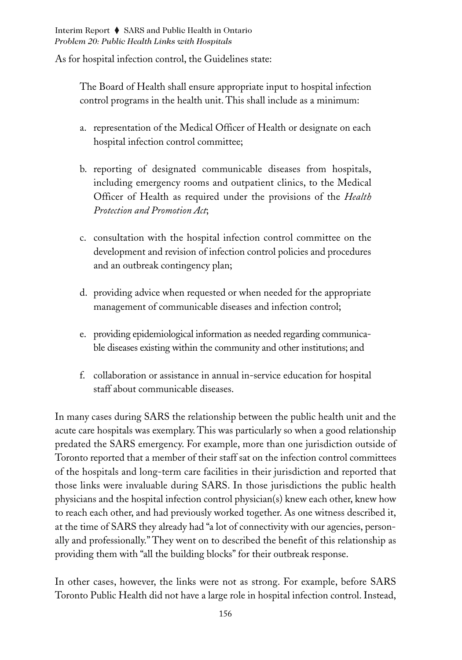As for hospital infection control, the Guidelines state:

The Board of Health shall ensure appropriate input to hospital infection control programs in the health unit. This shall include as a minimum:

- a. representation of the Medical Officer of Health or designate on each hospital infection control committee;
- b. reporting of designated communicable diseases from hospitals, including emergency rooms and outpatient clinics, to the Medical Officer of Health as required under the provisions of the *Health Protection and Promotion Act*;
- c. consultation with the hospital infection control committee on the development and revision of infection control policies and procedures and an outbreak contingency plan;
- d. providing advice when requested or when needed for the appropriate management of communicable diseases and infection control;
- e. providing epidemiological information as needed regarding communicable diseases existing within the community and other institutions; and
- f. collaboration or assistance in annual in-service education for hospital staff about communicable diseases.

In many cases during SARS the relationship between the public health unit and the acute care hospitals was exemplary. This was particularly so when a good relationship predated the SARS emergency. For example, more than one jurisdiction outside of Toronto reported that a member of their staff sat on the infection control committees of the hospitals and long-term care facilities in their jurisdiction and reported that those links were invaluable during SARS. In those jurisdictions the public health physicians and the hospital infection control physician(s) knew each other, knew how to reach each other, and had previously worked together. As one witness described it, at the time of SARS they already had "a lot of connectivity with our agencies, personally and professionally." They went on to described the benefit of this relationship as providing them with "all the building blocks" for their outbreak response.

In other cases, however, the links were not as strong. For example, before SARS Toronto Public Health did not have a large role in hospital infection control. Instead,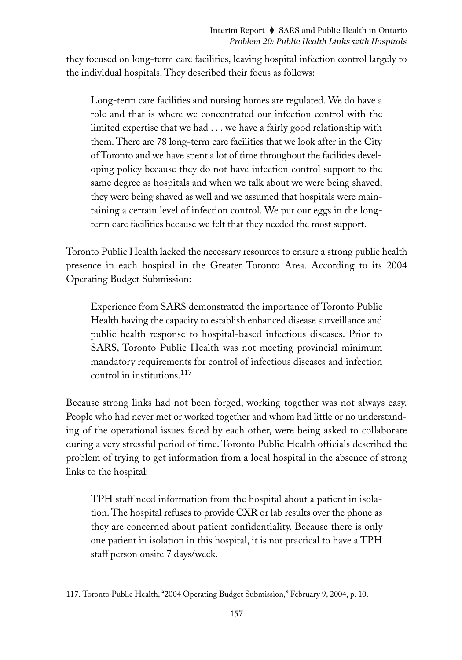they focused on long-term care facilities, leaving hospital infection control largely to the individual hospitals. They described their focus as follows:

Long-term care facilities and nursing homes are regulated. We do have a role and that is where we concentrated our infection control with the limited expertise that we had . . . we have a fairly good relationship with them. There are 78 long-term care facilities that we look after in the City of Toronto and we have spent a lot of time throughout the facilities developing policy because they do not have infection control support to the same degree as hospitals and when we talk about we were being shaved, they were being shaved as well and we assumed that hospitals were maintaining a certain level of infection control. We put our eggs in the longterm care facilities because we felt that they needed the most support.

Toronto Public Health lacked the necessary resources to ensure a strong public health presence in each hospital in the Greater Toronto Area. According to its 2004 Operating Budget Submission:

Experience from SARS demonstrated the importance of Toronto Public Health having the capacity to establish enhanced disease surveillance and public health response to hospital-based infectious diseases. Prior to SARS, Toronto Public Health was not meeting provincial minimum mandatory requirements for control of infectious diseases and infection control in institutions.117

Because strong links had not been forged, working together was not always easy. People who had never met or worked together and whom had little or no understanding of the operational issues faced by each other, were being asked to collaborate during a very stressful period of time. Toronto Public Health officials described the problem of trying to get information from a local hospital in the absence of strong links to the hospital:

TPH staff need information from the hospital about a patient in isolation. The hospital refuses to provide CXR or lab results over the phone as they are concerned about patient confidentiality. Because there is only one patient in isolation in this hospital, it is not practical to have a TPH staff person onsite 7 days/week.

<sup>117.</sup> Toronto Public Health, "2004 Operating Budget Submission," February 9, 2004, p. 10.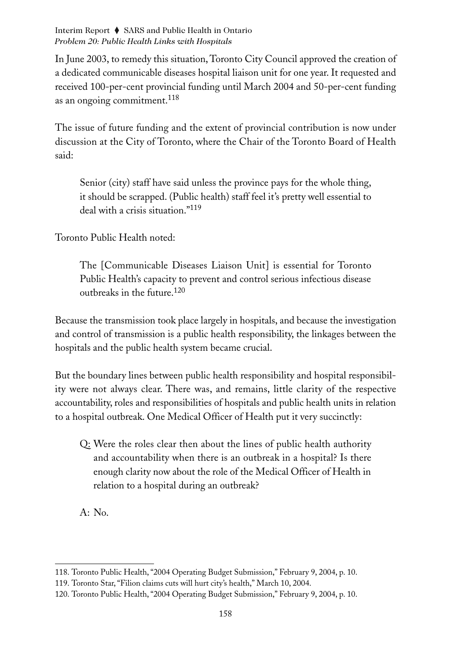Interim Report ♦ SARS and Public Health in Ontario *Problem 20: Public Health Links with Hospitals*

In June 2003, to remedy this situation, Toronto City Council approved the creation of a dedicated communicable diseases hospital liaison unit for one year. It requested and received 100-per-cent provincial funding until March 2004 and 50-per-cent funding as an ongoing commitment.<sup>118</sup>

The issue of future funding and the extent of provincial contribution is now under discussion at the City of Toronto, where the Chair of the Toronto Board of Health said:

Senior (city) staff have said unless the province pays for the whole thing, it should be scrapped. (Public health) staff feel it's pretty well essential to deal with a crisis situation."119

Toronto Public Health noted:

The [Communicable Diseases Liaison Unit] is essential for Toronto Public Health's capacity to prevent and control serious infectious disease outbreaks in the future.120

Because the transmission took place largely in hospitals, and because the investigation and control of transmission is a public health responsibility, the linkages between the hospitals and the public health system became crucial.

But the boundary lines between public health responsibility and hospital responsibility were not always clear. There was, and remains, little clarity of the respective accountability, roles and responsibilities of hospitals and public health units in relation to a hospital outbreak. One Medical Officer of Health put it very succinctly:

- Q: Were the roles clear then about the lines of public health authority and accountability when there is an outbreak in a hospital? Is there enough clarity now about the role of the Medical Officer of Health in relation to a hospital during an outbreak?
- A: No.

<sup>118.</sup> Toronto Public Health, "2004 Operating Budget Submission," February 9, 2004, p. 10.

<sup>119.</sup> Toronto Star, "Filion claims cuts will hurt city's health," March 10, 2004.

<sup>120.</sup> Toronto Public Health, "2004 Operating Budget Submission," February 9, 2004, p. 10.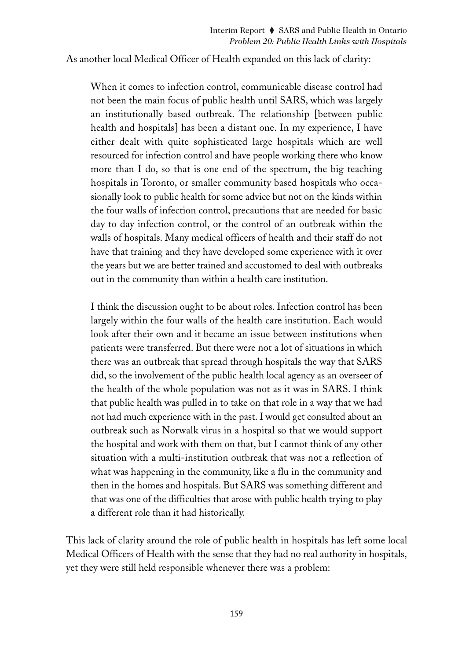As another local Medical Officer of Health expanded on this lack of clarity:

When it comes to infection control, communicable disease control had not been the main focus of public health until SARS, which was largely an institutionally based outbreak. The relationship [between public health and hospitals] has been a distant one. In my experience, I have either dealt with quite sophisticated large hospitals which are well resourced for infection control and have people working there who know more than I do, so that is one end of the spectrum, the big teaching hospitals in Toronto, or smaller community based hospitals who occasionally look to public health for some advice but not on the kinds within the four walls of infection control, precautions that are needed for basic day to day infection control, or the control of an outbreak within the walls of hospitals. Many medical officers of health and their staff do not have that training and they have developed some experience with it over the years but we are better trained and accustomed to deal with outbreaks out in the community than within a health care institution.

I think the discussion ought to be about roles. Infection control has been largely within the four walls of the health care institution. Each would look after their own and it became an issue between institutions when patients were transferred. But there were not a lot of situations in which there was an outbreak that spread through hospitals the way that SARS did, so the involvement of the public health local agency as an overseer of the health of the whole population was not as it was in SARS. I think that public health was pulled in to take on that role in a way that we had not had much experience with in the past. I would get consulted about an outbreak such as Norwalk virus in a hospital so that we would support the hospital and work with them on that, but I cannot think of any other situation with a multi-institution outbreak that was not a reflection of what was happening in the community, like a flu in the community and then in the homes and hospitals. But SARS was something different and that was one of the difficulties that arose with public health trying to play a different role than it had historically.

This lack of clarity around the role of public health in hospitals has left some local Medical Officers of Health with the sense that they had no real authority in hospitals, yet they were still held responsible whenever there was a problem: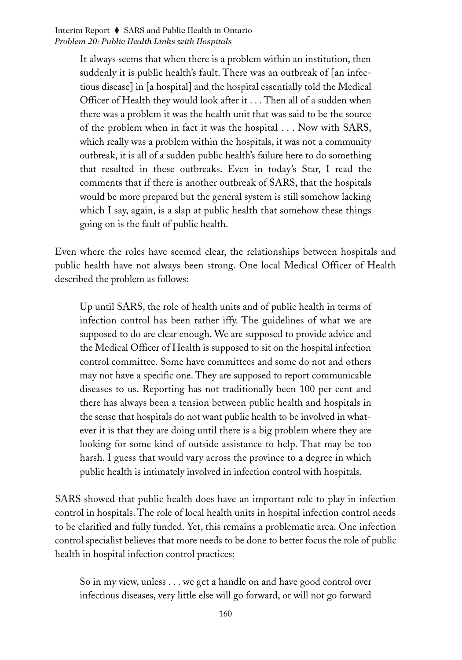It always seems that when there is a problem within an institution, then suddenly it is public health's fault. There was an outbreak of [an infectious disease] in [a hospital] and the hospital essentially told the Medical Officer of Health they would look after it . . . Then all of a sudden when there was a problem it was the health unit that was said to be the source of the problem when in fact it was the hospital . . . Now with SARS, which really was a problem within the hospitals, it was not a community outbreak, it is all of a sudden public health's failure here to do something that resulted in these outbreaks. Even in today's Star, I read the comments that if there is another outbreak of SARS, that the hospitals would be more prepared but the general system is still somehow lacking which I say, again, is a slap at public health that somehow these things going on is the fault of public health.

Even where the roles have seemed clear, the relationships between hospitals and public health have not always been strong. One local Medical Officer of Health described the problem as follows:

Up until SARS, the role of health units and of public health in terms of infection control has been rather iffy. The guidelines of what we are supposed to do are clear enough. We are supposed to provide advice and the Medical Officer of Health is supposed to sit on the hospital infection control committee. Some have committees and some do not and others may not have a specific one. They are supposed to report communicable diseases to us. Reporting has not traditionally been 100 per cent and there has always been a tension between public health and hospitals in the sense that hospitals do not want public health to be involved in whatever it is that they are doing until there is a big problem where they are looking for some kind of outside assistance to help. That may be too harsh. I guess that would vary across the province to a degree in which public health is intimately involved in infection control with hospitals.

SARS showed that public health does have an important role to play in infection control in hospitals. The role of local health units in hospital infection control needs to be clarified and fully funded. Yet, this remains a problematic area. One infection control specialist believes that more needs to be done to better focus the role of public health in hospital infection control practices:

So in my view, unless . . . we get a handle on and have good control over infectious diseases, very little else will go forward, or will not go forward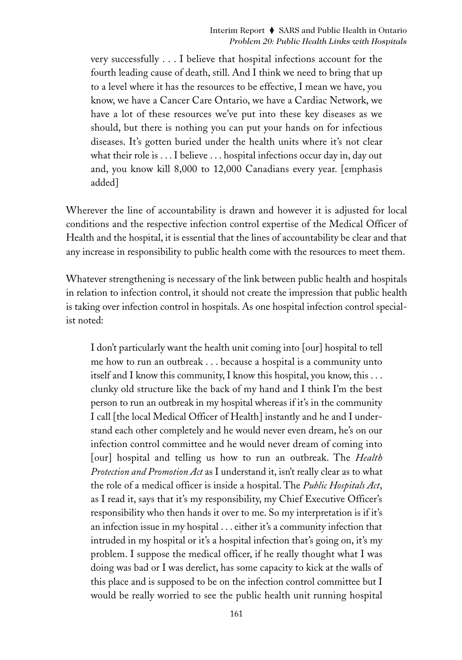very successfully . . . I believe that hospital infections account for the fourth leading cause of death, still. And I think we need to bring that up to a level where it has the resources to be effective, I mean we have, you know, we have a Cancer Care Ontario, we have a Cardiac Network, we have a lot of these resources we've put into these key diseases as we should, but there is nothing you can put your hands on for infectious diseases. It's gotten buried under the health units where it's not clear what their role is . . . I believe . . . hospital infections occur day in, day out and, you know kill 8,000 to 12,000 Canadians every year. [emphasis added]

Wherever the line of accountability is drawn and however it is adjusted for local conditions and the respective infection control expertise of the Medical Officer of Health and the hospital, it is essential that the lines of accountability be clear and that any increase in responsibility to public health come with the resources to meet them.

Whatever strengthening is necessary of the link between public health and hospitals in relation to infection control, it should not create the impression that public health is taking over infection control in hospitals. As one hospital infection control specialist noted:

I don't particularly want the health unit coming into [our] hospital to tell me how to run an outbreak . . . because a hospital is a community unto itself and I know this community, I know this hospital, you know, this . . . clunky old structure like the back of my hand and I think I'm the best person to run an outbreak in my hospital whereas if it's in the community I call [the local Medical Officer of Health] instantly and he and I understand each other completely and he would never even dream, he's on our infection control committee and he would never dream of coming into [our] hospital and telling us how to run an outbreak. The *Health Protection and Promotion Act* as I understand it, isn't really clear as to what the role of a medical officer is inside a hospital. The *Public Hospitals Act*, as I read it, says that it's my responsibility, my Chief Executive Officer's responsibility who then hands it over to me. So my interpretation is if it's an infection issue in my hospital . . . either it's a community infection that intruded in my hospital or it's a hospital infection that's going on, it's my problem. I suppose the medical officer, if he really thought what I was doing was bad or I was derelict, has some capacity to kick at the walls of this place and is supposed to be on the infection control committee but I would be really worried to see the public health unit running hospital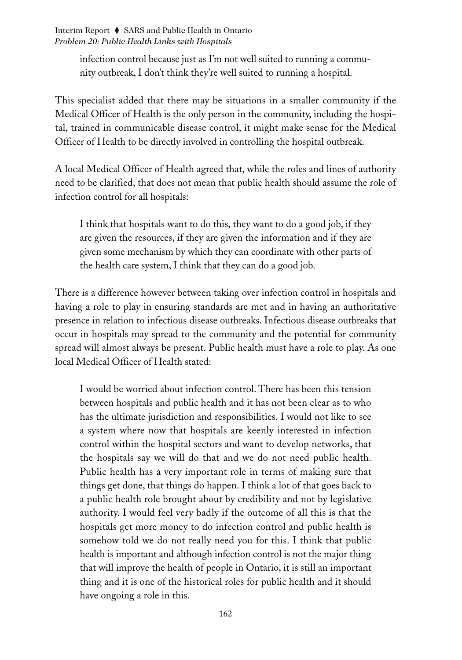Interim Report ♦ SARS and Public Health in Ontario *Problem 20: Public Health Links with Hospitals*

> infection control because just as I'm not well suited to running a community outbreak, I don't think they're well suited to running a hospital.

This specialist added that there may be situations in a smaller community if the Medical Officer of Health is the only person in the community, including the hospital, trained in communicable disease control, it might make sense for the Medical Officer of Health to be directly involved in controlling the hospital outbreak.

A local Medical Officer of Health agreed that, while the roles and lines of authority need to be clarified, that does not mean that public health should assume the role of infection control for all hospitals:

I think that hospitals want to do this, they want to do a good job, if they are given the resources, if they are given the information and if they are given some mechanism by which they can coordinate with other parts of the health care system, I think that they can do a good job.

There is a difference however between taking over infection control in hospitals and having a role to play in ensuring standards are met and in having an authoritative presence in relation to infectious disease outbreaks. Infectious disease outbreaks that occur in hospitals may spread to the community and the potential for community spread will almost always be present. Public health must have a role to play. As one local Medical Officer of Health stated:

I would be worried about infection control. There has been this tension between hospitals and public health and it has not been clear as to who has the ultimate jurisdiction and responsibilities. I would not like to see a system where now that hospitals are keenly interested in infection control within the hospital sectors and want to develop networks, that the hospitals say we will do that and we do not need public health. Public health has a very important role in terms of making sure that things get done, that things do happen. I think a lot of that goes back to a public health role brought about by credibility and not by legislative authority. I would feel very badly if the outcome of all this is that the hospitals get more money to do infection control and public health is somehow told we do not really need you for this. I think that public health is important and although infection control is not the major thing that will improve the health of people in Ontario, it is still an important thing and it is one of the historical roles for public health and it should have ongoing a role in this.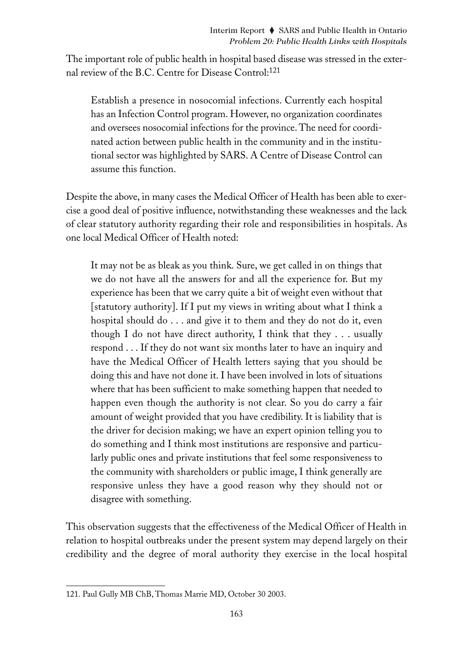The important role of public health in hospital based disease was stressed in the external review of the B.C. Centre for Disease Control:<sup>121</sup>

Establish a presence in nosocomial infections. Currently each hospital has an Infection Control program. However, no organization coordinates and oversees nosocomial infections for the province. The need for coordinated action between public health in the community and in the institutional sector was highlighted by SARS. A Centre of Disease Control can assume this function.

Despite the above, in many cases the Medical Officer of Health has been able to exercise a good deal of positive influence, notwithstanding these weaknesses and the lack of clear statutory authority regarding their role and responsibilities in hospitals. As one local Medical Officer of Health noted:

It may not be as bleak as you think. Sure, we get called in on things that we do not have all the answers for and all the experience for. But my experience has been that we carry quite a bit of weight even without that [statutory authority]. If I put my views in writing about what I think a hospital should do . . . and give it to them and they do not do it, even though I do not have direct authority, I think that they . . . usually respond . . . If they do not want six months later to have an inquiry and have the Medical Officer of Health letters saying that you should be doing this and have not done it. I have been involved in lots of situations where that has been sufficient to make something happen that needed to happen even though the authority is not clear. So you do carry a fair amount of weight provided that you have credibility. It is liability that is the driver for decision making; we have an expert opinion telling you to do something and I think most institutions are responsive and particularly public ones and private institutions that feel some responsiveness to the community with shareholders or public image, I think generally are responsive unless they have a good reason why they should not or disagree with something.

This observation suggests that the effectiveness of the Medical Officer of Health in relation to hospital outbreaks under the present system may depend largely on their credibility and the degree of moral authority they exercise in the local hospital

<sup>121.</sup> Paul Gully MB ChB, Thomas Marrie MD, October 30 2003.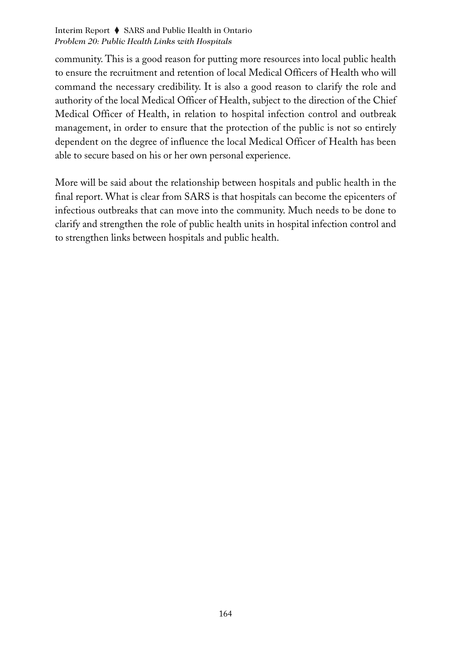#### Interim Report ♦ SARS and Public Health in Ontario *Problem 20: Public Health Links with Hospitals*

community. This is a good reason for putting more resources into local public health to ensure the recruitment and retention of local Medical Officers of Health who will command the necessary credibility. It is also a good reason to clarify the role and authority of the local Medical Officer of Health, subject to the direction of the Chief Medical Officer of Health, in relation to hospital infection control and outbreak management, in order to ensure that the protection of the public is not so entirely dependent on the degree of influence the local Medical Officer of Health has been able to secure based on his or her own personal experience.

More will be said about the relationship between hospitals and public health in the final report. What is clear from SARS is that hospitals can become the epicenters of infectious outbreaks that can move into the community. Much needs to be done to clarify and strengthen the role of public health units in hospital infection control and to strengthen links between hospitals and public health.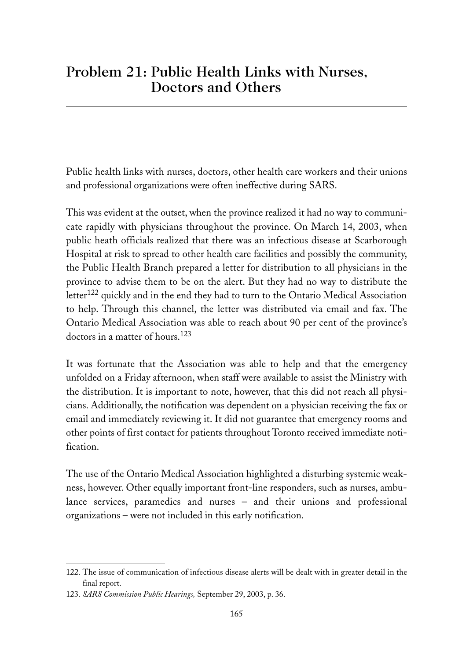# Problem 21: Public Health Links with Nurses, Doctors and Others

Public health links with nurses, doctors, other health care workers and their unions and professional organizations were often ineffective during SARS.

This was evident at the outset, when the province realized it had no way to communicate rapidly with physicians throughout the province. On March 14, 2003, when public heath officials realized that there was an infectious disease at Scarborough Hospital at risk to spread to other health care facilities and possibly the community, the Public Health Branch prepared a letter for distribution to all physicians in the province to advise them to be on the alert. But they had no way to distribute the letter<sup>122</sup> quickly and in the end they had to turn to the Ontario Medical Association to help. Through this channel, the letter was distributed via email and fax. The Ontario Medical Association was able to reach about 90 per cent of the province's doctors in a matter of hours.123

It was fortunate that the Association was able to help and that the emergency unfolded on a Friday afternoon, when staff were available to assist the Ministry with the distribution. It is important to note, however, that this did not reach all physicians. Additionally, the notification was dependent on a physician receiving the fax or email and immediately reviewing it. It did not guarantee that emergency rooms and other points of first contact for patients throughout Toronto received immediate notification.

The use of the Ontario Medical Association highlighted a disturbing systemic weakness, however. Other equally important front-line responders, such as nurses, ambulance services, paramedics and nurses – and their unions and professional organizations – were not included in this early notification.

<sup>122.</sup> The issue of communication of infectious disease alerts will be dealt with in greater detail in the final report.

<sup>123.</sup> *SARS Commission Public Hearings,* September 29, 2003, p. 36.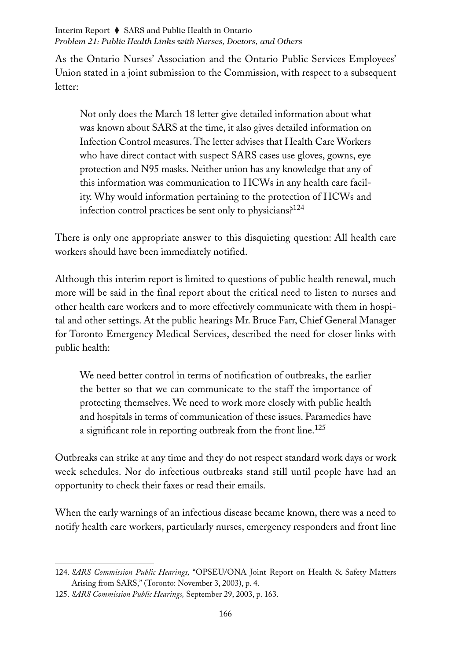As the Ontario Nurses' Association and the Ontario Public Services Employees' Union stated in a joint submission to the Commission, with respect to a subsequent letter:

Not only does the March 18 letter give detailed information about what was known about SARS at the time, it also gives detailed information on Infection Control measures. The letter advises that Health Care Workers who have direct contact with suspect SARS cases use gloves, gowns, eye protection and N95 masks. Neither union has any knowledge that any of this information was communication to HCWs in any health care facility. Why would information pertaining to the protection of HCWs and infection control practices be sent only to physicians?124

There is only one appropriate answer to this disquieting question: All health care workers should have been immediately notified.

Although this interim report is limited to questions of public health renewal, much more will be said in the final report about the critical need to listen to nurses and other health care workers and to more effectively communicate with them in hospital and other settings. At the public hearings Mr. Bruce Farr, Chief General Manager for Toronto Emergency Medical Services, described the need for closer links with public health:

We need better control in terms of notification of outbreaks, the earlier the better so that we can communicate to the staff the importance of protecting themselves. We need to work more closely with public health and hospitals in terms of communication of these issues. Paramedics have a significant role in reporting outbreak from the front line.<sup>125</sup>

Outbreaks can strike at any time and they do not respect standard work days or work week schedules. Nor do infectious outbreaks stand still until people have had an opportunity to check their faxes or read their emails.

When the early warnings of an infectious disease became known, there was a need to notify health care workers, particularly nurses, emergency responders and front line

<sup>124.</sup> *SARS Commission Public Hearings,* "OPSEU/ONA Joint Report on Health & Safety Matters Arising from SARS," (Toronto: November 3, 2003), p. 4.

<sup>125.</sup> *SARS Commission Public Hearings,* September 29, 2003, p. 163.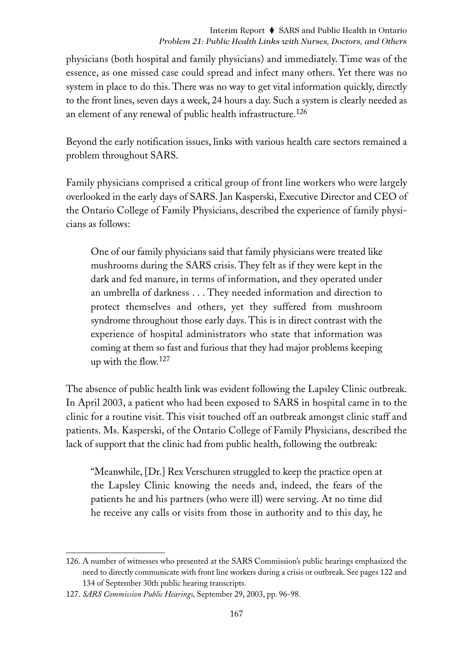physicians (both hospital and family physicians) and immediately. Time was of the essence, as one missed case could spread and infect many others. Yet there was no system in place to do this. There was no way to get vital information quickly, directly to the front lines, seven days a week, 24 hours a day. Such a system is clearly needed as an element of any renewal of public health infrastructure.<sup>126</sup>

Beyond the early notification issues, links with various health care sectors remained a problem throughout SARS.

Family physicians comprised a critical group of front line workers who were largely overlooked in the early days of SARS. Jan Kasperski, Executive Director and CEO of the Ontario College of Family Physicians, described the experience of family physicians as follows:

One of our family physicians said that family physicians were treated like mushrooms during the SARS crisis. They felt as if they were kept in the dark and fed manure, in terms of information, and they operated under an umbrella of darkness . . . They needed information and direction to protect themselves and others, yet they suffered from mushroom syndrome throughout those early days. This is in direct contrast with the experience of hospital administrators who state that information was coming at them so fast and furious that they had major problems keeping up with the flow. 127

The absence of public health link was evident following the Lapsley Clinic outbreak. In April 2003, a patient who had been exposed to SARS in hospital came in to the clinic for a routine visit. This visit touched off an outbreak amongst clinic staff and patients. Ms. Kasperski, of the Ontario College of Family Physicians, described the lack of support that the clinic had from public health, following the outbreak:

"Meanwhile, [Dr.] Rex Verschuren struggled to keep the practice open at the Lapsley Clinic knowing the needs and, indeed, the fears of the patients he and his partners (who were ill) were serving. At no time did he receive any calls or visits from those in authority and to this day, he

<sup>126.</sup> A number of witnesses who presented at the SARS Commission's public hearings emphasized the need to directly communicate with front line workers during a crisis or outbreak. See pages 122 and 134 of September 30th public hearing transcripts.

<sup>127.</sup> *SARS Commission Public Hearings,* September 29, 2003, pp. 96-98.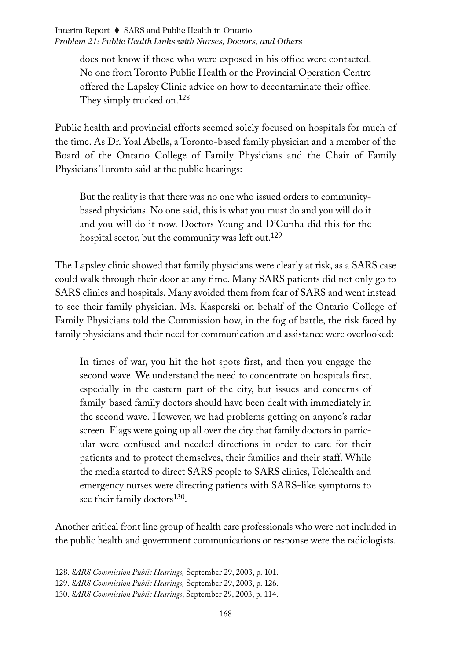does not know if those who were exposed in his office were contacted. No one from Toronto Public Health or the Provincial Operation Centre offered the Lapsley Clinic advice on how to decontaminate their office. They simply trucked on.<sup>128</sup>

Public health and provincial efforts seemed solely focused on hospitals for much of the time. As Dr. Yoal Abells, a Toronto-based family physician and a member of the Board of the Ontario College of Family Physicians and the Chair of Family Physicians Toronto said at the public hearings:

But the reality is that there was no one who issued orders to communitybased physicians. No one said, this is what you must do and you will do it and you will do it now. Doctors Young and D'Cunha did this for the hospital sector, but the community was left out.<sup>129</sup>

The Lapsley clinic showed that family physicians were clearly at risk, as a SARS case could walk through their door at any time. Many SARS patients did not only go to SARS clinics and hospitals. Many avoided them from fear of SARS and went instead to see their family physician. Ms. Kasperski on behalf of the Ontario College of Family Physicians told the Commission how, in the fog of battle, the risk faced by family physicians and their need for communication and assistance were overlooked:

In times of war, you hit the hot spots first, and then you engage the second wave. We understand the need to concentrate on hospitals first, especially in the eastern part of the city, but issues and concerns of family-based family doctors should have been dealt with immediately in the second wave. However, we had problems getting on anyone's radar screen. Flags were going up all over the city that family doctors in particular were confused and needed directions in order to care for their patients and to protect themselves, their families and their staff. While the media started to direct SARS people to SARS clinics, Telehealth and emergency nurses were directing patients with SARS-like symptoms to see their family doctors<sup>130</sup>.

Another critical front line group of health care professionals who were not included in the public health and government communications or response were the radiologists.

<sup>128.</sup> *SARS Commission Public Hearings,* September 29, 2003, p. 101.

<sup>129.</sup> *SARS Commission Public Hearings,* September 29, 2003, p. 126.

<sup>130.</sup> *SARS Commission Public Hearings*, September 29, 2003, p. 114.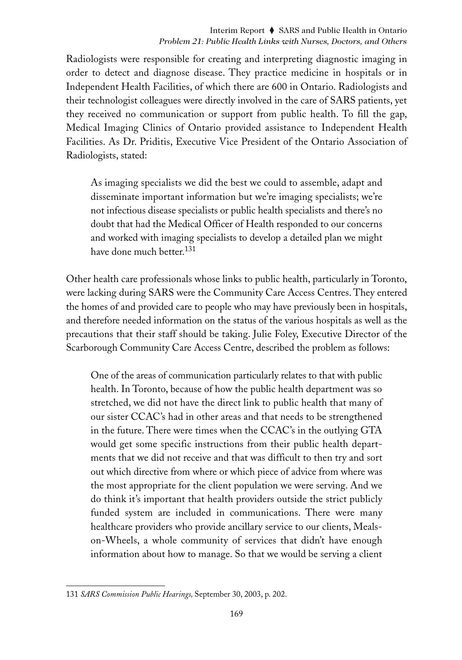Interim Report ♦ SARS and Public Health in Ontario *Problem 21: Public Health Links with Nurses, Doctors, and Others*

Radiologists were responsible for creating and interpreting diagnostic imaging in order to detect and diagnose disease. They practice medicine in hospitals or in Independent Health Facilities, of which there are 600 in Ontario. Radiologists and their technologist colleagues were directly involved in the care of SARS patients, yet they received no communication or support from public health. To fill the gap, Medical Imaging Clinics of Ontario provided assistance to Independent Health Facilities. As Dr. Priditis, Executive Vice President of the Ontario Association of Radiologists, stated:

As imaging specialists we did the best we could to assemble, adapt and disseminate important information but we're imaging specialists; we're not infectious disease specialists or public health specialists and there's no doubt that had the Medical Officer of Health responded to our concerns and worked with imaging specialists to develop a detailed plan we might have done much better.<sup>131</sup>

Other health care professionals whose links to public health, particularly in Toronto, were lacking during SARS were the Community Care Access Centres. They entered the homes of and provided care to people who may have previously been in hospitals, and therefore needed information on the status of the various hospitals as well as the precautions that their staff should be taking. Julie Foley, Executive Director of the Scarborough Community Care Access Centre, described the problem as follows:

One of the areas of communication particularly relates to that with public health. In Toronto, because of how the public health department was so stretched, we did not have the direct link to public health that many of our sister CCAC's had in other areas and that needs to be strengthened in the future. There were times when the CCAC's in the outlying GTA would get some specific instructions from their public health departments that we did not receive and that was difficult to then try and sort out which directive from where or which piece of advice from where was the most appropriate for the client population we were serving. And we do think it's important that health providers outside the strict publicly funded system are included in communications. There were many healthcare providers who provide ancillary service to our clients, Mealson-Wheels, a whole community of services that didn't have enough information about how to manage. So that we would be serving a client

<sup>131</sup> *SARS Commission Public Hearings,* September 30, 2003, p. 202.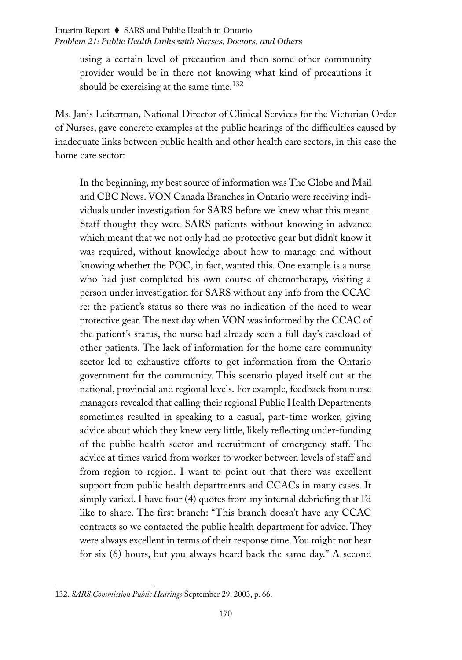using a certain level of precaution and then some other community provider would be in there not knowing what kind of precautions it should be exercising at the same time.<sup>132</sup>

Ms. Janis Leiterman, National Director of Clinical Services for the Victorian Order of Nurses, gave concrete examples at the public hearings of the difficulties caused by inadequate links between public health and other health care sectors, in this case the home care sector:

In the beginning, my best source of information was The Globe and Mail and CBC News. VON Canada Branches in Ontario were receiving individuals under investigation for SARS before we knew what this meant. Staff thought they were SARS patients without knowing in advance which meant that we not only had no protective gear but didn't know it was required, without knowledge about how to manage and without knowing whether the POC, in fact, wanted this. One example is a nurse who had just completed his own course of chemotherapy, visiting a person under investigation for SARS without any info from the CCAC re: the patient's status so there was no indication of the need to wear protective gear. The next day when VON was informed by the CCAC of the patient's status, the nurse had already seen a full day's caseload of other patients. The lack of information for the home care community sector led to exhaustive efforts to get information from the Ontario government for the community. This scenario played itself out at the national, provincial and regional levels. For example, feedback from nurse managers revealed that calling their regional Public Health Departments sometimes resulted in speaking to a casual, part-time worker, giving advice about which they knew very little, likely reflecting under-funding of the public health sector and recruitment of emergency staff. The advice at times varied from worker to worker between levels of staff and from region to region. I want to point out that there was excellent support from public health departments and CCACs in many cases. It simply varied. I have four (4) quotes from my internal debriefing that I'd like to share. The first branch: "This branch doesn't have any CCAC contracts so we contacted the public health department for advice. They were always excellent in terms of their response time. You might not hear for six (6) hours, but you always heard back the same day." A second

<sup>132.</sup> *SARS Commission Public Hearings* September 29, 2003, p. 66.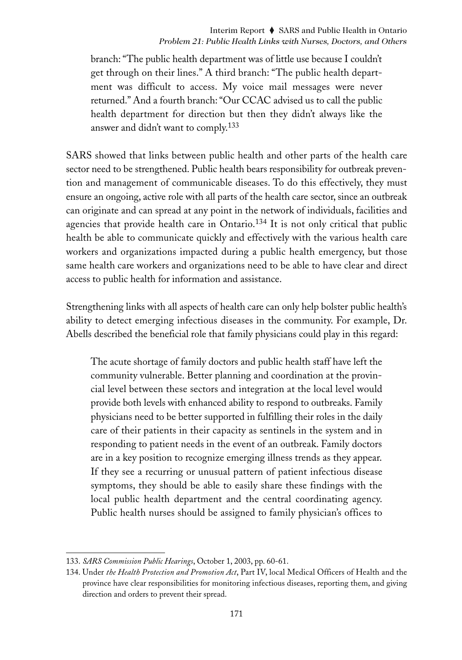#### Interim Report ♦ SARS and Public Health in Ontario *Problem 21: Public Health Links with Nurses, Doctors, and Others*

branch: "The public health department was of little use because I couldn't get through on their lines." A third branch: "The public health department was difficult to access. My voice mail messages were never returned." And a fourth branch: "Our CCAC advised us to call the public health department for direction but then they didn't always like the answer and didn't want to comply.<sup>133</sup>

SARS showed that links between public health and other parts of the health care sector need to be strengthened. Public health bears responsibility for outbreak prevention and management of communicable diseases. To do this effectively, they must ensure an ongoing, active role with all parts of the health care sector, since an outbreak can originate and can spread at any point in the network of individuals, facilities and agencies that provide health care in Ontario.<sup>134</sup> It is not only critical that public health be able to communicate quickly and effectively with the various health care workers and organizations impacted during a public health emergency, but those same health care workers and organizations need to be able to have clear and direct access to public health for information and assistance.

Strengthening links with all aspects of health care can only help bolster public health's ability to detect emerging infectious diseases in the community. For example, Dr. Abells described the beneficial role that family physicians could play in this regard:

The acute shortage of family doctors and public health staff have left the community vulnerable. Better planning and coordination at the provincial level between these sectors and integration at the local level would provide both levels with enhanced ability to respond to outbreaks. Family physicians need to be better supported in fulfilling their roles in the daily care of their patients in their capacity as sentinels in the system and in responding to patient needs in the event of an outbreak. Family doctors are in a key position to recognize emerging illness trends as they appear. If they see a recurring or unusual pattern of patient infectious disease symptoms, they should be able to easily share these findings with the local public health department and the central coordinating agency. Public health nurses should be assigned to family physician's offices to

<sup>133.</sup> *SARS Commission Public Hearings*, October 1, 2003, pp. 60-61.

<sup>134.</sup> Under *the Health Protection and Promotion Act*, Part IV, local Medical Officers of Health and the province have clear responsibilities for monitoring infectious diseases, reporting them, and giving direction and orders to prevent their spread.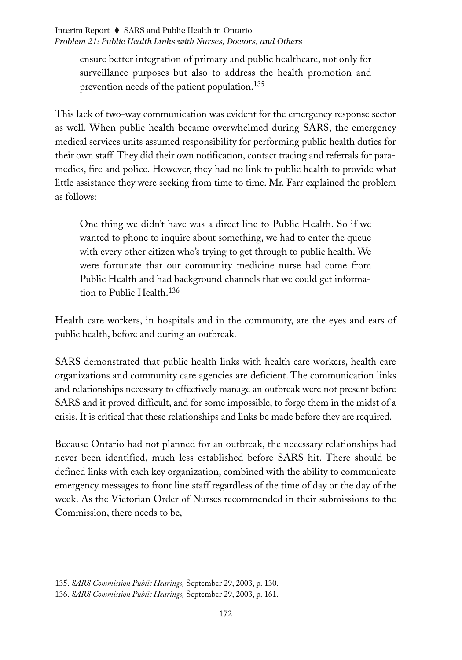ensure better integration of primary and public healthcare, not only for surveillance purposes but also to address the health promotion and prevention needs of the patient population.<sup>135</sup>

This lack of two-way communication was evident for the emergency response sector as well. When public health became overwhelmed during SARS, the emergency medical services units assumed responsibility for performing public health duties for their own staff. They did their own notification, contact tracing and referrals for paramedics, fire and police. However, they had no link to public health to provide what little assistance they were seeking from time to time. Mr. Farr explained the problem as follows:

One thing we didn't have was a direct line to Public Health. So if we wanted to phone to inquire about something, we had to enter the queue with every other citizen who's trying to get through to public health. We were fortunate that our community medicine nurse had come from Public Health and had background channels that we could get information to Public Health.136

Health care workers, in hospitals and in the community, are the eyes and ears of public health, before and during an outbreak.

SARS demonstrated that public health links with health care workers, health care organizations and community care agencies are deficient. The communication links and relationships necessary to effectively manage an outbreak were not present before SARS and it proved difficult, and for some impossible, to forge them in the midst of a crisis. It is critical that these relationships and links be made before they are required.

Because Ontario had not planned for an outbreak, the necessary relationships had never been identified, much less established before SARS hit. There should be defined links with each key organization, combined with the ability to communicate emergency messages to front line staff regardless of the time of day or the day of the week. As the Victorian Order of Nurses recommended in their submissions to the Commission, there needs to be,

<sup>135.</sup> *SARS Commission Public Hearings,* September 29, 2003, p. 130.

<sup>136.</sup> *SARS Commission Public Hearings,* September 29, 2003, p. 161.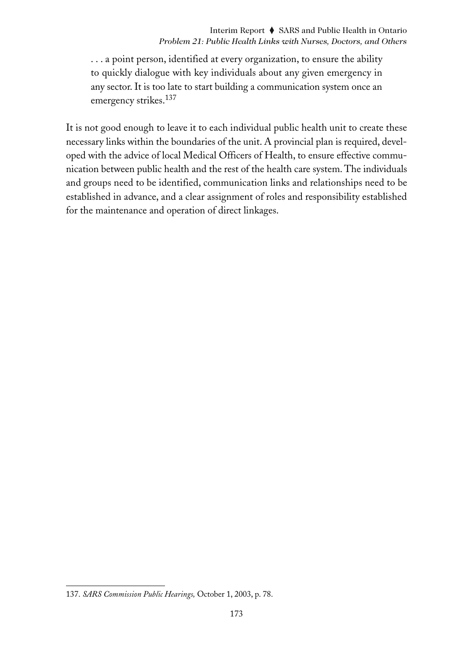. . . a point person, identified at every organization, to ensure the ability to quickly dialogue with key individuals about any given emergency in any sector. It is too late to start building a communication system once an emergency strikes.<sup>137</sup>

It is not good enough to leave it to each individual public health unit to create these necessary links within the boundaries of the unit. A provincial plan is required, developed with the advice of local Medical Officers of Health, to ensure effective communication between public health and the rest of the health care system. The individuals and groups need to be identified, communication links and relationships need to be established in advance, and a clear assignment of roles and responsibility established for the maintenance and operation of direct linkages.

<sup>137.</sup> *SARS Commission Public Hearings,* October 1, 2003, p. 78.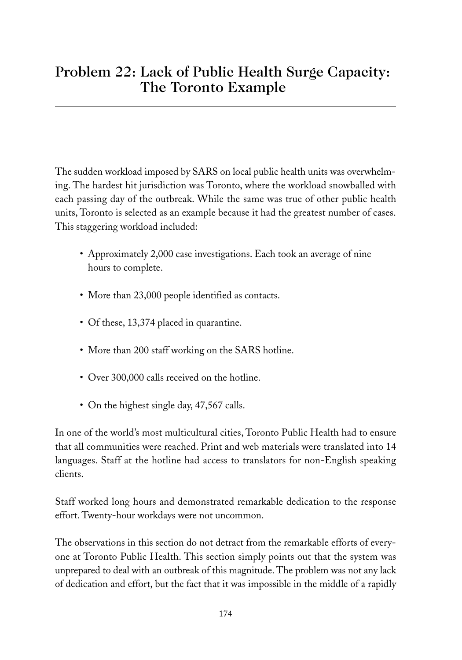# Problem 22: Lack of Public Health Surge Capacity: The Toronto Example

The sudden workload imposed by SARS on local public health units was overwhelming. The hardest hit jurisdiction was Toronto, where the workload snowballed with each passing day of the outbreak. While the same was true of other public health units, Toronto is selected as an example because it had the greatest number of cases. This staggering workload included:

- Approximately 2,000 case investigations. Each took an average of nine hours to complete.
- More than 23,000 people identified as contacts.
- Of these, 13,374 placed in quarantine.
- More than 200 staff working on the SARS hotline.
- Over 300,000 calls received on the hotline.
- On the highest single day, 47,567 calls.

In one of the world's most multicultural cities, Toronto Public Health had to ensure that all communities were reached. Print and web materials were translated into 14 languages. Staff at the hotline had access to translators for non-English speaking clients.

Staff worked long hours and demonstrated remarkable dedication to the response effort. Twenty-hour workdays were not uncommon.

The observations in this section do not detract from the remarkable efforts of everyone at Toronto Public Health. This section simply points out that the system was unprepared to deal with an outbreak of this magnitude. The problem was not any lack of dedication and effort, but the fact that it was impossible in the middle of a rapidly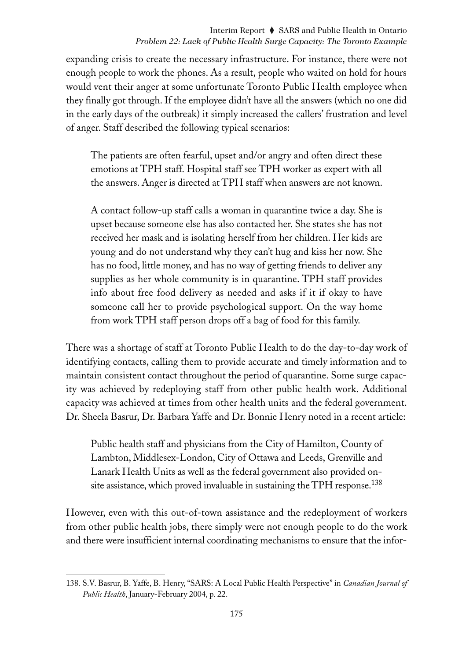expanding crisis to create the necessary infrastructure. For instance, there were not enough people to work the phones. As a result, people who waited on hold for hours would vent their anger at some unfortunate Toronto Public Health employee when they finally got through. If the employee didn't have all the answers (which no one did in the early days of the outbreak) it simply increased the callers' frustration and level of anger. Staff described the following typical scenarios:

The patients are often fearful, upset and/or angry and often direct these emotions at TPH staff. Hospital staff see TPH worker as expert with all the answers. Anger is directed at TPH staff when answers are not known.

A contact follow-up staff calls a woman in quarantine twice a day. She is upset because someone else has also contacted her. She states she has not received her mask and is isolating herself from her children. Her kids are young and do not understand why they can't hug and kiss her now. She has no food, little money, and has no way of getting friends to deliver any supplies as her whole community is in quarantine. TPH staff provides info about free food delivery as needed and asks if it if okay to have someone call her to provide psychological support. On the way home from work TPH staff person drops off a bag of food for this family.

There was a shortage of staff at Toronto Public Health to do the day-to-day work of identifying contacts, calling them to provide accurate and timely information and to maintain consistent contact throughout the period of quarantine. Some surge capacity was achieved by redeploying staff from other public health work. Additional capacity was achieved at times from other health units and the federal government. Dr. Sheela Basrur, Dr. Barbara Yaffe and Dr. Bonnie Henry noted in a recent article:

Public health staff and physicians from the City of Hamilton, County of Lambton, Middlesex-London, City of Ottawa and Leeds, Grenville and Lanark Health Units as well as the federal government also provided onsite assistance, which proved invaluable in sustaining the TPH response.<sup>138</sup>

However, even with this out-of-town assistance and the redeployment of workers from other public health jobs, there simply were not enough people to do the work and there were insufficient internal coordinating mechanisms to ensure that the infor-

<sup>138.</sup> S.V. Basrur, B. Yaffe, B. Henry, "SARS: A Local Public Health Perspective" in *Canadian Journal of Public Health*, January-February 2004, p. 22.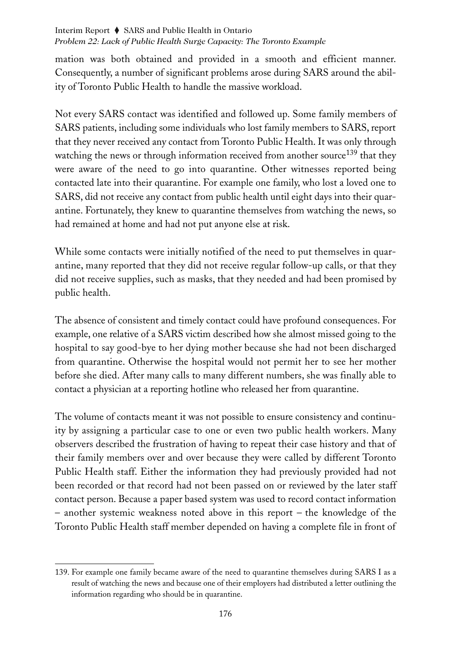mation was both obtained and provided in a smooth and efficient manner. Consequently, a number of significant problems arose during SARS around the ability of Toronto Public Health to handle the massive workload.

Not every SARS contact was identified and followed up. Some family members of SARS patients, including some individuals who lost family members to SARS, report that they never received any contact from Toronto Public Health. It was only through watching the news or through information received from another source<sup>139</sup> that they were aware of the need to go into quarantine. Other witnesses reported being contacted late into their quarantine. For example one family, who lost a loved one to SARS, did not receive any contact from public health until eight days into their quarantine. Fortunately, they knew to quarantine themselves from watching the news, so had remained at home and had not put anyone else at risk.

While some contacts were initially notified of the need to put themselves in quarantine, many reported that they did not receive regular follow-up calls, or that they did not receive supplies, such as masks, that they needed and had been promised by public health.

The absence of consistent and timely contact could have profound consequences. For example, one relative of a SARS victim described how she almost missed going to the hospital to say good-bye to her dying mother because she had not been discharged from quarantine. Otherwise the hospital would not permit her to see her mother before she died. After many calls to many different numbers, she was finally able to contact a physician at a reporting hotline who released her from quarantine.

The volume of contacts meant it was not possible to ensure consistency and continuity by assigning a particular case to one or even two public health workers. Many observers described the frustration of having to repeat their case history and that of their family members over and over because they were called by different Toronto Public Health staff. Either the information they had previously provided had not been recorded or that record had not been passed on or reviewed by the later staff contact person. Because a paper based system was used to record contact information – another systemic weakness noted above in this report – the knowledge of the Toronto Public Health staff member depended on having a complete file in front of

<sup>139.</sup> For example one family became aware of the need to quarantine themselves during SARS I as a result of watching the news and because one of their employers had distributed a letter outlining the information regarding who should be in quarantine.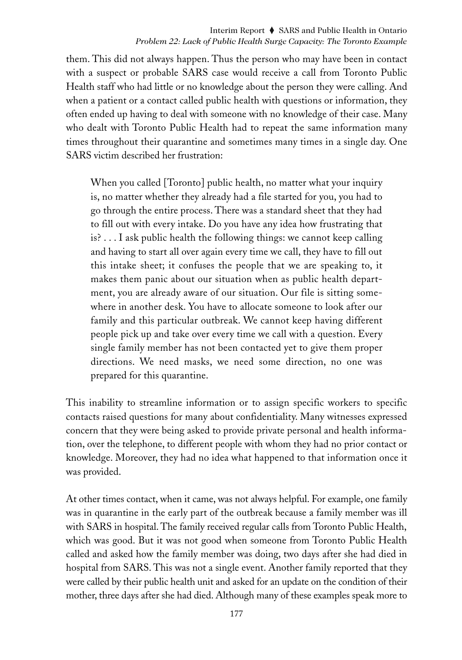them. This did not always happen. Thus the person who may have been in contact with a suspect or probable SARS case would receive a call from Toronto Public Health staff who had little or no knowledge about the person they were calling. And when a patient or a contact called public health with questions or information, they often ended up having to deal with someone with no knowledge of their case. Many who dealt with Toronto Public Health had to repeat the same information many times throughout their quarantine and sometimes many times in a single day. One SARS victim described her frustration:

When you called [Toronto] public health, no matter what your inquiry is, no matter whether they already had a file started for you, you had to go through the entire process. There was a standard sheet that they had to fill out with every intake. Do you have any idea how frustrating that is? . . . I ask public health the following things: we cannot keep calling and having to start all over again every time we call, they have to fill out this intake sheet; it confuses the people that we are speaking to, it makes them panic about our situation when as public health department, you are already aware of our situation. Our file is sitting somewhere in another desk. You have to allocate someone to look after our family and this particular outbreak. We cannot keep having different people pick up and take over every time we call with a question. Every single family member has not been contacted yet to give them proper directions. We need masks, we need some direction, no one was prepared for this quarantine.

This inability to streamline information or to assign specific workers to specific contacts raised questions for many about confidentiality. Many witnesses expressed concern that they were being asked to provide private personal and health information, over the telephone, to different people with whom they had no prior contact or knowledge. Moreover, they had no idea what happened to that information once it was provided.

At other times contact, when it came, was not always helpful. For example, one family was in quarantine in the early part of the outbreak because a family member was ill with SARS in hospital. The family received regular calls from Toronto Public Health, which was good. But it was not good when someone from Toronto Public Health called and asked how the family member was doing, two days after she had died in hospital from SARS. This was not a single event. Another family reported that they were called by their public health unit and asked for an update on the condition of their mother, three days after she had died. Although many of these examples speak more to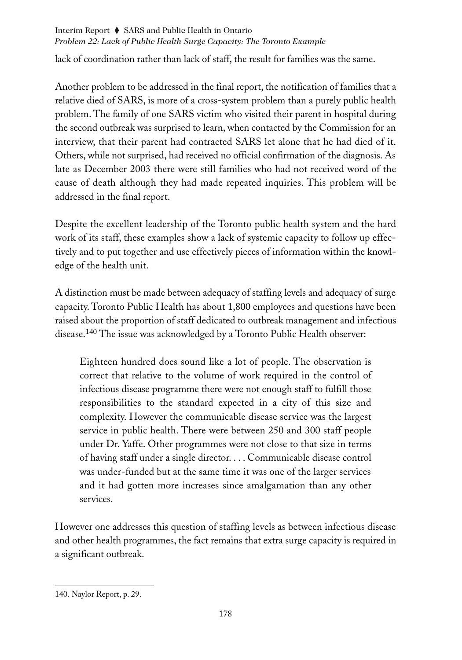lack of coordination rather than lack of staff, the result for families was the same.

Another problem to be addressed in the final report, the notification of families that a relative died of SARS, is more of a cross-system problem than a purely public health problem. The family of one SARS victim who visited their parent in hospital during the second outbreak was surprised to learn, when contacted by the Commission for an interview, that their parent had contracted SARS let alone that he had died of it. Others, while not surprised, had received no official confirmation of the diagnosis. As late as December 2003 there were still families who had not received word of the cause of death although they had made repeated inquiries. This problem will be addressed in the final report.

Despite the excellent leadership of the Toronto public health system and the hard work of its staff, these examples show a lack of systemic capacity to follow up effectively and to put together and use effectively pieces of information within the knowledge of the health unit.

A distinction must be made between adequacy of staffing levels and adequacy of surge capacity. Toronto Public Health has about 1,800 employees and questions have been raised about the proportion of staff dedicated to outbreak management and infectious disease.140 The issue was acknowledged by a Toronto Public Health observer:

Eighteen hundred does sound like a lot of people. The observation is correct that relative to the volume of work required in the control of infectious disease programme there were not enough staff to fulfill those responsibilities to the standard expected in a city of this size and complexity. However the communicable disease service was the largest service in public health. There were between 250 and 300 staff people under Dr. Yaffe. Other programmes were not close to that size in terms of having staff under a single director. . . . Communicable disease control was under-funded but at the same time it was one of the larger services and it had gotten more increases since amalgamation than any other services.

However one addresses this question of staffing levels as between infectious disease and other health programmes, the fact remains that extra surge capacity is required in a significant outbreak.

<sup>140.</sup> Naylor Report, p. 29.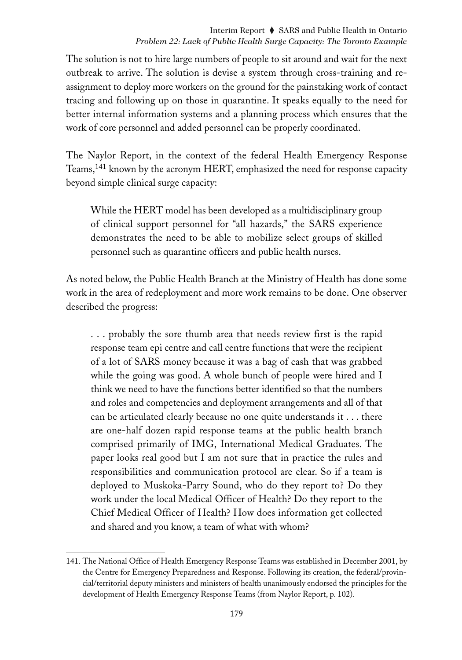The solution is not to hire large numbers of people to sit around and wait for the next outbreak to arrive. The solution is devise a system through cross-training and reassignment to deploy more workers on the ground for the painstaking work of contact tracing and following up on those in quarantine. It speaks equally to the need for better internal information systems and a planning process which ensures that the work of core personnel and added personnel can be properly coordinated.

The Naylor Report, in the context of the federal Health Emergency Response Teams,<sup>141</sup> known by the acronym HERT, emphasized the need for response capacity beyond simple clinical surge capacity:

While the HERT model has been developed as a multidisciplinary group of clinical support personnel for "all hazards," the SARS experience demonstrates the need to be able to mobilize select groups of skilled personnel such as quarantine officers and public health nurses.

As noted below, the Public Health Branch at the Ministry of Health has done some work in the area of redeployment and more work remains to be done. One observer described the progress:

. . . probably the sore thumb area that needs review first is the rapid response team epi centre and call centre functions that were the recipient of a lot of SARS money because it was a bag of cash that was grabbed while the going was good. A whole bunch of people were hired and I think we need to have the functions better identified so that the numbers and roles and competencies and deployment arrangements and all of that can be articulated clearly because no one quite understands it . . . there are one-half dozen rapid response teams at the public health branch comprised primarily of IMG, International Medical Graduates. The paper looks real good but I am not sure that in practice the rules and responsibilities and communication protocol are clear. So if a team is deployed to Muskoka-Parry Sound, who do they report to? Do they work under the local Medical Officer of Health? Do they report to the Chief Medical Officer of Health? How does information get collected and shared and you know, a team of what with whom?

<sup>141.</sup> The National Office of Health Emergency Response Teams was established in December 2001, by the Centre for Emergency Preparedness and Response. Following its creation, the federal/provincial/territorial deputy ministers and ministers of health unanimously endorsed the principles for the development of Health Emergency Response Teams (from Naylor Report, p. 102).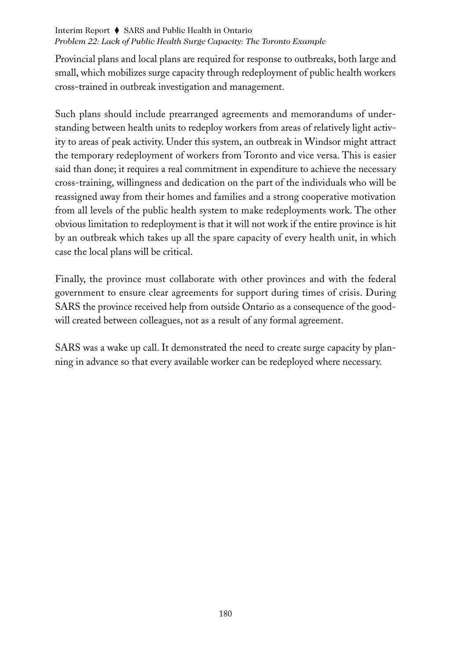Provincial plans and local plans are required for response to outbreaks, both large and small, which mobilizes surge capacity through redeployment of public health workers cross-trained in outbreak investigation and management.

Such plans should include prearranged agreements and memorandums of understanding between health units to redeploy workers from areas of relatively light activity to areas of peak activity. Under this system, an outbreak in Windsor might attract the temporary redeployment of workers from Toronto and vice versa. This is easier said than done; it requires a real commitment in expenditure to achieve the necessary cross-training, willingness and dedication on the part of the individuals who will be reassigned away from their homes and families and a strong cooperative motivation from all levels of the public health system to make redeployments work. The other obvious limitation to redeployment is that it will not work if the entire province is hit by an outbreak which takes up all the spare capacity of every health unit, in which case the local plans will be critical.

Finally, the province must collaborate with other provinces and with the federal government to ensure clear agreements for support during times of crisis. During SARS the province received help from outside Ontario as a consequence of the goodwill created between colleagues, not as a result of any formal agreement.

SARS was a wake up call. It demonstrated the need to create surge capacity by planning in advance so that every available worker can be redeployed where necessary.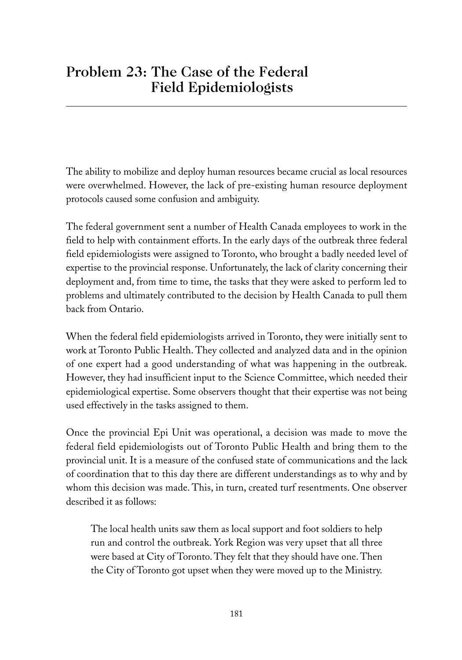# Problem 23: The Case of the Federal Field Epidemiologists

The ability to mobilize and deploy human resources became crucial as local resources were overwhelmed. However, the lack of pre-existing human resource deployment protocols caused some confusion and ambiguity.

The federal government sent a number of Health Canada employees to work in the field to help with containment efforts. In the early days of the outbreak three federal field epidemiologists were assigned to Toronto, who brought a badly needed level of expertise to the provincial response. Unfortunately, the lack of clarity concerning their deployment and, from time to time, the tasks that they were asked to perform led to problems and ultimately contributed to the decision by Health Canada to pull them back from Ontario.

When the federal field epidemiologists arrived in Toronto, they were initially sent to work at Toronto Public Health. They collected and analyzed data and in the opinion of one expert had a good understanding of what was happening in the outbreak. However, they had insufficient input to the Science Committee, which needed their epidemiological expertise. Some observers thought that their expertise was not being used effectively in the tasks assigned to them.

Once the provincial Epi Unit was operational, a decision was made to move the federal field epidemiologists out of Toronto Public Health and bring them to the provincial unit. It is a measure of the confused state of communications and the lack of coordination that to this day there are different understandings as to why and by whom this decision was made. This, in turn, created turf resentments. One observer described it as follows:

The local health units saw them as local support and foot soldiers to help run and control the outbreak. York Region was very upset that all three were based at City of Toronto. They felt that they should have one. Then the City of Toronto got upset when they were moved up to the Ministry.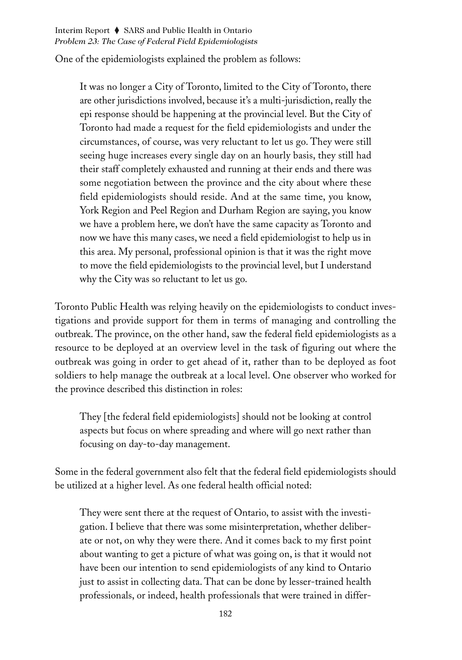One of the epidemiologists explained the problem as follows:

It was no longer a City of Toronto, limited to the City of Toronto, there are other jurisdictions involved, because it's a multi-jurisdiction, really the epi response should be happening at the provincial level. But the City of Toronto had made a request for the field epidemiologists and under the circumstances, of course, was very reluctant to let us go. They were still seeing huge increases every single day on an hourly basis, they still had their staff completely exhausted and running at their ends and there was some negotiation between the province and the city about where these field epidemiologists should reside. And at the same time, you know, York Region and Peel Region and Durham Region are saying, you know we have a problem here, we don't have the same capacity as Toronto and now we have this many cases, we need a field epidemiologist to help us in this area. My personal, professional opinion is that it was the right move to move the field epidemiologists to the provincial level, but I understand why the City was so reluctant to let us go.

Toronto Public Health was relying heavily on the epidemiologists to conduct investigations and provide support for them in terms of managing and controlling the outbreak. The province, on the other hand, saw the federal field epidemiologists as a resource to be deployed at an overview level in the task of figuring out where the outbreak was going in order to get ahead of it, rather than to be deployed as foot soldiers to help manage the outbreak at a local level. One observer who worked for the province described this distinction in roles:

They [the federal field epidemiologists] should not be looking at control aspects but focus on where spreading and where will go next rather than focusing on day-to-day management.

Some in the federal government also felt that the federal field epidemiologists should be utilized at a higher level. As one federal health official noted:

They were sent there at the request of Ontario, to assist with the investigation. I believe that there was some misinterpretation, whether deliberate or not, on why they were there. And it comes back to my first point about wanting to get a picture of what was going on, is that it would not have been our intention to send epidemiologists of any kind to Ontario just to assist in collecting data. That can be done by lesser-trained health professionals, or indeed, health professionals that were trained in differ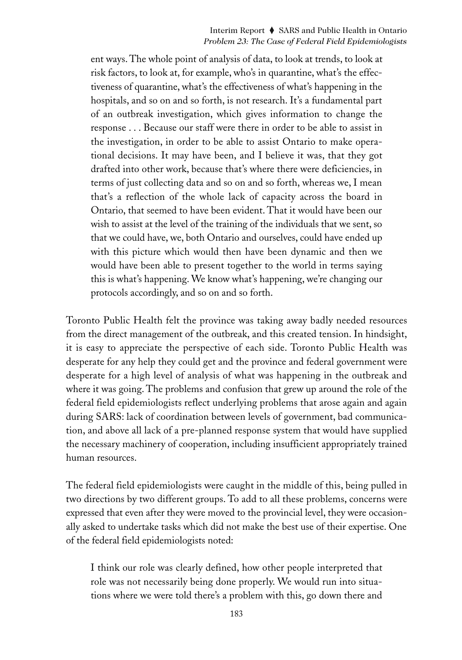ent ways. The whole point of analysis of data, to look at trends, to look at risk factors, to look at, for example, who's in quarantine, what's the effectiveness of quarantine, what's the effectiveness of what's happening in the hospitals, and so on and so forth, is not research. It's a fundamental part of an outbreak investigation, which gives information to change the response . . . Because our staff were there in order to be able to assist in the investigation, in order to be able to assist Ontario to make operational decisions. It may have been, and I believe it was, that they got drafted into other work, because that's where there were deficiencies, in terms of just collecting data and so on and so forth, whereas we, I mean that's a reflection of the whole lack of capacity across the board in Ontario, that seemed to have been evident. That it would have been our wish to assist at the level of the training of the individuals that we sent, so that we could have, we, both Ontario and ourselves, could have ended up with this picture which would then have been dynamic and then we would have been able to present together to the world in terms saying this is what's happening. We know what's happening, we're changing our protocols accordingly, and so on and so forth.

Toronto Public Health felt the province was taking away badly needed resources from the direct management of the outbreak, and this created tension. In hindsight, it is easy to appreciate the perspective of each side. Toronto Public Health was desperate for any help they could get and the province and federal government were desperate for a high level of analysis of what was happening in the outbreak and where it was going. The problems and confusion that grew up around the role of the federal field epidemiologists reflect underlying problems that arose again and again during SARS: lack of coordination between levels of government, bad communication, and above all lack of a pre-planned response system that would have supplied the necessary machinery of cooperation, including insufficient appropriately trained human resources.

The federal field epidemiologists were caught in the middle of this, being pulled in two directions by two different groups. To add to all these problems, concerns were expressed that even after they were moved to the provincial level, they were occasionally asked to undertake tasks which did not make the best use of their expertise. One of the federal field epidemiologists noted:

I think our role was clearly defined, how other people interpreted that role was not necessarily being done properly. We would run into situations where we were told there's a problem with this, go down there and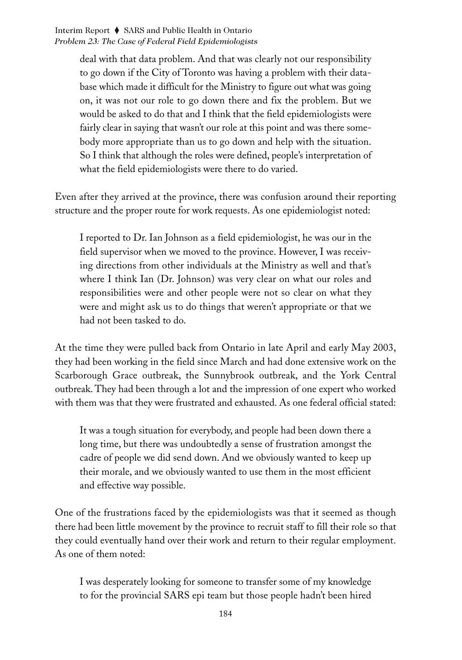deal with that data problem. And that was clearly not our responsibility to go down if the City of Toronto was having a problem with their database which made it difficult for the Ministry to figure out what was going on, it was not our role to go down there and fix the problem. But we would be asked to do that and I think that the field epidemiologists were fairly clear in saying that wasn't our role at this point and was there somebody more appropriate than us to go down and help with the situation. So I think that although the roles were defined, people's interpretation of what the field epidemiologists were there to do varied.

Even after they arrived at the province, there was confusion around their reporting structure and the proper route for work requests. As one epidemiologist noted:

I reported to Dr. Ian Johnson as a field epidemiologist, he was our in the field supervisor when we moved to the province. However, I was receiving directions from other individuals at the Ministry as well and that's where I think Ian (Dr. Johnson) was very clear on what our roles and responsibilities were and other people were not so clear on what they were and might ask us to do things that weren't appropriate or that we had not been tasked to do.

At the time they were pulled back from Ontario in late April and early May 2003, they had been working in the field since March and had done extensive work on the Scarborough Grace outbreak, the Sunnybrook outbreak, and the York Central outbreak. They had been through a lot and the impression of one expert who worked with them was that they were frustrated and exhausted. As one federal official stated:

It was a tough situation for everybody, and people had been down there a long time, but there was undoubtedly a sense of frustration amongst the cadre of people we did send down. And we obviously wanted to keep up their morale, and we obviously wanted to use them in the most efficient and effective way possible.

One of the frustrations faced by the epidemiologists was that it seemed as though there had been little movement by the province to recruit staff to fill their role so that they could eventually hand over their work and return to their regular employment. As one of them noted:

I was desperately looking for someone to transfer some of my knowledge to for the provincial SARS epi team but those people hadn't been hired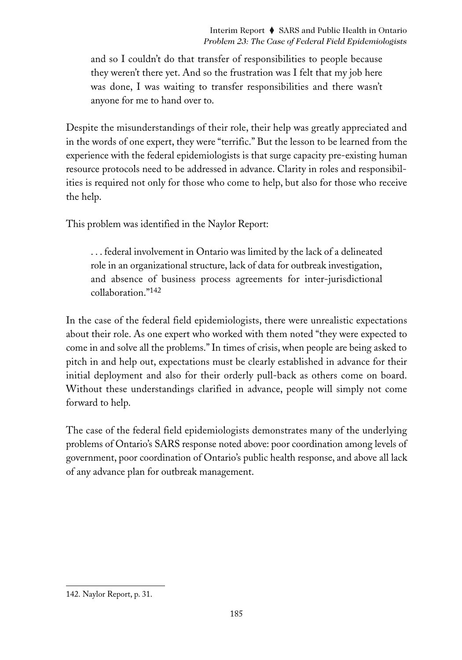and so I couldn't do that transfer of responsibilities to people because they weren't there yet. And so the frustration was I felt that my job here was done, I was waiting to transfer responsibilities and there wasn't anyone for me to hand over to.

Despite the misunderstandings of their role, their help was greatly appreciated and in the words of one expert, they were "terrific." But the lesson to be learned from the experience with the federal epidemiologists is that surge capacity pre-existing human resource protocols need to be addressed in advance. Clarity in roles and responsibilities is required not only for those who come to help, but also for those who receive the help.

This problem was identified in the Naylor Report:

. . . federal involvement in Ontario was limited by the lack of a delineated role in an organizational structure, lack of data for outbreak investigation, and absence of business process agreements for inter-jurisdictional collaboration."142

In the case of the federal field epidemiologists, there were unrealistic expectations about their role. As one expert who worked with them noted "they were expected to come in and solve all the problems." In times of crisis, when people are being asked to pitch in and help out, expectations must be clearly established in advance for their initial deployment and also for their orderly pull-back as others come on board. Without these understandings clarified in advance, people will simply not come forward to help.

The case of the federal field epidemiologists demonstrates many of the underlying problems of Ontario's SARS response noted above: poor coordination among levels of government, poor coordination of Ontario's public health response, and above all lack of any advance plan for outbreak management.

<sup>142.</sup> Naylor Report, p. 31.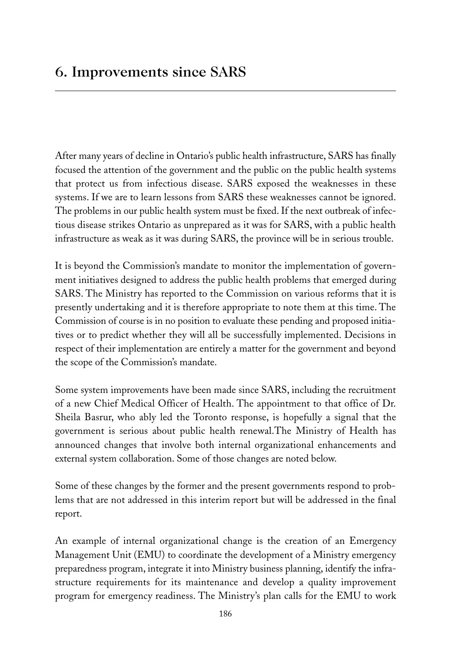After many years of decline in Ontario's public health infrastructure, SARS has finally focused the attention of the government and the public on the public health systems that protect us from infectious disease. SARS exposed the weaknesses in these systems. If we are to learn lessons from SARS these weaknesses cannot be ignored. The problems in our public health system must be fixed. If the next outbreak of infectious disease strikes Ontario as unprepared as it was for SARS, with a public health infrastructure as weak as it was during SARS, the province will be in serious trouble.

It is beyond the Commission's mandate to monitor the implementation of government initiatives designed to address the public health problems that emerged during SARS. The Ministry has reported to the Commission on various reforms that it is presently undertaking and it is therefore appropriate to note them at this time. The Commission of course is in no position to evaluate these pending and proposed initiatives or to predict whether they will all be successfully implemented. Decisions in respect of their implementation are entirely a matter for the government and beyond the scope of the Commission's mandate.

Some system improvements have been made since SARS, including the recruitment of a new Chief Medical Officer of Health. The appointment to that office of Dr. Sheila Basrur, who ably led the Toronto response, is hopefully a signal that the government is serious about public health renewal.The Ministry of Health has announced changes that involve both internal organizational enhancements and external system collaboration. Some of those changes are noted below.

Some of these changes by the former and the present governments respond to problems that are not addressed in this interim report but will be addressed in the final report.

An example of internal organizational change is the creation of an Emergency Management Unit (EMU) to coordinate the development of a Ministry emergency preparedness program, integrate it into Ministry business planning, identify the infrastructure requirements for its maintenance and develop a quality improvement program for emergency readiness. The Ministry's plan calls for the EMU to work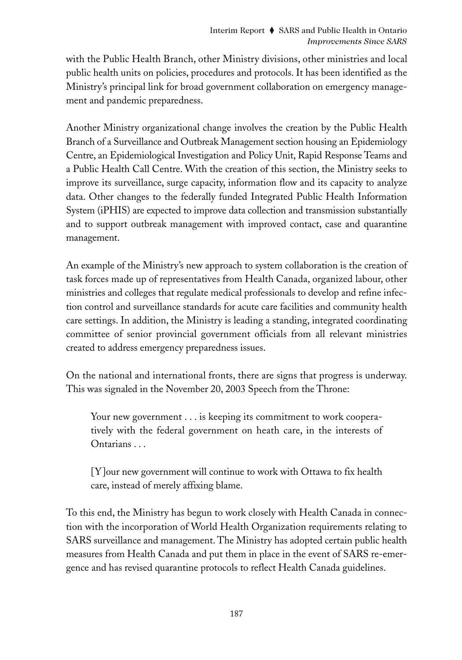with the Public Health Branch, other Ministry divisions, other ministries and local public health units on policies, procedures and protocols. It has been identified as the Ministry's principal link for broad government collaboration on emergency management and pandemic preparedness.

Another Ministry organizational change involves the creation by the Public Health Branch of a Surveillance and Outbreak Management section housing an Epidemiology Centre, an Epidemiological Investigation and Policy Unit, Rapid Response Teams and a Public Health Call Centre. With the creation of this section, the Ministry seeks to improve its surveillance, surge capacity, information flow and its capacity to analyze data. Other changes to the federally funded Integrated Public Health Information System (iPHIS) are expected to improve data collection and transmission substantially and to support outbreak management with improved contact, case and quarantine management.

An example of the Ministry's new approach to system collaboration is the creation of task forces made up of representatives from Health Canada, organized labour, other ministries and colleges that regulate medical professionals to develop and refine infection control and surveillance standards for acute care facilities and community health care settings. In addition, the Ministry is leading a standing, integrated coordinating committee of senior provincial government officials from all relevant ministries created to address emergency preparedness issues.

On the national and international fronts, there are signs that progress is underway. This was signaled in the November 20, 2003 Speech from the Throne:

Your new government . . . is keeping its commitment to work cooperatively with the federal government on heath care, in the interests of Ontarians . . .

[Y]our new government will continue to work with Ottawa to fix health care, instead of merely affixing blame.

To this end, the Ministry has begun to work closely with Health Canada in connection with the incorporation of World Health Organization requirements relating to SARS surveillance and management. The Ministry has adopted certain public health measures from Health Canada and put them in place in the event of SARS re-emergence and has revised quarantine protocols to reflect Health Canada guidelines.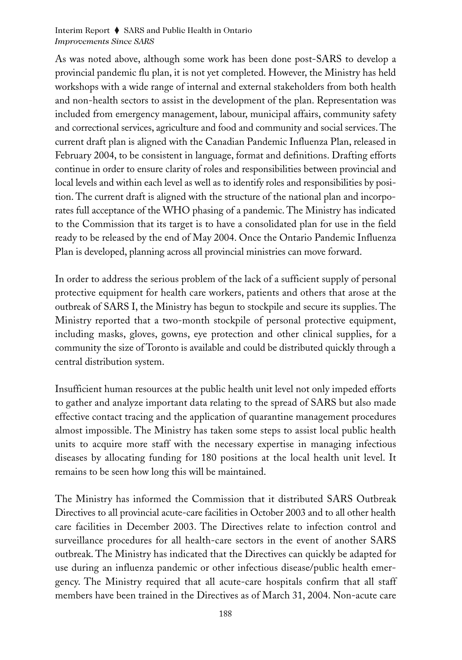Interim Report ♦ SARS and Public Health in Ontario *Improvements Since SARS*

As was noted above, although some work has been done post-SARS to develop a provincial pandemic flu plan, it is not yet completed. However, the Ministry has held workshops with a wide range of internal and external stakeholders from both health and non-health sectors to assist in the development of the plan. Representation was included from emergency management, labour, municipal affairs, community safety and correctional services, agriculture and food and community and social services. The current draft plan is aligned with the Canadian Pandemic Influenza Plan, released in February 2004, to be consistent in language, format and definitions. Drafting efforts continue in order to ensure clarity of roles and responsibilities between provincial and local levels and within each level as well as to identify roles and responsibilities by position. The current draft is aligned with the structure of the national plan and incorporates full acceptance of the WHO phasing of a pandemic. The Ministry has indicated to the Commission that its target is to have a consolidated plan for use in the field ready to be released by the end of May 2004. Once the Ontario Pandemic Influenza Plan is developed, planning across all provincial ministries can move forward.

In order to address the serious problem of the lack of a sufficient supply of personal protective equipment for health care workers, patients and others that arose at the outbreak of SARS I, the Ministry has begun to stockpile and secure its supplies. The Ministry reported that a two-month stockpile of personal protective equipment, including masks, gloves, gowns, eye protection and other clinical supplies, for a community the size of Toronto is available and could be distributed quickly through a central distribution system.

Insufficient human resources at the public health unit level not only impeded efforts to gather and analyze important data relating to the spread of SARS but also made effective contact tracing and the application of quarantine management procedures almost impossible. The Ministry has taken some steps to assist local public health units to acquire more staff with the necessary expertise in managing infectious diseases by allocating funding for 180 positions at the local health unit level. It remains to be seen how long this will be maintained.

The Ministry has informed the Commission that it distributed SARS Outbreak Directives to all provincial acute-care facilities in October 2003 and to all other health care facilities in December 2003. The Directives relate to infection control and surveillance procedures for all health-care sectors in the event of another SARS outbreak. The Ministry has indicated that the Directives can quickly be adapted for use during an influenza pandemic or other infectious disease/public health emergency. The Ministry required that all acute-care hospitals confirm that all staff members have been trained in the Directives as of March 31, 2004. Non-acute care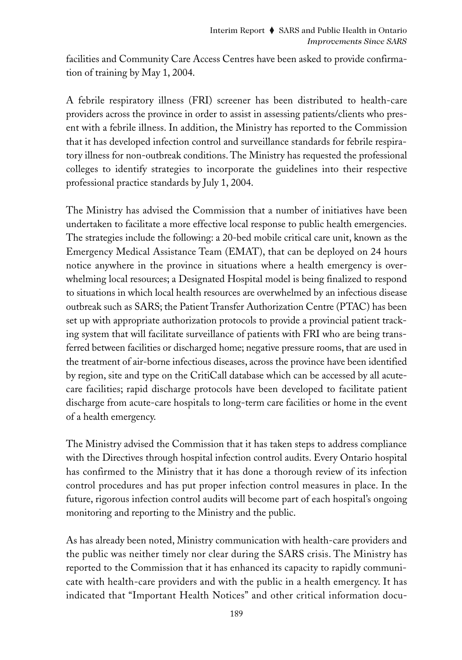facilities and Community Care Access Centres have been asked to provide confirmation of training by May 1, 2004.

A febrile respiratory illness (FRI) screener has been distributed to health-care providers across the province in order to assist in assessing patients/clients who present with a febrile illness. In addition, the Ministry has reported to the Commission that it has developed infection control and surveillance standards for febrile respiratory illness for non-outbreak conditions. The Ministry has requested the professional colleges to identify strategies to incorporate the guidelines into their respective professional practice standards by July 1, 2004.

The Ministry has advised the Commission that a number of initiatives have been undertaken to facilitate a more effective local response to public health emergencies. The strategies include the following: a 20-bed mobile critical care unit, known as the Emergency Medical Assistance Team (EMAT), that can be deployed on 24 hours notice anywhere in the province in situations where a health emergency is overwhelming local resources; a Designated Hospital model is being finalized to respond to situations in which local health resources are overwhelmed by an infectious disease outbreak such as SARS; the Patient Transfer Authorization Centre (PTAC) has been set up with appropriate authorization protocols to provide a provincial patient tracking system that will facilitate surveillance of patients with FRI who are being transferred between facilities or discharged home; negative pressure rooms, that are used in the treatment of air-borne infectious diseases, across the province have been identified by region, site and type on the CritiCall database which can be accessed by all acutecare facilities; rapid discharge protocols have been developed to facilitate patient discharge from acute-care hospitals to long-term care facilities or home in the event of a health emergency.

The Ministry advised the Commission that it has taken steps to address compliance with the Directives through hospital infection control audits. Every Ontario hospital has confirmed to the Ministry that it has done a thorough review of its infection control procedures and has put proper infection control measures in place. In the future, rigorous infection control audits will become part of each hospital's ongoing monitoring and reporting to the Ministry and the public.

As has already been noted, Ministry communication with health-care providers and the public was neither timely nor clear during the SARS crisis. The Ministry has reported to the Commission that it has enhanced its capacity to rapidly communicate with health-care providers and with the public in a health emergency. It has indicated that "Important Health Notices" and other critical information docu-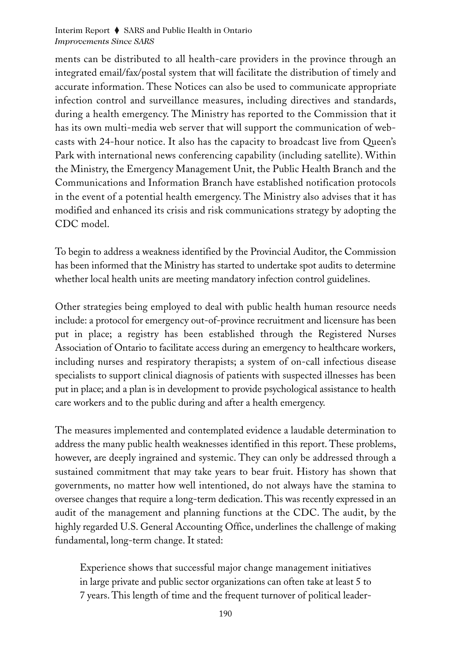### Interim Report ♦ SARS and Public Health in Ontario *Improvements Since SARS*

ments can be distributed to all health-care providers in the province through an integrated email/fax/postal system that will facilitate the distribution of timely and accurate information. These Notices can also be used to communicate appropriate infection control and surveillance measures, including directives and standards, during a health emergency. The Ministry has reported to the Commission that it has its own multi-media web server that will support the communication of webcasts with 24-hour notice. It also has the capacity to broadcast live from Queen's Park with international news conferencing capability (including satellite). Within the Ministry, the Emergency Management Unit, the Public Health Branch and the Communications and Information Branch have established notification protocols in the event of a potential health emergency. The Ministry also advises that it has modified and enhanced its crisis and risk communications strategy by adopting the CDC model.

To begin to address a weakness identified by the Provincial Auditor, the Commission has been informed that the Ministry has started to undertake spot audits to determine whether local health units are meeting mandatory infection control guidelines.

Other strategies being employed to deal with public health human resource needs include: a protocol for emergency out-of-province recruitment and licensure has been put in place; a registry has been established through the Registered Nurses Association of Ontario to facilitate access during an emergency to healthcare workers, including nurses and respiratory therapists; a system of on-call infectious disease specialists to support clinical diagnosis of patients with suspected illnesses has been put in place; and a plan is in development to provide psychological assistance to health care workers and to the public during and after a health emergency.

The measures implemented and contemplated evidence a laudable determination to address the many public health weaknesses identified in this report. These problems, however, are deeply ingrained and systemic. They can only be addressed through a sustained commitment that may take years to bear fruit. History has shown that governments, no matter how well intentioned, do not always have the stamina to oversee changes that require a long-term dedication. This was recently expressed in an audit of the management and planning functions at the CDC. The audit, by the highly regarded U.S. General Accounting Office, underlines the challenge of making fundamental, long-term change. It stated:

Experience shows that successful major change management initiatives in large private and public sector organizations can often take at least 5 to 7 years. This length of time and the frequent turnover of political leader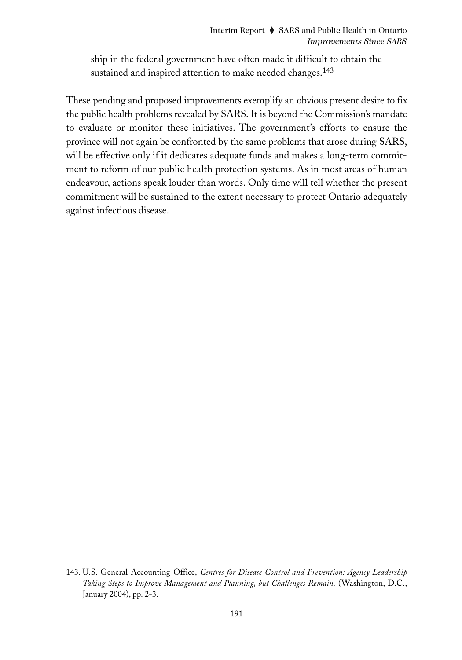ship in the federal government have often made it difficult to obtain the sustained and inspired attention to make needed changes.<sup>143</sup>

These pending and proposed improvements exemplify an obvious present desire to fix the public health problems revealed by SARS. It is beyond the Commission's mandate to evaluate or monitor these initiatives. The government's efforts to ensure the province will not again be confronted by the same problems that arose during SARS, will be effective only if it dedicates adequate funds and makes a long-term commitment to reform of our public health protection systems. As in most areas of human endeavour, actions speak louder than words. Only time will tell whether the present commitment will be sustained to the extent necessary to protect Ontario adequately against infectious disease.

<sup>143.</sup> U.S. General Accounting Office, *Centres for Disease Control and Prevention: Agency Leadership Taking Steps to Improve Management and Planning, but Challenges Remain,* (Washington, D.C., January 2004), pp. 2-3.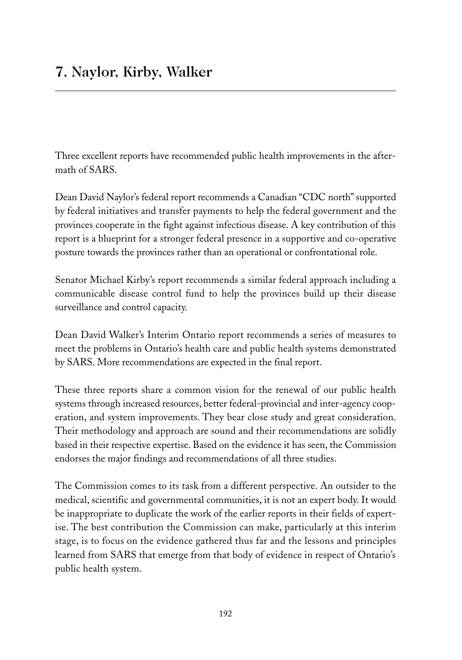Three excellent reports have recommended public health improvements in the aftermath of SARS.

Dean David Naylor's federal report recommends a Canadian "CDC north" supported by federal initiatives and transfer payments to help the federal government and the provinces cooperate in the fight against infectious disease. A key contribution of this report is a blueprint for a stronger federal presence in a supportive and co-operative posture towards the provinces rather than an operational or confrontational role.

Senator Michael Kirby's report recommends a similar federal approach including a communicable disease control fund to help the provinces build up their disease surveillance and control capacity.

Dean David Walker's Interim Ontario report recommends a series of measures to meet the problems in Ontario's health care and public health systems demonstrated by SARS. More recommendations are expected in the final report.

These three reports share a common vision for the renewal of our public health systems through increased resources, better federal-provincial and inter-agency cooperation, and system improvements. They bear close study and great consideration. Their methodology and approach are sound and their recommendations are solidly based in their respective expertise. Based on the evidence it has seen, the Commission endorses the major findings and recommendations of all three studies.

The Commission comes to its task from a different perspective. An outsider to the medical, scientific and governmental communities, it is not an expert body. It would be inappropriate to duplicate the work of the earlier reports in their fields of expertise. The best contribution the Commission can make, particularly at this interim stage, is to focus on the evidence gathered thus far and the lessons and principles learned from SARS that emerge from that body of evidence in respect of Ontario's public health system.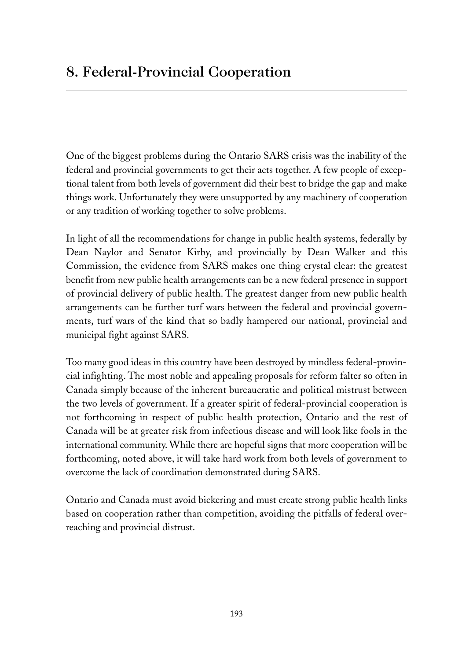One of the biggest problems during the Ontario SARS crisis was the inability of the federal and provincial governments to get their acts together. A few people of exceptional talent from both levels of government did their best to bridge the gap and make things work. Unfortunately they were unsupported by any machinery of cooperation or any tradition of working together to solve problems.

In light of all the recommendations for change in public health systems, federally by Dean Naylor and Senator Kirby, and provincially by Dean Walker and this Commission, the evidence from SARS makes one thing crystal clear: the greatest benefit from new public health arrangements can be a new federal presence in support of provincial delivery of public health. The greatest danger from new public health arrangements can be further turf wars between the federal and provincial governments, turf wars of the kind that so badly hampered our national, provincial and municipal fight against SARS.

Too many good ideas in this country have been destroyed by mindless federal-provincial infighting. The most noble and appealing proposals for reform falter so often in Canada simply because of the inherent bureaucratic and political mistrust between the two levels of government. If a greater spirit of federal-provincial cooperation is not forthcoming in respect of public health protection, Ontario and the rest of Canada will be at greater risk from infectious disease and will look like fools in the international community. While there are hopeful signs that more cooperation will be forthcoming, noted above, it will take hard work from both levels of government to overcome the lack of coordination demonstrated during SARS.

Ontario and Canada must avoid bickering and must create strong public health links based on cooperation rather than competition, avoiding the pitfalls of federal overreaching and provincial distrust.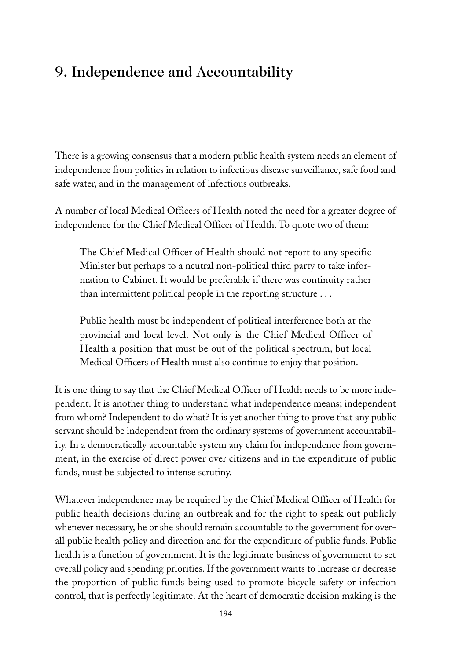There is a growing consensus that a modern public health system needs an element of independence from politics in relation to infectious disease surveillance, safe food and safe water, and in the management of infectious outbreaks.

A number of local Medical Officers of Health noted the need for a greater degree of independence for the Chief Medical Officer of Health. To quote two of them:

The Chief Medical Officer of Health should not report to any specific Minister but perhaps to a neutral non-political third party to take information to Cabinet. It would be preferable if there was continuity rather than intermittent political people in the reporting structure . . .

Public health must be independent of political interference both at the provincial and local level. Not only is the Chief Medical Officer of Health a position that must be out of the political spectrum, but local Medical Officers of Health must also continue to enjoy that position.

It is one thing to say that the Chief Medical Officer of Health needs to be more independent. It is another thing to understand what independence means; independent from whom? Independent to do what? It is yet another thing to prove that any public servant should be independent from the ordinary systems of government accountability. In a democratically accountable system any claim for independence from government, in the exercise of direct power over citizens and in the expenditure of public funds, must be subjected to intense scrutiny.

Whatever independence may be required by the Chief Medical Officer of Health for public health decisions during an outbreak and for the right to speak out publicly whenever necessary, he or she should remain accountable to the government for overall public health policy and direction and for the expenditure of public funds. Public health is a function of government. It is the legitimate business of government to set overall policy and spending priorities. If the government wants to increase or decrease the proportion of public funds being used to promote bicycle safety or infection control, that is perfectly legitimate. At the heart of democratic decision making is the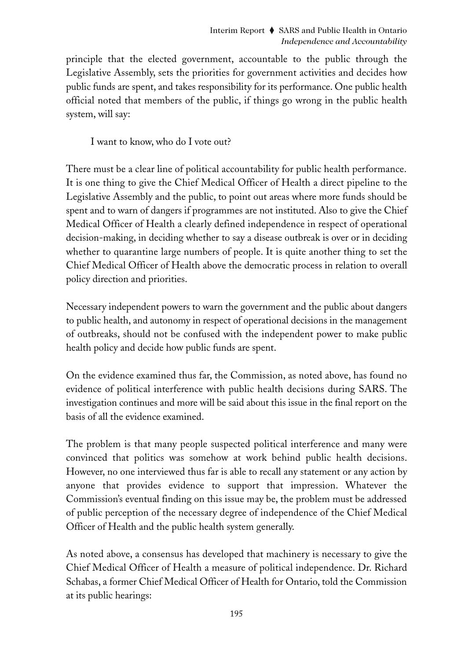principle that the elected government, accountable to the public through the Legislative Assembly, sets the priorities for government activities and decides how public funds are spent, and takes responsibility for its performance. One public health official noted that members of the public, if things go wrong in the public health system, will say:

I want to know, who do I vote out?

There must be a clear line of political accountability for public health performance. It is one thing to give the Chief Medical Officer of Health a direct pipeline to the Legislative Assembly and the public, to point out areas where more funds should be spent and to warn of dangers if programmes are not instituted. Also to give the Chief Medical Officer of Health a clearly defined independence in respect of operational decision-making, in deciding whether to say a disease outbreak is over or in deciding whether to quarantine large numbers of people. It is quite another thing to set the Chief Medical Officer of Health above the democratic process in relation to overall policy direction and priorities.

Necessary independent powers to warn the government and the public about dangers to public health, and autonomy in respect of operational decisions in the management of outbreaks, should not be confused with the independent power to make public health policy and decide how public funds are spent.

On the evidence examined thus far, the Commission, as noted above, has found no evidence of political interference with public health decisions during SARS. The investigation continues and more will be said about this issue in the final report on the basis of all the evidence examined.

The problem is that many people suspected political interference and many were convinced that politics was somehow at work behind public health decisions. However, no one interviewed thus far is able to recall any statement or any action by anyone that provides evidence to support that impression. Whatever the Commission's eventual finding on this issue may be, the problem must be addressed of public perception of the necessary degree of independence of the Chief Medical Officer of Health and the public health system generally.

As noted above, a consensus has developed that machinery is necessary to give the Chief Medical Officer of Health a measure of political independence. Dr. Richard Schabas, a former Chief Medical Officer of Health for Ontario, told the Commission at its public hearings: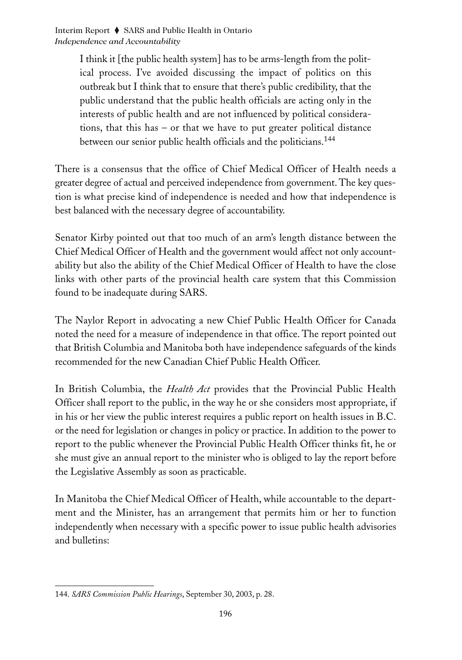Interim Report ♦ SARS and Public Health in Ontario *Independence and Accountability*

> I think it [the public health system] has to be arms-length from the political process. I've avoided discussing the impact of politics on this outbreak but I think that to ensure that there's public credibility, that the public understand that the public health officials are acting only in the interests of public health and are not influenced by political considerations, that this has – or that we have to put greater political distance between our senior public health officials and the politicians.144

There is a consensus that the office of Chief Medical Officer of Health needs a greater degree of actual and perceived independence from government. The key question is what precise kind of independence is needed and how that independence is best balanced with the necessary degree of accountability.

Senator Kirby pointed out that too much of an arm's length distance between the Chief Medical Officer of Health and the government would affect not only accountability but also the ability of the Chief Medical Officer of Health to have the close links with other parts of the provincial health care system that this Commission found to be inadequate during SARS.

The Naylor Report in advocating a new Chief Public Health Officer for Canada noted the need for a measure of independence in that office. The report pointed out that British Columbia and Manitoba both have independence safeguards of the kinds recommended for the new Canadian Chief Public Health Officer.

In British Columbia, the *Health Act* provides that the Provincial Public Health Officer shall report to the public, in the way he or she considers most appropriate, if in his or her view the public interest requires a public report on health issues in B.C. or the need for legislation or changes in policy or practice. In addition to the power to report to the public whenever the Provincial Public Health Officer thinks fit, he or she must give an annual report to the minister who is obliged to lay the report before the Legislative Assembly as soon as practicable.

In Manitoba the Chief Medical Officer of Health, while accountable to the department and the Minister, has an arrangement that permits him or her to function independently when necessary with a specific power to issue public health advisories and bulletins:

<sup>144.</sup> *SARS Commission Public Hearings*, September 30, 2003, p. 28.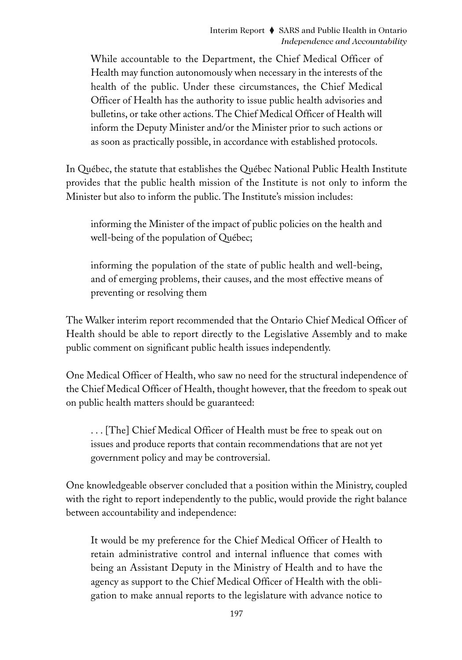While accountable to the Department, the Chief Medical Officer of Health may function autonomously when necessary in the interests of the health of the public. Under these circumstances, the Chief Medical Officer of Health has the authority to issue public health advisories and bulletins, or take other actions. The Chief Medical Officer of Health will inform the Deputy Minister and/or the Minister prior to such actions or as soon as practically possible, in accordance with established protocols.

In Québec, the statute that establishes the Québec National Public Health Institute provides that the public health mission of the Institute is not only to inform the Minister but also to inform the public. The Institute's mission includes:

informing the Minister of the impact of public policies on the health and well-being of the population of Québec;

informing the population of the state of public health and well-being, and of emerging problems, their causes, and the most effective means of preventing or resolving them

The Walker interim report recommended that the Ontario Chief Medical Officer of Health should be able to report directly to the Legislative Assembly and to make public comment on significant public health issues independently.

One Medical Officer of Health, who saw no need for the structural independence of the Chief Medical Officer of Health, thought however, that the freedom to speak out on public health matters should be guaranteed:

. . . [The] Chief Medical Officer of Health must be free to speak out on issues and produce reports that contain recommendations that are not yet government policy and may be controversial.

One knowledgeable observer concluded that a position within the Ministry, coupled with the right to report independently to the public, would provide the right balance between accountability and independence:

It would be my preference for the Chief Medical Officer of Health to retain administrative control and internal influence that comes with being an Assistant Deputy in the Ministry of Health and to have the agency as support to the Chief Medical Officer of Health with the obligation to make annual reports to the legislature with advance notice to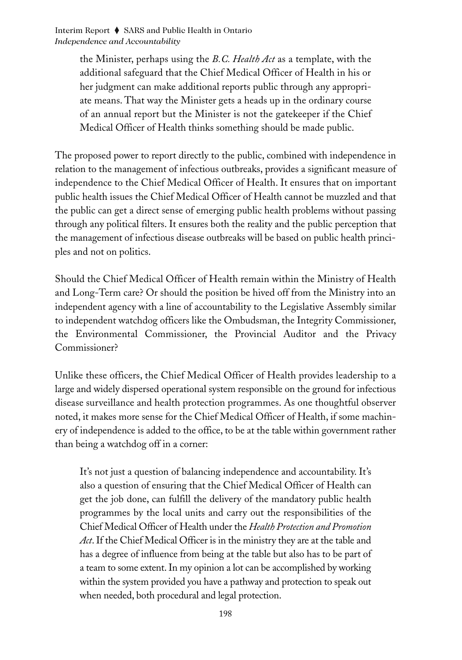Interim Report ♦ SARS and Public Health in Ontario *Independence and Accountability*

> the Minister, perhaps using the *B.C. Health Act* as a template, with the additional safeguard that the Chief Medical Officer of Health in his or her judgment can make additional reports public through any appropriate means. That way the Minister gets a heads up in the ordinary course of an annual report but the Minister is not the gatekeeper if the Chief Medical Officer of Health thinks something should be made public.

The proposed power to report directly to the public, combined with independence in relation to the management of infectious outbreaks, provides a significant measure of independence to the Chief Medical Officer of Health. It ensures that on important public health issues the Chief Medical Officer of Health cannot be muzzled and that the public can get a direct sense of emerging public health problems without passing through any political filters. It ensures both the reality and the public perception that the management of infectious disease outbreaks will be based on public health principles and not on politics.

Should the Chief Medical Officer of Health remain within the Ministry of Health and Long-Term care? Or should the position be hived off from the Ministry into an independent agency with a line of accountability to the Legislative Assembly similar to independent watchdog officers like the Ombudsman, the Integrity Commissioner, the Environmental Commissioner, the Provincial Auditor and the Privacy Commissioner?

Unlike these officers, the Chief Medical Officer of Health provides leadership to a large and widely dispersed operational system responsible on the ground for infectious disease surveillance and health protection programmes. As one thoughtful observer noted, it makes more sense for the Chief Medical Officer of Health, if some machinery of independence is added to the office, to be at the table within government rather than being a watchdog off in a corner:

It's not just a question of balancing independence and accountability. It's also a question of ensuring that the Chief Medical Officer of Health can get the job done, can fulfill the delivery of the mandatory public health programmes by the local units and carry out the responsibilities of the Chief Medical Officer of Health under the *Health Protection and Promotion Act*.If the Chief Medical Officer is in the ministry they are at the table and has a degree of influence from being at the table but also has to be part of a team to some extent. In my opinion a lot can be accomplished by working within the system provided you have a pathway and protection to speak out when needed, both procedural and legal protection.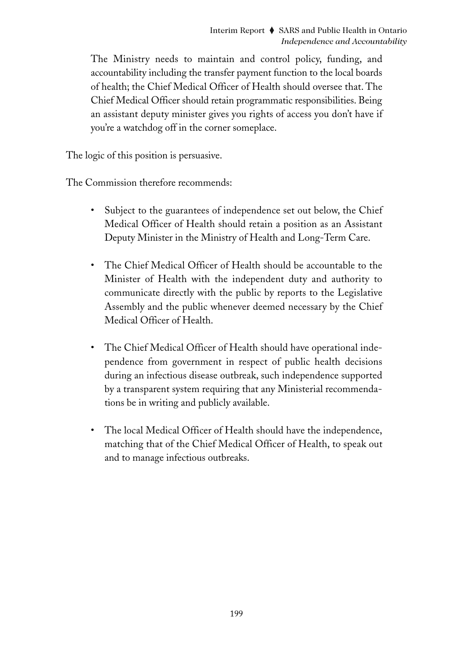The Ministry needs to maintain and control policy, funding, and accountability including the transfer payment function to the local boards of health; the Chief Medical Officer of Health should oversee that. The Chief Medical Officer should retain programmatic responsibilities. Being an assistant deputy minister gives you rights of access you don't have if you're a watchdog off in the corner someplace.

The logic of this position is persuasive.

The Commission therefore recommends:

- Subject to the guarantees of independence set out below, the Chief Medical Officer of Health should retain a position as an Assistant Deputy Minister in the Ministry of Health and Long-Term Care.
- The Chief Medical Officer of Health should be accountable to the Minister of Health with the independent duty and authority to communicate directly with the public by reports to the Legislative Assembly and the public whenever deemed necessary by the Chief Medical Officer of Health.
- The Chief Medical Officer of Health should have operational independence from government in respect of public health decisions during an infectious disease outbreak, such independence supported by a transparent system requiring that any Ministerial recommendations be in writing and publicly available.
- The local Medical Officer of Health should have the independence, matching that of the Chief Medical Officer of Health, to speak out and to manage infectious outbreaks.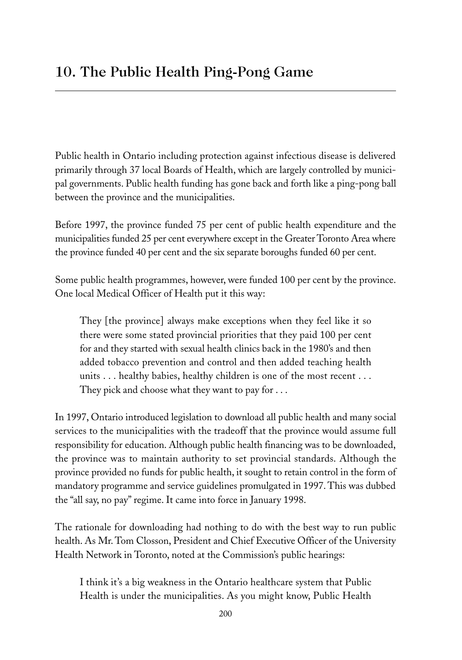Public health in Ontario including protection against infectious disease is delivered primarily through 37 local Boards of Health, which are largely controlled by municipal governments. Public health funding has gone back and forth like a ping-pong ball between the province and the municipalities.

Before 1997, the province funded 75 per cent of public health expenditure and the municipalities funded 25 per cent everywhere except in the Greater Toronto Area where the province funded 40 per cent and the six separate boroughs funded 60 per cent.

Some public health programmes, however, were funded 100 per cent by the province. One local Medical Officer of Health put it this way:

They [the province] always make exceptions when they feel like it so there were some stated provincial priorities that they paid 100 per cent for and they started with sexual health clinics back in the 1980's and then added tobacco prevention and control and then added teaching health units . . . healthy babies, healthy children is one of the most recent . . . They pick and choose what they want to pay for . . .

In 1997, Ontario introduced legislation to download all public health and many social services to the municipalities with the tradeoff that the province would assume full responsibility for education. Although public health financing was to be downloaded, the province was to maintain authority to set provincial standards. Although the province provided no funds for public health, it sought to retain control in the form of mandatory programme and service guidelines promulgated in 1997. This was dubbed the "all say, no pay" regime. It came into force in January 1998.

The rationale for downloading had nothing to do with the best way to run public health. As Mr. Tom Closson, President and Chief Executive Officer of the University Health Network in Toronto, noted at the Commission's public hearings:

I think it's a big weakness in the Ontario healthcare system that Public Health is under the municipalities. As you might know, Public Health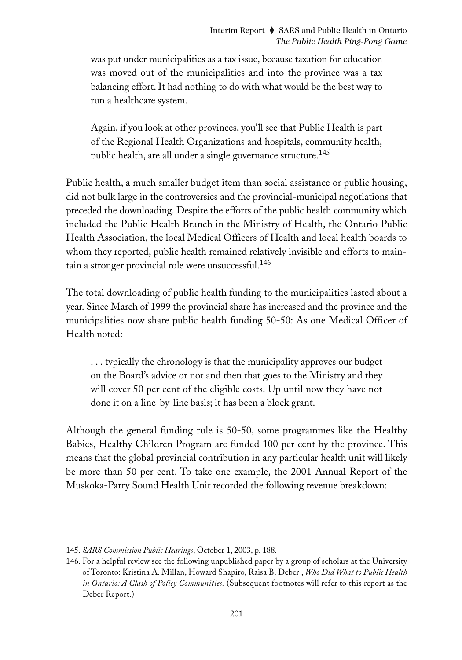was put under municipalities as a tax issue, because taxation for education was moved out of the municipalities and into the province was a tax balancing effort. It had nothing to do with what would be the best way to run a healthcare system.

Again, if you look at other provinces, you'll see that Public Health is part of the Regional Health Organizations and hospitals, community health, public health, are all under a single governance structure.<sup>145</sup>

Public health, a much smaller budget item than social assistance or public housing, did not bulk large in the controversies and the provincial-municipal negotiations that preceded the downloading. Despite the efforts of the public health community which included the Public Health Branch in the Ministry of Health, the Ontario Public Health Association, the local Medical Officers of Health and local health boards to whom they reported, public health remained relatively invisible and efforts to maintain a stronger provincial role were unsuccessful.146

The total downloading of public health funding to the municipalities lasted about a year. Since March of 1999 the provincial share has increased and the province and the municipalities now share public health funding 50-50: As one Medical Officer of Health noted:

. . . typically the chronology is that the municipality approves our budget on the Board's advice or not and then that goes to the Ministry and they will cover 50 per cent of the eligible costs. Up until now they have not done it on a line-by-line basis; it has been a block grant.

Although the general funding rule is 50-50, some programmes like the Healthy Babies, Healthy Children Program are funded 100 per cent by the province. This means that the global provincial contribution in any particular health unit will likely be more than 50 per cent. To take one example, the 2001 Annual Report of the Muskoka-Parry Sound Health Unit recorded the following revenue breakdown:

<sup>145.</sup> *SARS Commission Public Hearings*, October 1, 2003, p. 188.

<sup>146.</sup> For a helpful review see the following unpublished paper by a group of scholars at the University of Toronto: Kristina A. Millan, Howard Shapiro, Raisa B. Deber , *Who Did What to Public Health in Ontario: A Clash of Policy Communities.* (Subsequent footnotes will refer to this report as the Deber Report.)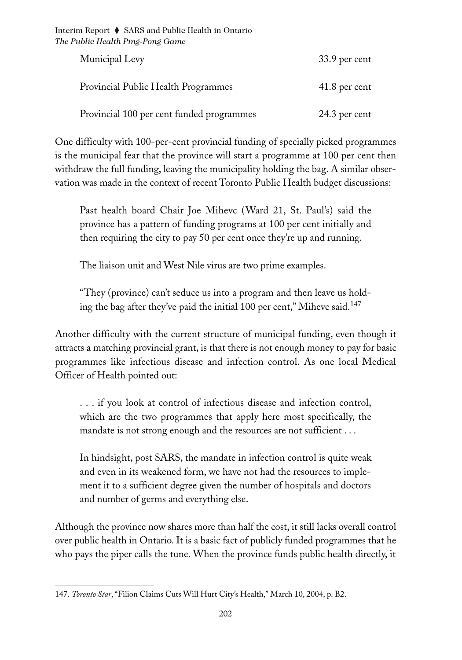Interim Report ♦ SARS and Public Health in Ontario *The Public Health Ping-Pong Game*

| Municipal Levy                            | 33.9 per cent |
|-------------------------------------------|---------------|
| Provincial Public Health Programmes       | 41.8 per cent |
| Provincial 100 per cent funded programmes | 24.3 per cent |

One difficulty with 100-per-cent provincial funding of specially picked programmes is the municipal fear that the province will start a programme at 100 per cent then withdraw the full funding, leaving the municipality holding the bag. A similar observation was made in the context of recent Toronto Public Health budget discussions:

Past health board Chair Joe Mihevc (Ward 21, St. Paul's) said the province has a pattern of funding programs at 100 per cent initially and then requiring the city to pay 50 per cent once they're up and running.

The liaison unit and West Nile virus are two prime examples.

"They (province) can't seduce us into a program and then leave us holding the bag after they've paid the initial 100 per cent," Mihevc said.147

Another difficulty with the current structure of municipal funding, even though it attracts a matching provincial grant, is that there is not enough money to pay for basic programmes like infectious disease and infection control. As one local Medical Officer of Health pointed out:

. . . if you look at control of infectious disease and infection control, which are the two programmes that apply here most specifically, the mandate is not strong enough and the resources are not sufficient . . .

In hindsight, post SARS, the mandate in infection control is quite weak and even in its weakened form, we have not had the resources to implement it to a sufficient degree given the number of hospitals and doctors and number of germs and everything else.

Although the province now shares more than half the cost, it still lacks overall control over public health in Ontario. It is a basic fact of publicly funded programmes that he who pays the piper calls the tune. When the province funds public health directly, it

<sup>147.</sup> *Toronto Star*, "Filion Claims Cuts Will Hurt City's Health," March 10, 2004, p. B2.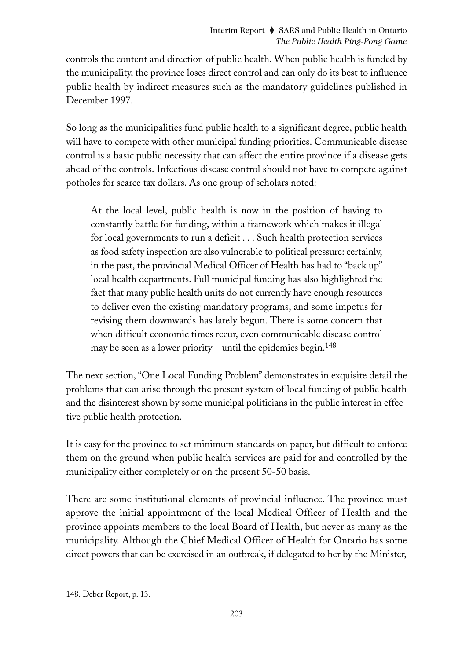controls the content and direction of public health. When public health is funded by the municipality, the province loses direct control and can only do its best to influence public health by indirect measures such as the mandatory guidelines published in December 1997.

So long as the municipalities fund public health to a significant degree, public health will have to compete with other municipal funding priorities. Communicable disease control is a basic public necessity that can affect the entire province if a disease gets ahead of the controls. Infectious disease control should not have to compete against potholes for scarce tax dollars. As one group of scholars noted:

At the local level, public health is now in the position of having to constantly battle for funding, within a framework which makes it illegal for local governments to run a deficit . . . Such health protection services as food safety inspection are also vulnerable to political pressure: certainly, in the past, the provincial Medical Officer of Health has had to "back up" local health departments. Full municipal funding has also highlighted the fact that many public health units do not currently have enough resources to deliver even the existing mandatory programs, and some impetus for revising them downwards has lately begun. There is some concern that when difficult economic times recur, even communicable disease control may be seen as a lower priority – until the epidemics begin.<sup>148</sup>

The next section, "One Local Funding Problem" demonstrates in exquisite detail the problems that can arise through the present system of local funding of public health and the disinterest shown by some municipal politicians in the public interest in effective public health protection.

It is easy for the province to set minimum standards on paper, but difficult to enforce them on the ground when public health services are paid for and controlled by the municipality either completely or on the present 50-50 basis.

There are some institutional elements of provincial influence. The province must approve the initial appointment of the local Medical Officer of Health and the province appoints members to the local Board of Health, but never as many as the municipality. Although the Chief Medical Officer of Health for Ontario has some direct powers that can be exercised in an outbreak, if delegated to her by the Minister,

<sup>148.</sup> Deber Report, p. 13.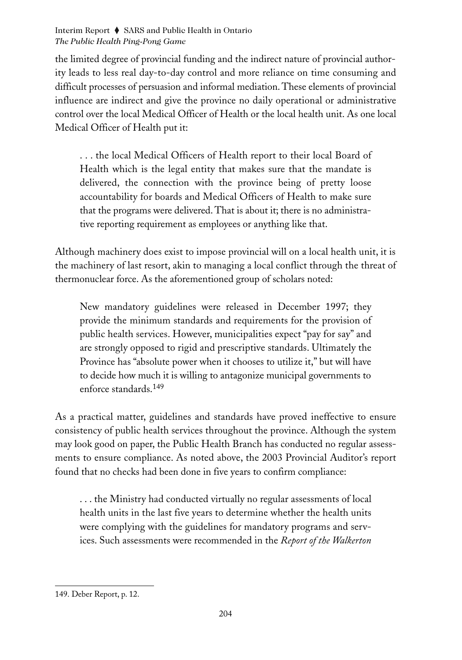Interim Report ♦ SARS and Public Health in Ontario *The Public Health Ping-Pong Game*

the limited degree of provincial funding and the indirect nature of provincial authority leads to less real day-to-day control and more reliance on time consuming and difficult processes of persuasion and informal mediation. These elements of provincial influence are indirect and give the province no daily operational or administrative control over the local Medical Officer of Health or the local health unit. As one local Medical Officer of Health put it:

. . . the local Medical Officers of Health report to their local Board of Health which is the legal entity that makes sure that the mandate is delivered, the connection with the province being of pretty loose accountability for boards and Medical Officers of Health to make sure that the programs were delivered. That is about it; there is no administrative reporting requirement as employees or anything like that.

Although machinery does exist to impose provincial will on a local health unit, it is the machinery of last resort, akin to managing a local conflict through the threat of thermonuclear force. As the aforementioned group of scholars noted:

New mandatory guidelines were released in December 1997; they provide the minimum standards and requirements for the provision of public health services. However, municipalities expect "pay for say" and are strongly opposed to rigid and prescriptive standards. Ultimately the Province has "absolute power when it chooses to utilize it," but will have to decide how much it is willing to antagonize municipal governments to enforce standards.149

As a practical matter, guidelines and standards have proved ineffective to ensure consistency of public health services throughout the province. Although the system may look good on paper, the Public Health Branch has conducted no regular assessments to ensure compliance. As noted above, the 2003 Provincial Auditor's report found that no checks had been done in five years to confirm compliance:

. . . the Ministry had conducted virtually no regular assessments of local health units in the last five years to determine whether the health units were complying with the guidelines for mandatory programs and services. Such assessments were recommended in the *Report of the Walkerton*

<sup>149.</sup> Deber Report, p. 12.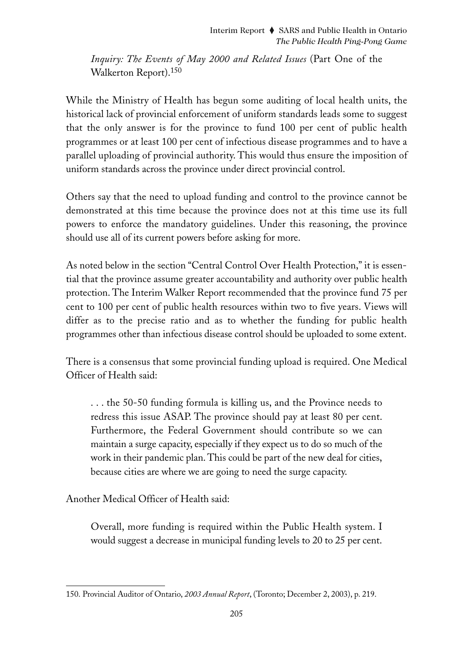*Inquiry: The Events of May 2000 and Related Issues* (Part One of the Walkerton Report).150

While the Ministry of Health has begun some auditing of local health units, the historical lack of provincial enforcement of uniform standards leads some to suggest that the only answer is for the province to fund 100 per cent of public health programmes or at least 100 per cent of infectious disease programmes and to have a parallel uploading of provincial authority. This would thus ensure the imposition of uniform standards across the province under direct provincial control.

Others say that the need to upload funding and control to the province cannot be demonstrated at this time because the province does not at this time use its full powers to enforce the mandatory guidelines. Under this reasoning, the province should use all of its current powers before asking for more.

As noted below in the section "Central Control Over Health Protection," it is essential that the province assume greater accountability and authority over public health protection. The Interim Walker Report recommended that the province fund 75 per cent to 100 per cent of public health resources within two to five years. Views will differ as to the precise ratio and as to whether the funding for public health programmes other than infectious disease control should be uploaded to some extent.

There is a consensus that some provincial funding upload is required. One Medical Officer of Health said:

. . . the 50-50 funding formula is killing us, and the Province needs to redress this issue ASAP. The province should pay at least 80 per cent. Furthermore, the Federal Government should contribute so we can maintain a surge capacity, especially if they expect us to do so much of the work in their pandemic plan. This could be part of the new deal for cities, because cities are where we are going to need the surge capacity.

Another Medical Officer of Health said:

Overall, more funding is required within the Public Health system. I would suggest a decrease in municipal funding levels to 20 to 25 per cent.

<sup>150.</sup> Provincial Auditor of Ontario, *2003 Annual Report*, (Toronto; December 2, 2003), p. 219.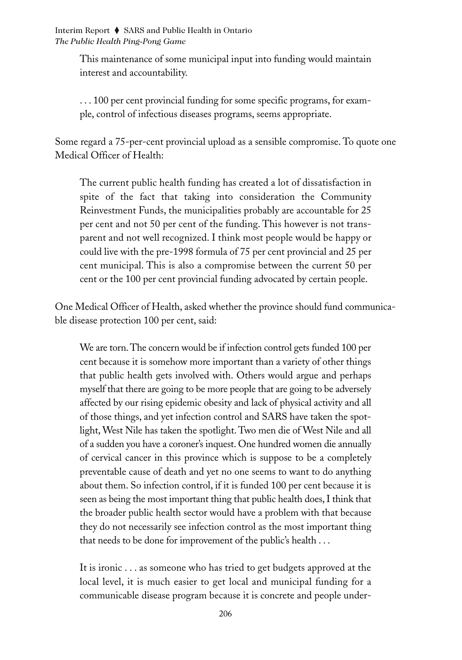Interim Report ♦ SARS and Public Health in Ontario *The Public Health Ping-Pong Game*

> This maintenance of some municipal input into funding would maintain interest and accountability.

> . . . 100 per cent provincial funding for some specific programs, for example, control of infectious diseases programs, seems appropriate.

Some regard a 75-per-cent provincial upload as a sensible compromise. To quote one Medical Officer of Health:

The current public health funding has created a lot of dissatisfaction in spite of the fact that taking into consideration the Community Reinvestment Funds, the municipalities probably are accountable for 25 per cent and not 50 per cent of the funding. This however is not transparent and not well recognized. I think most people would be happy or could live with the pre-1998 formula of 75 per cent provincial and 25 per cent municipal. This is also a compromise between the current 50 per cent or the 100 per cent provincial funding advocated by certain people.

One Medical Officer of Health, asked whether the province should fund communicable disease protection 100 per cent, said:

We are torn. The concern would be if infection control gets funded 100 per cent because it is somehow more important than a variety of other things that public health gets involved with. Others would argue and perhaps myself that there are going to be more people that are going to be adversely affected by our rising epidemic obesity and lack of physical activity and all of those things, and yet infection control and SARS have taken the spotlight, West Nile has taken the spotlight. Two men die of West Nile and all of a sudden you have a coroner's inquest. One hundred women die annually of cervical cancer in this province which is suppose to be a completely preventable cause of death and yet no one seems to want to do anything about them. So infection control, if it is funded 100 per cent because it is seen as being the most important thing that public health does, I think that the broader public health sector would have a problem with that because they do not necessarily see infection control as the most important thing that needs to be done for improvement of the public's health . . .

It is ironic . . . as someone who has tried to get budgets approved at the local level, it is much easier to get local and municipal funding for a communicable disease program because it is concrete and people under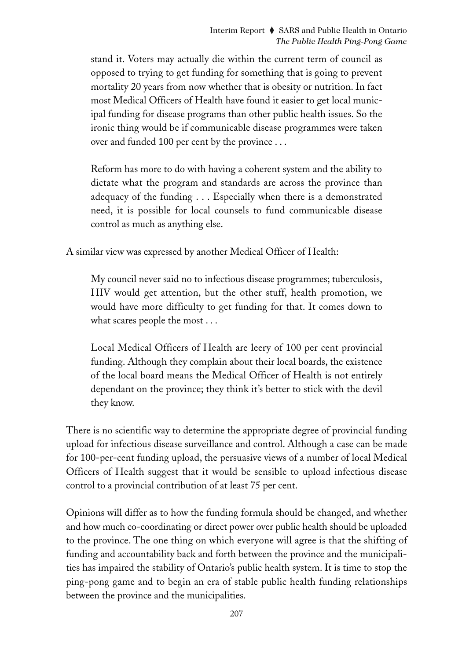stand it. Voters may actually die within the current term of council as opposed to trying to get funding for something that is going to prevent mortality 20 years from now whether that is obesity or nutrition. In fact most Medical Officers of Health have found it easier to get local municipal funding for disease programs than other public health issues. So the ironic thing would be if communicable disease programmes were taken over and funded 100 per cent by the province . . .

Reform has more to do with having a coherent system and the ability to dictate what the program and standards are across the province than adequacy of the funding . . . Especially when there is a demonstrated need, it is possible for local counsels to fund communicable disease control as much as anything else.

A similar view was expressed by another Medical Officer of Health:

My council never said no to infectious disease programmes; tuberculosis, HIV would get attention, but the other stuff, health promotion, we would have more difficulty to get funding for that. It comes down to what scares people the most . . .

Local Medical Officers of Health are leery of 100 per cent provincial funding. Although they complain about their local boards, the existence of the local board means the Medical Officer of Health is not entirely dependant on the province; they think it's better to stick with the devil they know.

There is no scientific way to determine the appropriate degree of provincial funding upload for infectious disease surveillance and control. Although a case can be made for 100-per-cent funding upload, the persuasive views of a number of local Medical Officers of Health suggest that it would be sensible to upload infectious disease control to a provincial contribution of at least 75 per cent.

Opinions will differ as to how the funding formula should be changed, and whether and how much co-coordinating or direct power over public health should be uploaded to the province. The one thing on which everyone will agree is that the shifting of funding and accountability back and forth between the province and the municipalities has impaired the stability of Ontario's public health system. It is time to stop the ping-pong game and to begin an era of stable public health funding relationships between the province and the municipalities.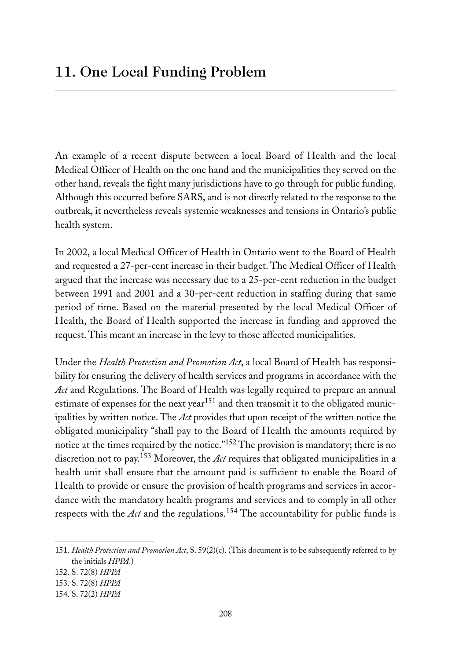An example of a recent dispute between a local Board of Health and the local Medical Officer of Health on the one hand and the municipalities they served on the other hand, reveals the fight many jurisdictions have to go through for public funding. Although this occurred before SARS, and is not directly related to the response to the outbreak, it nevertheless reveals systemic weaknesses and tensions in Ontario's public health system.

In 2002, a local Medical Officer of Health in Ontario went to the Board of Health and requested a 27-per-cent increase in their budget. The Medical Officer of Health argued that the increase was necessary due to a 25-per-cent reduction in the budget between 1991 and 2001 and a 30-per-cent reduction in staffing during that same period of time. Based on the material presented by the local Medical Officer of Health, the Board of Health supported the increase in funding and approved the request. This meant an increase in the levy to those affected municipalities.

Under the *Health Protection and Promotion Act*, a local Board of Health has responsibility for ensuring the delivery of health services and programs in accordance with the *Act* and Regulations. The Board of Health was legally required to prepare an annual estimate of expenses for the next year<sup>151</sup> and then transmit it to the obligated municipalities by written notice. The *Act* provides that upon receipt of the written notice the obligated municipality "shall pay to the Board of Health the amounts required by notice at the times required by the notice."<sup>152</sup> The provision is mandatory; there is no discretion not to pay.<sup>153</sup> Moreover, the *Act* requires that obligated municipalities in a health unit shall ensure that the amount paid is sufficient to enable the Board of Health to provide or ensure the provision of health programs and services in accordance with the mandatory health programs and services and to comply in all other respects with the  $Act$  and the regulations.<sup>154</sup> The accountability for public funds is

<sup>151.</sup> *Health Protection and Promotion Act*, S. 59(2)(c). (This document is to be subsequently referred to by the initials *HPPA*.)

<sup>152.</sup> S. 72(8) *HPPA*

<sup>153.</sup> S. 72(8) *HPPA*

<sup>154.</sup> S. 72(2) *HPPA*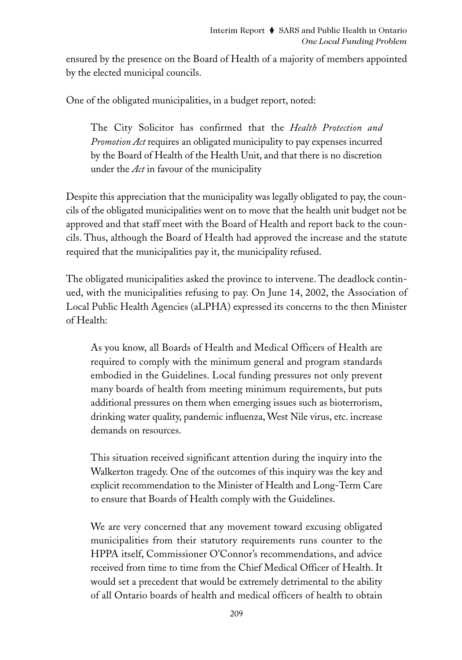ensured by the presence on the Board of Health of a majority of members appointed by the elected municipal councils.

One of the obligated municipalities, in a budget report, noted:

The City Solicitor has confirmed that the *Health Protection and Promotion Act* requires an obligated municipality to pay expenses incurred by the Board of Health of the Health Unit, and that there is no discretion under the *Act* in favour of the municipality

Despite this appreciation that the municipality was legally obligated to pay, the councils of the obligated municipalities went on to move that the health unit budget not be approved and that staff meet with the Board of Health and report back to the councils. Thus, although the Board of Health had approved the increase and the statute required that the municipalities pay it, the municipality refused.

The obligated municipalities asked the province to intervene. The deadlock continued, with the municipalities refusing to pay. On June 14, 2002, the Association of Local Public Health Agencies (aLPHA) expressed its concerns to the then Minister of Health:

As you know, all Boards of Health and Medical Officers of Health are required to comply with the minimum general and program standards embodied in the Guidelines. Local funding pressures not only prevent many boards of health from meeting minimum requirements, but puts additional pressures on them when emerging issues such as bioterrorism, drinking water quality, pandemic influenza, West Nile virus, etc. increase demands on resources.

This situation received significant attention during the inquiry into the Walkerton tragedy. One of the outcomes of this inquiry was the key and explicit recommendation to the Minister of Health and Long-Term Care to ensure that Boards of Health comply with the Guidelines.

We are very concerned that any movement toward excusing obligated municipalities from their statutory requirements runs counter to the HPPA itself, Commissioner O'Connor's recommendations, and advice received from time to time from the Chief Medical Officer of Health. It would set a precedent that would be extremely detrimental to the ability of all Ontario boards of health and medical officers of health to obtain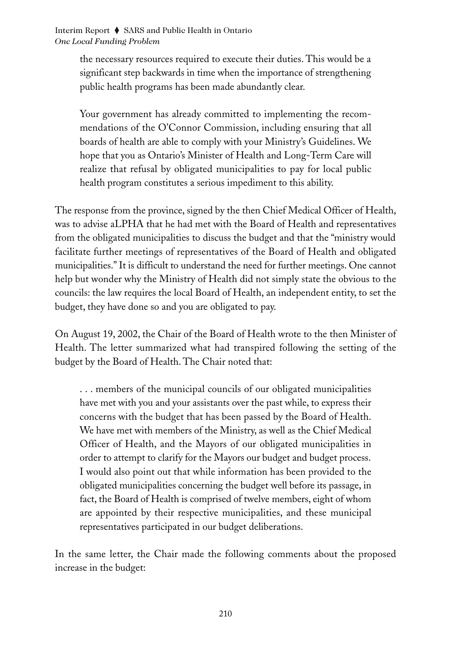Interim Report ♦ SARS and Public Health in Ontario *One Local Funding Problem*

> the necessary resources required to execute their duties. This would be a significant step backwards in time when the importance of strengthening public health programs has been made abundantly clear.

> Your government has already committed to implementing the recommendations of the O'Connor Commission, including ensuring that all boards of health are able to comply with your Ministry's Guidelines. We hope that you as Ontario's Minister of Health and Long-Term Care will realize that refusal by obligated municipalities to pay for local public health program constitutes a serious impediment to this ability.

The response from the province, signed by the then Chief Medical Officer of Health, was to advise aLPHA that he had met with the Board of Health and representatives from the obligated municipalities to discuss the budget and that the "ministry would facilitate further meetings of representatives of the Board of Health and obligated municipalities." It is difficult to understand the need for further meetings. One cannot help but wonder why the Ministry of Health did not simply state the obvious to the councils: the law requires the local Board of Health, an independent entity, to set the budget, they have done so and you are obligated to pay.

On August 19, 2002, the Chair of the Board of Health wrote to the then Minister of Health. The letter summarized what had transpired following the setting of the budget by the Board of Health. The Chair noted that:

. . . members of the municipal councils of our obligated municipalities have met with you and your assistants over the past while, to express their concerns with the budget that has been passed by the Board of Health. We have met with members of the Ministry, as well as the Chief Medical Officer of Health, and the Mayors of our obligated municipalities in order to attempt to clarify for the Mayors our budget and budget process. I would also point out that while information has been provided to the obligated municipalities concerning the budget well before its passage, in fact, the Board of Health is comprised of twelve members, eight of whom are appointed by their respective municipalities, and these municipal representatives participated in our budget deliberations.

In the same letter, the Chair made the following comments about the proposed increase in the budget: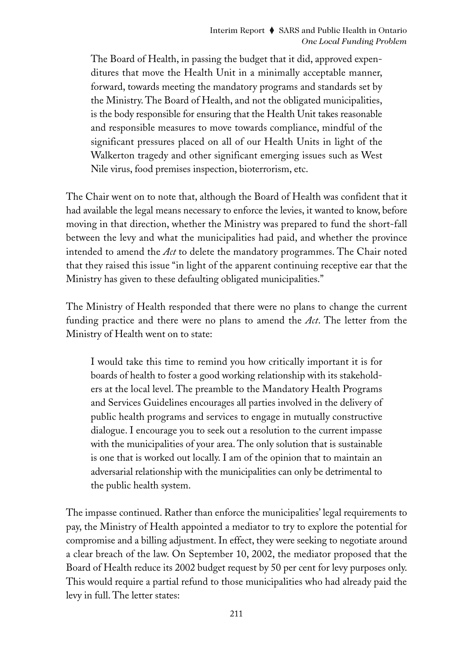The Board of Health, in passing the budget that it did, approved expenditures that move the Health Unit in a minimally acceptable manner, forward, towards meeting the mandatory programs and standards set by the Ministry. The Board of Health, and not the obligated municipalities, is the body responsible for ensuring that the Health Unit takes reasonable and responsible measures to move towards compliance, mindful of the significant pressures placed on all of our Health Units in light of the Walkerton tragedy and other significant emerging issues such as West Nile virus, food premises inspection, bioterrorism, etc.

The Chair went on to note that, although the Board of Health was confident that it had available the legal means necessary to enforce the levies, it wanted to know, before moving in that direction, whether the Ministry was prepared to fund the short-fall between the levy and what the municipalities had paid, and whether the province intended to amend the *Act* to delete the mandatory programmes. The Chair noted that they raised this issue "in light of the apparent continuing receptive ear that the Ministry has given to these defaulting obligated municipalities."

The Ministry of Health responded that there were no plans to change the current funding practice and there were no plans to amend the *Act*. The letter from the Ministry of Health went on to state:

I would take this time to remind you how critically important it is for boards of health to foster a good working relationship with its stakeholders at the local level. The preamble to the Mandatory Health Programs and Services Guidelines encourages all parties involved in the delivery of public health programs and services to engage in mutually constructive dialogue. I encourage you to seek out a resolution to the current impasse with the municipalities of your area. The only solution that is sustainable is one that is worked out locally. I am of the opinion that to maintain an adversarial relationship with the municipalities can only be detrimental to the public health system.

The impasse continued. Rather than enforce the municipalities' legal requirements to pay, the Ministry of Health appointed a mediator to try to explore the potential for compromise and a billing adjustment. In effect, they were seeking to negotiate around a clear breach of the law. On September 10, 2002, the mediator proposed that the Board of Health reduce its 2002 budget request by 50 per cent for levy purposes only. This would require a partial refund to those municipalities who had already paid the levy in full. The letter states: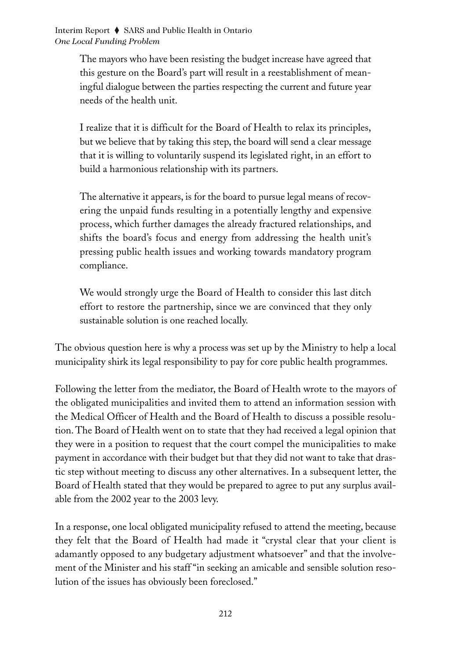Interim Report ♦ SARS and Public Health in Ontario *One Local Funding Problem*

> The mayors who have been resisting the budget increase have agreed that this gesture on the Board's part will result in a reestablishment of meaningful dialogue between the parties respecting the current and future year needs of the health unit.

> I realize that it is difficult for the Board of Health to relax its principles, but we believe that by taking this step, the board will send a clear message that it is willing to voluntarily suspend its legislated right, in an effort to build a harmonious relationship with its partners.

> The alternative it appears, is for the board to pursue legal means of recovering the unpaid funds resulting in a potentially lengthy and expensive process, which further damages the already fractured relationships, and shifts the board's focus and energy from addressing the health unit's pressing public health issues and working towards mandatory program compliance.

> We would strongly urge the Board of Health to consider this last ditch effort to restore the partnership, since we are convinced that they only sustainable solution is one reached locally.

The obvious question here is why a process was set up by the Ministry to help a local municipality shirk its legal responsibility to pay for core public health programmes.

Following the letter from the mediator, the Board of Health wrote to the mayors of the obligated municipalities and invited them to attend an information session with the Medical Officer of Health and the Board of Health to discuss a possible resolution. The Board of Health went on to state that they had received a legal opinion that they were in a position to request that the court compel the municipalities to make payment in accordance with their budget but that they did not want to take that drastic step without meeting to discuss any other alternatives. In a subsequent letter, the Board of Health stated that they would be prepared to agree to put any surplus available from the 2002 year to the 2003 levy.

In a response, one local obligated municipality refused to attend the meeting, because they felt that the Board of Health had made it "crystal clear that your client is adamantly opposed to any budgetary adjustment whatsoever" and that the involvement of the Minister and his staff "in seeking an amicable and sensible solution resolution of the issues has obviously been foreclosed."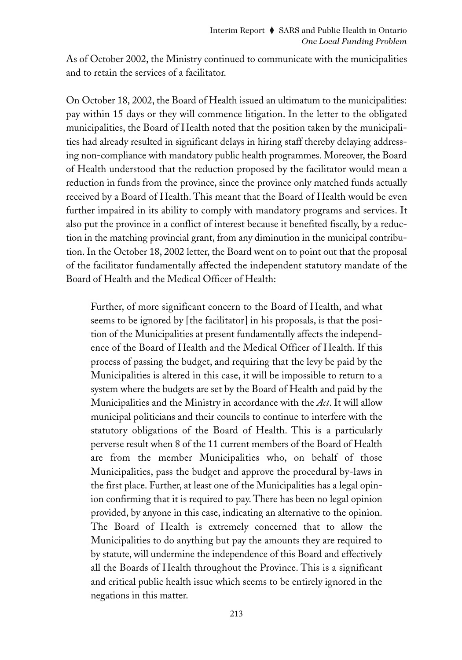As of October 2002, the Ministry continued to communicate with the municipalities and to retain the services of a facilitator.

On October 18, 2002, the Board of Health issued an ultimatum to the municipalities: pay within 15 days or they will commence litigation. In the letter to the obligated municipalities, the Board of Health noted that the position taken by the municipalities had already resulted in significant delays in hiring staff thereby delaying addressing non-compliance with mandatory public health programmes. Moreover, the Board of Health understood that the reduction proposed by the facilitator would mean a reduction in funds from the province, since the province only matched funds actually received by a Board of Health. This meant that the Board of Health would be even further impaired in its ability to comply with mandatory programs and services. It also put the province in a conflict of interest because it benefited fiscally, by a reduction in the matching provincial grant, from any diminution in the municipal contribution. In the October 18, 2002 letter, the Board went on to point out that the proposal of the facilitator fundamentally affected the independent statutory mandate of the Board of Health and the Medical Officer of Health:

Further, of more significant concern to the Board of Health, and what seems to be ignored by [the facilitator] in his proposals, is that the position of the Municipalities at present fundamentally affects the independence of the Board of Health and the Medical Officer of Health. If this process of passing the budget, and requiring that the levy be paid by the Municipalities is altered in this case, it will be impossible to return to a system where the budgets are set by the Board of Health and paid by the Municipalities and the Ministry in accordance with the *Act*. It will allow municipal politicians and their councils to continue to interfere with the statutory obligations of the Board of Health. This is a particularly perverse result when 8 of the 11 current members of the Board of Health are from the member Municipalities who, on behalf of those Municipalities, pass the budget and approve the procedural by-laws in the first place. Further, at least one of the Municipalities has a legal opinion confirming that it is required to pay. There has been no legal opinion provided, by anyone in this case, indicating an alternative to the opinion. The Board of Health is extremely concerned that to allow the Municipalities to do anything but pay the amounts they are required to by statute, will undermine the independence of this Board and effectively all the Boards of Health throughout the Province. This is a significant and critical public health issue which seems to be entirely ignored in the negations in this matter.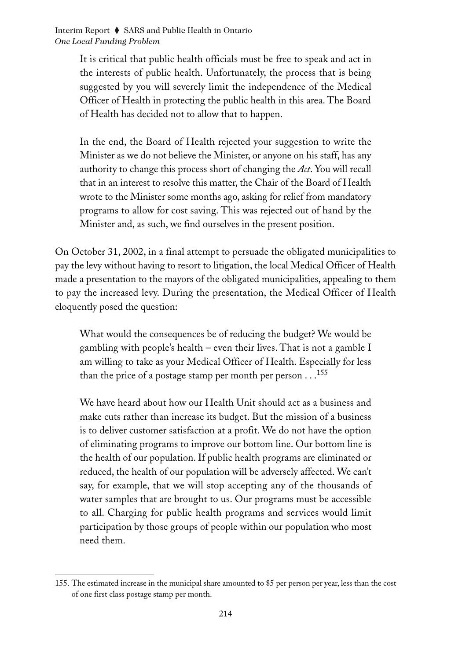Interim Report ♦ SARS and Public Health in Ontario *One Local Funding Problem*

> It is critical that public health officials must be free to speak and act in the interests of public health. Unfortunately, the process that is being suggested by you will severely limit the independence of the Medical Officer of Health in protecting the public health in this area. The Board of Health has decided not to allow that to happen.

> In the end, the Board of Health rejected your suggestion to write the Minister as we do not believe the Minister, or anyone on his staff, has any authority to change this process short of changing the *Act*. You will recall that in an interest to resolve this matter, the Chair of the Board of Health wrote to the Minister some months ago, asking for relief from mandatory programs to allow for cost saving. This was rejected out of hand by the Minister and, as such, we find ourselves in the present position.

On October 31, 2002, in a final attempt to persuade the obligated municipalities to pay the levy without having to resort to litigation, the local Medical Officer of Health made a presentation to the mayors of the obligated municipalities, appealing to them to pay the increased levy. During the presentation, the Medical Officer of Health eloquently posed the question:

What would the consequences be of reducing the budget? We would be gambling with people's health – even their lives. That is not a gamble I am willing to take as your Medical Officer of Health. Especially for less than the price of a postage stamp per month per person  $\dots$ <sup>155</sup>

We have heard about how our Health Unit should act as a business and make cuts rather than increase its budget. But the mission of a business is to deliver customer satisfaction at a profit. We do not have the option of eliminating programs to improve our bottom line. Our bottom line is the health of our population. If public health programs are eliminated or reduced, the health of our population will be adversely affected. We can't say, for example, that we will stop accepting any of the thousands of water samples that are brought to us. Our programs must be accessible to all. Charging for public health programs and services would limit participation by those groups of people within our population who most need them.

<sup>155.</sup> The estimated increase in the municipal share amounted to \$5 per person per year, less than the cost of one first class postage stamp per month.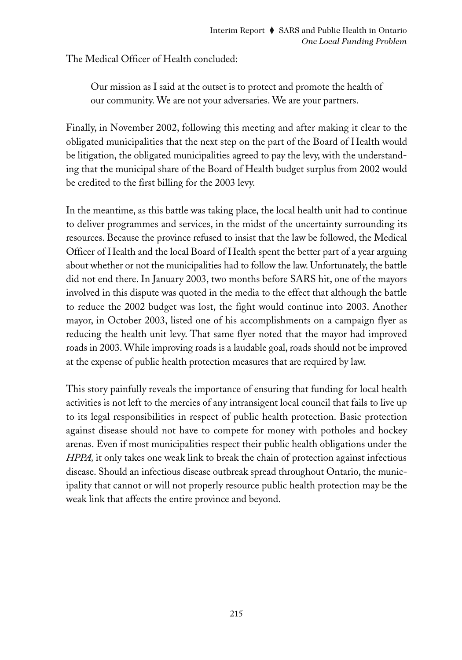The Medical Officer of Health concluded:

Our mission as I said at the outset is to protect and promote the health of our community. We are not your adversaries. We are your partners.

Finally, in November 2002, following this meeting and after making it clear to the obligated municipalities that the next step on the part of the Board of Health would be litigation, the obligated municipalities agreed to pay the levy, with the understanding that the municipal share of the Board of Health budget surplus from 2002 would be credited to the first billing for the 2003 levy.

In the meantime, as this battle was taking place, the local health unit had to continue to deliver programmes and services, in the midst of the uncertainty surrounding its resources. Because the province refused to insist that the law be followed, the Medical Officer of Health and the local Board of Health spent the better part of a year arguing about whether or not the municipalities had to follow the law. Unfortunately, the battle did not end there. In January 2003, two months before SARS hit, one of the mayors involved in this dispute was quoted in the media to the effect that although the battle to reduce the 2002 budget was lost, the fight would continue into 2003. Another mayor, in October 2003, listed one of his accomplishments on a campaign flyer as reducing the health unit levy. That same flyer noted that the mayor had improved roads in 2003. While improving roads is a laudable goal, roads should not be improved at the expense of public health protection measures that are required by law.

This story painfully reveals the importance of ensuring that funding for local health activities is not left to the mercies of any intransigent local council that fails to live up to its legal responsibilities in respect of public health protection. Basic protection against disease should not have to compete for money with potholes and hockey arenas. Even if most municipalities respect their public health obligations under the *HPPA,* it only takes one weak link to break the chain of protection against infectious disease. Should an infectious disease outbreak spread throughout Ontario, the municipality that cannot or will not properly resource public health protection may be the weak link that affects the entire province and beyond.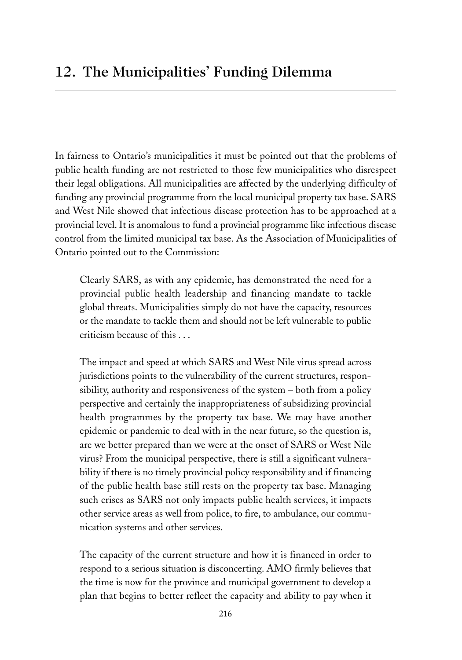In fairness to Ontario's municipalities it must be pointed out that the problems of public health funding are not restricted to those few municipalities who disrespect their legal obligations. All municipalities are affected by the underlying difficulty of funding any provincial programme from the local municipal property tax base. SARS and West Nile showed that infectious disease protection has to be approached at a provincial level. It is anomalous to fund a provincial programme like infectious disease control from the limited municipal tax base. As the Association of Municipalities of Ontario pointed out to the Commission:

Clearly SARS, as with any epidemic, has demonstrated the need for a provincial public health leadership and financing mandate to tackle global threats. Municipalities simply do not have the capacity, resources or the mandate to tackle them and should not be left vulnerable to public criticism because of this . . .

The impact and speed at which SARS and West Nile virus spread across jurisdictions points to the vulnerability of the current structures, responsibility, authority and responsiveness of the system – both from a policy perspective and certainly the inappropriateness of subsidizing provincial health programmes by the property tax base. We may have another epidemic or pandemic to deal with in the near future, so the question is, are we better prepared than we were at the onset of SARS or West Nile virus? From the municipal perspective, there is still a significant vulnerability if there is no timely provincial policy responsibility and if financing of the public health base still rests on the property tax base. Managing such crises as SARS not only impacts public health services, it impacts other service areas as well from police, to fire, to ambulance, our communication systems and other services.

The capacity of the current structure and how it is financed in order to respond to a serious situation is disconcerting. AMO firmly believes that the time is now for the province and municipal government to develop a plan that begins to better reflect the capacity and ability to pay when it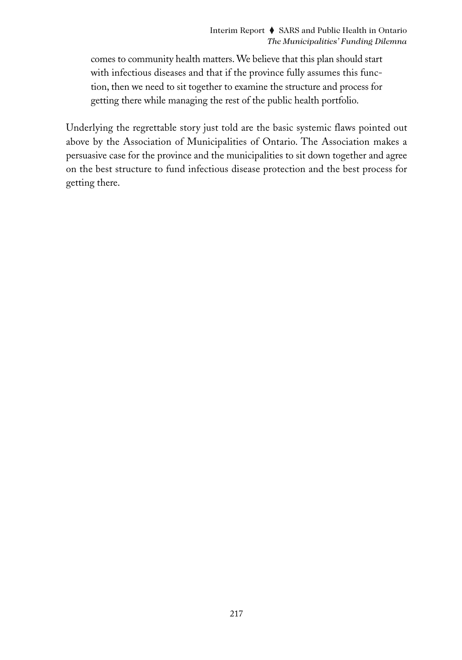comes to community health matters. We believe that this plan should start with infectious diseases and that if the province fully assumes this function, then we need to sit together to examine the structure and process for getting there while managing the rest of the public health portfolio.

Underlying the regrettable story just told are the basic systemic flaws pointed out above by the Association of Municipalities of Ontario. The Association makes a persuasive case for the province and the municipalities to sit down together and agree on the best structure to fund infectious disease protection and the best process for getting there.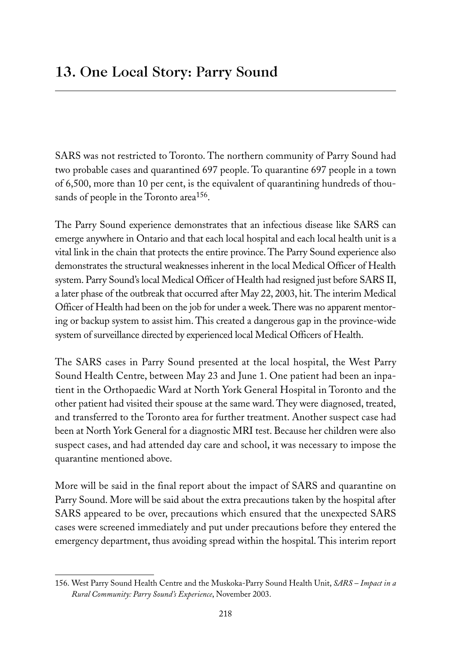SARS was not restricted to Toronto. The northern community of Parry Sound had two probable cases and quarantined 697 people. To quarantine 697 people in a town of 6,500, more than 10 per cent, is the equivalent of quarantining hundreds of thousands of people in the Toronto area<sup>156</sup>.

The Parry Sound experience demonstrates that an infectious disease like SARS can emerge anywhere in Ontario and that each local hospital and each local health unit is a vital link in the chain that protects the entire province. The Parry Sound experience also demonstrates the structural weaknesses inherent in the local Medical Officer of Health system. Parry Sound's local Medical Officer of Health had resigned just before SARS II, a later phase of the outbreak that occurred after May 22, 2003, hit. The interim Medical Officer of Health had been on the job for under a week.There was no apparent mentoring or backup system to assist him. This created a dangerous gap in the province-wide system of surveillance directed by experienced local Medical Officers of Health.

The SARS cases in Parry Sound presented at the local hospital, the West Parry Sound Health Centre, between May 23 and June 1. One patient had been an inpatient in the Orthopaedic Ward at North York General Hospital in Toronto and the other patient had visited their spouse at the same ward. They were diagnosed, treated, and transferred to the Toronto area for further treatment. Another suspect case had been at North York General for a diagnostic MRI test. Because her children were also suspect cases, and had attended day care and school, it was necessary to impose the quarantine mentioned above.

More will be said in the final report about the impact of SARS and quarantine on Parry Sound. More will be said about the extra precautions taken by the hospital after SARS appeared to be over, precautions which ensured that the unexpected SARS cases were screened immediately and put under precautions before they entered the emergency department, thus avoiding spread within the hospital. This interim report

<sup>156.</sup> West Parry Sound Health Centre and the Muskoka-Parry Sound Health Unit, *SARS – Impact in a Rural Community: Parry Sound's Experience*, November 2003.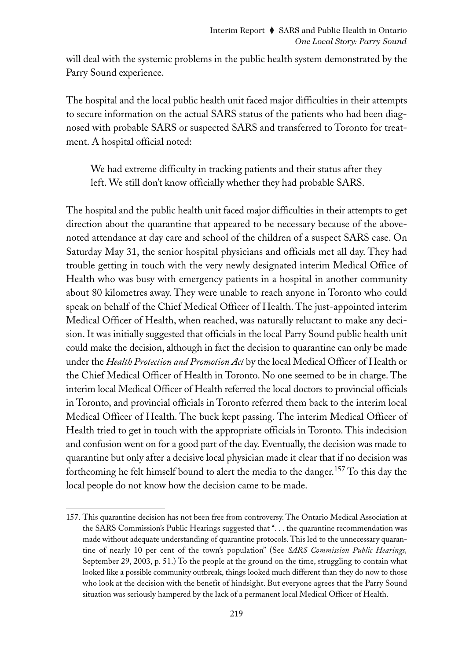will deal with the systemic problems in the public health system demonstrated by the Parry Sound experience.

The hospital and the local public health unit faced major difficulties in their attempts to secure information on the actual SARS status of the patients who had been diagnosed with probable SARS or suspected SARS and transferred to Toronto for treatment. A hospital official noted:

We had extreme difficulty in tracking patients and their status after they left. We still don't know officially whether they had probable SARS.

The hospital and the public health unit faced major difficulties in their attempts to get direction about the quarantine that appeared to be necessary because of the abovenoted attendance at day care and school of the children of a suspect SARS case. On Saturday May 31, the senior hospital physicians and officials met all day. They had trouble getting in touch with the very newly designated interim Medical Office of Health who was busy with emergency patients in a hospital in another community about 80 kilometres away. They were unable to reach anyone in Toronto who could speak on behalf of the Chief Medical Officer of Health. The just-appointed interim Medical Officer of Health, when reached, was naturally reluctant to make any decision. It was initially suggested that officials in the local Parry Sound public health unit could make the decision, although in fact the decision to quarantine can only be made under the *Health Protection and Promotion Act* by the local Medical Officer of Health or the Chief Medical Officer of Health in Toronto. No one seemed to be in charge. The interim local Medical Officer of Health referred the local doctors to provincial officials in Toronto, and provincial officials in Toronto referred them back to the interim local Medical Officer of Health. The buck kept passing. The interim Medical Officer of Health tried to get in touch with the appropriate officials in Toronto. This indecision and confusion went on for a good part of the day. Eventually, the decision was made to quarantine but only after a decisive local physician made it clear that if no decision was forthcoming he felt himself bound to alert the media to the danger.157 To this day the local people do not know how the decision came to be made.

<sup>157.</sup> This quarantine decision has not been free from controversy. The Ontario Medical Association at the SARS Commission's Public Hearings suggested that ". . . the quarantine recommendation was made without adequate understanding of quarantine protocols. This led to the unnecessary quarantine of nearly 10 per cent of the town's population" (See *SARS Commission Public Hearings,* September 29, 2003, p. 51.) To the people at the ground on the time, struggling to contain what looked like a possible community outbreak, things looked much different than they do now to those who look at the decision with the benefit of hindsight. But everyone agrees that the Parry Sound situation was seriously hampered by the lack of a permanent local Medical Officer of Health.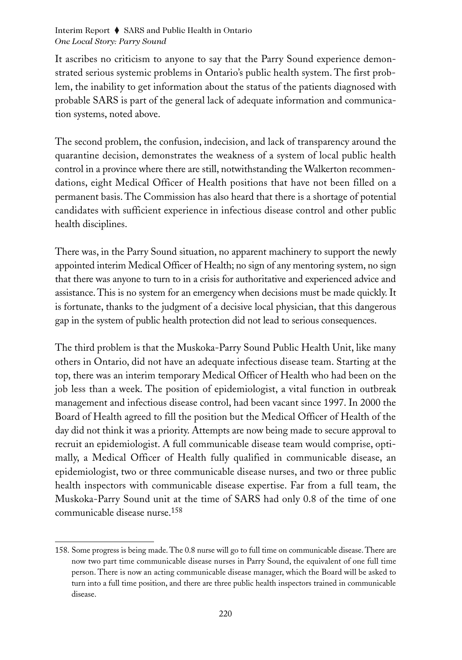Interim Report ♦ SARS and Public Health in Ontario *One Local Story: Parry Sound*

It ascribes no criticism to anyone to say that the Parry Sound experience demonstrated serious systemic problems in Ontario's public health system. The first problem, the inability to get information about the status of the patients diagnosed with probable SARS is part of the general lack of adequate information and communication systems, noted above.

The second problem, the confusion, indecision, and lack of transparency around the quarantine decision, demonstrates the weakness of a system of local public health control in a province where there are still, notwithstanding the Walkerton recommendations, eight Medical Officer of Health positions that have not been filled on a permanent basis. The Commission has also heard that there is a shortage of potential candidates with sufficient experience in infectious disease control and other public health disciplines.

There was, in the Parry Sound situation, no apparent machinery to support the newly appointed interim Medical Officer of Health; no sign of any mentoring system, no sign that there was anyone to turn to in a crisis for authoritative and experienced advice and assistance. This is no system for an emergency when decisions must be made quickly. It is fortunate, thanks to the judgment of a decisive local physician, that this dangerous gap in the system of public health protection did not lead to serious consequences.

The third problem is that the Muskoka-Parry Sound Public Health Unit, like many others in Ontario, did not have an adequate infectious disease team. Starting at the top, there was an interim temporary Medical Officer of Health who had been on the job less than a week. The position of epidemiologist, a vital function in outbreak management and infectious disease control, had been vacant since 1997. In 2000 the Board of Health agreed to fill the position but the Medical Officer of Health of the day did not think it was a priority. Attempts are now being made to secure approval to recruit an epidemiologist. A full communicable disease team would comprise, optimally, a Medical Officer of Health fully qualified in communicable disease, an epidemiologist, two or three communicable disease nurses, and two or three public health inspectors with communicable disease expertise. Far from a full team, the Muskoka-Parry Sound unit at the time of SARS had only 0.8 of the time of one communicable disease nurse.158

<sup>158.</sup> Some progress is being made. The 0.8 nurse will go to full time on communicable disease. There are now two part time communicable disease nurses in Parry Sound, the equivalent of one full time person. There is now an acting communicable disease manager, which the Board will be asked to turn into a full time position, and there are three public health inspectors trained in communicable disease.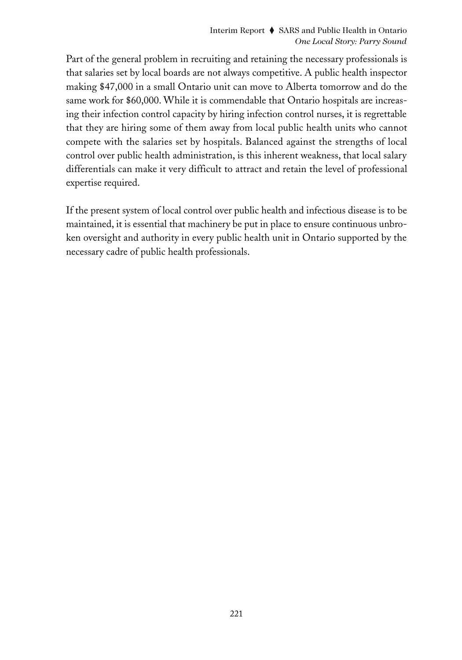Part of the general problem in recruiting and retaining the necessary professionals is that salaries set by local boards are not always competitive. A public health inspector making \$47,000 in a small Ontario unit can move to Alberta tomorrow and do the same work for \$60,000. While it is commendable that Ontario hospitals are increasing their infection control capacity by hiring infection control nurses, it is regrettable that they are hiring some of them away from local public health units who cannot compete with the salaries set by hospitals. Balanced against the strengths of local control over public health administration, is this inherent weakness, that local salary differentials can make it very difficult to attract and retain the level of professional expertise required.

If the present system of local control over public health and infectious disease is to be maintained, it is essential that machinery be put in place to ensure continuous unbroken oversight and authority in every public health unit in Ontario supported by the necessary cadre of public health professionals.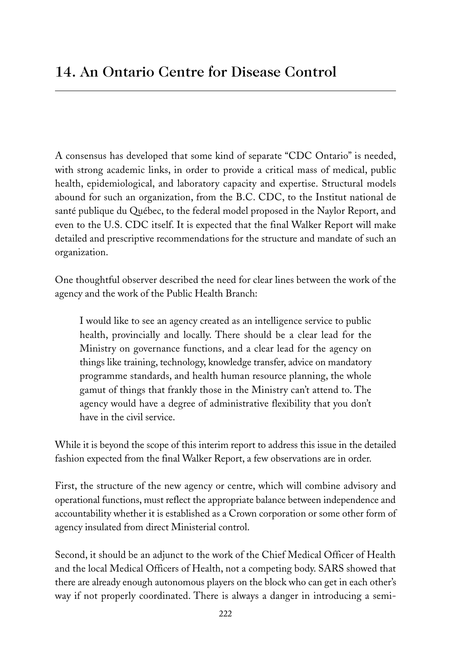A consensus has developed that some kind of separate "CDC Ontario" is needed, with strong academic links, in order to provide a critical mass of medical, public health, epidemiological, and laboratory capacity and expertise. Structural models abound for such an organization, from the B.C. CDC, to the Institut national de santé publique du Québec, to the federal model proposed in the Naylor Report, and even to the U.S. CDC itself. It is expected that the final Walker Report will make detailed and prescriptive recommendations for the structure and mandate of such an organization.

One thoughtful observer described the need for clear lines between the work of the agency and the work of the Public Health Branch:

I would like to see an agency created as an intelligence service to public health, provincially and locally. There should be a clear lead for the Ministry on governance functions, and a clear lead for the agency on things like training, technology, knowledge transfer, advice on mandatory programme standards, and health human resource planning, the whole gamut of things that frankly those in the Ministry can't attend to. The agency would have a degree of administrative flexibility that you don't have in the civil service.

While it is beyond the scope of this interim report to address this issue in the detailed fashion expected from the final Walker Report, a few observations are in order.

First, the structure of the new agency or centre, which will combine advisory and operational functions, must reflect the appropriate balance between independence and accountability whether it is established as a Crown corporation or some other form of agency insulated from direct Ministerial control.

Second, it should be an adjunct to the work of the Chief Medical Officer of Health and the local Medical Officers of Health, not a competing body. SARS showed that there are already enough autonomous players on the block who can get in each other's way if not properly coordinated. There is always a danger in introducing a semi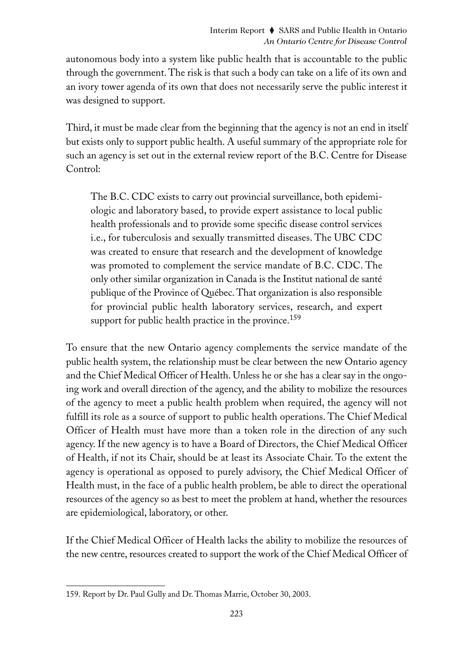autonomous body into a system like public health that is accountable to the public through the government. The risk is that such a body can take on a life of its own and an ivory tower agenda of its own that does not necessarily serve the public interest it was designed to support.

Third, it must be made clear from the beginning that the agency is not an end in itself but exists only to support public health. A useful summary of the appropriate role for such an agency is set out in the external review report of the B.C. Centre for Disease Control:

The B.C. CDC exists to carry out provincial surveillance, both epidemiologic and laboratory based, to provide expert assistance to local public health professionals and to provide some specific disease control services i.e., for tuberculosis and sexually transmitted diseases. The UBC CDC was created to ensure that research and the development of knowledge was promoted to complement the service mandate of B.C. CDC. The only other similar organization in Canada is the Institut national de santé publique of the Province of Québec. That organization is also responsible for provincial public health laboratory services, research, and expert support for public health practice in the province.<sup>159</sup>

To ensure that the new Ontario agency complements the service mandate of the public health system, the relationship must be clear between the new Ontario agency and the Chief Medical Officer of Health. Unless he or she has a clear say in the ongoing work and overall direction of the agency, and the ability to mobilize the resources of the agency to meet a public health problem when required, the agency will not fulfill its role as a source of support to public health operations. The Chief Medical Officer of Health must have more than a token role in the direction of any such agency. If the new agency is to have a Board of Directors, the Chief Medical Officer of Health, if not its Chair, should be at least its Associate Chair. To the extent the agency is operational as opposed to purely advisory, the Chief Medical Officer of Health must, in the face of a public health problem, be able to direct the operational resources of the agency so as best to meet the problem at hand, whether the resources are epidemiological, laboratory, or other.

If the Chief Medical Officer of Health lacks the ability to mobilize the resources of the new centre, resources created to support the work of the Chief Medical Officer of

<sup>159.</sup> Report by Dr. Paul Gully and Dr. Thomas Marrie, October 30, 2003.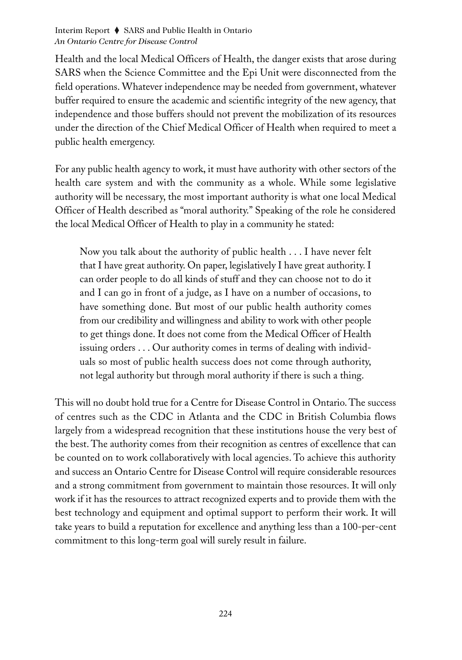## Interim Report ♦ SARS and Public Health in Ontario *An Ontario Centre for Disease Control*

Health and the local Medical Officers of Health, the danger exists that arose during SARS when the Science Committee and the Epi Unit were disconnected from the field operations. Whatever independence may be needed from government, whatever buffer required to ensure the academic and scientific integrity of the new agency, that independence and those buffers should not prevent the mobilization of its resources under the direction of the Chief Medical Officer of Health when required to meet a public health emergency.

For any public health agency to work, it must have authority with other sectors of the health care system and with the community as a whole. While some legislative authority will be necessary, the most important authority is what one local Medical Officer of Health described as "moral authority." Speaking of the role he considered the local Medical Officer of Health to play in a community he stated:

Now you talk about the authority of public health . . . I have never felt that I have great authority. On paper, legislatively I have great authority. I can order people to do all kinds of stuff and they can choose not to do it and I can go in front of a judge, as I have on a number of occasions, to have something done. But most of our public health authority comes from our credibility and willingness and ability to work with other people to get things done. It does not come from the Medical Officer of Health issuing orders . . . Our authority comes in terms of dealing with individuals so most of public health success does not come through authority, not legal authority but through moral authority if there is such a thing.

This will no doubt hold true for a Centre for Disease Control in Ontario. The success of centres such as the CDC in Atlanta and the CDC in British Columbia flows largely from a widespread recognition that these institutions house the very best of the best. The authority comes from their recognition as centres of excellence that can be counted on to work collaboratively with local agencies. To achieve this authority and success an Ontario Centre for Disease Control will require considerable resources and a strong commitment from government to maintain those resources. It will only work if it has the resources to attract recognized experts and to provide them with the best technology and equipment and optimal support to perform their work. It will take years to build a reputation for excellence and anything less than a 100-per-cent commitment to this long-term goal will surely result in failure.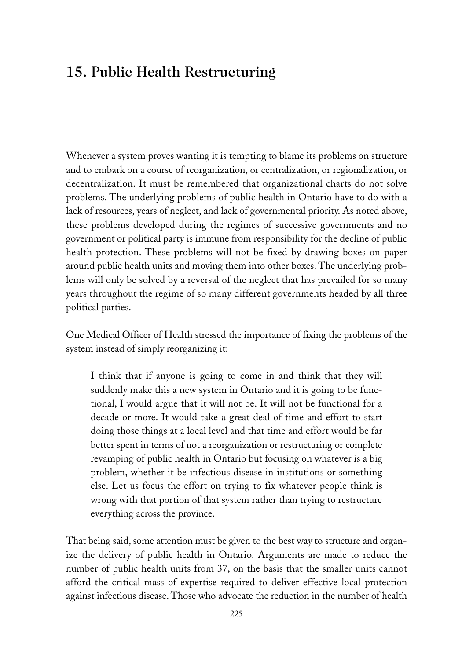Whenever a system proves wanting it is tempting to blame its problems on structure and to embark on a course of reorganization, or centralization, or regionalization, or decentralization. It must be remembered that organizational charts do not solve problems. The underlying problems of public health in Ontario have to do with a lack of resources, years of neglect, and lack of governmental priority. As noted above, these problems developed during the regimes of successive governments and no government or political party is immune from responsibility for the decline of public health protection. These problems will not be fixed by drawing boxes on paper around public health units and moving them into other boxes. The underlying problems will only be solved by a reversal of the neglect that has prevailed for so many years throughout the regime of so many different governments headed by all three political parties.

One Medical Officer of Health stressed the importance of fixing the problems of the system instead of simply reorganizing it:

I think that if anyone is going to come in and think that they will suddenly make this a new system in Ontario and it is going to be functional, I would argue that it will not be. It will not be functional for a decade or more. It would take a great deal of time and effort to start doing those things at a local level and that time and effort would be far better spent in terms of not a reorganization or restructuring or complete revamping of public health in Ontario but focusing on whatever is a big problem, whether it be infectious disease in institutions or something else. Let us focus the effort on trying to fix whatever people think is wrong with that portion of that system rather than trying to restructure everything across the province.

That being said, some attention must be given to the best way to structure and organize the delivery of public health in Ontario. Arguments are made to reduce the number of public health units from 37, on the basis that the smaller units cannot afford the critical mass of expertise required to deliver effective local protection against infectious disease. Those who advocate the reduction in the number of health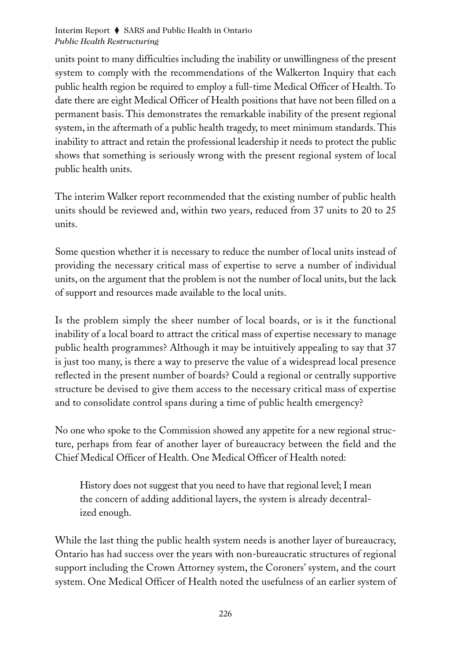## Interim Report ♦ SARS and Public Health in Ontario *Public Health Restructuring*

units point to many difficulties including the inability or unwillingness of the present system to comply with the recommendations of the Walkerton Inquiry that each public health region be required to employ a full-time Medical Officer of Health. To date there are eight Medical Officer of Health positions that have not been filled on a permanent basis. This demonstrates the remarkable inability of the present regional system, in the aftermath of a public health tragedy, to meet minimum standards. This inability to attract and retain the professional leadership it needs to protect the public shows that something is seriously wrong with the present regional system of local public health units.

The interim Walker report recommended that the existing number of public health units should be reviewed and, within two years, reduced from 37 units to 20 to 25 units.

Some question whether it is necessary to reduce the number of local units instead of providing the necessary critical mass of expertise to serve a number of individual units, on the argument that the problem is not the number of local units, but the lack of support and resources made available to the local units.

Is the problem simply the sheer number of local boards, or is it the functional inability of a local board to attract the critical mass of expertise necessary to manage public health programmes? Although it may be intuitively appealing to say that 37 is just too many, is there a way to preserve the value of a widespread local presence reflected in the present number of boards? Could a regional or centrally supportive structure be devised to give them access to the necessary critical mass of expertise and to consolidate control spans during a time of public health emergency?

No one who spoke to the Commission showed any appetite for a new regional structure, perhaps from fear of another layer of bureaucracy between the field and the Chief Medical Officer of Health. One Medical Officer of Health noted:

History does not suggest that you need to have that regional level; I mean the concern of adding additional layers, the system is already decentralized enough.

While the last thing the public health system needs is another layer of bureaucracy, Ontario has had success over the years with non-bureaucratic structures of regional support including the Crown Attorney system, the Coroners' system, and the court system. One Medical Officer of Health noted the usefulness of an earlier system of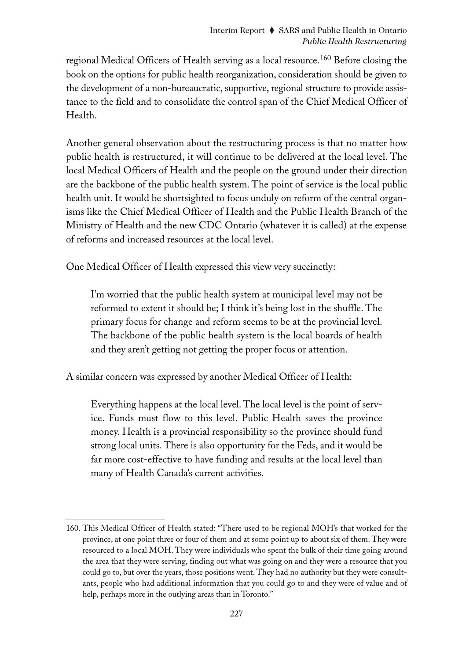regional Medical Officers of Health serving as a local resource.<sup>160</sup> Before closing the book on the options for public health reorganization, consideration should be given to the development of a non-bureaucratic, supportive, regional structure to provide assistance to the field and to consolidate the control span of the Chief Medical Officer of Health.

Another general observation about the restructuring process is that no matter how public health is restructured, it will continue to be delivered at the local level. The local Medical Officers of Health and the people on the ground under their direction are the backbone of the public health system. The point of service is the local public health unit. It would be shortsighted to focus unduly on reform of the central organisms like the Chief Medical Officer of Health and the Public Health Branch of the Ministry of Health and the new CDC Ontario (whatever it is called) at the expense of reforms and increased resources at the local level.

One Medical Officer of Health expressed this view very succinctly:

I'm worried that the public health system at municipal level may not be reformed to extent it should be; I think it's being lost in the shuffle. The primary focus for change and reform seems to be at the provincial level. The backbone of the public health system is the local boards of health and they aren't getting not getting the proper focus or attention.

A similar concern was expressed by another Medical Officer of Health:

Everything happens at the local level. The local level is the point of service. Funds must flow to this level. Public Health saves the province money. Health is a provincial responsibility so the province should fund strong local units. There is also opportunity for the Feds, and it would be far more cost-effective to have funding and results at the local level than many of Health Canada's current activities.

<sup>160.</sup> This Medical Officer of Health stated: "There used to be regional MOH's that worked for the province, at one point three or four of them and at some point up to about six of them. They were resourced to a local MOH. They were individuals who spent the bulk of their time going around the area that they were serving, finding out what was going on and they were a resource that you could go to, but over the years, those positions went. They had no authority but they were consultants, people who had additional information that you could go to and they were of value and of help, perhaps more in the outlying areas than in Toronto."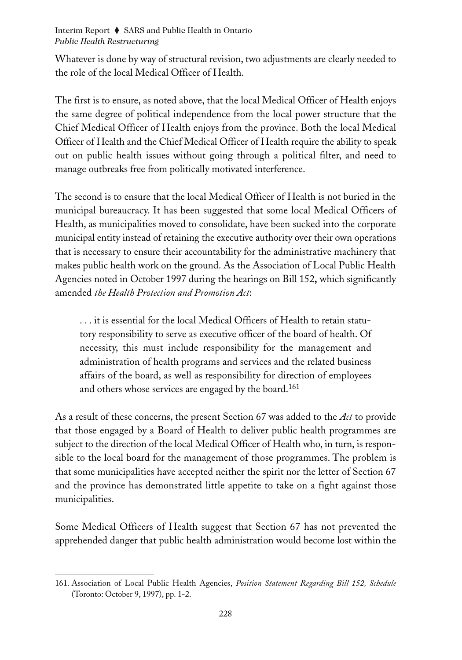Interim Report ♦ SARS and Public Health in Ontario *Public Health Restructuring*

Whatever is done by way of structural revision, two adjustments are clearly needed to the role of the local Medical Officer of Health.

The first is to ensure, as noted above, that the local Medical Officer of Health enjoys the same degree of political independence from the local power structure that the Chief Medical Officer of Health enjoys from the province. Both the local Medical Officer of Health and the Chief Medical Officer of Health require the ability to speak out on public health issues without going through a political filter, and need to manage outbreaks free from politically motivated interference.

The second is to ensure that the local Medical Officer of Health is not buried in the municipal bureaucracy. It has been suggested that some local Medical Officers of Health, as municipalities moved to consolidate, have been sucked into the corporate municipal entity instead of retaining the executive authority over their own operations that is necessary to ensure their accountability for the administrative machinery that makes public health work on the ground. As the Association of Local Public Health Agencies noted in October 1997 during the hearings on Bill 152**,** which significantly amended *the Health Protection and Promotion Act*:

. . . it is essential for the local Medical Officers of Health to retain statutory responsibility to serve as executive officer of the board of health. Of necessity, this must include responsibility for the management and administration of health programs and services and the related business affairs of the board, as well as responsibility for direction of employees and others whose services are engaged by the board.<sup>161</sup>

As a result of these concerns, the present Section 67 was added to the *Act* to provide that those engaged by a Board of Health to deliver public health programmes are subject to the direction of the local Medical Officer of Health who, in turn, is responsible to the local board for the management of those programmes. The problem is that some municipalities have accepted neither the spirit nor the letter of Section 67 and the province has demonstrated little appetite to take on a fight against those municipalities.

Some Medical Officers of Health suggest that Section 67 has not prevented the apprehended danger that public health administration would become lost within the

<sup>161.</sup> Association of Local Public Health Agencies, *Position Statement Regarding Bill 152, Schedule* (Toronto: October 9, 1997), pp. 1-2.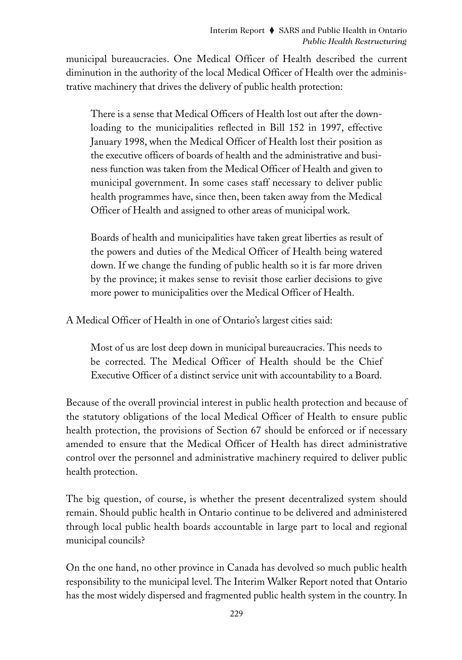municipal bureaucracies. One Medical Officer of Health described the current diminution in the authority of the local Medical Officer of Health over the administrative machinery that drives the delivery of public health protection:

There is a sense that Medical Officers of Health lost out after the downloading to the municipalities reflected in Bill 152 in 1997, effective January 1998, when the Medical Officer of Health lost their position as the executive officers of boards of health and the administrative and business function was taken from the Medical Officer of Health and given to municipal government. In some cases staff necessary to deliver public health programmes have, since then, been taken away from the Medical Officer of Health and assigned to other areas of municipal work.

Boards of health and municipalities have taken great liberties as result of the powers and duties of the Medical Officer of Health being watered down. If we change the funding of public health so it is far more driven by the province; it makes sense to revisit those earlier decisions to give more power to municipalities over the Medical Officer of Health.

A Medical Officer of Health in one of Ontario's largest cities said:

Most of us are lost deep down in municipal bureaucracies. This needs to be corrected. The Medical Officer of Health should be the Chief Executive Officer of a distinct service unit with accountability to a Board.

Because of the overall provincial interest in public health protection and because of the statutory obligations of the local Medical Officer of Health to ensure public health protection, the provisions of Section 67 should be enforced or if necessary amended to ensure that the Medical Officer of Health has direct administrative control over the personnel and administrative machinery required to deliver public health protection.

The big question, of course, is whether the present decentralized system should remain. Should public health in Ontario continue to be delivered and administered through local public health boards accountable in large part to local and regional municipal councils?

On the one hand, no other province in Canada has devolved so much public health responsibility to the municipal level. The Interim Walker Report noted that Ontario has the most widely dispersed and fragmented public health system in the country. In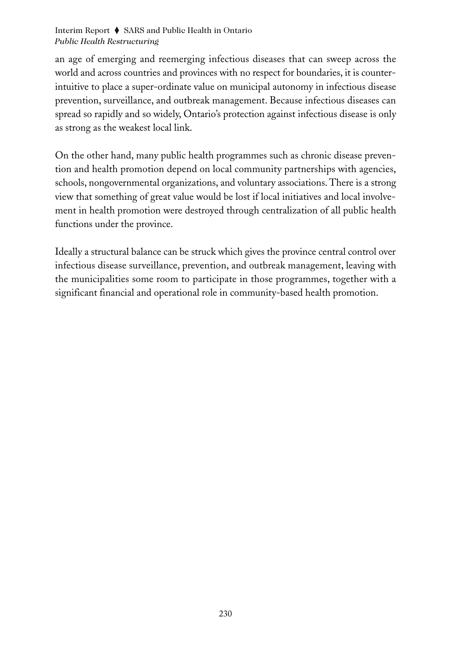## Interim Report ♦ SARS and Public Health in Ontario *Public Health Restructuring*

an age of emerging and reemerging infectious diseases that can sweep across the world and across countries and provinces with no respect for boundaries, it is counterintuitive to place a super-ordinate value on municipal autonomy in infectious disease prevention, surveillance, and outbreak management. Because infectious diseases can spread so rapidly and so widely, Ontario's protection against infectious disease is only as strong as the weakest local link.

On the other hand, many public health programmes such as chronic disease prevention and health promotion depend on local community partnerships with agencies, schools, nongovernmental organizations, and voluntary associations. There is a strong view that something of great value would be lost if local initiatives and local involvement in health promotion were destroyed through centralization of all public health functions under the province.

Ideally a structural balance can be struck which gives the province central control over infectious disease surveillance, prevention, and outbreak management, leaving with the municipalities some room to participate in those programmes, together with a significant financial and operational role in community-based health promotion.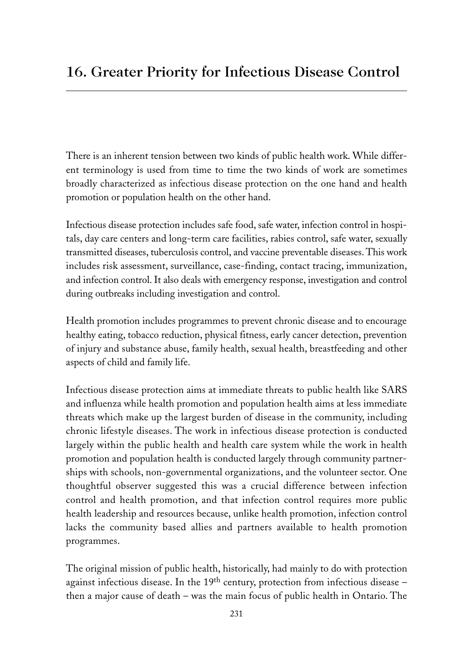There is an inherent tension between two kinds of public health work. While different terminology is used from time to time the two kinds of work are sometimes broadly characterized as infectious disease protection on the one hand and health promotion or population health on the other hand.

Infectious disease protection includes safe food, safe water, infection control in hospitals, day care centers and long-term care facilities, rabies control, safe water, sexually transmitted diseases, tuberculosis control, and vaccine preventable diseases. This work includes risk assessment, surveillance, case-finding, contact tracing, immunization, and infection control. It also deals with emergency response, investigation and control during outbreaks including investigation and control.

Health promotion includes programmes to prevent chronic disease and to encourage healthy eating, tobacco reduction, physical fitness, early cancer detection, prevention of injury and substance abuse, family health, sexual health, breastfeeding and other aspects of child and family life.

Infectious disease protection aims at immediate threats to public health like SARS and influenza while health promotion and population health aims at less immediate threats which make up the largest burden of disease in the community, including chronic lifestyle diseases. The work in infectious disease protection is conducted largely within the public health and health care system while the work in health promotion and population health is conducted largely through community partnerships with schools, non-governmental organizations, and the volunteer sector. One thoughtful observer suggested this was a crucial difference between infection control and health promotion, and that infection control requires more public health leadership and resources because, unlike health promotion, infection control lacks the community based allies and partners available to health promotion programmes.

The original mission of public health, historically, had mainly to do with protection against infectious disease. In the  $19<sup>th</sup>$  century, protection from infectious disease – then a major cause of death – was the main focus of public health in Ontario. The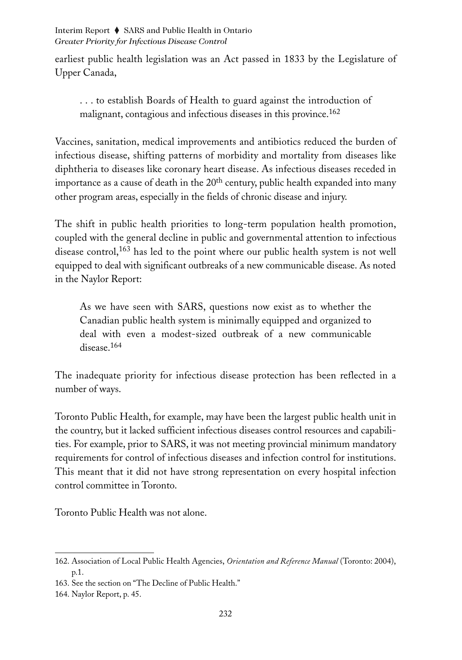Interim Report ♦ SARS and Public Health in Ontario *Greater Priority for Infectious Disease Control*

earliest public health legislation was an Act passed in 1833 by the Legislature of Upper Canada,

. . . to establish Boards of Health to guard against the introduction of malignant, contagious and infectious diseases in this province.162

Vaccines, sanitation, medical improvements and antibiotics reduced the burden of infectious disease, shifting patterns of morbidity and mortality from diseases like diphtheria to diseases like coronary heart disease. As infectious diseases receded in importance as a cause of death in the 20<sup>th</sup> century, public health expanded into many other program areas, especially in the fields of chronic disease and injury.

The shift in public health priorities to long-term population health promotion, coupled with the general decline in public and governmental attention to infectious disease control,<sup>163</sup> has led to the point where our public health system is not well equipped to deal with significant outbreaks of a new communicable disease. As noted in the Naylor Report:

As we have seen with SARS, questions now exist as to whether the Canadian public health system is minimally equipped and organized to deal with even a modest-sized outbreak of a new communicable disease.164

The inadequate priority for infectious disease protection has been reflected in a number of ways.

Toronto Public Health, for example, may have been the largest public health unit in the country, but it lacked sufficient infectious diseases control resources and capabilities. For example, prior to SARS, it was not meeting provincial minimum mandatory requirements for control of infectious diseases and infection control for institutions. This meant that it did not have strong representation on every hospital infection control committee in Toronto.

Toronto Public Health was not alone.

<sup>162.</sup> Association of Local Public Health Agencies, *Orientation and Reference Manual* (Toronto: 2004), p.1.

<sup>163.</sup> See the section on "The Decline of Public Health."

<sup>164.</sup> Naylor Report, p. 45.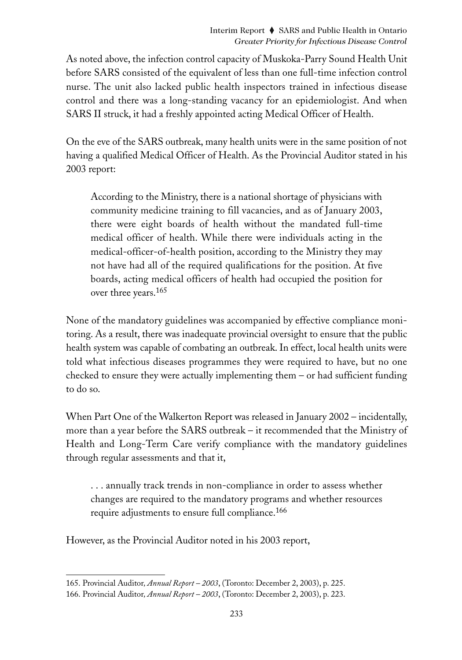As noted above, the infection control capacity of Muskoka-Parry Sound Health Unit before SARS consisted of the equivalent of less than one full-time infection control nurse. The unit also lacked public health inspectors trained in infectious disease control and there was a long-standing vacancy for an epidemiologist. And when SARS II struck, it had a freshly appointed acting Medical Officer of Health.

On the eve of the SARS outbreak, many health units were in the same position of not having a qualified Medical Officer of Health. As the Provincial Auditor stated in his 2003 report:

According to the Ministry, there is a national shortage of physicians with community medicine training to fill vacancies, and as of January 2003, there were eight boards of health without the mandated full-time medical officer of health. While there were individuals acting in the medical-officer-of-health position, according to the Ministry they may not have had all of the required qualifications for the position. At five boards, acting medical officers of health had occupied the position for over three years.<sup>165</sup>

None of the mandatory guidelines was accompanied by effective compliance monitoring. As a result, there was inadequate provincial oversight to ensure that the public health system was capable of combating an outbreak. In effect, local health units were told what infectious diseases programmes they were required to have, but no one checked to ensure they were actually implementing them – or had sufficient funding to do so.

When Part One of the Walkerton Report was released in January 2002 – incidentally, more than a year before the SARS outbreak – it recommended that the Ministry of Health and Long-Term Care verify compliance with the mandatory guidelines through regular assessments and that it,

. . . annually track trends in non-compliance in order to assess whether changes are required to the mandatory programs and whether resources require adjustments to ensure full compliance.<sup>166</sup>

However, as the Provincial Auditor noted in his 2003 report,

<sup>165.</sup> Provincial Auditor*, Annual Report – 2003*, (Toronto: December 2, 2003), p. 225.

<sup>166.</sup> Provincial Auditor*, Annual Report – 2003*, (Toronto: December 2, 2003), p. 223.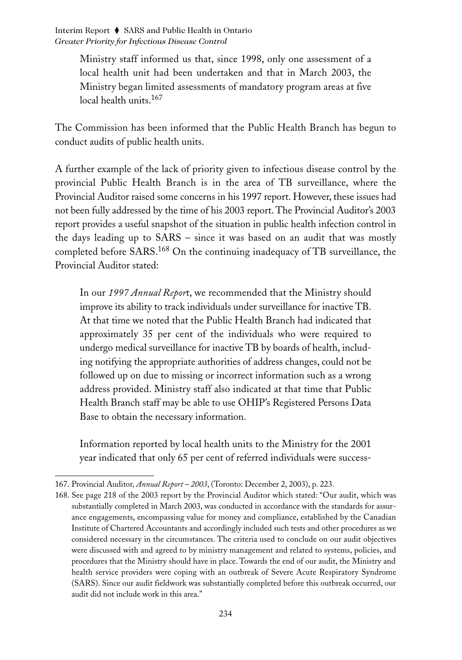Interim Report ♦ SARS and Public Health in Ontario *Greater Priority for Infectious Disease Control*

> Ministry staff informed us that, since 1998, only one assessment of a local health unit had been undertaken and that in March 2003, the Ministry began limited assessments of mandatory program areas at five local health units.167

The Commission has been informed that the Public Health Branch has begun to conduct audits of public health units.

A further example of the lack of priority given to infectious disease control by the provincial Public Health Branch is in the area of TB surveillance, where the Provincial Auditor raised some concerns in his 1997 report. However, these issues had not been fully addressed by the time of his 2003 report. The Provincial Auditor's 2003 report provides a useful snapshot of the situation in public health infection control in the days leading up to SARS – since it was based on an audit that was mostly completed before SARS.<sup>168</sup> On the continuing inadequacy of TB surveillance, the Provincial Auditor stated:

In our *1997 Annual Repor*t, we recommended that the Ministry should improve its ability to track individuals under surveillance for inactive TB. At that time we noted that the Public Health Branch had indicated that approximately 35 per cent of the individuals who were required to undergo medical surveillance for inactive TB by boards of health, including notifying the appropriate authorities of address changes, could not be followed up on due to missing or incorrect information such as a wrong address provided. Ministry staff also indicated at that time that Public Health Branch staff may be able to use OHIP's Registered Persons Data Base to obtain the necessary information.

Information reported by local health units to the Ministry for the 2001 year indicated that only 65 per cent of referred individuals were success-

<sup>167.</sup> Provincial Auditor*, Annual Report – 2003*, (Toronto: December 2, 2003), p. 223.

<sup>168.</sup> See page 218 of the 2003 report by the Provincial Auditor which stated: "Our audit, which was substantially completed in March 2003, was conducted in accordance with the standards for assurance engagements, encompassing value for money and compliance, established by the Canadian Institute of Chartered Accountants and accordingly included such tests and other procedures as we considered necessary in the circumstances. The criteria used to conclude on our audit objectives were discussed with and agreed to by ministry management and related to systems, policies, and procedures that the Ministry should have in place. Towards the end of our audit, the Ministry and health service providers were coping with an outbreak of Severe Acute Respiratory Syndrome (SARS). Since our audit fieldwork was substantially completed before this outbreak occurred, our audit did not include work in this area."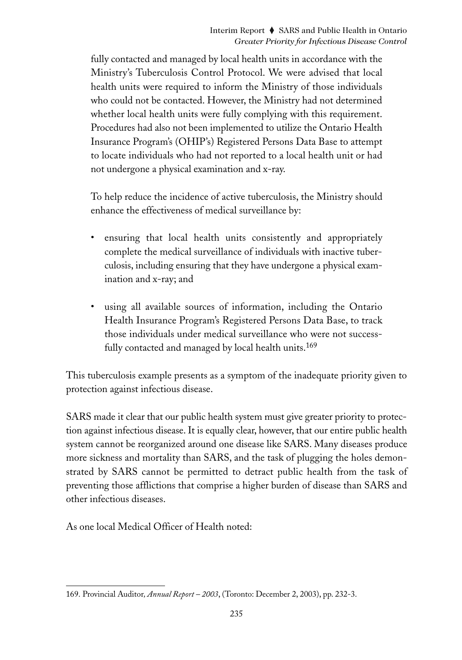fully contacted and managed by local health units in accordance with the Ministry's Tuberculosis Control Protocol. We were advised that local health units were required to inform the Ministry of those individuals who could not be contacted. However, the Ministry had not determined whether local health units were fully complying with this requirement. Procedures had also not been implemented to utilize the Ontario Health Insurance Program's (OHIP's) Registered Persons Data Base to attempt to locate individuals who had not reported to a local health unit or had not undergone a physical examination and x-ray.

To help reduce the incidence of active tuberculosis, the Ministry should enhance the effectiveness of medical surveillance by:

- ensuring that local health units consistently and appropriately complete the medical surveillance of individuals with inactive tuberculosis, including ensuring that they have undergone a physical examination and x-ray; and
- using all available sources of information, including the Ontario Health Insurance Program's Registered Persons Data Base, to track those individuals under medical surveillance who were not successfully contacted and managed by local health units.<sup>169</sup>

This tuberculosis example presents as a symptom of the inadequate priority given to protection against infectious disease.

SARS made it clear that our public health system must give greater priority to protection against infectious disease. It is equally clear, however, that our entire public health system cannot be reorganized around one disease like SARS. Many diseases produce more sickness and mortality than SARS, and the task of plugging the holes demonstrated by SARS cannot be permitted to detract public health from the task of preventing those afflictions that comprise a higher burden of disease than SARS and other infectious diseases.

As one local Medical Officer of Health noted:

<sup>169.</sup> Provincial Auditor*, Annual Report – 2003*, (Toronto: December 2, 2003), pp. 232-3.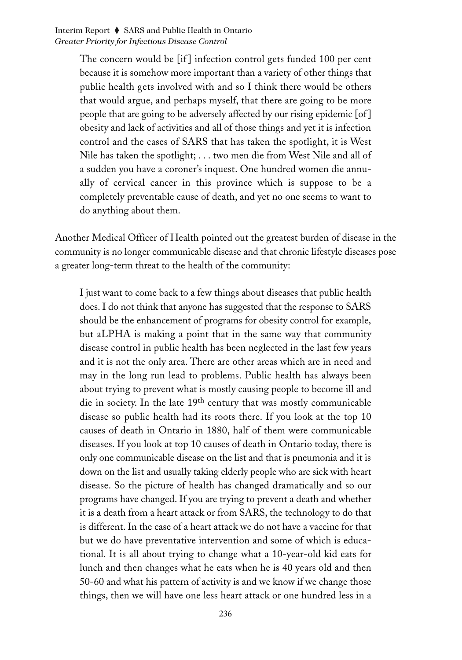The concern would be [if ] infection control gets funded 100 per cent because it is somehow more important than a variety of other things that public health gets involved with and so I think there would be others that would argue, and perhaps myself, that there are going to be more people that are going to be adversely affected by our rising epidemic [of ] obesity and lack of activities and all of those things and yet it is infection control and the cases of SARS that has taken the spotlight, it is West Nile has taken the spotlight; . . . two men die from West Nile and all of a sudden you have a coroner's inquest. One hundred women die annually of cervical cancer in this province which is suppose to be a completely preventable cause of death, and yet no one seems to want to do anything about them.

Another Medical Officer of Health pointed out the greatest burden of disease in the community is no longer communicable disease and that chronic lifestyle diseases pose a greater long-term threat to the health of the community:

I just want to come back to a few things about diseases that public health does. I do not think that anyone has suggested that the response to SARS should be the enhancement of programs for obesity control for example, but aLPHA is making a point that in the same way that community disease control in public health has been neglected in the last few years and it is not the only area. There are other areas which are in need and may in the long run lead to problems. Public health has always been about trying to prevent what is mostly causing people to become ill and die in society. In the late 19th century that was mostly communicable disease so public health had its roots there. If you look at the top 10 causes of death in Ontario in 1880, half of them were communicable diseases. If you look at top 10 causes of death in Ontario today, there is only one communicable disease on the list and that is pneumonia and it is down on the list and usually taking elderly people who are sick with heart disease. So the picture of health has changed dramatically and so our programs have changed. If you are trying to prevent a death and whether it is a death from a heart attack or from SARS, the technology to do that is different. In the case of a heart attack we do not have a vaccine for that but we do have preventative intervention and some of which is educational. It is all about trying to change what a 10-year-old kid eats for lunch and then changes what he eats when he is 40 years old and then 50-60 and what his pattern of activity is and we know if we change those things, then we will have one less heart attack or one hundred less in a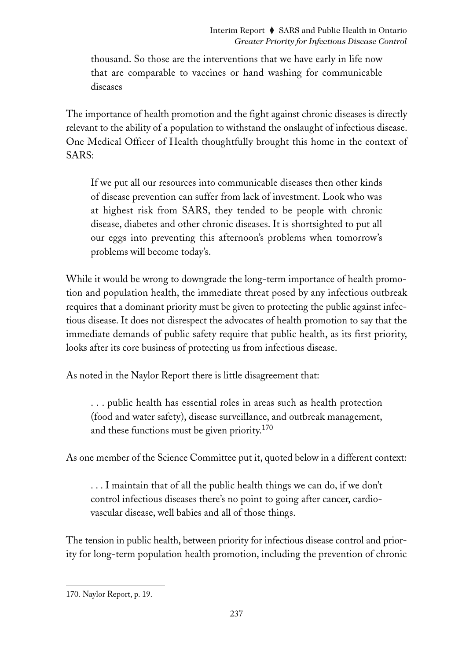thousand. So those are the interventions that we have early in life now that are comparable to vaccines or hand washing for communicable diseases

The importance of health promotion and the fight against chronic diseases is directly relevant to the ability of a population to withstand the onslaught of infectious disease. One Medical Officer of Health thoughtfully brought this home in the context of SARS:

If we put all our resources into communicable diseases then other kinds of disease prevention can suffer from lack of investment. Look who was at highest risk from SARS, they tended to be people with chronic disease, diabetes and other chronic diseases. It is shortsighted to put all our eggs into preventing this afternoon's problems when tomorrow's problems will become today's.

While it would be wrong to downgrade the long-term importance of health promotion and population health, the immediate threat posed by any infectious outbreak requires that a dominant priority must be given to protecting the public against infectious disease. It does not disrespect the advocates of health promotion to say that the immediate demands of public safety require that public health, as its first priority, looks after its core business of protecting us from infectious disease.

As noted in the Naylor Report there is little disagreement that:

. . . public health has essential roles in areas such as health protection (food and water safety), disease surveillance, and outbreak management, and these functions must be given priority.<sup>170</sup>

As one member of the Science Committee put it, quoted below in a different context:

. . . I maintain that of all the public health things we can do, if we don't control infectious diseases there's no point to going after cancer, cardiovascular disease, well babies and all of those things.

The tension in public health, between priority for infectious disease control and priority for long-term population health promotion, including the prevention of chronic

<sup>170.</sup> Naylor Report, p. 19.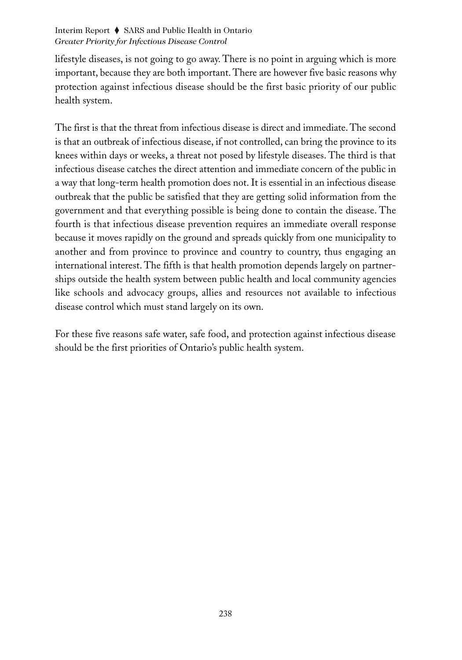Interim Report ♦ SARS and Public Health in Ontario *Greater Priority for Infectious Disease Control*

lifestyle diseases, is not going to go away. There is no point in arguing which is more important, because they are both important. There are however five basic reasons why protection against infectious disease should be the first basic priority of our public health system.

The first is that the threat from infectious disease is direct and immediate. The second is that an outbreak of infectious disease, if not controlled, can bring the province to its knees within days or weeks, a threat not posed by lifestyle diseases. The third is that infectious disease catches the direct attention and immediate concern of the public in a way that long-term health promotion does not. It is essential in an infectious disease outbreak that the public be satisfied that they are getting solid information from the government and that everything possible is being done to contain the disease. The fourth is that infectious disease prevention requires an immediate overall response because it moves rapidly on the ground and spreads quickly from one municipality to another and from province to province and country to country, thus engaging an international interest. The fifth is that health promotion depends largely on partnerships outside the health system between public health and local community agencies like schools and advocacy groups, allies and resources not available to infectious disease control which must stand largely on its own.

For these five reasons safe water, safe food, and protection against infectious disease should be the first priorities of Ontario's public health system.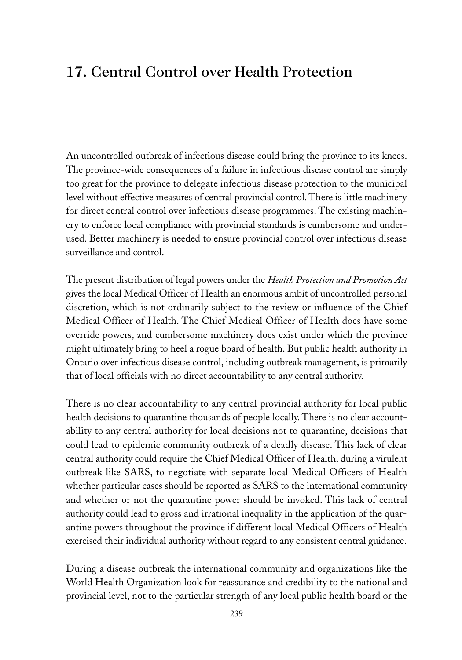An uncontrolled outbreak of infectious disease could bring the province to its knees. The province-wide consequences of a failure in infectious disease control are simply too great for the province to delegate infectious disease protection to the municipal level without effective measures of central provincial control. There is little machinery for direct central control over infectious disease programmes. The existing machinery to enforce local compliance with provincial standards is cumbersome and underused. Better machinery is needed to ensure provincial control over infectious disease surveillance and control.

The present distribution of legal powers under the *Health Protection and Promotion Act* gives the local Medical Officer of Health an enormous ambit of uncontrolled personal discretion, which is not ordinarily subject to the review or influence of the Chief Medical Officer of Health. The Chief Medical Officer of Health does have some override powers, and cumbersome machinery does exist under which the province might ultimately bring to heel a rogue board of health. But public health authority in Ontario over infectious disease control, including outbreak management, is primarily that of local officials with no direct accountability to any central authority.

There is no clear accountability to any central provincial authority for local public health decisions to quarantine thousands of people locally. There is no clear accountability to any central authority for local decisions not to quarantine, decisions that could lead to epidemic community outbreak of a deadly disease. This lack of clear central authority could require the Chief Medical Officer of Health, during a virulent outbreak like SARS, to negotiate with separate local Medical Officers of Health whether particular cases should be reported as SARS to the international community and whether or not the quarantine power should be invoked. This lack of central authority could lead to gross and irrational inequality in the application of the quarantine powers throughout the province if different local Medical Officers of Health exercised their individual authority without regard to any consistent central guidance.

During a disease outbreak the international community and organizations like the World Health Organization look for reassurance and credibility to the national and provincial level, not to the particular strength of any local public health board or the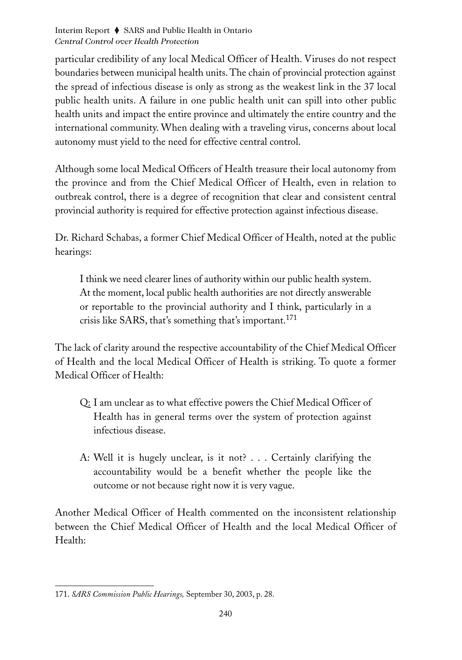Interim Report ♦ SARS and Public Health in Ontario *Central Control over Health Protection*

particular credibility of any local Medical Officer of Health. Viruses do not respect boundaries between municipal health units. The chain of provincial protection against the spread of infectious disease is only as strong as the weakest link in the 37 local public health units. A failure in one public health unit can spill into other public health units and impact the entire province and ultimately the entire country and the international community. When dealing with a traveling virus, concerns about local autonomy must yield to the need for effective central control.

Although some local Medical Officers of Health treasure their local autonomy from the province and from the Chief Medical Officer of Health, even in relation to outbreak control, there is a degree of recognition that clear and consistent central provincial authority is required for effective protection against infectious disease.

Dr. Richard Schabas, a former Chief Medical Officer of Health, noted at the public hearings:

I think we need clearer lines of authority within our public health system. At the moment, local public health authorities are not directly answerable or reportable to the provincial authority and I think, particularly in a crisis like SARS, that's something that's important.<sup>171</sup>

The lack of clarity around the respective accountability of the Chief Medical Officer of Health and the local Medical Officer of Health is striking. To quote a former Medical Officer of Health:

- Q: I am unclear as to what effective powers the Chief Medical Officer of Health has in general terms over the system of protection against infectious disease.
- A: Well it is hugely unclear, is it not? . . . Certainly clarifying the accountability would be a benefit whether the people like the outcome or not because right now it is very vague.

Another Medical Officer of Health commented on the inconsistent relationship between the Chief Medical Officer of Health and the local Medical Officer of Health:

<sup>171.</sup> *SARS Commission Public Hearings,* September 30, 2003, p. 28.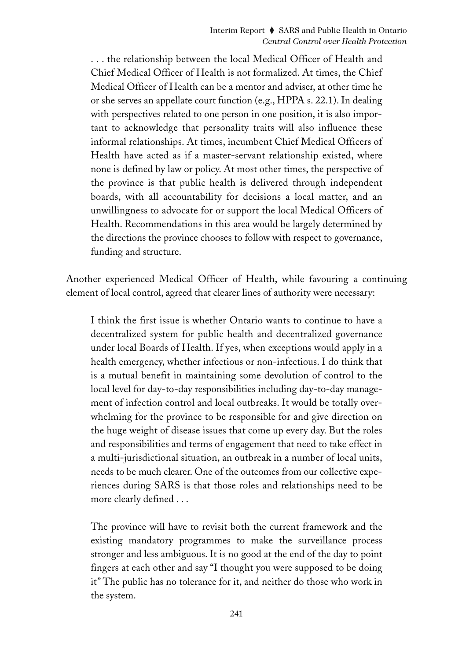. . . the relationship between the local Medical Officer of Health and Chief Medical Officer of Health is not formalized. At times, the Chief Medical Officer of Health can be a mentor and adviser, at other time he or she serves an appellate court function (e.g., HPPA s. 22.1). In dealing with perspectives related to one person in one position, it is also important to acknowledge that personality traits will also influence these informal relationships. At times, incumbent Chief Medical Officers of Health have acted as if a master-servant relationship existed, where none is defined by law or policy. At most other times, the perspective of the province is that public health is delivered through independent boards, with all accountability for decisions a local matter, and an unwillingness to advocate for or support the local Medical Officers of Health. Recommendations in this area would be largely determined by the directions the province chooses to follow with respect to governance, funding and structure.

Another experienced Medical Officer of Health, while favouring a continuing element of local control, agreed that clearer lines of authority were necessary:

I think the first issue is whether Ontario wants to continue to have a decentralized system for public health and decentralized governance under local Boards of Health. If yes, when exceptions would apply in a health emergency, whether infectious or non-infectious. I do think that is a mutual benefit in maintaining some devolution of control to the local level for day-to-day responsibilities including day-to-day management of infection control and local outbreaks. It would be totally overwhelming for the province to be responsible for and give direction on the huge weight of disease issues that come up every day. But the roles and responsibilities and terms of engagement that need to take effect in a multi-jurisdictional situation, an outbreak in a number of local units, needs to be much clearer. One of the outcomes from our collective experiences during SARS is that those roles and relationships need to be more clearly defined . . .

The province will have to revisit both the current framework and the existing mandatory programmes to make the surveillance process stronger and less ambiguous. It is no good at the end of the day to point fingers at each other and say "I thought you were supposed to be doing it" The public has no tolerance for it, and neither do those who work in the system.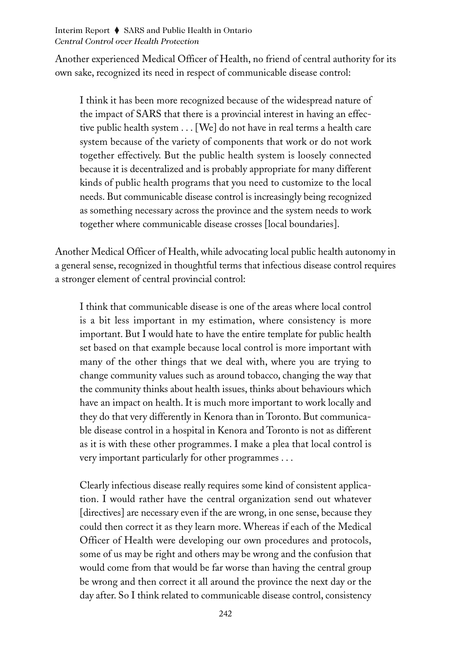Another experienced Medical Officer of Health, no friend of central authority for its own sake, recognized its need in respect of communicable disease control:

I think it has been more recognized because of the widespread nature of the impact of SARS that there is a provincial interest in having an effective public health system . . . [We] do not have in real terms a health care system because of the variety of components that work or do not work together effectively. But the public health system is loosely connected because it is decentralized and is probably appropriate for many different kinds of public health programs that you need to customize to the local needs. But communicable disease control is increasingly being recognized as something necessary across the province and the system needs to work together where communicable disease crosses [local boundaries].

Another Medical Officer of Health, while advocating local public health autonomy in a general sense, recognized in thoughtful terms that infectious disease control requires a stronger element of central provincial control:

I think that communicable disease is one of the areas where local control is a bit less important in my estimation, where consistency is more important. But I would hate to have the entire template for public health set based on that example because local control is more important with many of the other things that we deal with, where you are trying to change community values such as around tobacco, changing the way that the community thinks about health issues, thinks about behaviours which have an impact on health. It is much more important to work locally and they do that very differently in Kenora than in Toronto. But communicable disease control in a hospital in Kenora and Toronto is not as different as it is with these other programmes. I make a plea that local control is very important particularly for other programmes . . .

Clearly infectious disease really requires some kind of consistent application. I would rather have the central organization send out whatever [directives] are necessary even if the are wrong, in one sense, because they could then correct it as they learn more. Whereas if each of the Medical Officer of Health were developing our own procedures and protocols, some of us may be right and others may be wrong and the confusion that would come from that would be far worse than having the central group be wrong and then correct it all around the province the next day or the day after. So I think related to communicable disease control, consistency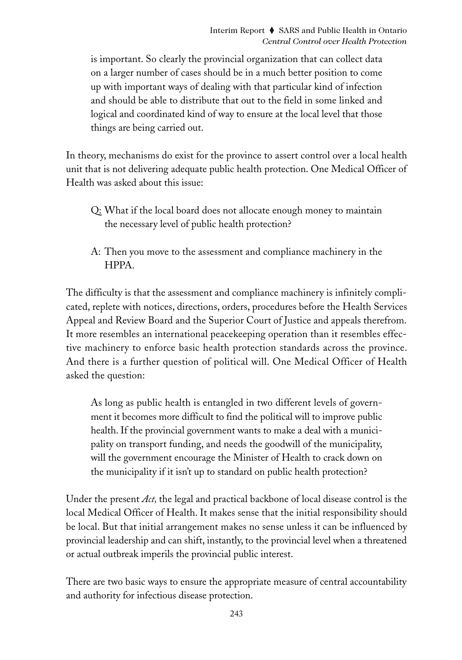is important. So clearly the provincial organization that can collect data on a larger number of cases should be in a much better position to come up with important ways of dealing with that particular kind of infection and should be able to distribute that out to the field in some linked and logical and coordinated kind of way to ensure at the local level that those things are being carried out.

In theory, mechanisms do exist for the province to assert control over a local health unit that is not delivering adequate public health protection. One Medical Officer of Health was asked about this issue:

- Q: What if the local board does not allocate enough money to maintain the necessary level of public health protection?
- A: Then you move to the assessment and compliance machinery in the HPPA.

The difficulty is that the assessment and compliance machinery is infinitely complicated, replete with notices, directions, orders, procedures before the Health Services Appeal and Review Board and the Superior Court of Justice and appeals therefrom. It more resembles an international peacekeeping operation than it resembles effective machinery to enforce basic health protection standards across the province. And there is a further question of political will. One Medical Officer of Health asked the question:

As long as public health is entangled in two different levels of government it becomes more difficult to find the political will to improve public health. If the provincial government wants to make a deal with a municipality on transport funding, and needs the goodwill of the municipality, will the government encourage the Minister of Health to crack down on the municipality if it isn't up to standard on public health protection?

Under the present *Act,* the legal and practical backbone of local disease control is the local Medical Officer of Health. It makes sense that the initial responsibility should be local. But that initial arrangement makes no sense unless it can be influenced by provincial leadership and can shift, instantly, to the provincial level when a threatened or actual outbreak imperils the provincial public interest.

There are two basic ways to ensure the appropriate measure of central accountability and authority for infectious disease protection.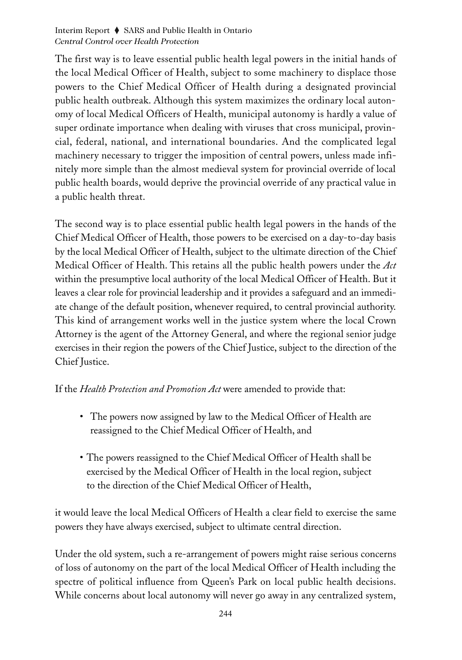## Interim Report ♦ SARS and Public Health in Ontario *Central Control over Health Protection*

The first way is to leave essential public health legal powers in the initial hands of the local Medical Officer of Health, subject to some machinery to displace those powers to the Chief Medical Officer of Health during a designated provincial public health outbreak. Although this system maximizes the ordinary local autonomy of local Medical Officers of Health, municipal autonomy is hardly a value of super ordinate importance when dealing with viruses that cross municipal, provincial, federal, national, and international boundaries. And the complicated legal machinery necessary to trigger the imposition of central powers, unless made infinitely more simple than the almost medieval system for provincial override of local public health boards, would deprive the provincial override of any practical value in a public health threat.

The second way is to place essential public health legal powers in the hands of the Chief Medical Officer of Health, those powers to be exercised on a day-to-day basis by the local Medical Officer of Health, subject to the ultimate direction of the Chief Medical Officer of Health. This retains all the public health powers under the *Act* within the presumptive local authority of the local Medical Officer of Health. But it leaves a clear role for provincial leadership and it provides a safeguard and an immediate change of the default position, whenever required, to central provincial authority. This kind of arrangement works well in the justice system where the local Crown Attorney is the agent of the Attorney General, and where the regional senior judge exercises in their region the powers of the Chief Justice, subject to the direction of the Chief Justice.

If the *Health Protection and Promotion Act* were amended to provide that:

- The powers now assigned by law to the Medical Officer of Health are reassigned to the Chief Medical Officer of Health, and
- The powers reassigned to the Chief Medical Officer of Health shall be exercised by the Medical Officer of Health in the local region, subject to the direction of the Chief Medical Officer of Health,

it would leave the local Medical Officers of Health a clear field to exercise the same powers they have always exercised, subject to ultimate central direction.

Under the old system, such a re-arrangement of powers might raise serious concerns of loss of autonomy on the part of the local Medical Officer of Health including the spectre of political influence from Queen's Park on local public health decisions. While concerns about local autonomy will never go away in any centralized system,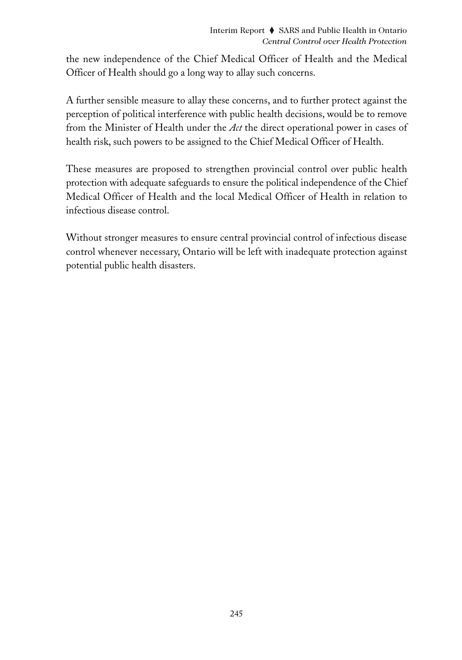the new independence of the Chief Medical Officer of Health and the Medical Officer of Health should go a long way to allay such concerns.

A further sensible measure to allay these concerns, and to further protect against the perception of political interference with public health decisions, would be to remove from the Minister of Health under the *Act* the direct operational power in cases of health risk, such powers to be assigned to the Chief Medical Officer of Health.

These measures are proposed to strengthen provincial control over public health protection with adequate safeguards to ensure the political independence of the Chief Medical Officer of Health and the local Medical Officer of Health in relation to infectious disease control.

Without stronger measures to ensure central provincial control of infectious disease control whenever necessary, Ontario will be left with inadequate protection against potential public health disasters.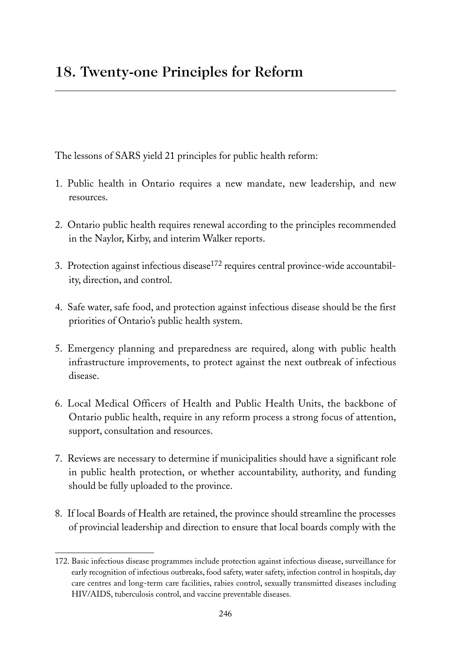The lessons of SARS yield 21 principles for public health reform:

- 1. Public health in Ontario requires a new mandate, new leadership, and new resources.
- 2. Ontario public health requires renewal according to the principles recommended in the Naylor, Kirby, and interim Walker reports.
- 3. Protection against infectious disease $172$  requires central province-wide accountability, direction, and control.
- 4. Safe water, safe food, and protection against infectious disease should be the first priorities of Ontario's public health system.
- 5. Emergency planning and preparedness are required, along with public health infrastructure improvements, to protect against the next outbreak of infectious disease.
- 6. Local Medical Officers of Health and Public Health Units, the backbone of Ontario public health, require in any reform process a strong focus of attention, support, consultation and resources.
- 7. Reviews are necessary to determine if municipalities should have a significant role in public health protection, or whether accountability, authority, and funding should be fully uploaded to the province.
- 8. If local Boards of Health are retained, the province should streamline the processes of provincial leadership and direction to ensure that local boards comply with the

<sup>172.</sup> Basic infectious disease programmes include protection against infectious disease, surveillance for early recognition of infectious outbreaks, food safety, water safety, infection control in hospitals, day care centres and long-term care facilities, rabies control, sexually transmitted diseases including HIV/AIDS, tuberculosis control, and vaccine preventable diseases.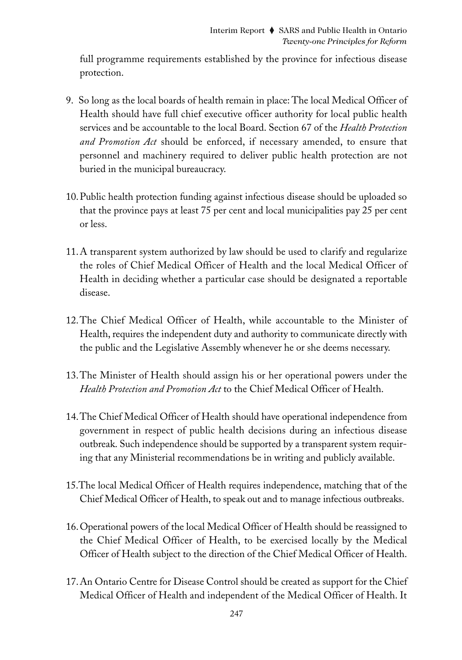full programme requirements established by the province for infectious disease protection.

- 9. So long as the local boards of health remain in place: The local Medical Officer of Health should have full chief executive officer authority for local public health services and be accountable to the local Board. Section 67 of the *Health Protection and Promotion Act* should be enforced, if necessary amended, to ensure that personnel and machinery required to deliver public health protection are not buried in the municipal bureaucracy.
- 10.Public health protection funding against infectious disease should be uploaded so that the province pays at least 75 per cent and local municipalities pay 25 per cent or less.
- 11.A transparent system authorized by law should be used to clarify and regularize the roles of Chief Medical Officer of Health and the local Medical Officer of Health in deciding whether a particular case should be designated a reportable disease.
- 12.The Chief Medical Officer of Health, while accountable to the Minister of Health, requires the independent duty and authority to communicate directly with the public and the Legislative Assembly whenever he or she deems necessary.
- 13.The Minister of Health should assign his or her operational powers under the *Health Protection and Promotion Act* to the Chief Medical Officer of Health.
- 14.The Chief Medical Officer of Health should have operational independence from government in respect of public health decisions during an infectious disease outbreak. Such independence should be supported by a transparent system requiring that any Ministerial recommendations be in writing and publicly available.
- 15.The local Medical Officer of Health requires independence, matching that of the Chief Medical Officer of Health, to speak out and to manage infectious outbreaks.
- 16.Operational powers of the local Medical Officer of Health should be reassigned to the Chief Medical Officer of Health, to be exercised locally by the Medical Officer of Health subject to the direction of the Chief Medical Officer of Health.
- 17.An Ontario Centre for Disease Control should be created as support for the Chief Medical Officer of Health and independent of the Medical Officer of Health. It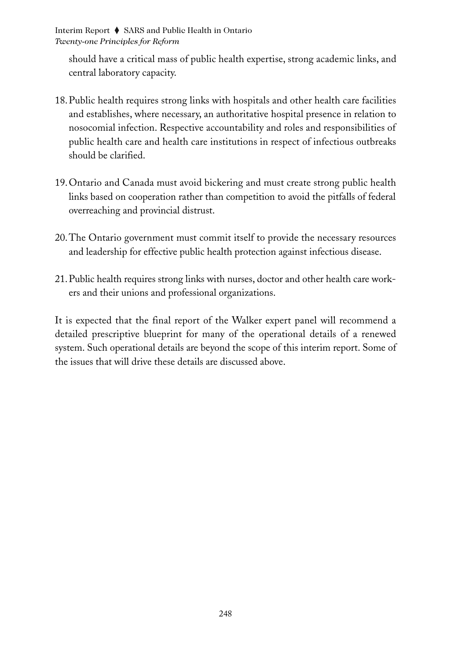Interim Report ♦ SARS and Public Health in Ontario *Twenty-one Principles for Reform*

should have a critical mass of public health expertise, strong academic links, and central laboratory capacity.

- 18.Public health requires strong links with hospitals and other health care facilities and establishes, where necessary, an authoritative hospital presence in relation to nosocomial infection. Respective accountability and roles and responsibilities of public health care and health care institutions in respect of infectious outbreaks should be clarified.
- 19.Ontario and Canada must avoid bickering and must create strong public health links based on cooperation rather than competition to avoid the pitfalls of federal overreaching and provincial distrust.
- 20.The Ontario government must commit itself to provide the necessary resources and leadership for effective public health protection against infectious disease.
- 21.Public health requires strong links with nurses, doctor and other health care workers and their unions and professional organizations.

It is expected that the final report of the Walker expert panel will recommend a detailed prescriptive blueprint for many of the operational details of a renewed system. Such operational details are beyond the scope of this interim report. Some of the issues that will drive these details are discussed above.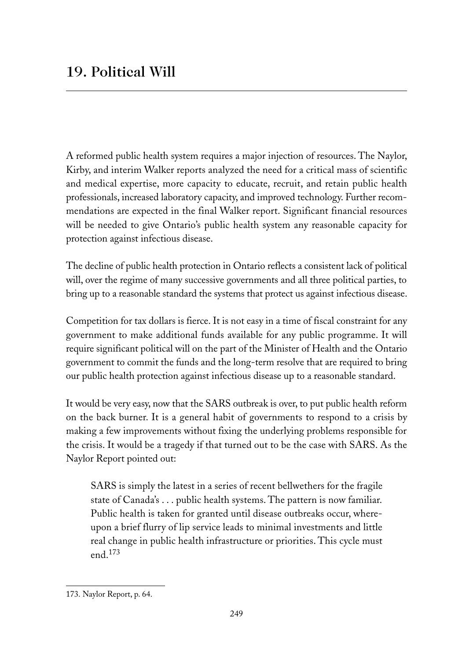A reformed public health system requires a major injection of resources. The Naylor, Kirby, and interim Walker reports analyzed the need for a critical mass of scientific and medical expertise, more capacity to educate, recruit, and retain public health professionals, increased laboratory capacity, and improved technology. Further recommendations are expected in the final Walker report. Significant financial resources will be needed to give Ontario's public health system any reasonable capacity for protection against infectious disease.

The decline of public health protection in Ontario reflects a consistent lack of political will, over the regime of many successive governments and all three political parties, to bring up to a reasonable standard the systems that protect us against infectious disease.

Competition for tax dollars is fierce. It is not easy in a time of fiscal constraint for any government to make additional funds available for any public programme. It will require significant political will on the part of the Minister of Health and the Ontario government to commit the funds and the long-term resolve that are required to bring our public health protection against infectious disease up to a reasonable standard.

It would be very easy, now that the SARS outbreak is over, to put public health reform on the back burner. It is a general habit of governments to respond to a crisis by making a few improvements without fixing the underlying problems responsible for the crisis. It would be a tragedy if that turned out to be the case with SARS. As the Naylor Report pointed out:

SARS is simply the latest in a series of recent bellwethers for the fragile state of Canada's . . . public health systems. The pattern is now familiar. Public health is taken for granted until disease outbreaks occur, whereupon a brief flurry of lip service leads to minimal investments and little real change in public health infrastructure or priorities. This cycle must end.<sup>173</sup>

<sup>173.</sup> Naylor Report, p. 64.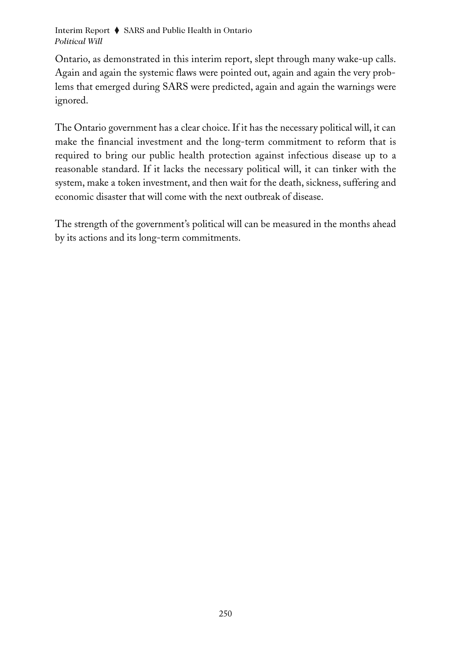Interim Report ♦ SARS and Public Health in Ontario *Political Will*

Ontario, as demonstrated in this interim report, slept through many wake-up calls. Again and again the systemic flaws were pointed out, again and again the very problems that emerged during SARS were predicted, again and again the warnings were ignored.

The Ontario government has a clear choice. If it has the necessary political will, it can make the financial investment and the long-term commitment to reform that is required to bring our public health protection against infectious disease up to a reasonable standard. If it lacks the necessary political will, it can tinker with the system, make a token investment, and then wait for the death, sickness, suffering and economic disaster that will come with the next outbreak of disease.

The strength of the government's political will can be measured in the months ahead by its actions and its long-term commitments.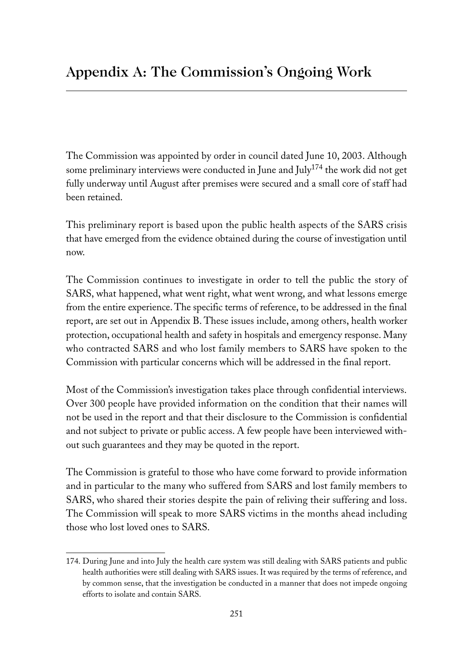The Commission was appointed by order in council dated June 10, 2003. Although some preliminary interviews were conducted in June and July<sup>174</sup> the work did not get fully underway until August after premises were secured and a small core of staff had been retained.

This preliminary report is based upon the public health aspects of the SARS crisis that have emerged from the evidence obtained during the course of investigation until now.

The Commission continues to investigate in order to tell the public the story of SARS, what happened, what went right, what went wrong, and what lessons emerge from the entire experience. The specific terms of reference, to be addressed in the final report, are set out in Appendix B. These issues include, among others, health worker protection, occupational health and safety in hospitals and emergency response. Many who contracted SARS and who lost family members to SARS have spoken to the Commission with particular concerns which will be addressed in the final report.

Most of the Commission's investigation takes place through confidential interviews. Over 300 people have provided information on the condition that their names will not be used in the report and that their disclosure to the Commission is confidential and not subject to private or public access. A few people have been interviewed without such guarantees and they may be quoted in the report.

The Commission is grateful to those who have come forward to provide information and in particular to the many who suffered from SARS and lost family members to SARS, who shared their stories despite the pain of reliving their suffering and loss. The Commission will speak to more SARS victims in the months ahead including those who lost loved ones to SARS.

<sup>174.</sup> During June and into July the health care system was still dealing with SARS patients and public health authorities were still dealing with SARS issues. It was required by the terms of reference, and by common sense, that the investigation be conducted in a manner that does not impede ongoing efforts to isolate and contain SARS.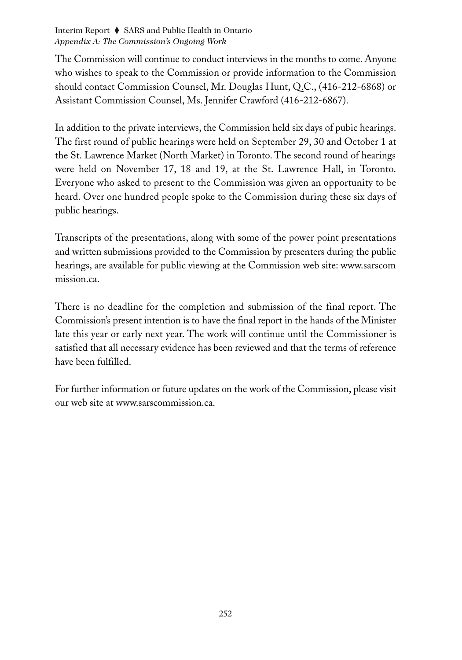Interim Report ♦ SARS and Public Health in Ontario *Appendix A: The Commission's Ongoing Work*

The Commission will continue to conduct interviews in the months to come. Anyone who wishes to speak to the Commission or provide information to the Commission should contact Commission Counsel, Mr. Douglas Hunt, Q.C., (416-212-6868) or Assistant Commission Counsel, Ms. Jennifer Crawford (416-212-6867).

In addition to the private interviews, the Commission held six days of pubic hearings. The first round of public hearings were held on September 29, 30 and October 1 at the St. Lawrence Market (North Market) in Toronto. The second round of hearings were held on November 17, 18 and 19, at the St. Lawrence Hall, in Toronto. Everyone who asked to present to the Commission was given an opportunity to be heard. Over one hundred people spoke to the Commission during these six days of public hearings.

Transcripts of the presentations, along with some of the power point presentations and written submissions provided to the Commission by presenters during the public hearings, are available for public viewing at the Commission web site: www.sarscom mission.ca.

There is no deadline for the completion and submission of the final report. The Commission's present intention is to have the final report in the hands of the Minister late this year or early next year. The work will continue until the Commissioner is satisfied that all necessary evidence has been reviewed and that the terms of reference have been fulfilled.

For further information or future updates on the work of the Commission, please visit our web site at www.sarscommission.ca.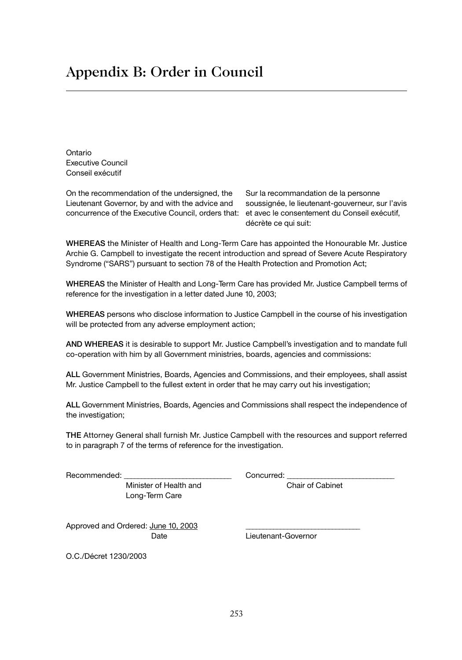## Appendix B: Order in Council

Ontario Executive Council Conseil exécutif

On the recommendation of the undersigned, the Sur la recommandation de la personne Lieutenant Governor, by and with the advice and soussignée, le lieutenant-gouverneur, sur l'avis concurrence of the Executive Council, orders that: et avec le consentement du Conseil exécutif,

décrète ce qui suit:

**WHEREAS** the Minister of Health and Long-Term Care has appointed the Honourable Mr. Justice Archie G. Campbell to investigate the recent introduction and spread of Severe Acute Respiratory Syndrome ("SARS") pursuant to section 78 of the Health Protection and Promotion Act;

**WHEREAS** the Minister of Health and Long-Term Care has provided Mr. Justice Campbell terms of reference for the investigation in a letter dated June 10, 2003;

**WHEREAS** persons who disclose information to Justice Campbell in the course of his investigation will be protected from any adverse employment action;

**AND WHEREAS** it is desirable to support Mr. Justice Campbell's investigation and to mandate full co-operation with him by all Government ministries, boards, agencies and commissions:

**ALL** Government Ministries, Boards, Agencies and Commissions, and their employees, shall assist Mr. Justice Campbell to the fullest extent in order that he may carry out his investigation;

**ALL** Government Ministries, Boards, Agencies and Commissions shall respect the independence of the investigation;

**THE** Attorney General shall furnish Mr. Justice Campbell with the resources and support referred to in paragraph 7 of the terms of reference for the investigation.

| Recommended: |
|--------------|
|--------------|

Minister of Health and Chair of Cabinet Long-Term Care

| Recommended: |                        | Concurred: |                  |
|--------------|------------------------|------------|------------------|
|              | Ministor of Hoolth and |            | Choir of Cobinot |

Approved and Ordered: June 10, 2003

Date Lieutenant-Governor

O.C./Décret 1230/2003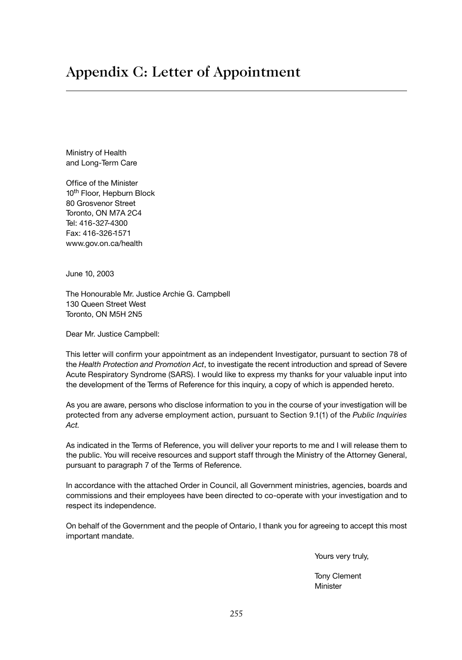## Appendix C: Letter of Appointment

Ministry of Health and Long-Term Care

Office of the Minister 10<sup>th</sup> Floor, Hepburn Block 80 Grosvenor Street Toronto, ON M7A 2C4 Tel: 416-327-4300 Fax: 416-326-1571 www.gov.on.ca/health

June 10, 2003

The Honourable Mr. Justice Archie G. Campbell 130 Queen Street West Toronto, ON M5H 2N5

Dear Mr. Justice Campbell:

This letter will confirm your appointment as an independent Investigator, pursuant to section 78 of the *Health Protection and Promotion Act*, to investigate the recent introduction and spread of Severe Acute Respiratory Syndrome (SARS). I would like to express my thanks for your valuable input into the development of the Terms of Reference for this inquiry, a copy of which is appended hereto.

As you are aware, persons who disclose information to you in the course of your investigation will be protected from any adverse employment action, pursuant to Section 9.1(1) of the *Public Inquiries Act.*

As indicated in the Terms of Reference, you will deliver your reports to me and I will release them to the public. You will receive resources and support staff through the Ministry of the Attorney General, pursuant to paragraph 7 of the Terms of Reference.

In accordance with the attached Order in Council, all Government ministries, agencies, boards and commissions and their employees have been directed to co-operate with your investigation and to respect its independence.

On behalf of the Government and the people of Ontario, I thank you for agreeing to accept this most important mandate.

Yours very truly,

Tony Clement Minister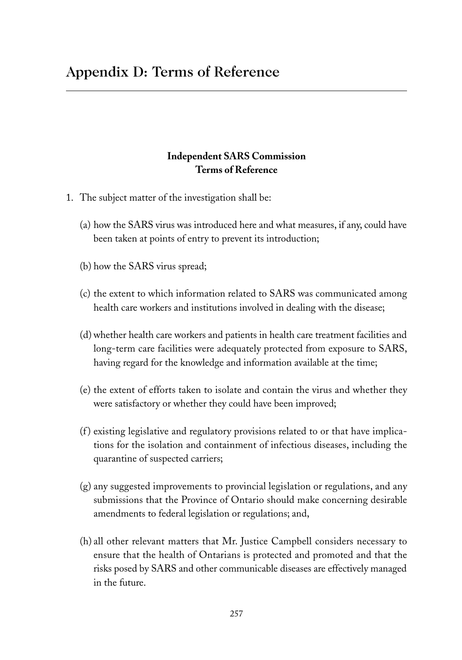## **Independent SARS Commission Terms of Reference**

- 1. The subject matter of the investigation shall be:
	- (a) how the SARS virus was introduced here and what measures, if any, could have been taken at points of entry to prevent its introduction;
	- (b) how the SARS virus spread;
	- (c) the extent to which information related to SARS was communicated among health care workers and institutions involved in dealing with the disease;
	- (d) whether health care workers and patients in health care treatment facilities and long-term care facilities were adequately protected from exposure to SARS, having regard for the knowledge and information available at the time;
	- (e) the extent of efforts taken to isolate and contain the virus and whether they were satisfactory or whether they could have been improved;
	- (f ) existing legislative and regulatory provisions related to or that have implications for the isolation and containment of infectious diseases, including the quarantine of suspected carriers;
	- (g) any suggested improvements to provincial legislation or regulations, and any submissions that the Province of Ontario should make concerning desirable amendments to federal legislation or regulations; and,
	- (h) all other relevant matters that Mr. Justice Campbell considers necessary to ensure that the health of Ontarians is protected and promoted and that the risks posed by SARS and other communicable diseases are effectively managed in the future.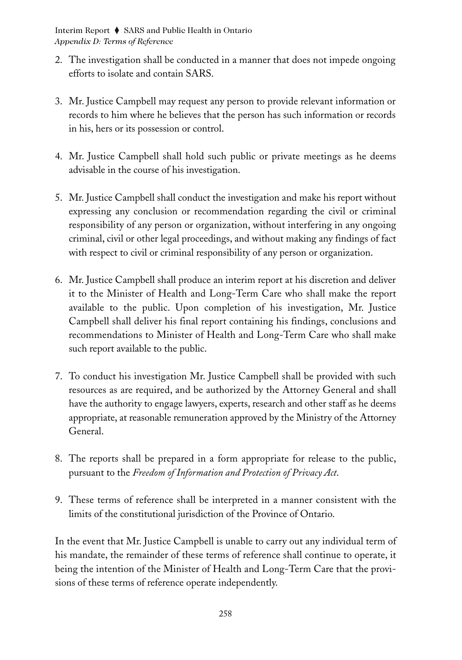Interim Report ♦ SARS and Public Health in Ontario *Appendix D: Terms of Reference*

- 2. The investigation shall be conducted in a manner that does not impede ongoing efforts to isolate and contain SARS.
- 3. Mr. Justice Campbell may request any person to provide relevant information or records to him where he believes that the person has such information or records in his, hers or its possession or control.
- 4. Mr. Justice Campbell shall hold such public or private meetings as he deems advisable in the course of his investigation.
- 5. Mr. Justice Campbell shall conduct the investigation and make his report without expressing any conclusion or recommendation regarding the civil or criminal responsibility of any person or organization, without interfering in any ongoing criminal, civil or other legal proceedings, and without making any findings of fact with respect to civil or criminal responsibility of any person or organization.
- 6. Mr. Justice Campbell shall produce an interim report at his discretion and deliver it to the Minister of Health and Long-Term Care who shall make the report available to the public. Upon completion of his investigation, Mr. Justice Campbell shall deliver his final report containing his findings, conclusions and recommendations to Minister of Health and Long-Term Care who shall make such report available to the public.
- 7. To conduct his investigation Mr. Justice Campbell shall be provided with such resources as are required, and be authorized by the Attorney General and shall have the authority to engage lawyers, experts, research and other staff as he deems appropriate, at reasonable remuneration approved by the Ministry of the Attorney General.
- 8. The reports shall be prepared in a form appropriate for release to the public, pursuant to the *Freedom of Information and Protection of Privacy Act*.
- 9. These terms of reference shall be interpreted in a manner consistent with the limits of the constitutional jurisdiction of the Province of Ontario.

In the event that Mr. Justice Campbell is unable to carry out any individual term of his mandate, the remainder of these terms of reference shall continue to operate, it being the intention of the Minister of Health and Long-Term Care that the provisions of these terms of reference operate independently.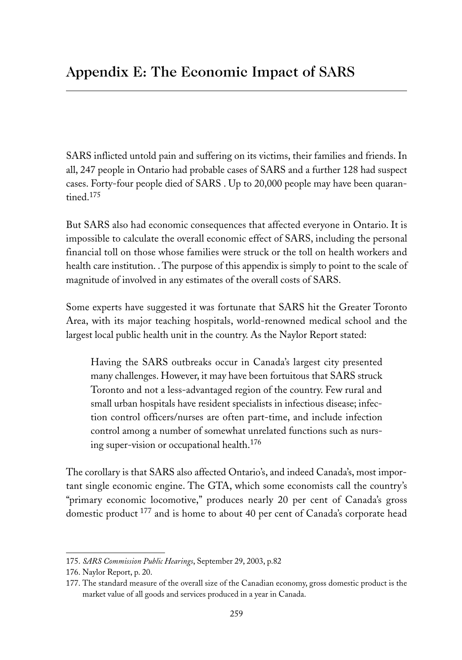SARS inflicted untold pain and suffering on its victims, their families and friends. In all, 247 people in Ontario had probable cases of SARS and a further 128 had suspect cases. Forty-four people died of SARS . Up to 20,000 people may have been quarantined.<sup>175</sup>

But SARS also had economic consequences that affected everyone in Ontario. It is impossible to calculate the overall economic effect of SARS, including the personal financial toll on those whose families were struck or the toll on health workers and health care institution. . The purpose of this appendix is simply to point to the scale of magnitude of involved in any estimates of the overall costs of SARS.

Some experts have suggested it was fortunate that SARS hit the Greater Toronto Area, with its major teaching hospitals, world-renowned medical school and the largest local public health unit in the country. As the Naylor Report stated:

Having the SARS outbreaks occur in Canada's largest city presented many challenges. However, it may have been fortuitous that SARS struck Toronto and not a less-advantaged region of the country. Few rural and small urban hospitals have resident specialists in infectious disease; infection control officers/nurses are often part-time, and include infection control among a number of somewhat unrelated functions such as nursing super-vision or occupational health.<sup>176</sup>

The corollary is that SARS also affected Ontario's, and indeed Canada's, most important single economic engine. The GTA, which some economists call the country's "primary economic locomotive," produces nearly 20 per cent of Canada's gross domestic product <sup>177</sup> and is home to about 40 per cent of Canada's corporate head

<sup>175.</sup> *SARS Commission Public Hearings*, September 29, 2003, p.82

<sup>176.</sup> Naylor Report, p. 20.

<sup>177.</sup> The standard measure of the overall size of the Canadian economy, gross domestic product is the market value of all goods and services produced in a year in Canada.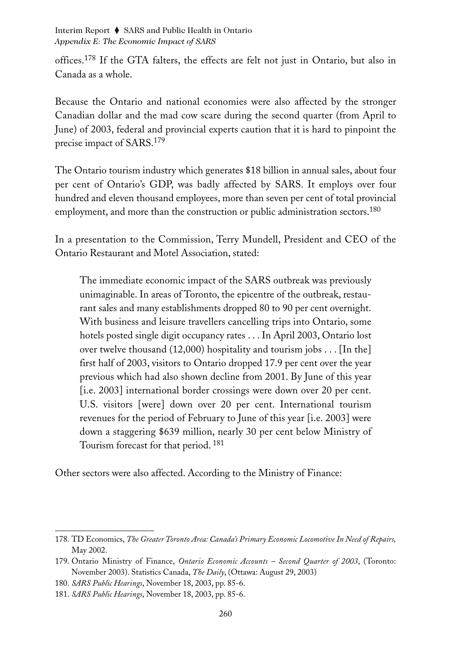Interim Report ♦ SARS and Public Health in Ontario *Appendix E: The Economic Impact of SARS*

offices.<sup>178</sup> If the GTA falters, the effects are felt not just in Ontario, but also in Canada as a whole.

Because the Ontario and national economies were also affected by the stronger Canadian dollar and the mad cow scare during the second quarter (from April to June) of 2003, federal and provincial experts caution that it is hard to pinpoint the precise impact of SARS.179

The Ontario tourism industry which generates \$18 billion in annual sales, about four per cent of Ontario's GDP, was badly affected by SARS. It employs over four hundred and eleven thousand employees, more than seven per cent of total provincial employment, and more than the construction or public administration sectors.<sup>180</sup>

In a presentation to the Commission, Terry Mundell, President and CEO of the Ontario Restaurant and Motel Association, stated:

The immediate economic impact of the SARS outbreak was previously unimaginable. In areas of Toronto, the epicentre of the outbreak, restaurant sales and many establishments dropped 80 to 90 per cent overnight. With business and leisure travellers cancelling trips into Ontario, some hotels posted single digit occupancy rates . . . In April 2003, Ontario lost over twelve thousand (12,000) hospitality and tourism jobs . . . [In the] first half of 2003, visitors to Ontario dropped 17.9 per cent over the year previous which had also shown decline from 2001. By June of this year [i.e. 2003] international border crossings were down over 20 per cent. U.S. visitors [were] down over 20 per cent. International tourism revenues for the period of February to June of this year [i.e. 2003] were down a staggering \$639 million, nearly 30 per cent below Ministry of Tourism forecast for that period. <sup>181</sup>

Other sectors were also affected. According to the Ministry of Finance:

<sup>178.</sup> TD Economics, *The Greater Toronto Area: Canada's Primary Economic Locomotive In Need of Repairs,* May 2002.

<sup>179.</sup> Ontario Ministry of Finance, *Ontario Economic Accounts – Second Quarter of 2003*, (Toronto: November 2003). Statistics Canada, *The Daily*, (Ottawa: August 29, 2003)

<sup>180.</sup> *SARS Public Hearings*, November 18, 2003, pp. 85-6.

<sup>181.</sup> *SARS Public Hearings*, November 18, 2003, pp. 85-6.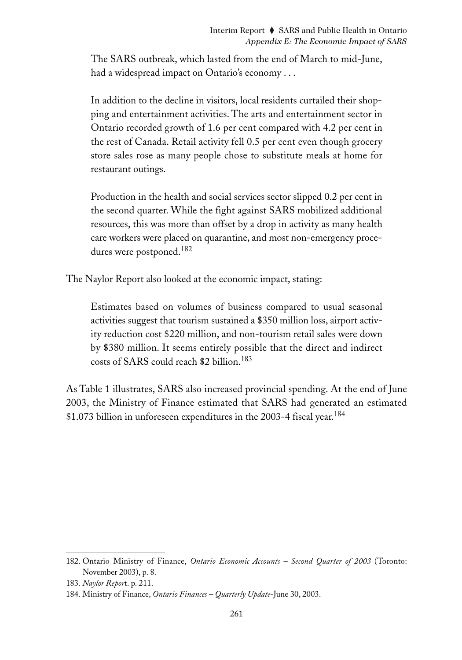The SARS outbreak, which lasted from the end of March to mid-June, had a widespread impact on Ontario's economy . . .

In addition to the decline in visitors, local residents curtailed their shopping and entertainment activities. The arts and entertainment sector in Ontario recorded growth of 1.6 per cent compared with 4.2 per cent in the rest of Canada. Retail activity fell 0.5 per cent even though grocery store sales rose as many people chose to substitute meals at home for restaurant outings.

Production in the health and social services sector slipped 0.2 per cent in the second quarter. While the fight against SARS mobilized additional resources, this was more than offset by a drop in activity as many health care workers were placed on quarantine, and most non-emergency procedures were postponed.182

The Naylor Report also looked at the economic impact, stating:

Estimates based on volumes of business compared to usual seasonal activities suggest that tourism sustained a \$350 million loss, airport activity reduction cost \$220 million, and non-tourism retail sales were down by \$380 million. It seems entirely possible that the direct and indirect costs of SARS could reach \$2 billion.183

As Table 1 illustrates, SARS also increased provincial spending. At the end of June 2003, the Ministry of Finance estimated that SARS had generated an estimated \$1.073 billion in unforeseen expenditures in the 2003-4 fiscal year.184

<sup>182.</sup> Ontario Ministry of Finance, *Ontario Economic Accounts – Second Quarter of 2003* (Toronto: November 2003), p. 8.

<sup>183.</sup> *Naylor Repor*t. p. 211.

<sup>184.</sup> Ministry of Finance, *Ontario Finances – Quarterly Update*-June 30, 2003.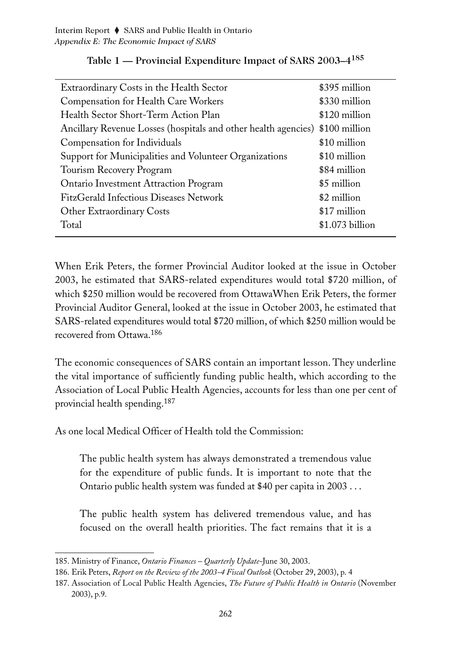| Extraordinary Costs in the Health Sector                       | \$395 million    |
|----------------------------------------------------------------|------------------|
| Compensation for Health Care Workers                           | $$330$ million   |
| Health Sector Short-Term Action Plan                           | $$120$ million   |
| Ancillary Revenue Losses (hospitals and other health agencies) | \$100 million    |
| Compensation for Individuals                                   | \$10 million     |
| Support for Municipalities and Volunteer Organizations         | $$10$ million    |
| Tourism Recovery Program                                       | \$84 million     |
| <b>Ontario Investment Attraction Program</b>                   | \$5 million      |
| FitzGerald Infectious Diseases Network                         | \$2 million      |
| Other Extraordinary Costs                                      | \$17 million     |
| Total                                                          | $$1.073$ billion |
|                                                                |                  |

## Table 1 — Provincial Expenditure Impact of SARS 2003–4185

When Erik Peters, the former Provincial Auditor looked at the issue in October 2003, he estimated that SARS-related expenditures would total \$720 million, of which \$250 million would be recovered from OttawaWhen Erik Peters, the former Provincial Auditor General, looked at the issue in October 2003, he estimated that SARS-related expenditures would total \$720 million, of which \$250 million would be recovered from Ottawa.186

The economic consequences of SARS contain an important lesson. They underline the vital importance of sufficiently funding public health, which according to the Association of Local Public Health Agencies, accounts for less than one per cent of provincial health spending. 187

As one local Medical Officer of Health told the Commission:

The public health system has always demonstrated a tremendous value for the expenditure of public funds. It is important to note that the Ontario public health system was funded at \$40 per capita in 2003 . . .

The public health system has delivered tremendous value, and has focused on the overall health priorities. The fact remains that it is a

<sup>185.</sup> Ministry of Finance, *Ontario Finances – Quarterly Update-*June 30, 2003.

<sup>186.</sup> Erik Peters, *Report on the Review of the 2003-4 Fiscal Outlook* (October 29, 2003), p. 4

<sup>187.</sup> Association of Local Public Health Agencies, *The Future of Public Health in Ontario* (November 2003), p.9.